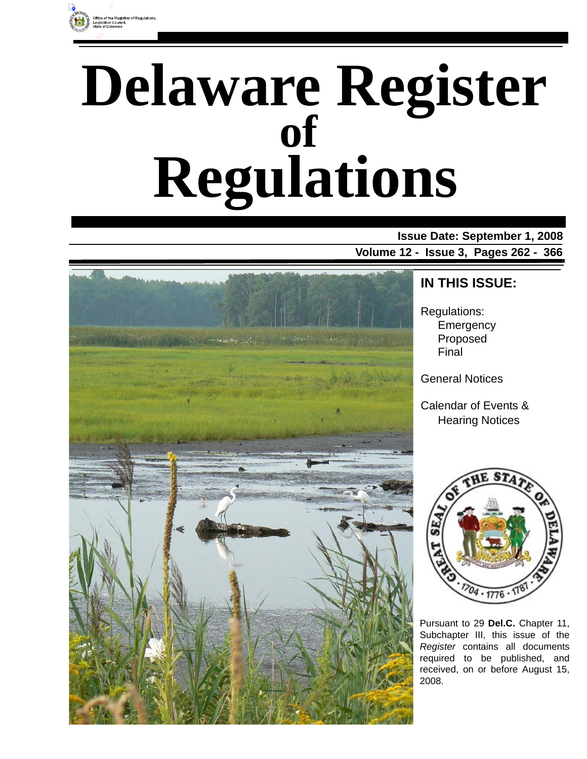

# **Delaware Register Regulations of**

**Issue Date: September 1, 2008 Volume 12 - Issue 3, Pages 262 - 366**



### **IN THIS ISSUE:**

Regulations: **Emergency** Proposed Final

General Notices

Calendar of Events & Hearing Notices



Pursuant to 29 **Del.C.** Chapter 11, Subchapter III, this issue of the *Register* contains all documents required to be published, and received, on or before August 15, 2008.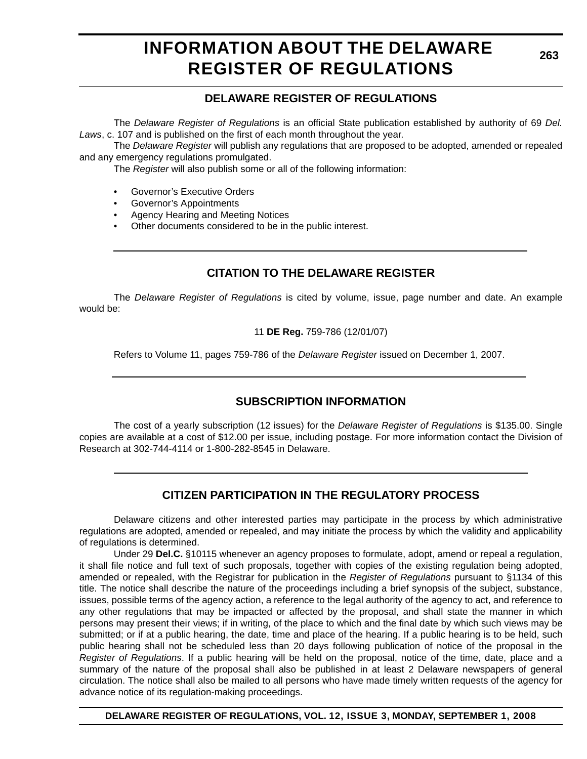# **INFORMATION ABOUT THE DELAWARE REGISTER OF REGULATIONS**

### **DELAWARE REGISTER OF REGULATIONS**

The *Delaware Register of Regulations* is an official State publication established by authority of 69 *Del. Laws*, c. 107 and is published on the first of each month throughout the year.

The *Delaware Register* will publish any regulations that are proposed to be adopted, amended or repealed and any emergency regulations promulgated.

The *Register* will also publish some or all of the following information:

- Governor's Executive Orders
- Governor's Appointments
- Agency Hearing and Meeting Notices
- Other documents considered to be in the public interest.

### **CITATION TO THE DELAWARE REGISTER**

The *Delaware Register of Regulations* is cited by volume, issue, page number and date. An example would be:

#### 11 **DE Reg.** 759-786 (12/01/07)

Refers to Volume 11, pages 759-786 of the *Delaware Register* issued on December 1, 2007.

### **SUBSCRIPTION INFORMATION**

The cost of a yearly subscription (12 issues) for the *Delaware Register of Regulations* is \$135.00. Single copies are available at a cost of \$12.00 per issue, including postage. For more information contact the Division of Research at 302-744-4114 or 1-800-282-8545 in Delaware.

### **CITIZEN PARTICIPATION IN THE REGULATORY PROCESS**

Delaware citizens and other interested parties may participate in the process by which administrative regulations are adopted, amended or repealed, and may initiate the process by which the validity and applicability of regulations is determined.

Under 29 **Del.C.** §10115 whenever an agency proposes to formulate, adopt, amend or repeal a regulation, it shall file notice and full text of such proposals, together with copies of the existing regulation being adopted, amended or repealed, with the Registrar for publication in the *Register of Regulations* pursuant to §1134 of this title. The notice shall describe the nature of the proceedings including a brief synopsis of the subject, substance, issues, possible terms of the agency action, a reference to the legal authority of the agency to act, and reference to any other regulations that may be impacted or affected by the proposal, and shall state the manner in which persons may present their views; if in writing, of the place to which and the final date by which such views may be submitted; or if at a public hearing, the date, time and place of the hearing. If a public hearing is to be held, such public hearing shall not be scheduled less than 20 days following publication of notice of the proposal in the *Register of Regulations*. If a public hearing will be held on the proposal, notice of the time, date, place and a summary of the nature of the proposal shall also be published in at least 2 Delaware newspapers of general circulation. The notice shall also be mailed to all persons who have made timely written requests of the agency for advance notice of its regulation-making proceedings.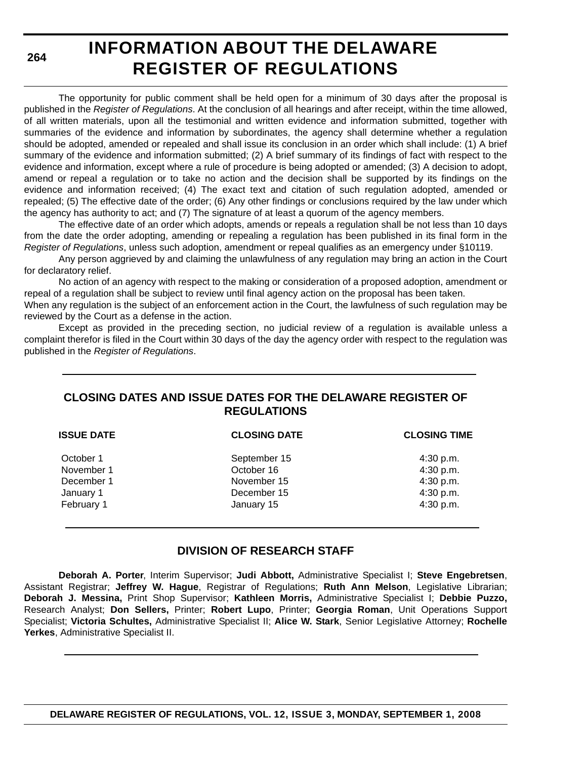**264**

# **INFORMATION ABOUT THE DELAWARE REGISTER OF REGULATIONS**

The opportunity for public comment shall be held open for a minimum of 30 days after the proposal is published in the *Register of Regulations*. At the conclusion of all hearings and after receipt, within the time allowed, of all written materials, upon all the testimonial and written evidence and information submitted, together with summaries of the evidence and information by subordinates, the agency shall determine whether a regulation should be adopted, amended or repealed and shall issue its conclusion in an order which shall include: (1) A brief summary of the evidence and information submitted; (2) A brief summary of its findings of fact with respect to the evidence and information, except where a rule of procedure is being adopted or amended; (3) A decision to adopt, amend or repeal a regulation or to take no action and the decision shall be supported by its findings on the evidence and information received; (4) The exact text and citation of such regulation adopted, amended or repealed; (5) The effective date of the order; (6) Any other findings or conclusions required by the law under which the agency has authority to act; and (7) The signature of at least a quorum of the agency members.

The effective date of an order which adopts, amends or repeals a regulation shall be not less than 10 days from the date the order adopting, amending or repealing a regulation has been published in its final form in the *Register of Regulations*, unless such adoption, amendment or repeal qualifies as an emergency under §10119.

Any person aggrieved by and claiming the unlawfulness of any regulation may bring an action in the Court for declaratory relief.

No action of an agency with respect to the making or consideration of a proposed adoption, amendment or repeal of a regulation shall be subject to review until final agency action on the proposal has been taken.

When any regulation is the subject of an enforcement action in the Court, the lawfulness of such regulation may be reviewed by the Court as a defense in the action.

Except as provided in the preceding section, no judicial review of a regulation is available unless a complaint therefor is filed in the Court within 30 days of the day the agency order with respect to the regulation was published in the *Register of Regulations*.

### **CLOSING DATES AND ISSUE DATES FOR THE DELAWARE REGISTER OF REGULATIONS**

| <b>ISSUE DATE</b> | <b>CLOSING DATE</b> | <b>CLOSING TIME</b> |
|-------------------|---------------------|---------------------|
| October 1         | September 15        | 4:30 p.m.           |
| November 1        | October 16          | 4:30 p.m.           |
| December 1        | November 15         | 4:30 p.m.           |
| January 1         | December 15         | 4:30 p.m.           |
| February 1        | January 15          | 4:30 p.m.           |

### **DIVISION OF RESEARCH STAFF**

**Deborah A. Porter**, Interim Supervisor; **Judi Abbott,** Administrative Specialist I; **Steve Engebretsen**, Assistant Registrar; **Jeffrey W. Hague**, Registrar of Regulations; **Ruth Ann Melson**, Legislative Librarian; **Deborah J. Messina,** Print Shop Supervisor; **Kathleen Morris,** Administrative Specialist I; **Debbie Puzzo,** Research Analyst; **Don Sellers,** Printer; **Robert Lupo**, Printer; **Georgia Roman**, Unit Operations Support Specialist; **Victoria Schultes,** Administrative Specialist II; **Alice W. Stark**, Senior Legislative Attorney; **Rochelle Yerkes**, Administrative Specialist II.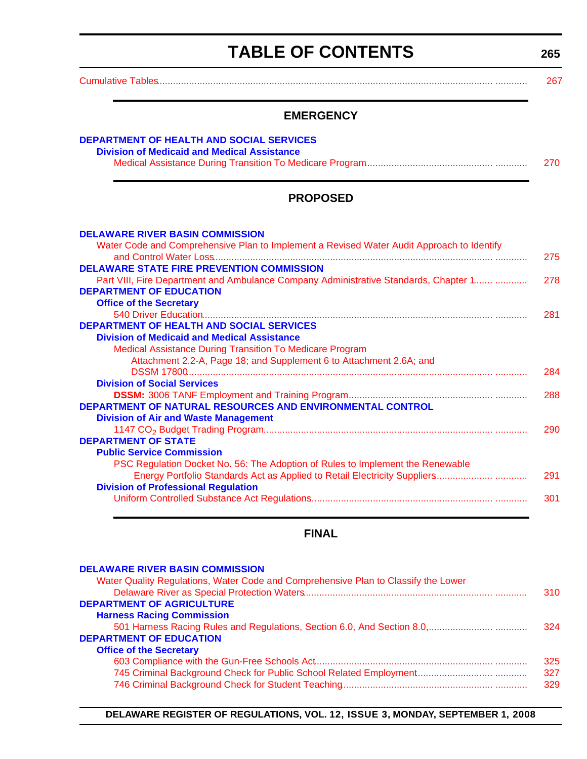# **TABLE OF CONTENTS**

**265**

<span id="page-3-0"></span>[Cumulative Tables.............................................................................................................................. ............ 267](#page-5-0)

### **EMERGENCY**

| DEPARTMENT OF HEALTH AND SOCIAL SERVICES           |     |
|----------------------------------------------------|-----|
| <b>Division of Medicaid and Medical Assistance</b> |     |
|                                                    | 270 |
|                                                    |     |

### **PROPOSED**

| <b>DELAWARE RIVER BASIN COMMISSION</b>                                                    |     |
|-------------------------------------------------------------------------------------------|-----|
| Water Code and Comprehensive Plan to Implement a Revised Water Audit Approach to Identify | 275 |
| <b>DELAWARE STATE FIRE PREVENTION COMMISSION</b>                                          |     |
| Part VIII, Fire Department and Ambulance Company Administrative Standards, Chapter 1      | 278 |
| <b>DEPARTMENT OF EDUCATION</b>                                                            |     |
| <b>Office of the Secretary</b>                                                            |     |
|                                                                                           | 281 |
| <b>DEPARTMENT OF HEALTH AND SOCIAL SERVICES</b>                                           |     |
| <b>Division of Medicaid and Medical Assistance</b>                                        |     |
| <b>Medical Assistance During Transition To Medicare Program</b>                           |     |
| Attachment 2.2-A, Page 18; and Supplement 6 to Attachment 2.6A; and                       |     |
|                                                                                           | 284 |
| <b>Division of Social Services</b>                                                        |     |
|                                                                                           | 288 |
| <b>DEPARTMENT OF NATURAL RESOURCES AND ENVIRONMENTAL CONTROL</b>                          |     |
| <b>Division of Air and Waste Management</b>                                               |     |
|                                                                                           | 290 |
| <b>DEPARTMENT OF STATE</b>                                                                |     |
| <b>Public Service Commission</b>                                                          |     |
| PSC Regulation Docket No. 56: The Adoption of Rules to Implement the Renewable            |     |
|                                                                                           | 291 |
| <b>Division of Professional Regulation</b>                                                |     |
|                                                                                           | 301 |
|                                                                                           |     |

### **FINAL**

| 310 |
|-----|
|     |
|     |
| 324 |
|     |
|     |
| 325 |
| 327 |
| 329 |
|     |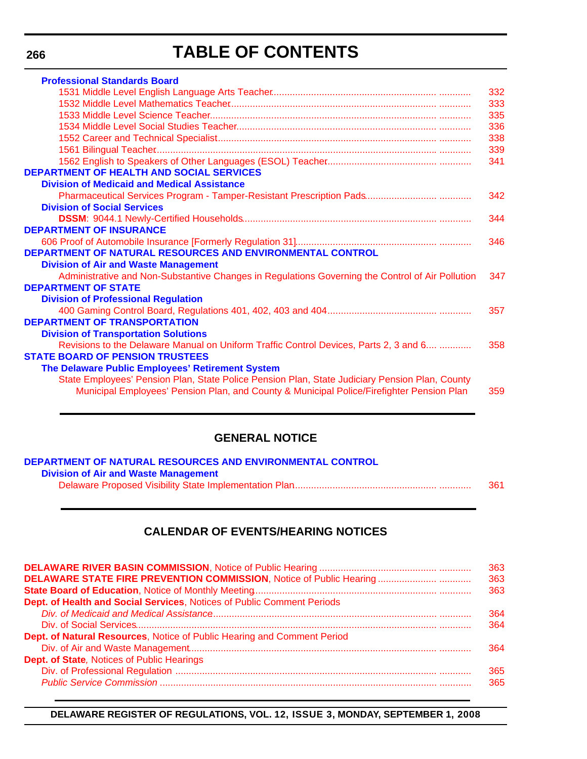# **TABLE OF CONTENTS**

| <b>Professional Standards Board</b>                                                              |     |
|--------------------------------------------------------------------------------------------------|-----|
|                                                                                                  | 332 |
|                                                                                                  | 333 |
|                                                                                                  | 335 |
|                                                                                                  | 336 |
|                                                                                                  | 338 |
|                                                                                                  | 339 |
|                                                                                                  | 341 |
| <b>DEPARTMENT OF HEALTH AND SOCIAL SERVICES</b>                                                  |     |
| <b>Division of Medicaid and Medical Assistance</b>                                               |     |
|                                                                                                  | 342 |
| <b>Division of Social Services</b>                                                               |     |
|                                                                                                  | 344 |
| <b>DEPARTMENT OF INSURANCE</b>                                                                   |     |
|                                                                                                  | 346 |
| DEPARTMENT OF NATURAL RESOURCES AND ENVIRONMENTAL CONTROL                                        |     |
| <b>Division of Air and Waste Management</b>                                                      |     |
| Administrative and Non-Substantive Changes in Regulations Governing the Control of Air Pollution | 347 |
| <b>DEPARTMENT OF STATE</b>                                                                       |     |
| <b>Division of Professional Regulation</b>                                                       |     |
|                                                                                                  | 357 |
| <b>DEPARTMENT OF TRANSPORTATION</b>                                                              |     |
| <b>Division of Transportation Solutions</b>                                                      |     |
| Revisions to the Delaware Manual on Uniform Traffic Control Devices, Parts 2, 3 and 6            | 358 |
| <b>STATE BOARD OF PENSION TRUSTEES</b>                                                           |     |
| The Delaware Public Employees' Retirement System                                                 |     |
| State Employees' Pension Plan, State Police Pension Plan, State Judiciary Pension Plan, County   |     |
| Municipal Employees' Pension Plan, and County & Municipal Police/Firefighter Pension Plan        | 359 |
|                                                                                                  |     |

### **GENERAL NOTICE**

| DEPARTMENT OF NATURAL RESOURCES AND ENVIRONMENTAL CONTROL |     |
|-----------------------------------------------------------|-----|
| <b>Division of Air and Waste Management</b>               |     |
|                                                           | 361 |

### **CALENDAR OF EVENTS/HEARING NOTICES**

| Dept. of Health and Social Services, Notices of Public Comment Periods  | 363<br>363<br>363<br>364 |
|-------------------------------------------------------------------------|--------------------------|
| Dept. of Natural Resources, Notice of Public Hearing and Comment Period | 364<br>364               |
| Dept. of State, Notices of Public Hearings                              | 365<br>365               |

#### **DELAWARE REGISTER OF REGULATIONS, VOL. 12, ISSUE 3, MONDAY, SEPTEMBER 1, 2008**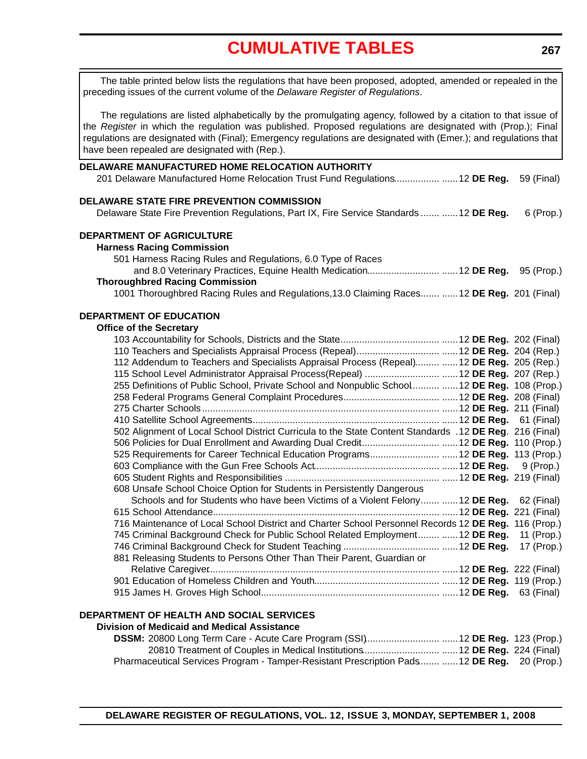# **[CUMULATIVE TABLES](#page-3-0)**

<span id="page-5-0"></span>The table printed below lists the regulations that have been proposed, adopted, amended or repealed in the preceding issues of the current volume of the *Delaware Register of Regulations*. The regulations are listed alphabetically by the promulgating agency, followed by a citation to that issue of the *Register* in which the regulation was published. Proposed regulations are designated with (Prop.); Final regulations are designated with (Final); Emergency regulations are designated with (Emer.); and regulations that

**DELAWARE MANUFACTURED HOME RELOCATION AUTHORITY** 201 Delaware Manufactured Home Relocation Trust Fund Regulations................. ......12 **DE Reg.** 59 (Final) **DELAWARE STATE FIRE PREVENTION COMMISSION** Delaware State Fire Prevention Regulations, Part IX, Fire Service Standards ....... ......12 **DE Reg.** 6 (Prop.) **DEPARTMENT OF AGRICULTURE Harness Racing Commission** 501 Harness Racing Rules and Regulations, 6.0 Type of Races and 8.0 Veterinary Practices, Equine Health Medication........................... ......12 **DE Reg.** 95 (Prop.) **Thoroughbred Racing Commission** 1001 Thoroughbred Racing Rules and Regulations,13.0 Claiming Races........ ......12 **DE Reg.** 201 (Final) **DEPARTMENT OF EDUCATION Office of the Secretary** 103 Accountability for Schools, Districts and the State...................................... ......12 **DE Reg.** 202 (Final) 110 Teachers and Specialists Appraisal Process (Repeal) ............................... ......12 **DE Reg.** 204 (Rep.) 112 Addendum to Teachers and Specialists Appraisal Process (Repeal)......... ......12 **DE Reg.** 205 (Rep.) 115 School Level Administrator Appraisal Process(Repeal) ............................ ......12 **DE Reg.** 207 (Rep.) 255 Definitions of Public School, Private School and Nonpublic School........... ......12 **DE Reg.** 108 (Prop.) 258 Federal Programs General Complaint Procedures .................................... ......12 **DE Reg.** 208 (Final) 275 Charter Schools ......................................................................................... ......12 **DE Reg.** 211 (Final) 410 Satellite School Agreements....................................................................... ......12 **DE Reg.** 61 (Final) 502 Alignment of Local School District Curricula to the State Content Standards .12 **DE Reg**. 216 (Final) 506 Policies for Dual Enrollment and Awarding Dual Credit.............................. ......12 **DE Reg.** 110 (Prop.) 525 Requirements for Career Technical Education Programs........................... ......12 **DE Reg.** 113 (Prop.) 603 Compliance with the Gun Free Schools Act............................................... ......12 **DE Reg.** 9 (Prop.) 605 Student Rights and Responsibilities .......................................................... ......12 **DE Reg.** 219 (Final) 608 Unsafe School Choice Option for Students in Persistently Dangerous Schools and for Students who have been Victims of a Violent Felony ....... ......12 **DE Reg.** 62 (Final) 615 School Attendance ..................................................................................... ......12 **DE Reg.** 221 (Final) 716 Maintenance of Local School District and Charter School Personnel Records 12 **DE Reg.** 116 (Prop.) 745 Criminal Background Check for Public School Related Employment......... ......12 **DE Reg.** 11 (Prop.) have been repealed are designated with (Rep.).

746 Criminal Background Check for Student Teaching .................................... ......12 **DE Reg.** 17 (Prop.) 881 Releasing Students to Persons Other Than Their Parent, Guardian or Relative Caregiver....................................................................................... ......12 **DE Reg.** 222 (Final) 901 Education of Homeless Children and Youth............................................... ......12 **DE Reg.** 119 (Prop.) 915 James H. Groves High School ................................................................... ......12 **DE Reg.** 63 (Final)

#### **DEPARTMENT OF HEALTH AND SOCIAL SERVICES**

#### **Division of Medicaid and Medical Assistance**

| Pharmaceutical Services Program - Tamper-Resistant Prescription Pads  12 DE Reg. 20 (Prop.) |  |
|---------------------------------------------------------------------------------------------|--|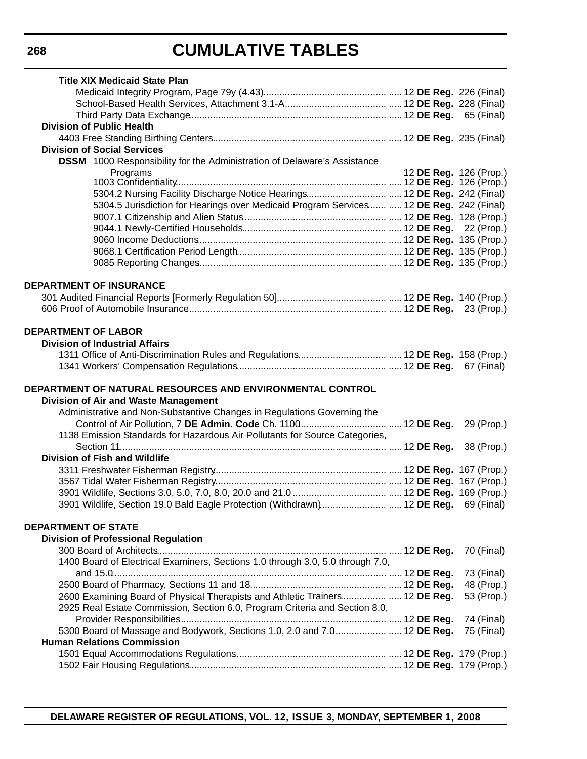# **CUMULATIVE TABLES**

| <b>Title XIX Medicaid State Plan</b>                                                                                                                         |                        |            |
|--------------------------------------------------------------------------------------------------------------------------------------------------------------|------------------------|------------|
|                                                                                                                                                              |                        |            |
|                                                                                                                                                              |                        |            |
|                                                                                                                                                              |                        |            |
| <b>Division of Public Health</b>                                                                                                                             |                        |            |
|                                                                                                                                                              |                        |            |
| <b>Division of Social Services</b>                                                                                                                           |                        |            |
| <b>DSSM</b> 1000 Responsibility for the Administration of Delaware's Assistance                                                                              |                        |            |
| Programs                                                                                                                                                     | 12 DE Reg. 126 (Prop.) |            |
|                                                                                                                                                              |                        |            |
| 5304.5 Jurisdiction for Hearings over Medicaid Program Services  12 DE Reg. 242 (Final)                                                                      |                        |            |
|                                                                                                                                                              |                        |            |
|                                                                                                                                                              |                        |            |
|                                                                                                                                                              |                        |            |
|                                                                                                                                                              |                        |            |
|                                                                                                                                                              |                        |            |
|                                                                                                                                                              |                        |            |
| <b>DEPARTMENT OF INSURANCE</b>                                                                                                                               |                        |            |
|                                                                                                                                                              |                        |            |
|                                                                                                                                                              |                        |            |
|                                                                                                                                                              |                        |            |
|                                                                                                                                                              |                        |            |
| <b>DEPARTMENT OF LABOR</b>                                                                                                                                   |                        |            |
| <b>Division of Industrial Affairs</b>                                                                                                                        |                        |            |
|                                                                                                                                                              |                        |            |
|                                                                                                                                                              |                        |            |
|                                                                                                                                                              |                        |            |
| DEPARTMENT OF NATURAL RESOURCES AND ENVIRONMENTAL CONTROL                                                                                                    |                        |            |
| <b>Division of Air and Waste Management</b>                                                                                                                  |                        |            |
| Administrative and Non-Substantive Changes in Regulations Governing the                                                                                      |                        |            |
|                                                                                                                                                              |                        | 29 (Prop.) |
| 1138 Emission Standards for Hazardous Air Pollutants for Source Categories,                                                                                  |                        |            |
|                                                                                                                                                              |                        | 38 (Prop.) |
| <b>Division of Fish and Wildlife</b>                                                                                                                         |                        |            |
|                                                                                                                                                              |                        |            |
|                                                                                                                                                              |                        |            |
|                                                                                                                                                              |                        |            |
| 3901 Wildlife, Section 19.0 Bald Eagle Protection (Withdrawn) 12 DE Reg. 69 (Final)                                                                          |                        |            |
|                                                                                                                                                              |                        |            |
| <b>DEPARTMENT OF STATE</b>                                                                                                                                   |                        |            |
| <b>Division of Professional Regulation</b>                                                                                                                   |                        |            |
|                                                                                                                                                              |                        | 70 (Final) |
| 1400 Board of Electrical Examiners, Sections 1.0 through 3.0, 5.0 through 7.0,                                                                               |                        |            |
|                                                                                                                                                              |                        | 73 (Final) |
|                                                                                                                                                              |                        | 48 (Prop.) |
| 2600 Examining Board of Physical Therapists and Athletic Trainers  12 DE Reg.<br>2925 Real Estate Commission, Section 6.0, Program Criteria and Section 8.0, |                        | 53 (Prop.) |
|                                                                                                                                                              |                        | 74 (Final) |
| 5300 Board of Massage and Bodywork, Sections 1.0, 2.0 and 7.0 12 DE Reg.                                                                                     |                        | 75 (Final) |
| <b>Human Relations Commission</b>                                                                                                                            |                        |            |
|                                                                                                                                                              |                        |            |
|                                                                                                                                                              |                        |            |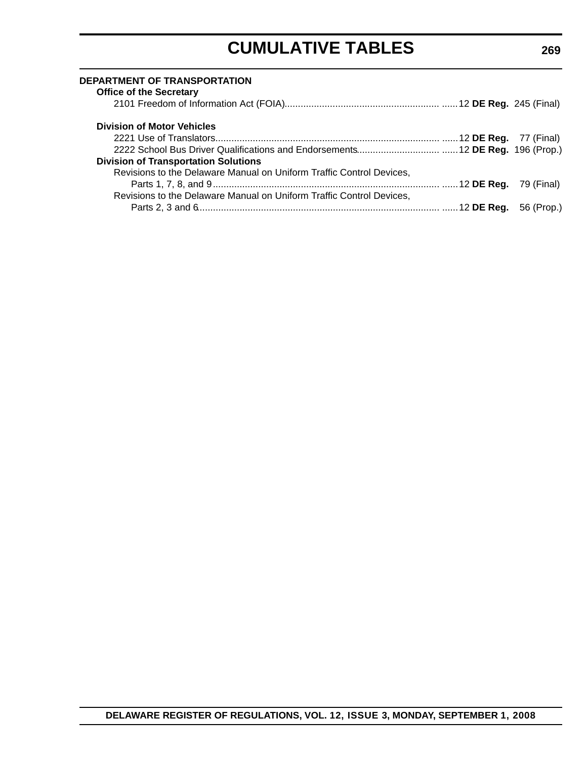# **CUMULATIVE TABLES**

| DEPARTMENT OF TRANSPORTATION<br><b>Office of the Secretary</b>       |  |
|----------------------------------------------------------------------|--|
|                                                                      |  |
| <b>Division of Motor Vehicles</b>                                    |  |
|                                                                      |  |
|                                                                      |  |
| <b>Division of Transportation Solutions</b>                          |  |
| Revisions to the Delaware Manual on Uniform Traffic Control Devices, |  |
|                                                                      |  |
| Revisions to the Delaware Manual on Uniform Traffic Control Devices, |  |
|                                                                      |  |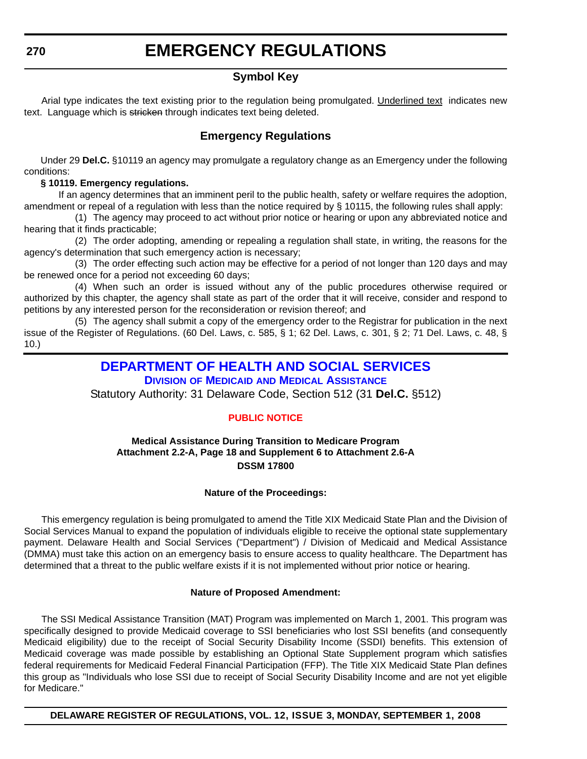### **Symbol Key**

<span id="page-8-0"></span>Arial type indicates the text existing prior to the regulation being promulgated. Underlined text indicates new text. Language which is stricken through indicates text being deleted.

### **Emergency Regulations**

Under 29 **Del.C.** §10119 an agency may promulgate a regulatory change as an Emergency under the following conditions:

#### **§ 10119. Emergency regulations.**

If an agency determines that an imminent peril to the public health, safety or welfare requires the adoption, amendment or repeal of a regulation with less than the notice required by § 10115, the following rules shall apply:

(1) The agency may proceed to act without prior notice or hearing or upon any abbreviated notice and hearing that it finds practicable;

(2) The order adopting, amending or repealing a regulation shall state, in writing, the reasons for the agency's determination that such emergency action is necessary;

(3) The order effecting such action may be effective for a period of not longer than 120 days and may be renewed once for a period not exceeding 60 days;

(4) When such an order is issued without any of the public procedures otherwise required or authorized by this chapter, the agency shall state as part of the order that it will receive, consider and respond to petitions by any interested person for the reconsideration or revision thereof; and

(5) The agency shall submit a copy of the emergency order to the Registrar for publication in the next issue of the Register of Regulations. (60 Del. Laws, c. 585, § 1; 62 Del. Laws, c. 301, § 2; 71 Del. Laws, c. 48, § 10.)

### **[DEPARTMENT OF HEALTH AND SOCIAL SERVICES](http://www.dhss.delaware.gov/dhss/index.html)**

**DIVISION OF MEDICAID [AND MEDICAL ASSISTANCE](http://www.dhss.delaware.gov/dhss/dmma/)**

Statutory Authority: 31 Delaware Code, Section 512 (31 **Del.C.** §512)

#### **[PUBLIC NOTICE](#page-3-0)**

#### **Medical Assistance During Transition to Medicare Program Attachment 2.2-A, Page 18 and Supplement 6 to Attachment 2.6-A DSSM 17800**

#### **Nature of the Proceedings:**

This emergency regulation is being promulgated to amend the Title XIX Medicaid State Plan and the Division of Social Services Manual to expand the population of individuals eligible to receive the optional state supplementary payment. Delaware Health and Social Services ("Department") / Division of Medicaid and Medical Assistance (DMMA) must take this action on an emergency basis to ensure access to quality healthcare. The Department has determined that a threat to the public welfare exists if it is not implemented without prior notice or hearing.

#### **Nature of Proposed Amendment:**

The SSI Medical Assistance Transition (MAT) Program was implemented on March 1, 2001. This program was specifically designed to provide Medicaid coverage to SSI beneficiaries who lost SSI benefits (and consequently Medicaid eligibility) due to the receipt of Social Security Disability Income (SSDI) benefits. This extension of Medicaid coverage was made possible by establishing an Optional State Supplement program which satisfies federal requirements for Medicaid Federal Financial Participation (FFP). The Title XIX Medicaid State Plan defines this group as "Individuals who lose SSI due to receipt of Social Security Disability Income and are not yet eligible for Medicare."

**DELAWARE REGISTER OF REGULATIONS, VOL. 12, ISSUE 3, MONDAY, SEPTEMBER 1, 2008**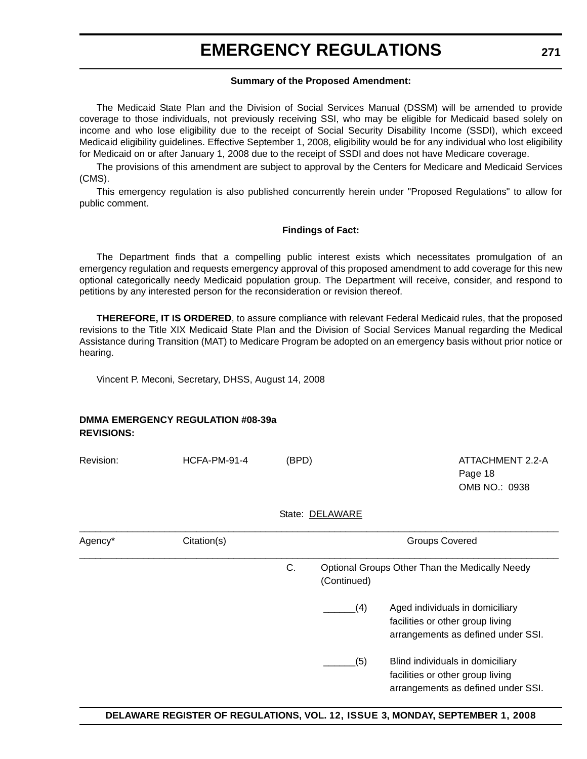#### **Summary of the Proposed Amendment:**

The Medicaid State Plan and the Division of Social Services Manual (DSSM) will be amended to provide coverage to those individuals, not previously receiving SSI, who may be eligible for Medicaid based solely on income and who lose eligibility due to the receipt of Social Security Disability Income (SSDI), which exceed Medicaid eligibility guidelines. Effective September 1, 2008, eligibility would be for any individual who lost eligibility for Medicaid on or after January 1, 2008 due to the receipt of SSDI and does not have Medicare coverage.

The provisions of this amendment are subject to approval by the Centers for Medicare and Medicaid Services (CMS).

This emergency regulation is also published concurrently herein under "Proposed Regulations" to allow for public comment.

#### **Findings of Fact:**

The Department finds that a compelling public interest exists which necessitates promulgation of an emergency regulation and requests emergency approval of this proposed amendment to add coverage for this new optional categorically needy Medicaid population group. The Department will receive, consider, and respond to petitions by any interested person for the reconsideration or revision thereof.

**THEREFORE, IT IS ORDERED**, to assure compliance with relevant Federal Medicaid rules, that the proposed revisions to the Title XIX Medicaid State Plan and the Division of Social Services Manual regarding the Medical Assistance during Transition (MAT) to Medicare Program be adopted on an emergency basis without prior notice or hearing.

Vincent P. Meconi, Secretary, DHSS, August 14, 2008

#### **DMMA EMERGENCY REGULATION #08-39a REVISIONS:**

Revision: HCFA-PM-91-4 (BPD) ATTACHMENT 2.2-A

Page 18  $OMB NO.0938$ 

#### State: DELAWARE

| Agency* | Citation(s) |    |             | <b>Groups Covered</b>                                                                                      |
|---------|-------------|----|-------------|------------------------------------------------------------------------------------------------------------|
|         |             | C. | (Continued) | Optional Groups Other Than the Medically Needy                                                             |
|         |             |    | (4)         | Aged individuals in domiciliary<br>facilities or other group living<br>arrangements as defined under SSI.  |
|         |             |    | (5)         | Blind individuals in domiciliary<br>facilities or other group living<br>arrangements as defined under SSI. |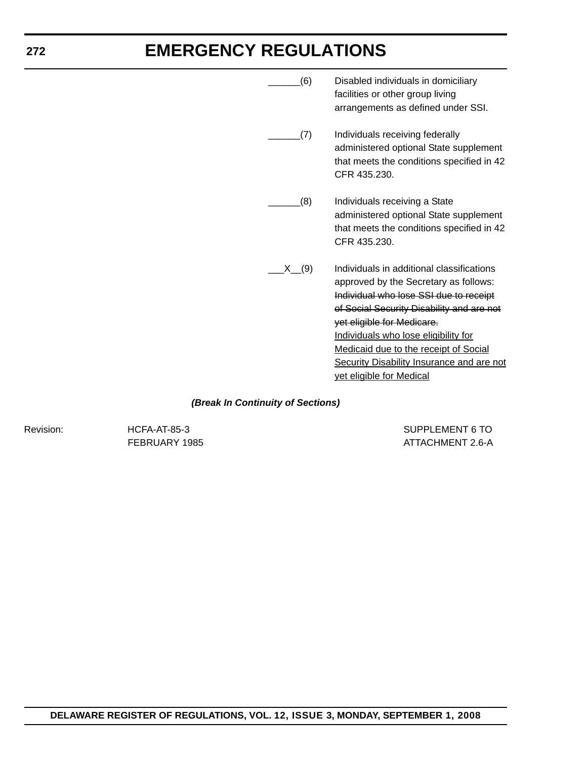|      | (6) | Disabled individuals in domiciliary<br>facilities or other group living<br>arrangements as defined under SSI.                                                                                                                                                                                                                                                                   |
|------|-----|---------------------------------------------------------------------------------------------------------------------------------------------------------------------------------------------------------------------------------------------------------------------------------------------------------------------------------------------------------------------------------|
|      | (7) | Individuals receiving federally<br>administered optional State supplement<br>that meets the conditions specified in 42<br>CFR 435.230.                                                                                                                                                                                                                                          |
|      | (8) | Individuals receiving a State<br>administered optional State supplement<br>that meets the conditions specified in 42<br>CFR 435.230.                                                                                                                                                                                                                                            |
| X(9) |     | Individuals in additional classifications<br>approved by the Secretary as follows:<br>Individual who lose SSI due to receipt<br>of Social Security Disability and are not<br>yet eligible for Medicare.<br>Individuals who lose eligibility for<br><b>Medicaid due to the receipt of Social</b><br><b>Security Disability Insurance and are not</b><br>yet eligible for Medical |

#### *(Break In Continuity of Sections)*

Revision: HCFA-AT-85-3 Revision: HCFA-AT-85-3 FEBRUARY 1985 **ATTACHMENT 2.6-A**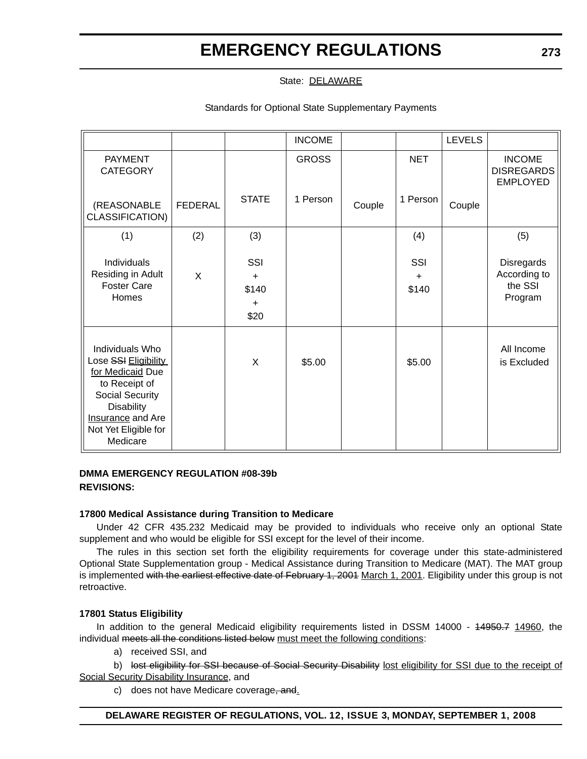State: DELAWARE

Standards for Optional State Supplementary Payments

|                                                                                                                                                                                      |                |                                                | <b>INCOME</b> |        |                           | <b>LEVELS</b> |                                                       |
|--------------------------------------------------------------------------------------------------------------------------------------------------------------------------------------|----------------|------------------------------------------------|---------------|--------|---------------------------|---------------|-------------------------------------------------------|
| <b>PAYMENT</b><br><b>CATEGORY</b>                                                                                                                                                    |                |                                                | <b>GROSS</b>  |        | <b>NET</b>                |               | <b>INCOME</b><br><b>DISREGARDS</b><br><b>EMPLOYED</b> |
| (REASONABLE<br>CLASSIFICATION)                                                                                                                                                       | <b>FEDERAL</b> | <b>STATE</b>                                   | 1 Person      | Couple | 1 Person                  | Couple        |                                                       |
| (1)                                                                                                                                                                                  | (2)            | (3)                                            |               |        | (4)                       |               | (5)                                                   |
| Individuals<br>Residing in Adult<br><b>Foster Care</b><br>Homes                                                                                                                      | X              | SSI<br>$\ddot{}$<br>\$140<br>$\ddot{}$<br>\$20 |               |        | SSI<br>$\ddot{}$<br>\$140 |               | Disregards<br>According to<br>the SSI<br>Program      |
| Individuals Who<br>Lose SSI Eligibility<br>for Medicaid Due<br>to Receipt of<br><b>Social Security</b><br><b>Disability</b><br>Insurance and Are<br>Not Yet Eligible for<br>Medicare |                | X                                              | \$5.00        |        | \$5.00                    |               | All Income<br>is Excluded                             |

#### **DMMA EMERGENCY REGULATION #08-39b REVISIONS:**

#### **17800 Medical Assistance during Transition to Medicare**

Under 42 CFR 435.232 Medicaid may be provided to individuals who receive only an optional State supplement and who would be eligible for SSI except for the level of their income.

The rules in this section set forth the eligibility requirements for coverage under this state-administered Optional State Supplementation group - Medical Assistance during Transition to Medicare (MAT). The MAT group is implemented with the earliest effective date of February 1, 2001 March 1, 2001. Eligibility under this group is not retroactive.

#### **17801 Status Eligibility**

In addition to the general Medicaid eligibility requirements listed in DSSM 14000 - 44950.7 14960, the individual meets all the conditions listed below must meet the following conditions:

a) received SSI, and

b) lost eligibility for SSI because of Social Security Disability lost eligibility for SSI due to the receipt of Social Security Disability Insurance, and

c) does not have Medicare coverage, and.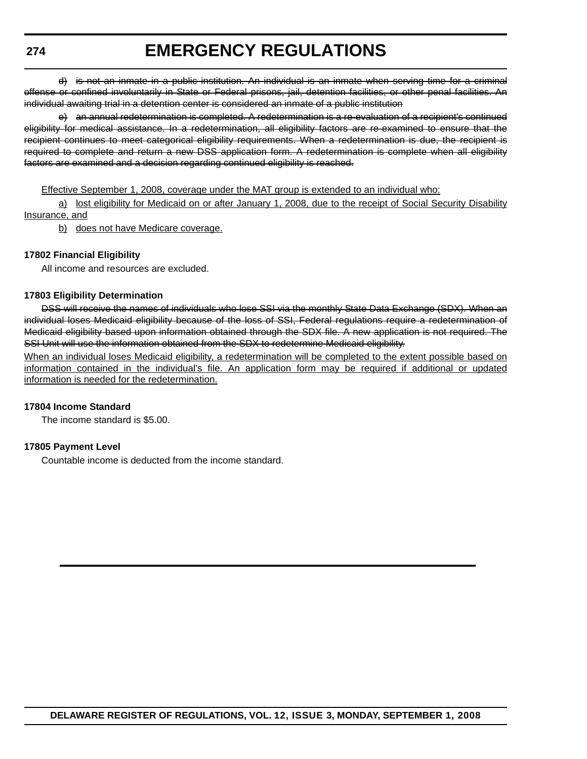d) is not an inmate in a public institution. An individual is an inmate when serving time for a criminal offense or confined involuntarily in State or Federal prisons, jail, detention facilities, or other penal facilities. An individual awaiting trial in a detention center is considered an inmate of a public institution

e) an annual redetermination is completed. A redetermination is a re-evaluation of a recipient's continued eligibility for medical assistance. In a redetermination, all eligibility factors are re-examined to ensure that the recipient continues to meet categorical eligibility requirements. When a redetermination is due, the recipient is required to complete and return a new DSS application form. A redetermination is complete when all eligibility factors are examined and a decision regarding continued eligibility is reached.

Effective September 1, 2008, coverage under the MAT group is extended to an individual who:

a) lost eligibility for Medicaid on or after January 1, 2008, due to the receipt of Social Security Disability Insurance, and

b) does not have Medicare coverage.

#### **17802 Financial Eligibility**

All income and resources are excluded.

#### **17803 Eligibility Determination**

DSS will receive the names of individuals who lose SSI via the monthly State Data Exchange (SDX). When an individual loses Medicaid eligibility because of the loss of SSI, Federal regulations require a redetermination of Medicaid eligibility based upon information obtained through the SDX file. A new application is not required. The SSI Unit will use the information obtained from the SDX to redetermine Medicaid eligibility.

When an individual loses Medicaid eligibility, a redetermination will be completed to the extent possible based on information contained in the individual's file. An application form may be required if additional or updated information is needed for the redetermination.

#### **17804 Income Standard**

The income standard is \$5.00.

#### **17805 Payment Level**

Countable income is deducted from the income standard.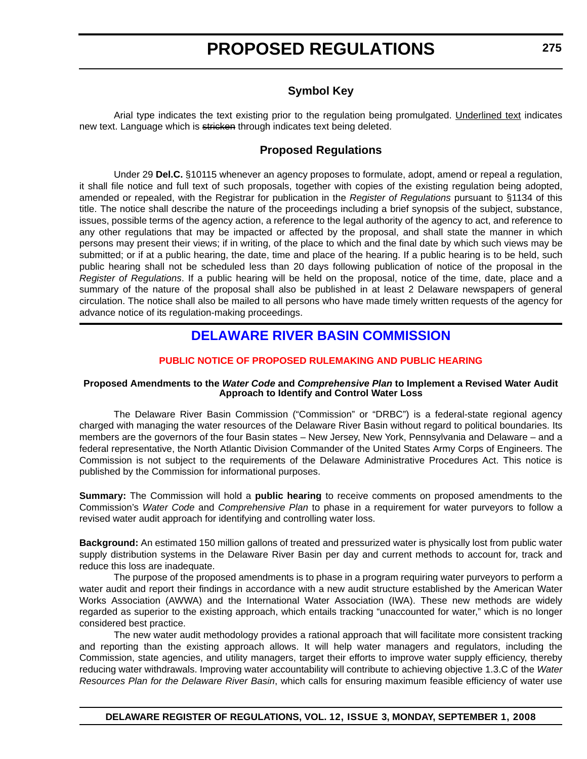### **Symbol Key**

<span id="page-13-0"></span>Arial type indicates the text existing prior to the regulation being promulgated. Underlined text indicates new text. Language which is stricken through indicates text being deleted.

#### **Proposed Regulations**

Under 29 **Del.C.** §10115 whenever an agency proposes to formulate, adopt, amend or repeal a regulation, it shall file notice and full text of such proposals, together with copies of the existing regulation being adopted, amended or repealed, with the Registrar for publication in the *Register of Regulations* pursuant to §1134 of this title. The notice shall describe the nature of the proceedings including a brief synopsis of the subject, substance, issues, possible terms of the agency action, a reference to the legal authority of the agency to act, and reference to any other regulations that may be impacted or affected by the proposal, and shall state the manner in which persons may present their views; if in writing, of the place to which and the final date by which such views may be submitted; or if at a public hearing, the date, time and place of the hearing. If a public hearing is to be held, such public hearing shall not be scheduled less than 20 days following publication of notice of the proposal in the *Register of Regulations*. If a public hearing will be held on the proposal, notice of the time, date, place and a summary of the nature of the proposal shall also be published in at least 2 Delaware newspapers of general circulation. The notice shall also be mailed to all persons who have made timely written requests of the agency for advance notice of its regulation-making proceedings.

### **[DELAWARE RIVER BASIN COMMISSION](http://www.state.nj.us/drbc/)**

#### **[PUBLIC NOTICE OF PROPOSED RULEMAKING AND PUBLIC HEARING](#page-3-0)**

#### **Proposed Amendments to the** *Water Code* **and** *Comprehensive Plan* **to Implement a Revised Water Audit Approach to Identify and Control Water Loss**

The Delaware River Basin Commission ("Commission" or "DRBC") is a federal-state regional agency charged with managing the water resources of the Delaware River Basin without regard to political boundaries. Its members are the governors of the four Basin states – New Jersey, New York, Pennsylvania and Delaware – and a federal representative, the North Atlantic Division Commander of the United States Army Corps of Engineers. The Commission is not subject to the requirements of the Delaware Administrative Procedures Act. This notice is published by the Commission for informational purposes.

**Summary:** The Commission will hold a **public hearing** to receive comments on proposed amendments to the Commission's *Water Code* and *Comprehensive Plan* to phase in a requirement for water purveyors to follow a revised water audit approach for identifying and controlling water loss.

**Background:** An estimated 150 million gallons of treated and pressurized water is physically lost from public water supply distribution systems in the Delaware River Basin per day and current methods to account for, track and reduce this loss are inadequate.

The purpose of the proposed amendments is to phase in a program requiring water purveyors to perform a water audit and report their findings in accordance with a new audit structure established by the American Water Works Association (AWWA) and the International Water Association (IWA). These new methods are widely regarded as superior to the existing approach, which entails tracking "unaccounted for water," which is no longer considered best practice.

The new water audit methodology provides a rational approach that will facilitate more consistent tracking and reporting than the existing approach allows. It will help water managers and regulators, including the Commission, state agencies, and utility managers, target their efforts to improve water supply efficiency, thereby reducing water withdrawals. Improving water accountability will contribute to achieving objective 1.3.C of the *Water Resources Plan for the Delaware River Basin*, which calls for ensuring maximum feasible efficiency of water use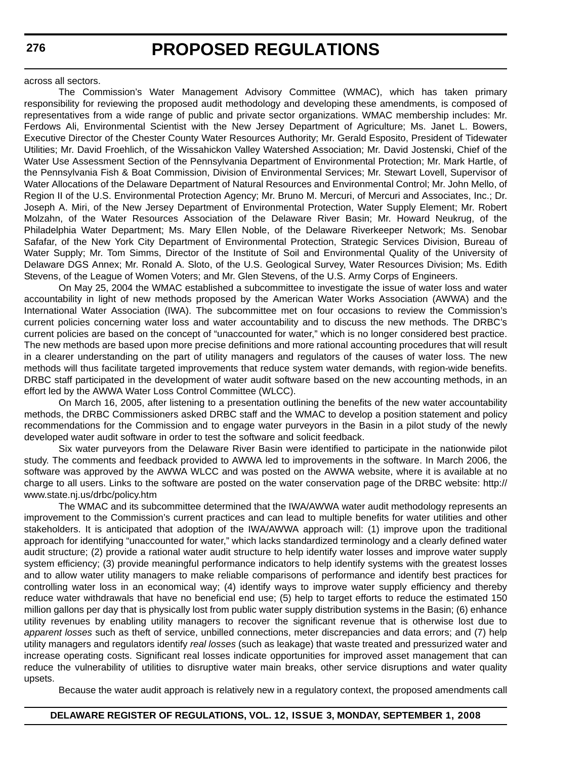across all sectors.

The Commission's Water Management Advisory Committee (WMAC), which has taken primary responsibility for reviewing the proposed audit methodology and developing these amendments, is composed of representatives from a wide range of public and private sector organizations. WMAC membership includes: Mr. Ferdows Ali, Environmental Scientist with the New Jersey Department of Agriculture; Ms. Janet L. Bowers, Executive Director of the Chester County Water Resources Authority; Mr. Gerald Esposito, President of Tidewater Utilities; Mr. David Froehlich, of the Wissahickon Valley Watershed Association; Mr. David Jostenski, Chief of the Water Use Assessment Section of the Pennsylvania Department of Environmental Protection; Mr. Mark Hartle, of the Pennsylvania Fish & Boat Commission, Division of Environmental Services; Mr. Stewart Lovell, Supervisor of Water Allocations of the Delaware Department of Natural Resources and Environmental Control; Mr. John Mello, of Region II of the U.S. Environmental Protection Agency; Mr. Bruno M. Mercuri, of Mercuri and Associates, Inc.; Dr. Joseph A. Miri, of the New Jersey Department of Environmental Protection, Water Supply Element; Mr. Robert Molzahn, of the Water Resources Association of the Delaware River Basin; Mr. Howard Neukrug, of the Philadelphia Water Department; Ms. Mary Ellen Noble, of the Delaware Riverkeeper Network; Ms. Senobar Safafar, of the New York City Department of Environmental Protection, Strategic Services Division, Bureau of Water Supply; Mr. Tom Simms, Director of the Institute of Soil and Environmental Quality of the University of Delaware DGS Annex; Mr. Ronald A. Sloto, of the U.S. Geological Survey, Water Resources Division; Ms. Edith Stevens, of the League of Women Voters; and Mr. Glen Stevens, of the U.S. Army Corps of Engineers.

On May 25, 2004 the WMAC established a subcommittee to investigate the issue of water loss and water accountability in light of new methods proposed by the American Water Works Association (AWWA) and the International Water Association (IWA). The subcommittee met on four occasions to review the Commission's current policies concerning water loss and water accountability and to discuss the new methods. The DRBC's current policies are based on the concept of "unaccounted for water," which is no longer considered best practice. The new methods are based upon more precise definitions and more rational accounting procedures that will result in a clearer understanding on the part of utility managers and regulators of the causes of water loss. The new methods will thus facilitate targeted improvements that reduce system water demands, with region-wide benefits. DRBC staff participated in the development of water audit software based on the new accounting methods, in an effort led by the AWWA Water Loss Control Committee (WLCC).

On March 16, 2005, after listening to a presentation outlining the benefits of the new water accountability methods, the DRBC Commissioners asked DRBC staff and the WMAC to develop a position statement and policy recommendations for the Commission and to engage water purveyors in the Basin in a pilot study of the newly developed water audit software in order to test the software and solicit feedback.

Six water purveyors from the Delaware River Basin were identified to participate in the nationwide pilot study. The comments and feedback provided to AWWA led to improvements in the software. In March 2006, the software was approved by the AWWA WLCC and was posted on the AWWA website, where it is available at no charge to all users. Links to the software are posted on the water conservation page of the DRBC website: http:// www.state.nj.us/drbc/policy.htm

The WMAC and its subcommittee determined that the IWA/AWWA water audit methodology represents an improvement to the Commission's current practices and can lead to multiple benefits for water utilities and other stakeholders. It is anticipated that adoption of the IWA/AWWA approach will: (1) improve upon the traditional approach for identifying "unaccounted for water," which lacks standardized terminology and a clearly defined water audit structure; (2) provide a rational water audit structure to help identify water losses and improve water supply system efficiency; (3) provide meaningful performance indicators to help identify systems with the greatest losses and to allow water utility managers to make reliable comparisons of performance and identify best practices for controlling water loss in an economical way; (4) identify ways to improve water supply efficiency and thereby reduce water withdrawals that have no beneficial end use; (5) help to target efforts to reduce the estimated 150 million gallons per day that is physically lost from public water supply distribution systems in the Basin; (6) enhance utility revenues by enabling utility managers to recover the significant revenue that is otherwise lost due to *apparent losses* such as theft of service, unbilled connections, meter discrepancies and data errors; and (7) help utility managers and regulators identify *real losses* (such as leakage) that waste treated and pressurized water and increase operating costs. Significant real losses indicate opportunities for improved asset management that can reduce the vulnerability of utilities to disruptive water main breaks, other service disruptions and water quality upsets.

Because the water audit approach is relatively new in a regulatory context, the proposed amendments call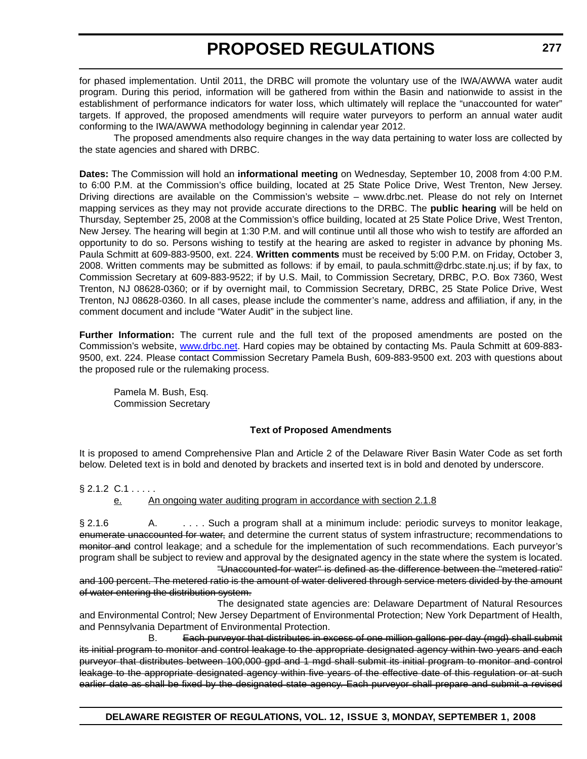for phased implementation. Until 2011, the DRBC will promote the voluntary use of the IWA/AWWA water audit program. During this period, information will be gathered from within the Basin and nationwide to assist in the establishment of performance indicators for water loss, which ultimately will replace the "unaccounted for water" targets. If approved, the proposed amendments will require water purveyors to perform an annual water audit conforming to the IWA/AWWA methodology beginning in calendar year 2012.

The proposed amendments also require changes in the way data pertaining to water loss are collected by the state agencies and shared with DRBC.

**Dates:** The Commission will hold an **informational meeting** on Wednesday, September 10, 2008 from 4:00 P.M. to 6:00 P.M. at the Commission's office building, located at 25 State Police Drive, West Trenton, New Jersey. Driving directions are available on the Commission's website – www.drbc.net. Please do not rely on Internet mapping services as they may not provide accurate directions to the DRBC. The **public hearing** will be held on Thursday, September 25, 2008 at the Commission's office building, located at 25 State Police Drive, West Trenton, New Jersey. The hearing will begin at 1:30 P.M. and will continue until all those who wish to testify are afforded an opportunity to do so. Persons wishing to testify at the hearing are asked to register in advance by phoning Ms. Paula Schmitt at 609-883-9500, ext. 224. **Written comments** must be received by 5:00 P.M. on Friday, October 3, 2008. Written comments may be submitted as follows: if by email, to paula.schmitt@drbc.state.nj.us; if by fax, to Commission Secretary at 609-883-9522; if by U.S. Mail, to Commission Secretary, DRBC, P.O. Box 7360, West Trenton, NJ 08628-0360; or if by overnight mail, to Commission Secretary, DRBC, 25 State Police Drive, West Trenton, NJ 08628-0360. In all cases, please include the commenter's name, address and affiliation, if any, in the comment document and include "Water Audit" in the subject line.

**Further Information:** The current rule and the full text of the proposed amendments are posted on the Commission's website, [www.drbc.net.](http://www.drbc.net) Hard copies may be obtained by contacting Ms. Paula Schmitt at 609-883- 9500, ext. 224. Please contact Commission Secretary Pamela Bush, 609-883-9500 ext. 203 with questions about the proposed rule or the rulemaking process.

Pamela M. Bush, Esq. Commission Secretary

#### **Text of Proposed Amendments**

It is proposed to amend Comprehensive Plan and Article 2 of the Delaware River Basin Water Code as set forth below. Deleted text is in bold and denoted by brackets and inserted text is in bold and denoted by underscore.

 $§ 2.1.2$  C.1 . . . . .

e. An ongoing water auditing program in accordance with section 2.1.8

§ 2.1.6 A. . . . . . Such a program shall at a minimum include: periodic surveys to monitor leakage, enumerate unaccounted for water, and determine the current status of system infrastructure; recommendations to monitor and control leakage; and a schedule for the implementation of such recommendations. Each purveyor's program shall be subject to review and approval by the designated agency in the state where the system is located. "Unaccounted-for water" is defined as the difference between the "metered ratio"

and 100 percent. The metered ratio is the amount of water delivered through service meters divided by the amount of water entering the distribution system.

The designated state agencies are: Delaware Department of Natural Resources and Environmental Control; New Jersey Department of Environmental Protection; New York Department of Health, and Pennsylvania Department of Environmental Protection.

B. Each purveyor that distributes in excess of one million gallons per day (mgd) shall submit its initial program to monitor and control leakage to the appropriate designated agency within two years and each purveyor that distributes between 100,000 gpd and 1 mgd shall submit its initial program to monitor and control leakage to the appropriate designated agency within five years of the effective date of this regulation or at such earlier date as shall be fixed by the designated state agency. Each purveyor shall prepare and submit a revised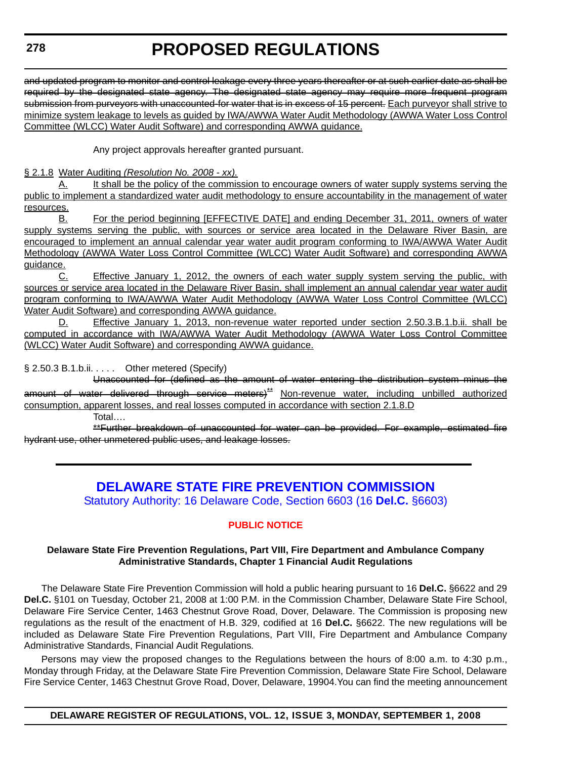<span id="page-16-0"></span>and updated program to monitor and control leakage every three years thereafter or at such earlier date as shall be required by the designated state agency. The designated state agency may require more frequent program submission from purveyors with unaccounted-for water that is in excess of 15 percent. Each purveyor shall strive to minimize system leakage to levels as guided by IWA/AWWA Water Audit Methodology (AWWA Water Loss Control Committee (WLCC) Water Audit Software) and corresponding AWWA guidance.

Any project approvals hereafter granted pursuant.

#### § 2.1.8 Water Auditing *(Resolution No. 2008 - xx).*

A. It shall be the policy of the commission to encourage owners of water supply systems serving the public to implement a standardized water audit methodology to ensure accountability in the management of water resources.

B. For the period beginning [EFFECTIVE DATE] and ending December 31, 2011, owners of water supply systems serving the public, with sources or service area located in the Delaware River Basin, are encouraged to implement an annual calendar year water audit program conforming to IWA/AWWA Water Audit Methodology (AWWA Water Loss Control Committee (WLCC) Water Audit Software) and corresponding AWWA guidance.

C. Effective January 1, 2012, the owners of each water supply system serving the public, with sources or service area located in the Delaware River Basin, shall implement an annual calendar year water audit program conforming to IWA/AWWA Water Audit Methodology (AWWA Water Loss Control Committee (WLCC) Water Audit Software) and corresponding AWWA guidance.

D. Effective January 1, 2013, non-revenue water reported under section 2.50.3.B.1.b.ii. shall be computed in accordance with IWA/AWWA Water Audit Methodology (AWWA Water Loss Control Committee (WLCC) Water Audit Software) and corresponding AWWA guidance.

§ 2.50.3 B.1.b.ii. . . . . Other metered (Specify)

Unaccounted for (defined as the amount of water entering the distribution system minus the amount of water delivered through service meters)<sup>\*\*</sup> Non-revenue water, including unbilled authorized consumption, apparent losses, and real losses computed in accordance with section 2.1.8.D

Total….

\*\*Further breakdown of unaccounted for water can be provided. For example, estimated fire hydrant use, other unmetered public uses, and leakage losses.

### **[DELAWARE STATE FIRE PREVENTION COMMISSION](http://statefirecommission.delaware.gov/)**

Statutory Authority: 16 Delaware Code, Section 6603 (16 **Del.C.** §6603)

#### **[PUBLIC NOTICE](#page-3-0)**

#### **Delaware State Fire Prevention Regulations, Part VIII, Fire Department and Ambulance Company Administrative Standards, Chapter 1 Financial Audit Regulations**

The Delaware State Fire Prevention Commission will hold a public hearing pursuant to 16 **Del.C.** §6622 and 29 **Del.C.** §101 on Tuesday, October 21, 2008 at 1:00 P.M. in the Commission Chamber, Delaware State Fire School, Delaware Fire Service Center, 1463 Chestnut Grove Road, Dover, Delaware. The Commission is proposing new regulations as the result of the enactment of H.B. 329, codified at 16 **Del.C.** §6622. The new regulations will be included as Delaware State Fire Prevention Regulations, Part VIII, Fire Department and Ambulance Company Administrative Standards, Financial Audit Regulations*.*

Persons may view the proposed changes to the Regulations between the hours of 8:00 a.m. to 4:30 p.m., Monday through Friday, at the Delaware State Fire Prevention Commission, Delaware State Fire School, Delaware Fire Service Center, 1463 Chestnut Grove Road, Dover, Delaware, 19904.You can find the meeting announcement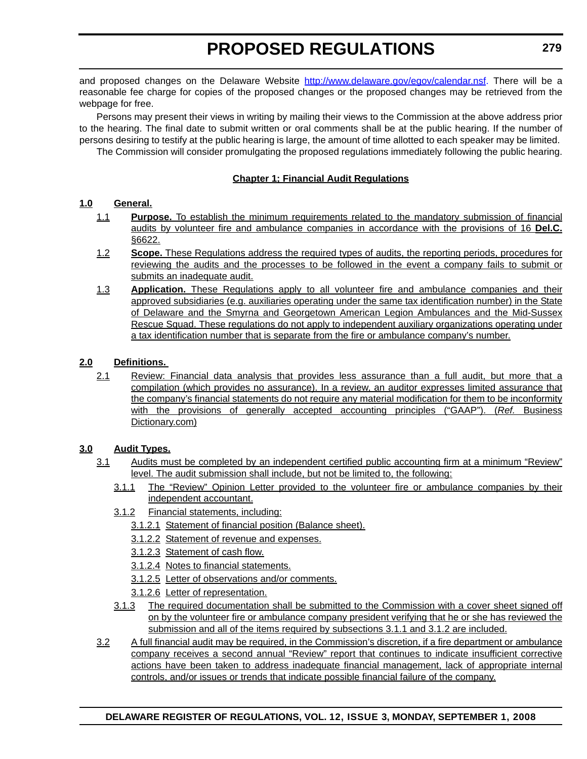and proposed changes on the Delaware Website http://www.delaware.gov/egov/calendar.nsf. There will be a reasonable fee charge for copies of the proposed changes or the proposed changes may be retrieved from the webpage for free.

Persons may present their views in writing by mailing their views to the Commission at the above address prior to the hearing. The final date to submit written or oral comments shall be at the public hearing. If the number of persons desiring to testify at the public hearing is large, the amount of time allotted to each speaker may be limited.

The Commission will consider promulgating the proposed regulations immediately following the public hearing.

#### **Chapter 1; Financial Audit Regulations**

#### **1.0 General.**

- 1.1 **Purpose.** To establish the minimum requirements related to the mandatory submission of financial audits by volunteer fire and ambulance companies in accordance with the provisions of 16 **Del.C.** §6622.
- 1.2 **Scope.** These Regulations address the required types of audits, the reporting periods, procedures for reviewing the audits and the processes to be followed in the event a company fails to submit or submits an inadequate audit.
- 1.3 **Application.** These Regulations apply to all volunteer fire and ambulance companies and their approved subsidiaries (e.g. auxiliaries operating under the same tax identification number) in the State of Delaware and the Smyrna and Georgetown American Legion Ambulances and the Mid-Sussex Rescue Squad. These regulations do not apply to independent auxiliary organizations operating under a tax identification number that is separate from the fire or ambulance company's number.

#### **2.0 Definitions.**

2.1 Review: Financial data analysis that provides less assurance than a full audit, but more that a compilation (which provides no assurance). In a review, an auditor expresses limited assurance that the company's financial statements do not require any material modification for them to be inconformity with the provisions of generally accepted accounting principles ("GAAP"). (*Ref.* Business Dictionary.com)

#### **3.0 Audit Types.**

- 3.1 Audits must be completed by an independent certified public accounting firm at a minimum "Review" level. The audit submission shall include, but not be limited to, the following:
	- 3.1.1 The "Review" Opinion Letter provided to the volunteer fire or ambulance companies by their independent accountant.
	- 3.1.2 Financial statements, including:
		- 3.1.2.1 Statement of financial position (Balance sheet).
		- 3.1.2.2 Statement of revenue and expenses.
		- 3.1.2.3 Statement of cash flow.
		- 3.1.2.4 Notes to financial statements.
		- 3.1.2.5 Letter of observations and/or comments.
		- 3.1.2.6 Letter of representation.
	- 3.1.3 The required documentation shall be submitted to the Commission with a cover sheet signed off on by the volunteer fire or ambulance company president verifying that he or she has reviewed the submission and all of the items required by subsections 3.1.1 and 3.1.2 are included.
- 3.2 A full financial audit may be required, in the Commission's discretion, if a fire department or ambulance company receives a second annual "Review" report that continues to indicate insufficient corrective actions have been taken to address inadequate financial management, lack of appropriate internal controls, and/or issues or trends that indicate possible financial failure of the company.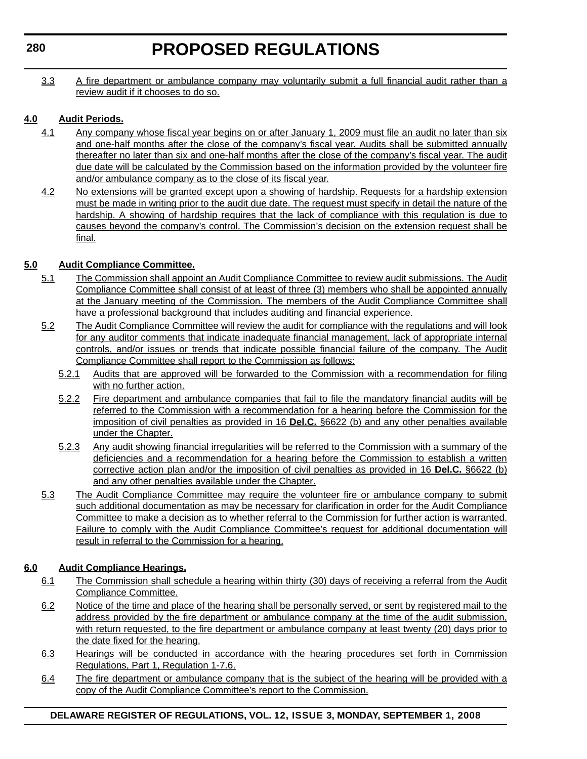3.3 A fire department or ambulance company may voluntarily submit a full financial audit rather than a review audit if it chooses to do so.

#### **4.0 Audit Periods.**

- 4.1 Any company whose fiscal year begins on or after January 1, 2009 must file an audit no later than six and one-half months after the close of the company's fiscal year. Audits shall be submitted annually thereafter no later than six and one-half months after the close of the company's fiscal year. The audit due date will be calculated by the Commission based on the information provided by the volunteer fire and/or ambulance company as to the close of its fiscal year.
- 4.2 No extensions will be granted except upon a showing of hardship. Requests for a hardship extension must be made in writing prior to the audit due date. The request must specify in detail the nature of the hardship. A showing of hardship requires that the lack of compliance with this regulation is due to causes beyond the company's control. The Commission's decision on the extension request shall be final.

#### **5.0 Audit Compliance Committee.**

- 5.1 The Commission shall appoint an Audit Compliance Committee to review audit submissions. The Audit Compliance Committee shall consist of at least of three (3) members who shall be appointed annually at the January meeting of the Commission. The members of the Audit Compliance Committee shall have a professional background that includes auditing and financial experience.
- 5.2 The Audit Compliance Committee will review the audit for compliance with the regulations and will look for any auditor comments that indicate inadequate financial management, lack of appropriate internal controls, and/or issues or trends that indicate possible financial failure of the company. The Audit Compliance Committee shall report to the Commission as follows:
	- 5.2.1 Audits that are approved will be forwarded to the Commission with a recommendation for filing with no further action.
	- 5.2.2 Fire department and ambulance companies that fail to file the mandatory financial audits will be referred to the Commission with a recommendation for a hearing before the Commission for the imposition of civil penalties as provided in 16 **Del.C.** §6622 (b) and any other penalties available under the Chapter.
	- 5.2.3 Any audit showing financial irregularities will be referred to the Commission with a summary of the deficiencies and a recommendation for a hearing before the Commission to establish a written corrective action plan and/or the imposition of civil penalties as provided in 16 **Del.C.** §6622 (b) and any other penalties available under the Chapter.
- 5.3 The Audit Compliance Committee may require the volunteer fire or ambulance company to submit such additional documentation as may be necessary for clarification in order for the Audit Compliance Committee to make a decision as to whether referral to the Commission for further action is warranted. Failure to comply with the Audit Compliance Committee's request for additional documentation will result in referral to the Commission for a hearing.

#### **6.0 Audit Compliance Hearings.**

- 6.1 The Commission shall schedule a hearing within thirty (30) days of receiving a referral from the Audit Compliance Committee.
- 6.2 Notice of the time and place of the hearing shall be personally served, or sent by registered mail to the address provided by the fire department or ambulance company at the time of the audit submission, with return requested, to the fire department or ambulance company at least twenty (20) days prior to the date fixed for the hearing.
- 6.3 Hearings will be conducted in accordance with the hearing procedures set forth in Commission Regulations, Part 1, Regulation 1-7.6.
- 6.4 The fire department or ambulance company that is the subject of the hearing will be provided with a copy of the Audit Compliance Committee's report to the Commission.

#### **DELAWARE REGISTER OF REGULATIONS, VOL. 12, ISSUE 3, MONDAY, SEPTEMBER 1, 2008**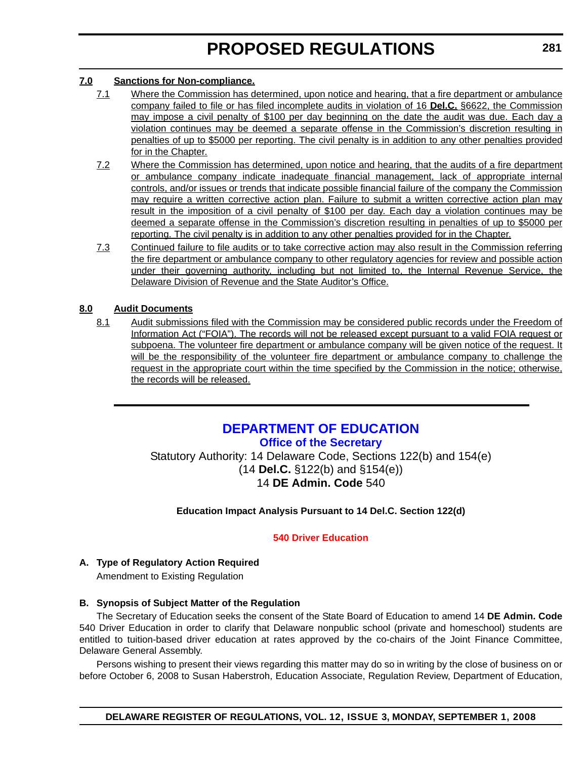#### <span id="page-19-0"></span>**7.0 Sanctions for Non-compliance.**

- 7.1 Where the Commission has determined, upon notice and hearing, that a fire department or ambulance company failed to file or has filed incomplete audits in violation of 16 **Del.C.** §6622, the Commission may impose a civil penalty of \$100 per day beginning on the date the audit was due. Each day a violation continues may be deemed a separate offense in the Commission's discretion resulting in penalties of up to \$5000 per reporting. The civil penalty is in addition to any other penalties provided for in the Chapter.
- 7.2 Where the Commission has determined, upon notice and hearing, that the audits of a fire department or ambulance company indicate inadequate financial management, lack of appropriate internal controls, and/or issues or trends that indicate possible financial failure of the company the Commission may require a written corrective action plan. Failure to submit a written corrective action plan may result in the imposition of a civil penalty of \$100 per day. Each day a violation continues may be deemed a separate offense in the Commission's discretion resulting in penalties of up to \$5000 per reporting. The civil penalty is in addition to any other penalties provided for in the Chapter.
- 7.3 Continued failure to file audits or to take corrective action may also result in the Commission referring the fire department or ambulance company to other regulatory agencies for review and possible action under their governing authority, including but not limited to, the Internal Revenue Service, the Delaware Division of Revenue and the State Auditor's Office.

#### **8.0 Audit Documents**

8.1 Audit submissions filed with the Commission may be considered public records under the Freedom of Information Act ("FOIA"). The records will not be released except pursuant to a valid FOIA request or subpoena. The volunteer fire department or ambulance company will be given notice of the request. It will be the responsibility of the volunteer fire department or ambulance company to challenge the request in the appropriate court within the time specified by the Commission in the notice; otherwise, the records will be released.

### **[DEPARTMENT OF EDUCATION](http://www.doe.k12.de.us/) [Office of the Secretary](http://www.doe.k12.de.us/)**

Statutory Authority: 14 Delaware Code, Sections 122(b) and 154(e) (14 **Del.C.** §122(b) and §154(e)) 14 **DE Admin. Code** 540

**Education Impact Analysis Pursuant to 14 Del.C. Section 122(d)**

#### **[540 Driver Education](#page-3-0)**

#### **A. Type of Regulatory Action Required** Amendment to Existing Regulation

### **B. Synopsis of Subject Matter of the Regulation**

The Secretary of Education seeks the consent of the State Board of Education to amend 14 **DE Admin. Code** 540 Driver Education in order to clarify that Delaware nonpublic school (private and homeschool) students are entitled to tuition-based driver education at rates approved by the co-chairs of the Joint Finance Committee, Delaware General Assembly.

Persons wishing to present their views regarding this matter may do so in writing by the close of business on or before October 6, 2008 to Susan Haberstroh, Education Associate, Regulation Review, Department of Education,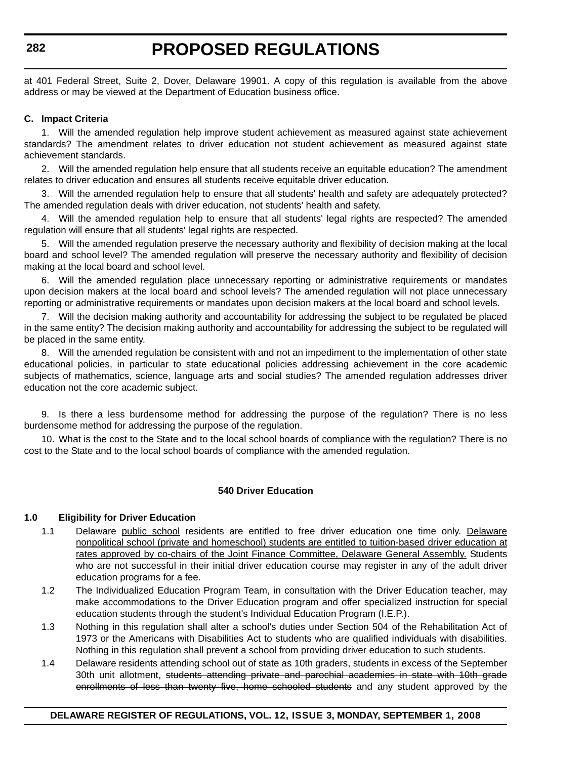at 401 Federal Street, Suite 2, Dover, Delaware 19901. A copy of this regulation is available from the above address or may be viewed at the Department of Education business office.

#### **C. Impact Criteria**

1. Will the amended regulation help improve student achievement as measured against state achievement standards? The amendment relates to driver education not student achievement as measured against state achievement standards.

2. Will the amended regulation help ensure that all students receive an equitable education? The amendment relates to driver education and ensures all students receive equitable driver education.

3. Will the amended regulation help to ensure that all students' health and safety are adequately protected? The amended regulation deals with driver education, not students' health and safety.

4. Will the amended regulation help to ensure that all students' legal rights are respected? The amended regulation will ensure that all students' legal rights are respected.

5. Will the amended regulation preserve the necessary authority and flexibility of decision making at the local board and school level? The amended regulation will preserve the necessary authority and flexibility of decision making at the local board and school level.

6. Will the amended regulation place unnecessary reporting or administrative requirements or mandates upon decision makers at the local board and school levels? The amended regulation will not place unnecessary reporting or administrative requirements or mandates upon decision makers at the local board and school levels.

7. Will the decision making authority and accountability for addressing the subject to be regulated be placed in the same entity? The decision making authority and accountability for addressing the subject to be regulated will be placed in the same entity.

8. Will the amended regulation be consistent with and not an impediment to the implementation of other state educational policies, in particular to state educational policies addressing achievement in the core academic subjects of mathematics, science, language arts and social studies? The amended regulation addresses driver education not the core academic subject.

9. Is there a less burdensome method for addressing the purpose of the regulation? There is no less burdensome method for addressing the purpose of the regulation.

10. What is the cost to the State and to the local school boards of compliance with the regulation? There is no cost to the State and to the local school boards of compliance with the amended regulation.

#### **540 Driver Education**

#### **1.0 Eligibility for Driver Education**

- 1.1 Delaware public school residents are entitled to free driver education one time only. Delaware nonpolitical school (private and homeschool) students are entitled to tuition-based driver education at rates approved by co-chairs of the Joint Finance Committee, Delaware General Assembly. Students who are not successful in their initial driver education course may register in any of the adult driver education programs for a fee.
- 1.2 The Individualized Education Program Team, in consultation with the Driver Education teacher, may make accommodations to the Driver Education program and offer specialized instruction for special education students through the student's Individual Education Program (I.E.P.).
- 1.3 Nothing in this regulation shall alter a school's duties under Section 504 of the Rehabilitation Act of 1973 or the Americans with Disabilities Act to students who are qualified individuals with disabilities. Nothing in this regulation shall prevent a school from providing driver education to such students.
- 1.4 Delaware residents attending school out of state as 10th graders, students in excess of the September 30th unit allotment, students attending private and parochial academies in state with 10th grade enrollments of less than twenty five, home schooled students and any student approved by the

#### **DELAWARE REGISTER OF REGULATIONS, VOL. 12, ISSUE 3, MONDAY, SEPTEMBER 1, 2008**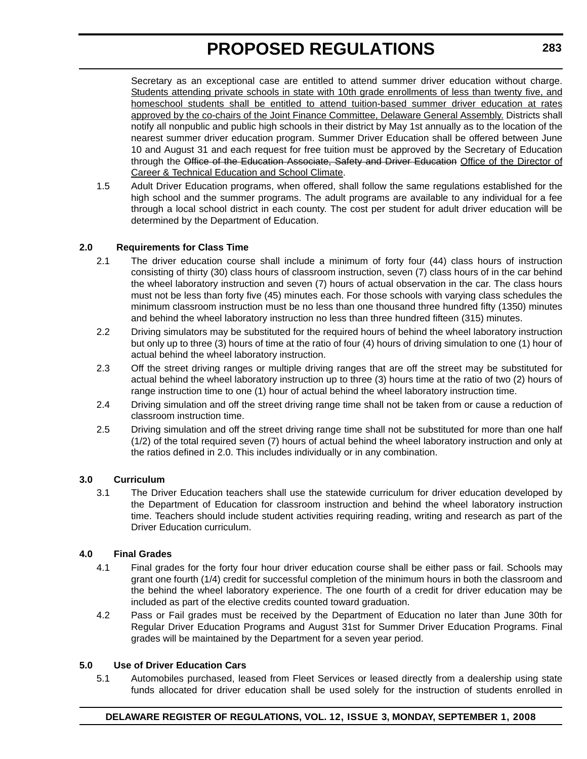Secretary as an exceptional case are entitled to attend summer driver education without charge. Students attending private schools in state with 10th grade enrollments of less than twenty five, and homeschool students shall be entitled to attend tuition-based summer driver education at rates approved by the co-chairs of the Joint Finance Committee, Delaware General Assembly. Districts shall notify all nonpublic and public high schools in their district by May 1st annually as to the location of the nearest summer driver education program. Summer Driver Education shall be offered between June 10 and August 31 and each request for free tuition must be approved by the Secretary of Education through the Office of the Education Associate, Safety and Driver Education Office of the Director of Career & Technical Education and School Climate.

1.5 Adult Driver Education programs, when offered, shall follow the same regulations established for the high school and the summer programs. The adult programs are available to any individual for a fee through a local school district in each county. The cost per student for adult driver education will be determined by the Department of Education.

#### **2.0 Requirements for Class Time**

- 2.1 The driver education course shall include a minimum of forty four (44) class hours of instruction consisting of thirty (30) class hours of classroom instruction, seven (7) class hours of in the car behind the wheel laboratory instruction and seven (7) hours of actual observation in the car. The class hours must not be less than forty five (45) minutes each. For those schools with varying class schedules the minimum classroom instruction must be no less than one thousand three hundred fifty (1350) minutes and behind the wheel laboratory instruction no less than three hundred fifteen (315) minutes.
- 2.2 Driving simulators may be substituted for the required hours of behind the wheel laboratory instruction but only up to three (3) hours of time at the ratio of four (4) hours of driving simulation to one (1) hour of actual behind the wheel laboratory instruction.
- 2.3 Off the street driving ranges or multiple driving ranges that are off the street may be substituted for actual behind the wheel laboratory instruction up to three (3) hours time at the ratio of two (2) hours of range instruction time to one (1) hour of actual behind the wheel laboratory instruction time.
- 2.4 Driving simulation and off the street driving range time shall not be taken from or cause a reduction of classroom instruction time.
- 2.5 Driving simulation and off the street driving range time shall not be substituted for more than one half (1/2) of the total required seven (7) hours of actual behind the wheel laboratory instruction and only at the ratios defined in 2.0. This includes individually or in any combination.

#### **3.0 Curriculum**

3.1 The Driver Education teachers shall use the statewide curriculum for driver education developed by the Department of Education for classroom instruction and behind the wheel laboratory instruction time. Teachers should include student activities requiring reading, writing and research as part of the Driver Education curriculum.

#### **4.0 Final Grades**

- 4.1 Final grades for the forty four hour driver education course shall be either pass or fail. Schools may grant one fourth (1/4) credit for successful completion of the minimum hours in both the classroom and the behind the wheel laboratory experience. The one fourth of a credit for driver education may be included as part of the elective credits counted toward graduation.
- 4.2 Pass or Fail grades must be received by the Department of Education no later than June 30th for Regular Driver Education Programs and August 31st for Summer Driver Education Programs. Final grades will be maintained by the Department for a seven year period.

#### **5.0 Use of Driver Education Cars**

5.1 Automobiles purchased, leased from Fleet Services or leased directly from a dealership using state funds allocated for driver education shall be used solely for the instruction of students enrolled in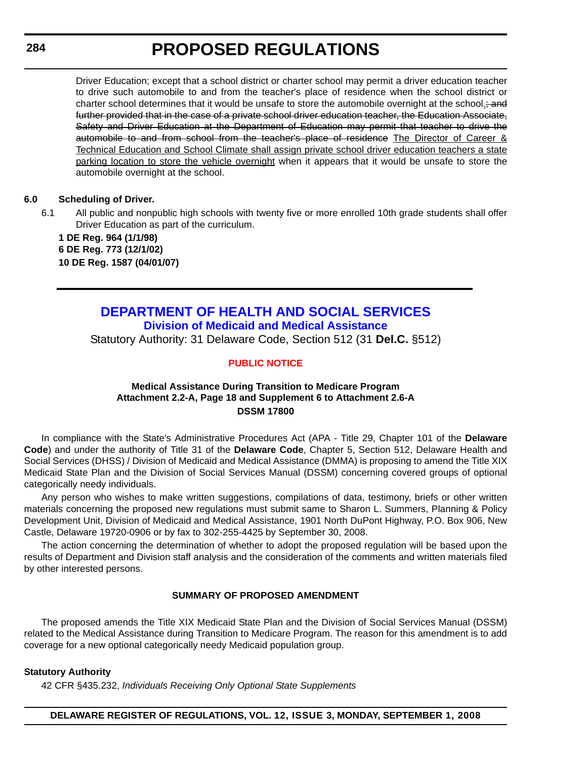#### <span id="page-22-0"></span>**284**

# **PROPOSED REGULATIONS**

Driver Education; except that a school district or charter school may permit a driver education teacher to drive such automobile to and from the teacher's place of residence when the school district or charter school determines that it would be unsafe to store the automobile overnight at the school. further provided that in the case of a private school driver education teacher, the Education Associate, Safety and Driver Education at the Department of Education may permit that teacher to drive the automobile to and from school from the teacher's place of residence The Director of Career & Technical Education and School Climate shall assign private school driver education teachers a state parking location to store the vehicle overnight when it appears that it would be unsafe to store the automobile overnight at the school.

#### **6.0 Scheduling of Driver.**

6.1 All public and nonpublic high schools with twenty five or more enrolled 10th grade students shall offer Driver Education as part of the curriculum.

**1 DE Reg. 964 (1/1/98) 6 DE Reg. 773 (12/1/02) 10 DE Reg. 1587 (04/01/07)**

### **[DEPARTMENT OF HEALTH AND SOCIAL SERVICES](http://www.dhss.delaware.gov/dhss/index.html) [Division of Medicaid and Medical Assistance](http://www.dhss.delaware.gov/dhss/dmma/)** Statutory Authority: 31 Delaware Code, Section 512 (31 **Del.C.** §512)

#### **[PUBLIC NOTICE](#page-3-0)**

#### **Medical Assistance During Transition to Medicare Program Attachment 2.2-A, Page 18 and Supplement 6 to Attachment 2.6-A DSSM 17800**

In compliance with the State's Administrative Procedures Act (APA - Title 29, Chapter 101 of the **Delaware Code**) and under the authority of Title 31 of the **Delaware Code**, Chapter 5, Section 512, Delaware Health and Social Services (DHSS) / Division of Medicaid and Medical Assistance (DMMA) is proposing to amend the Title XIX Medicaid State Plan and the Division of Social Services Manual (DSSM) concerning covered groups of optional categorically needy individuals.

Any person who wishes to make written suggestions, compilations of data, testimony, briefs or other written materials concerning the proposed new regulations must submit same to Sharon L. Summers, Planning & Policy Development Unit, Division of Medicaid and Medical Assistance, 1901 North DuPont Highway, P.O. Box 906, New Castle, Delaware 19720-0906 or by fax to 302-255-4425 by September 30, 2008.

The action concerning the determination of whether to adopt the proposed regulation will be based upon the results of Department and Division staff analysis and the consideration of the comments and written materials filed by other interested persons.

#### **SUMMARY OF PROPOSED AMENDMENT**

The proposed amends the Title XIX Medicaid State Plan and the Division of Social Services Manual (DSSM) related to the Medical Assistance during Transition to Medicare Program. The reason for this amendment is to add coverage for a new optional categorically needy Medicaid population group.

#### **Statutory Authority**

42 CFR §435.232, *Individuals Receiving Only Optional State Supplements*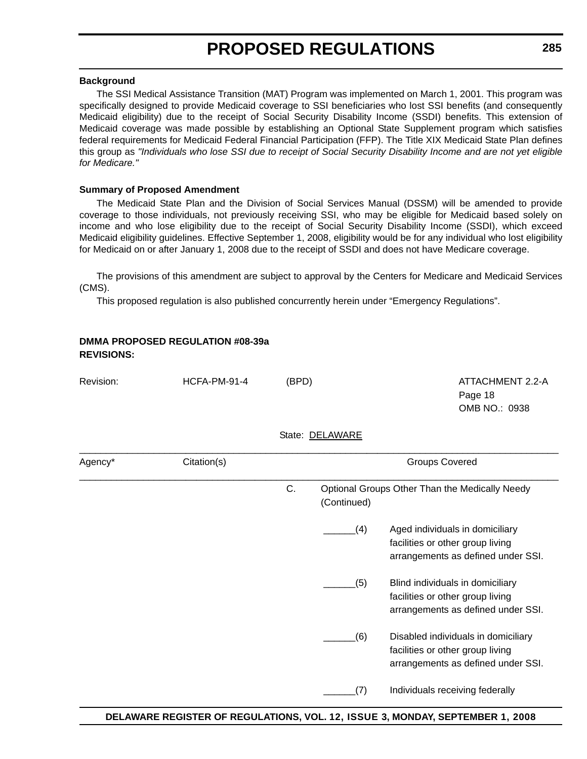#### **Background**

The SSI Medical Assistance Transition (MAT) Program was implemented on March 1, 2001. This program was specifically designed to provide Medicaid coverage to SSI beneficiaries who lost SSI benefits (and consequently Medicaid eligibility) due to the receipt of Social Security Disability Income (SSDI) benefits. This extension of Medicaid coverage was made possible by establishing an Optional State Supplement program which satisfies federal requirements for Medicaid Federal Financial Participation (FFP). The Title XIX Medicaid State Plan defines this group as *"Individuals who lose SSI due to receipt of Social Security Disability Income and are not yet eligible for Medicare."*

#### **Summary of Proposed Amendment**

The Medicaid State Plan and the Division of Social Services Manual (DSSM) will be amended to provide coverage to those individuals, not previously receiving SSI, who may be eligible for Medicaid based solely on income and who lose eligibility due to the receipt of Social Security Disability Income (SSDI), which exceed Medicaid eligibility guidelines. Effective September 1, 2008, eligibility would be for any individual who lost eligibility for Medicaid on or after January 1, 2008 due to the receipt of SSDI and does not have Medicare coverage.

The provisions of this amendment are subject to approval by the Centers for Medicare and Medicaid Services (CMS).

This proposed regulation is also published concurrently herein under "Emergency Regulations".

| <b>REVISIONS:</b> | <b>DMMA PROPOSED REGULATION #08-39a</b> |       |                 |                                                                                                               |  |  |
|-------------------|-----------------------------------------|-------|-----------------|---------------------------------------------------------------------------------------------------------------|--|--|
| Revision:         | HCFA-PM-91-4                            | (BPD) |                 | ATTACHMENT 2.2-A<br>Page 18<br>OMB NO.: 0938                                                                  |  |  |
|                   |                                         |       | State: DELAWARE |                                                                                                               |  |  |
| Agency*           | Citation(s)                             |       |                 | <b>Groups Covered</b>                                                                                         |  |  |
|                   |                                         | C.    | (Continued)     | Optional Groups Other Than the Medically Needy                                                                |  |  |
|                   |                                         |       | (4)             | Aged individuals in domiciliary<br>facilities or other group living<br>arrangements as defined under SSI.     |  |  |
|                   |                                         |       | (5)             | Blind individuals in domiciliary<br>facilities or other group living<br>arrangements as defined under SSI.    |  |  |
|                   |                                         |       | (6)             | Disabled individuals in domiciliary<br>facilities or other group living<br>arrangements as defined under SSI. |  |  |
|                   |                                         |       | (7)             | Individuals receiving federally                                                                               |  |  |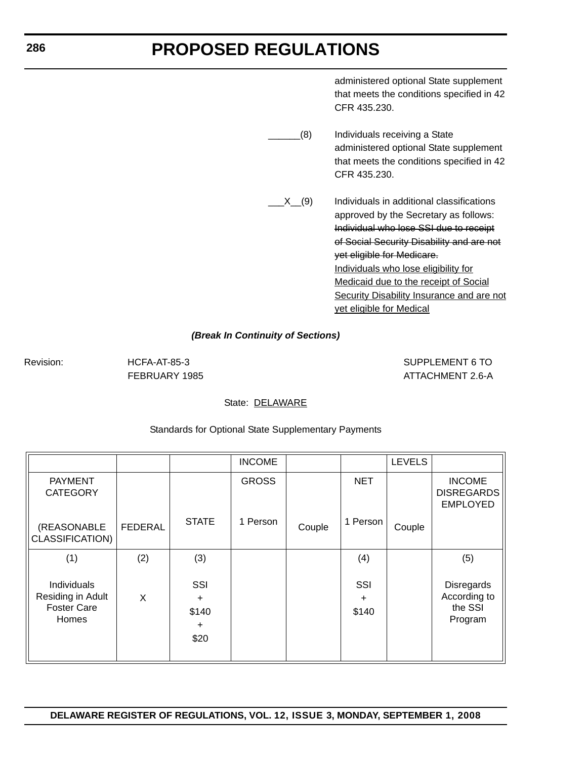administered optional State supplement that meets the conditions specified in 42 CFR 435.230.

\_\_\_\_\_(8) Individuals receiving a State administered optional State supplement that meets the conditions specified in 42 CFR 435.230.

X (9) Individuals in additional classifications approved by the Secretary as follows: Individual who lose SSI due to receipt of Social Security Disability and are not yet eligible for Medicare. Individuals who lose eligibility for Medicaid due to the receipt of Social Security Disability Insurance and are not yet eligible for Medical

#### *(Break In Continuity of Sections)*

Revision: HCFA-AT-85-3 SUPPLEMENT 6 TO FEBRUARY 1985 **ATTACHMENT 2.6-A** 

#### State: DELAWARE

|                                                                        |         |                                                | <b>INCOME</b> |        |                           | <b>LEVELS</b> |                                                         |
|------------------------------------------------------------------------|---------|------------------------------------------------|---------------|--------|---------------------------|---------------|---------------------------------------------------------|
| <b>PAYMENT</b><br><b>CATEGORY</b>                                      |         |                                                | <b>GROSS</b>  |        | <b>NET</b>                |               | <b>INCOME</b><br><b>DISREGARDS</b><br><b>EMPLOYED</b>   |
| (REASONABLE<br>CLASSIFICATION)                                         | FEDERAL | <b>STATE</b>                                   | 1 Person      | Couple | 1 Person                  | Couple        |                                                         |
| (1)                                                                    | (2)     | (3)                                            |               |        | (4)                       |               | (5)                                                     |
| Individuals<br>Residing in Adult<br><b>Foster Care</b><br><b>Homes</b> | X       | SSI<br>$\ddot{}$<br>\$140<br>$\ddot{}$<br>\$20 |               |        | SSI<br>$\ddot{}$<br>\$140 |               | <b>Disregards</b><br>According to<br>the SSI<br>Program |

#### Standards for Optional State Supplementary Payments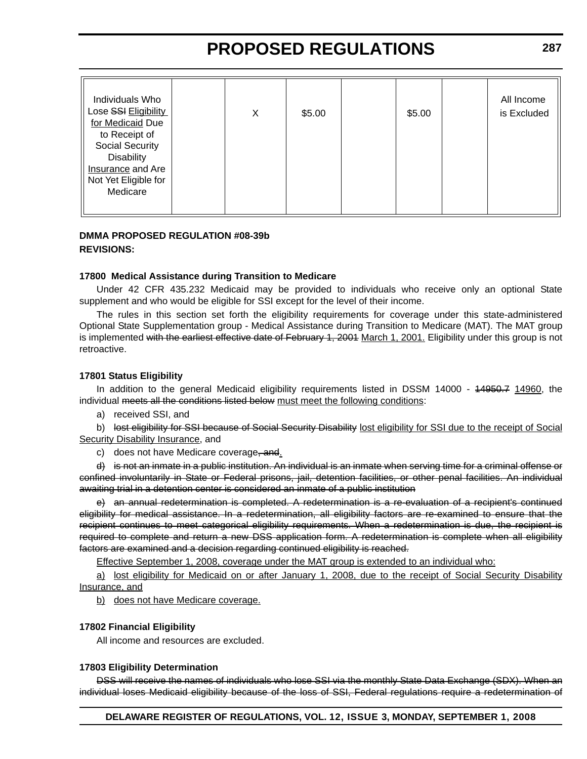| Individuals Who<br>Lose SSI Eligibility<br>for Medicaid Due                                                      | Х | \$5.00 | \$5.00 | All Income<br>is Excluded |
|------------------------------------------------------------------------------------------------------------------|---|--------|--------|---------------------------|
| to Receipt of<br><b>Social Security</b><br><b>Disability</b><br><b>Insurance</b> and Are<br>Not Yet Eligible for |   |        |        |                           |
| Medicare                                                                                                         |   |        |        |                           |

#### **DMMA PROPOSED REGULATION #08-39b REVISIONS:**

#### **17800 Medical Assistance during Transition to Medicare**

Under 42 CFR 435.232 Medicaid may be provided to individuals who receive only an optional State supplement and who would be eligible for SSI except for the level of their income.

The rules in this section set forth the eligibility requirements for coverage under this state-administered Optional State Supplementation group - Medical Assistance during Transition to Medicare (MAT). The MAT group is implemented with the earliest effective date of February 1, 2001 March 1, 2001. Eligibility under this group is not retroactive.

#### **17801 Status Eligibility**

In addition to the general Medicaid eligibility requirements listed in DSSM 14000 - 44950.7 14960, the individual meets all the conditions listed below must meet the following conditions:

a) received SSI, and

b) lost eligibility for SSI because of Social Security Disability lost eligibility for SSI due to the receipt of Social Security Disability Insurance, and

c) does not have Medicare coverage, and.

d) is not an inmate in a public institution. An individual is an inmate when serving time for a criminal offense or confined involuntarily in State or Federal prisons, jail, detention facilities, or other penal facilities. An individual awaiting trial in a detention center is considered an inmate of a public institution

e) an annual redetermination is completed. A redetermination is a re-evaluation of a recipient's continued eligibility for medical assistance. In a redetermination, all eligibility factors are re-examined to ensure that the recipient continues to meet categorical eligibility requirements. When a redetermination is due, the recipient is required to complete and return a new DSS application form. A redetermination is complete when all eligibility factors are examined and a decision regarding continued eligibility is reached.

Effective September 1, 2008, coverage under the MAT group is extended to an individual who:

a) lost eligibility for Medicaid on or after January 1, 2008, due to the receipt of Social Security Disability Insurance, and

b) does not have Medicare coverage.

#### **17802 Financial Eligibility**

All income and resources are excluded.

#### **17803 Eligibility Determination**

DSS will receive the names of individuals who lose SSI via the monthly State Data Exchange (SDX). When an individual loses Medicaid eligibility because of the loss of SSI, Federal regulations require a redetermination of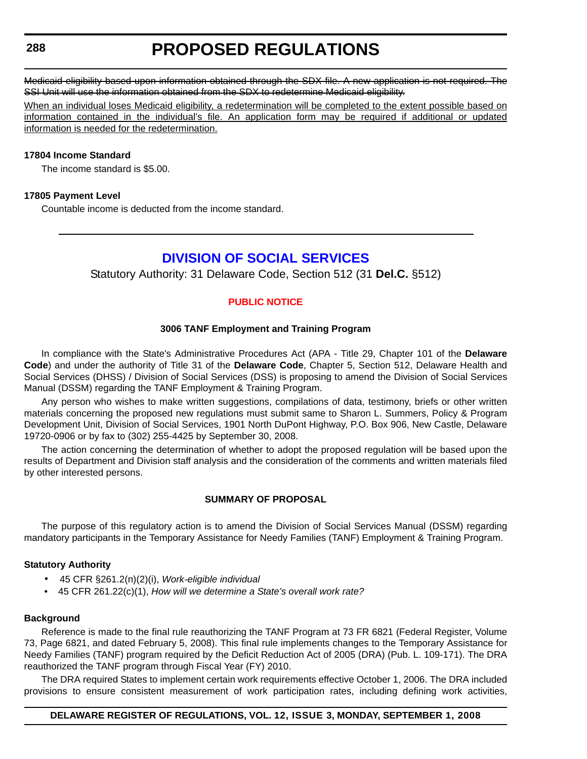#### <span id="page-26-0"></span>**288**

# **PROPOSED REGULATIONS**

Medicaid eligibility based upon information obtained through the SDX file. A new application is not required. The SSI Unit will use the information obtained from the SDX to redetermine Medicaid eligibility.

When an individual loses Medicaid eligibility, a redetermination will be completed to the extent possible based on information contained in the individual's file. An application form may be required if additional or updated information is needed for the redetermination.

#### **17804 Income Standard**

The income standard is \$5.00.

#### **17805 Payment Level**

Countable income is deducted from the income standard.

### **[DIVISION OF SOCIAL SERVICES](http://www.dhss.delaware.gov/dhss/dss/index.html)**

Statutory Authority: 31 Delaware Code, Section 512 (31 **Del.C.** §512)

#### **[PUBLIC NOTICE](#page-3-0)**

#### **3006 TANF Employment and Training Program**

In compliance with the State's Administrative Procedures Act (APA - Title 29, Chapter 101 of the **Delaware Code**) and under the authority of Title 31 of the **Delaware Code**, Chapter 5, Section 512, Delaware Health and Social Services (DHSS) / Division of Social Services (DSS) is proposing to amend the Division of Social Services Manual (DSSM) regarding the TANF Employment & Training Program.

Any person who wishes to make written suggestions, compilations of data, testimony, briefs or other written materials concerning the proposed new regulations must submit same to Sharon L. Summers, Policy & Program Development Unit, Division of Social Services, 1901 North DuPont Highway, P.O. Box 906, New Castle, Delaware 19720-0906 or by fax to (302) 255-4425 by September 30, 2008.

The action concerning the determination of whether to adopt the proposed regulation will be based upon the results of Department and Division staff analysis and the consideration of the comments and written materials filed by other interested persons.

#### **SUMMARY OF PROPOSAL**

The purpose of this regulatory action is to amend the Division of Social Services Manual (DSSM) regarding mandatory participants in the Temporary Assistance for Needy Families (TANF) Employment & Training Program.

#### **Statutory Authority**

- 45 CFR §261.2(n)(2)(i), *Work-eligible individual*
- 45 CFR 261.22(c)(1), *How will we determine a State's overall work rate?*

#### **Background**

Reference is made to the final rule reauthorizing the TANF Program at 73 FR 6821 (Federal Register, Volume 73, Page 6821, and dated February 5, 2008). This final rule implements changes to the Temporary Assistance for Needy Families (TANF) program required by the Deficit Reduction Act of 2005 (DRA) (Pub. L. 109-171). The DRA reauthorized the TANF program through Fiscal Year (FY) 2010.

The DRA required States to implement certain work requirements effective October 1, 2006. The DRA included provisions to ensure consistent measurement of work participation rates, including defining work activities,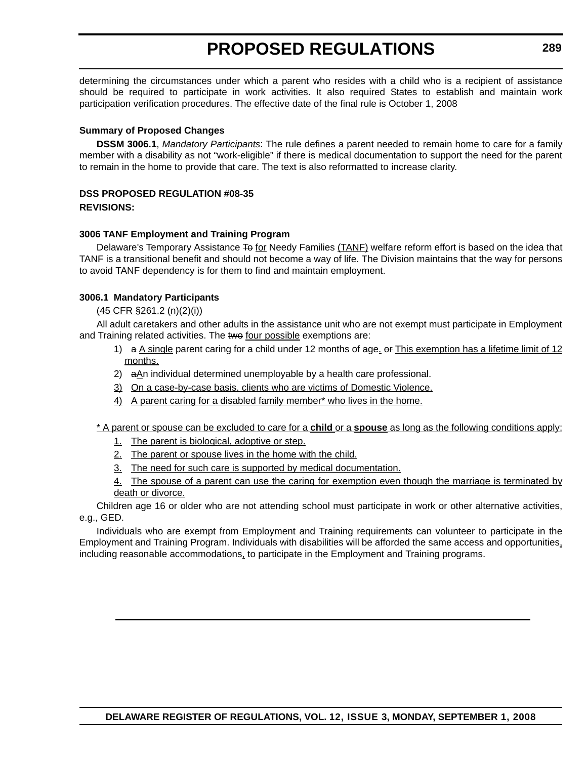determining the circumstances under which a parent who resides with a child who is a recipient of assistance should be required to participate in work activities. It also required States to establish and maintain work participation verification procedures. The effective date of the final rule is October 1, 2008

#### **Summary of Proposed Changes**

**DSSM 3006.1**, *Mandatory Participants*: The rule defines a parent needed to remain home to care for a family member with a disability as not "work-eligible" if there is medical documentation to support the need for the parent to remain in the home to provide that care. The text is also reformatted to increase clarity.

### **DSS PROPOSED REGULATION #08-35**

**REVISIONS:**

#### **3006 TANF Employment and Training Program**

Delaware's Temporary Assistance To for Needy Families (TANF) welfare reform effort is based on the idea that TANF is a transitional benefit and should not become a way of life. The Division maintains that the way for persons to avoid TANF dependency is for them to find and maintain employment.

#### **3006.1 Mandatory Participants**

#### (45 CFR §261.2 (n)(2)(i))

All adult caretakers and other adults in the assistance unit who are not exempt must participate in Employment and Training related activities. The two four possible exemptions are:

- 1) a A single parent caring for a child under 12 months of age. or This exemption has a lifetime limit of 12 months.
- 2)  $a<sub>1</sub>$  a<sub>1</sub> individual determined unemployable by a health care professional.
- 3) On a case-by-case basis, clients who are victims of Domestic Violence.
- 4) A parent caring for a disabled family member\* who lives in the home.

\* A parent or spouse can be excluded to care for a **child** or a **spouse** as long as the following conditions apply:

- 1. The parent is biological, adoptive or step.
- 2. The parent or spouse lives in the home with the child.
- 3. The need for such care is supported by medical documentation.
- 4. The spouse of a parent can use the caring for exemption even though the marriage is terminated by death or divorce.

Children age 16 or older who are not attending school must participate in work or other alternative activities, e.g., GED.

Individuals who are exempt from Employment and Training requirements can volunteer to participate in the Employment and Training Program. Individuals with disabilities will be afforded the same access and opportunities, including reasonable accommodations, to participate in the Employment and Training programs.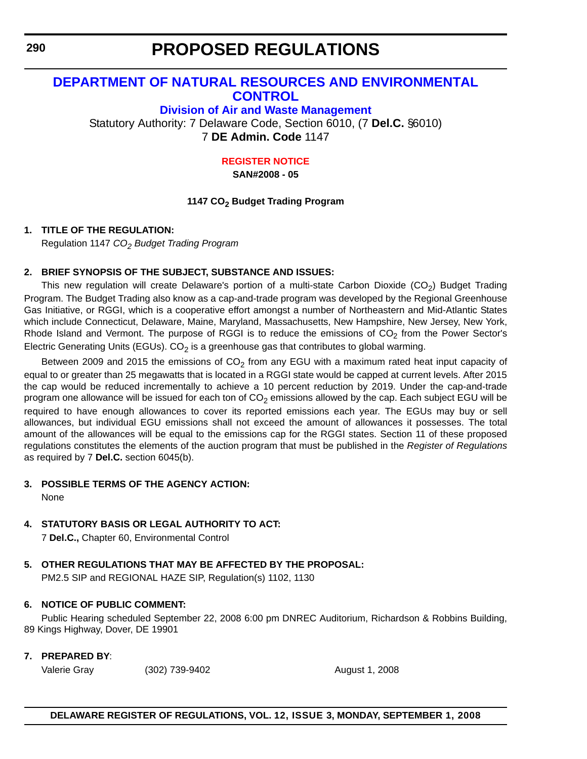### <span id="page-28-0"></span>**[DEPARTMENT OF NATURAL RESOURCES AND ENVIRONMENTAL](http://attorneygeneral.delaware.gov/)  CONTROL**

**[Division of Air and Waste Management](http://www.awm.delaware.gov/Pages/default.aspx)**

Statutory Authority: 7 Delaware Code, Section 6010, (7 **Del.C.** §6010) 7 **DE Admin. Code** 1147

#### **[REGISTER NOTICE](#page-3-0)**

**SAN#2008 - 05**

#### **1147 CO2 Budget Trading Program**

#### **1. TITLE OF THE REGULATION:**

Regulation 1147 *CO2 Budget Trading Program*

#### **2. BRIEF SYNOPSIS OF THE SUBJECT, SUBSTANCE AND ISSUES:**

This new regulation will create Delaware's portion of a multi-state Carbon Dioxide  $(CO<sub>2</sub>)$  Budget Trading Program. The Budget Trading also know as a cap-and-trade program was developed by the Regional Greenhouse Gas Initiative, or RGGI, which is a cooperative effort amongst a number of Northeastern and Mid-Atlantic States which include Connecticut, Delaware, Maine, Maryland, Massachusetts, New Hampshire, New Jersey, New York, Rhode Island and Vermont. The purpose of RGGI is to reduce the emissions of  $CO<sub>2</sub>$  from the Power Sector's Electric Generating Units (EGUs).  $CO<sub>2</sub>$  is a greenhouse gas that contributes to global warming.

Between 2009 and 2015 the emissions of  $CO<sub>2</sub>$  from any EGU with a maximum rated heat input capacity of equal to or greater than 25 megawatts that is located in a RGGI state would be capped at current levels. After 2015 the cap would be reduced incrementally to achieve a 10 percent reduction by 2019. Under the cap-and-trade program one allowance will be issued for each ton of  $CO<sub>2</sub>$  emissions allowed by the cap. Each subject EGU will be required to have enough allowances to cover its reported emissions each year. The EGUs may buy or sell allowances, but individual EGU emissions shall not exceed the amount of allowances it possesses. The total amount of the allowances will be equal to the emissions cap for the RGGI states. Section 11 of these proposed regulations constitutes the elements of the auction program that must be published in the *Register of Regulations* as required by 7 **Del.C.** section 6045(b).

#### **3. POSSIBLE TERMS OF THE AGENCY ACTION:**

None

### **4. STATUTORY BASIS OR LEGAL AUTHORITY TO ACT:**

7 **Del.C.,** Chapter 60, Environmental Control

### **5. OTHER REGULATIONS THAT MAY BE AFFECTED BY THE PROPOSAL:**

PM2.5 SIP and REGIONAL HAZE SIP, Regulation(s) 1102, 1130

### **6. NOTICE OF PUBLIC COMMENT:**

Public Hearing scheduled September 22, 2008 6:00 pm DNREC Auditorium, Richardson & Robbins Building, 89 Kings Highway, Dover, DE 19901

### **7. PREPARED BY**:

Valerie Gray (302) 739-9402 August 1, 2008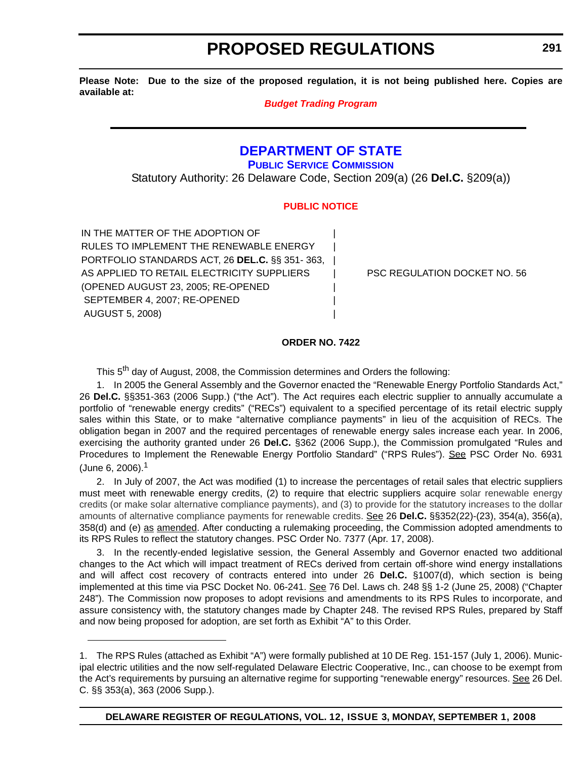<span id="page-29-0"></span>**Please Note: Due to the size of the proposed regulation, it is not being published here. Copies are available at:**

#### *[Budget Trading Program](http://regulations.delaware.gov/register/september2008/proposed/12 DE Reg 290 09-01-08.htm)*

### **[DEPARTMENT OF STATE](http://sos.delaware.gov/default.shtml)**

**[PUBLIC SERVICE COMMISSION](http://depsc.delaware.gov/default.shtml)**

Statutory Authority: 26 Delaware Code, Section 209(a) (26 **Del.C.** §209(a))

#### **[PUBLIC NOTICE](#page-3-0)**

IN THE MATTER OF THE ADOPTION OF RULES TO IMPLEMENT THE RENEWABLE ENERGY PORTFOLIO STANDARDS ACT, 26 **DEL.C.** §§ 351- 363, | AS APPLIED TO RETAIL ELECTRICITY SUPPLIERS | PSC REGULATION DOCKET NO. 56 (OPENED AUGUST 23, 2005; RE-OPENED | SEPTEMBER 4, 2007; RE-OPENED AUGUST 5, 2008) |

#### **ORDER NO. 7422**

This 5<sup>th</sup> day of August, 2008, the Commission determines and Orders the following:

1. In 2005 the General Assembly and the Governor enacted the "Renewable Energy Portfolio Standards Act," 26 **Del.C.** §§351-363 (2006 Supp.) ("the Act"). The Act requires each electric supplier to annually accumulate a portfolio of "renewable energy credits" ("RECs") equivalent to a specified percentage of its retail electric supply sales within this State, or to make "alternative compliance payments" in lieu of the acquisition of RECs. The obligation began in 2007 and the required percentages of renewable energy sales increase each year. In 2006, exercising the authority granted under 26 **Del.C.** §362 (2006 Supp.), the Commission promulgated "Rules and Procedures to Implement the Renewable Energy Portfolio Standard" ("RPS Rules"). See PSC Order No. 6931 (June 6, 2006).<sup>1</sup>

2. In July of 2007, the Act was modified (1) to increase the percentages of retail sales that electric suppliers must meet with renewable energy credits, (2) to require that electric suppliers acquire solar renewable energy credits (or make solar alternative compliance payments), and (3) to provide for the statutory increases to the dollar amounts of alternative compliance payments for renewable credits. See 26 **Del.C.** §§352(22)-(23), 354(a), 356(a), 358(d) and (e) as amended. After conducting a rulemaking proceeding, the Commission adopted amendments to its RPS Rules to reflect the statutory changes. PSC Order No. 7377 (Apr. 17, 2008).

3. In the recently-ended legislative session, the General Assembly and Governor enacted two additional changes to the Act which will impact treatment of RECs derived from certain off-shore wind energy installations and will affect cost recovery of contracts entered into under 26 **Del.C.** §1007(d), which section is being implemented at this time via PSC Docket No. 06-241. See 76 Del. Laws ch. 248 §§ 1-2 (June 25, 2008) ("Chapter 248"). The Commission now proposes to adopt revisions and amendments to its RPS Rules to incorporate, and assure consistency with, the statutory changes made by Chapter 248. The revised RPS Rules, prepared by Staff and now being proposed for adoption, are set forth as Exhibit "A" to this Order.

<sup>1.</sup> The RPS Rules (attached as Exhibit "A") were formally published at 10 DE Reg. 151-157 (July 1, 2006). Municipal electric utilities and the now self-regulated Delaware Electric Cooperative, Inc., can choose to be exempt from the Act's requirements by pursuing an alternative regime for supporting "renewable energy" resources. See 26 Del. C. §§ 353(a), 363 (2006 Supp.).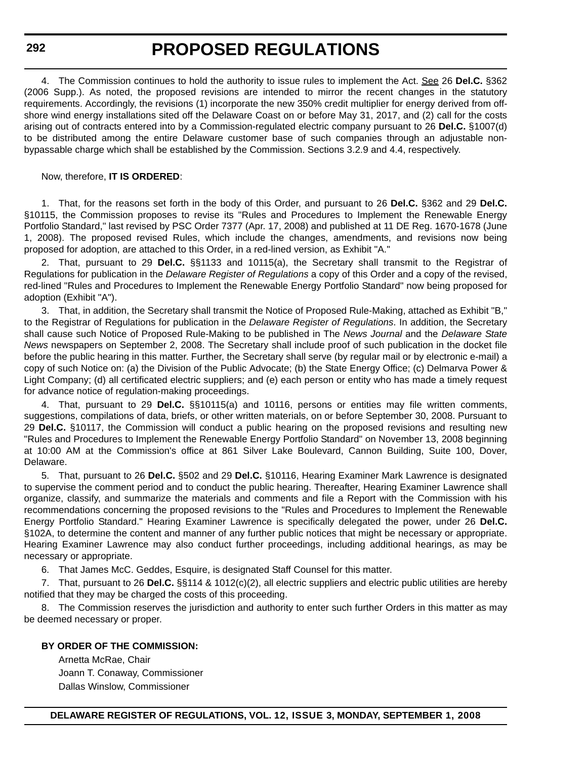**292**

### **PROPOSED REGULATIONS**

4. The Commission continues to hold the authority to issue rules to implement the Act. See 26 **Del.C.** §362 (2006 Supp.). As noted, the proposed revisions are intended to mirror the recent changes in the statutory requirements. Accordingly, the revisions (1) incorporate the new 350% credit multiplier for energy derived from offshore wind energy installations sited off the Delaware Coast on or before May 31, 2017, and (2) call for the costs arising out of contracts entered into by a Commission-regulated electric company pursuant to 26 **Del.C.** §1007(d) to be distributed among the entire Delaware customer base of such companies through an adjustable nonbypassable charge which shall be established by the Commission. Sections 3.2.9 and 4.4, respectively.

#### Now, therefore, **IT IS ORDERED**:

1. That, for the reasons set forth in the body of this Order, and pursuant to 26 **Del.C.** §362 and 29 **Del.C.** §10115, the Commission proposes to revise its "Rules and Procedures to Implement the Renewable Energy Portfolio Standard," last revised by PSC Order 7377 (Apr. 17, 2008) and published at 11 DE Reg. 1670-1678 (June 1, 2008). The proposed revised Rules, which include the changes, amendments, and revisions now being proposed for adoption, are attached to this Order, in a red-lined version, as Exhibit "A."

2. That, pursuant to 29 **Del.C.** §§1133 and 10115(a), the Secretary shall transmit to the Registrar of Regulations for publication in the *Delaware Register of Regulations* a copy of this Order and a copy of the revised, red-lined "Rules and Procedures to Implement the Renewable Energy Portfolio Standard" now being proposed for adoption (Exhibit "A").

3. That, in addition, the Secretary shall transmit the Notice of Proposed Rule-Making, attached as Exhibit "B," to the Registrar of Regulations for publication in the *Delaware Register of Regulations*. In addition, the Secretary shall cause such Notice of Proposed Rule-Making to be published in The *News Journal* and the *Delaware State News* newspapers on September 2, 2008. The Secretary shall include proof of such publication in the docket file before the public hearing in this matter. Further, the Secretary shall serve (by regular mail or by electronic e-mail) a copy of such Notice on: (a) the Division of the Public Advocate; (b) the State Energy Office; (c) Delmarva Power & Light Company; (d) all certificated electric suppliers; and (e) each person or entity who has made a timely request for advance notice of regulation-making proceedings.

4. That, pursuant to 29 **Del.C.** §§10115(a) and 10116, persons or entities may file written comments, suggestions, compilations of data, briefs, or other written materials, on or before September 30, 2008. Pursuant to 29 **Del.C.** §10117, the Commission will conduct a public hearing on the proposed revisions and resulting new "Rules and Procedures to Implement the Renewable Energy Portfolio Standard" on November 13, 2008 beginning at 10:00 AM at the Commission's office at 861 Silver Lake Boulevard, Cannon Building, Suite 100, Dover, Delaware.

5. That, pursuant to 26 **Del.C.** §502 and 29 **Del.C.** §10116, Hearing Examiner Mark Lawrence is designated to supervise the comment period and to conduct the public hearing. Thereafter, Hearing Examiner Lawrence shall organize, classify, and summarize the materials and comments and file a Report with the Commission with his recommendations concerning the proposed revisions to the "Rules and Procedures to Implement the Renewable Energy Portfolio Standard." Hearing Examiner Lawrence is specifically delegated the power, under 26 **Del.C.** §102A, to determine the content and manner of any further public notices that might be necessary or appropriate. Hearing Examiner Lawrence may also conduct further proceedings, including additional hearings, as may be necessary or appropriate.

6. That James McC. Geddes, Esquire, is designated Staff Counsel for this matter.

7. That, pursuant to 26 **Del.C.** §§114 & 1012(c)(2), all electric suppliers and electric public utilities are hereby notified that they may be charged the costs of this proceeding.

8. The Commission reserves the jurisdiction and authority to enter such further Orders in this matter as may be deemed necessary or proper.

#### **BY ORDER OF THE COMMISSION:**

Arnetta McRae, Chair Joann T. Conaway, Commissioner Dallas Winslow, Commissioner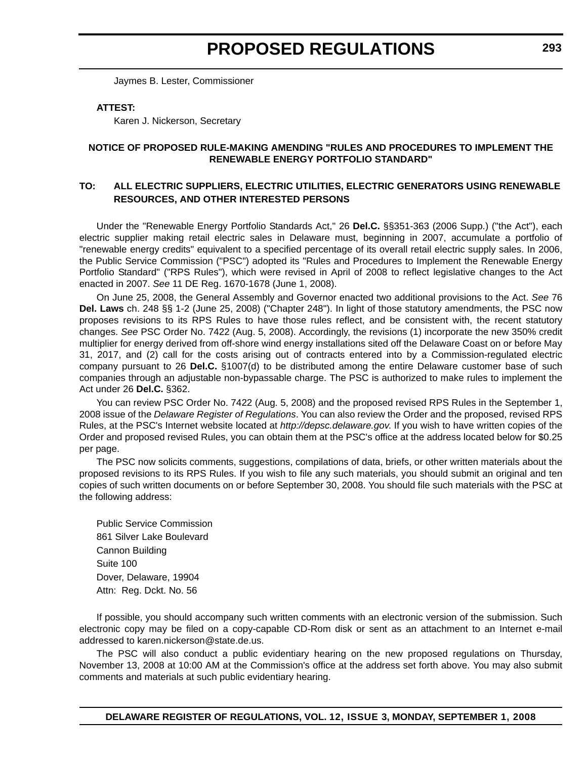Jaymes B. Lester, Commissioner

#### **ATTEST:**

Karen J. Nickerson, Secretary

#### **NOTICE OF PROPOSED RULE-MAKING AMENDING "RULES AND PROCEDURES TO IMPLEMENT THE RENEWABLE ENERGY PORTFOLIO STANDARD"**

#### **TO: ALL ELECTRIC SUPPLIERS, ELECTRIC UTILITIES, ELECTRIC GENERATORS USING RENEWABLE RESOURCES, AND OTHER INTERESTED PERSONS**

Under the "Renewable Energy Portfolio Standards Act," 26 **Del.C.** §§351-363 (2006 Supp.) ("the Act"), each electric supplier making retail electric sales in Delaware must, beginning in 2007, accumulate a portfolio of "renewable energy credits" equivalent to a specified percentage of its overall retail electric supply sales. In 2006, the Public Service Commission ("PSC") adopted its "Rules and Procedures to Implement the Renewable Energy Portfolio Standard" ("RPS Rules"), which were revised in April of 2008 to reflect legislative changes to the Act enacted in 2007. *See* 11 DE Reg. 1670-1678 (June 1, 2008).

On June 25, 2008, the General Assembly and Governor enacted two additional provisions to the Act. *See* 76 **Del. Laws** ch. 248 §§ 1-2 (June 25, 2008) ("Chapter 248"). In light of those statutory amendments, the PSC now proposes revisions to its RPS Rules to have those rules reflect, and be consistent with, the recent statutory changes. *See* PSC Order No. 7422 (Aug. 5, 2008). Accordingly, the revisions (1) incorporate the new 350% credit multiplier for energy derived from off-shore wind energy installations sited off the Delaware Coast on or before May 31, 2017, and (2) call for the costs arising out of contracts entered into by a Commission-regulated electric company pursuant to 26 **Del.C.** §1007(d) to be distributed among the entire Delaware customer base of such companies through an adjustable non-bypassable charge. The PSC is authorized to make rules to implement the Act under 26 **Del.C.** §362.

You can review PSC Order No. 7422 (Aug. 5, 2008) and the proposed revised RPS Rules in the September 1, 2008 issue of the *Delaware Register of Regulations*. You can also review the Order and the proposed, revised RPS Rules, at the PSC's Internet website located at *http://depsc.delaware.gov*. If you wish to have written copies of the Order and proposed revised Rules, you can obtain them at the PSC's office at the address located below for \$0.25 per page.

The PSC now solicits comments, suggestions, compilations of data, briefs, or other written materials about the proposed revisions to its RPS Rules. If you wish to file any such materials, you should submit an original and ten copies of such written documents on or before September 30, 2008. You should file such materials with the PSC at the following address:

Public Service Commission 861 Silver Lake Boulevard Cannon Building Suite 100 Dover, Delaware, 19904 Attn: Reg. Dckt. No. 56

If possible, you should accompany such written comments with an electronic version of the submission. Such electronic copy may be filed on a copy-capable CD-Rom disk or sent as an attachment to an Internet e-mail addressed to karen.nickerson@state.de.us.

The PSC will also conduct a public evidentiary hearing on the new proposed regulations on Thursday, November 13, 2008 at 10:00 AM at the Commission's office at the address set forth above. You may also submit comments and materials at such public evidentiary hearing.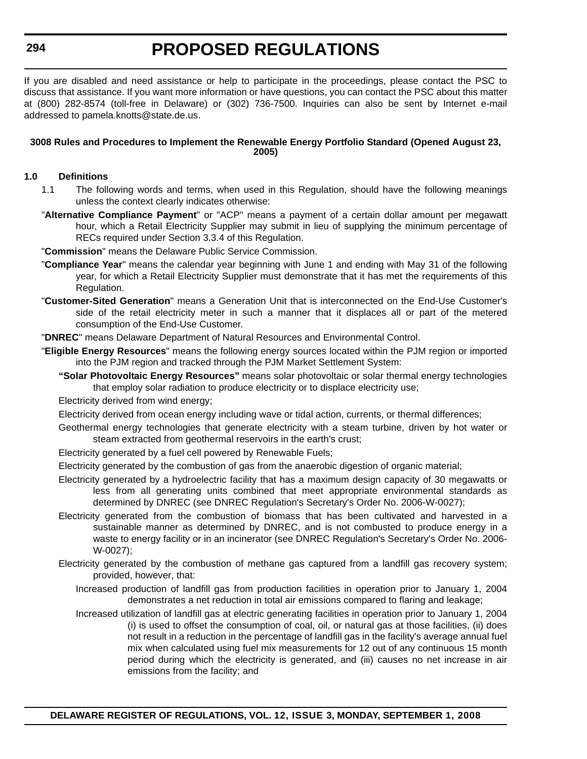If you are disabled and need assistance or help to participate in the proceedings, please contact the PSC to discuss that assistance. If you want more information or have questions, you can contact the PSC about this matter at (800) 282-8574 (toll-free in Delaware) or (302) 736-7500. Inquiries can also be sent by Internet e-mail addressed to pamela.knotts@state.de.us.

#### **3008 Rules and Procedures to Implement the Renewable Energy Portfolio Standard (Opened August 23, 2005)**

#### **1.0 Definitions**

- 1.1 The following words and terms, when used in this Regulation, should have the following meanings unless the context clearly indicates otherwise:
- "**Alternative Compliance Payment**" or "ACP" means a payment of a certain dollar amount per megawatt hour, which a Retail Electricity Supplier may submit in lieu of supplying the minimum percentage of RECs required under Section 3.3.4 of this Regulation.
- "**Commission**" means the Delaware Public Service Commission.
- "**Compliance Year**" means the calendar year beginning with June 1 and ending with May 31 of the following year, for which a Retail Electricity Supplier must demonstrate that it has met the requirements of this Regulation.
- "**Customer-Sited Generation**" means a Generation Unit that is interconnected on the End-Use Customer's side of the retail electricity meter in such a manner that it displaces all or part of the metered consumption of the End-Use Customer.
- "**DNREC**" means Delaware Department of Natural Resources and Environmental Control.
- "**Eligible Energy Resources**" means the following energy sources located within the PJM region or imported into the PJM region and tracked through the PJM Market Settlement System:
	- **"Solar Photovoltaic Energy Resources"** means solar photovoltaic or solar thermal energy technologies that employ solar radiation to produce electricity or to displace electricity use;

Electricity derived from wind energy;

Electricity derived from ocean energy including wave or tidal action, currents, or thermal differences;

- Geothermal energy technologies that generate electricity with a steam turbine, driven by hot water or steam extracted from geothermal reservoirs in the earth's crust;
- Electricity generated by a fuel cell powered by Renewable Fuels;

Electricity generated by the combustion of gas from the anaerobic digestion of organic material;

- Electricity generated by a hydroelectric facility that has a maximum design capacity of 30 megawatts or less from all generating units combined that meet appropriate environmental standards as determined by DNREC (see DNREC Regulation's Secretary's Order No. 2006-W-0027);
- Electricity generated from the combustion of biomass that has been cultivated and harvested in a sustainable manner as determined by DNREC, and is not combusted to produce energy in a waste to energy facility or in an incinerator (see DNREC Regulation's Secretary's Order No. 2006- W-0027);
- Electricity generated by the combustion of methane gas captured from a landfill gas recovery system; provided, however, that:
	- Increased production of landfill gas from production facilities in operation prior to January 1, 2004 demonstrates a net reduction in total air emissions compared to flaring and leakage;
	- Increased utilization of landfill gas at electric generating facilities in operation prior to January 1, 2004 (i) is used to offset the consumption of coal, oil, or natural gas at those facilities, (ii) does not result in a reduction in the percentage of landfill gas in the facility's average annual fuel mix when calculated using fuel mix measurements for 12 out of any continuous 15 month period during which the electricity is generated, and (iii) causes no net increase in air emissions from the facility; and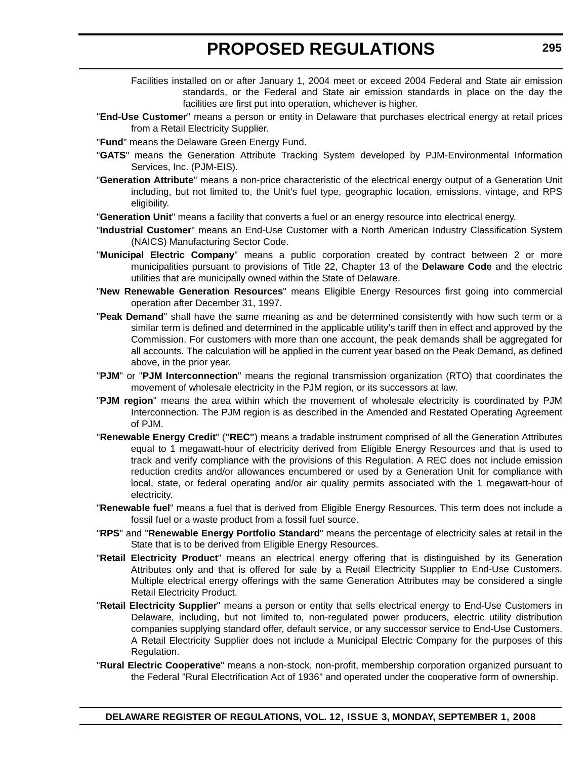- Facilities installed on or after January 1, 2004 meet or exceed 2004 Federal and State air emission standards, or the Federal and State air emission standards in place on the day the facilities are first put into operation, whichever is higher.
- "**End-Use Customer**" means a person or entity in Delaware that purchases electrical energy at retail prices from a Retail Electricity Supplier.

"**Fund**" means the Delaware Green Energy Fund.

- "**GATS**" means the Generation Attribute Tracking System developed by PJM-Environmental Information Services, Inc. (PJM-EIS).
- "**Generation Attribute**" means a non-price characteristic of the electrical energy output of a Generation Unit including, but not limited to, the Unit's fuel type, geographic location, emissions, vintage, and RPS eligibility.
- "**Generation Unit**" means a facility that converts a fuel or an energy resource into electrical energy.
- "**Industrial Customer**" means an End-Use Customer with a North American Industry Classification System (NAICS) Manufacturing Sector Code.
- "**Municipal Electric Company**" means a public corporation created by contract between 2 or more municipalities pursuant to provisions of Title 22, Chapter 13 of the **Delaware Code** and the electric utilities that are municipally owned within the State of Delaware.
- "**New Renewable Generation Resources**" means Eligible Energy Resources first going into commercial operation after December 31, 1997.
- "**Peak Demand**" shall have the same meaning as and be determined consistently with how such term or a similar term is defined and determined in the applicable utility's tariff then in effect and approved by the Commission. For customers with more than one account, the peak demands shall be aggregated for all accounts. The calculation will be applied in the current year based on the Peak Demand, as defined above, in the prior year.
- "**PJM**" or "**PJM Interconnection**" means the regional transmission organization (RTO) that coordinates the movement of wholesale electricity in the PJM region, or its successors at law.
- "**PJM region**" means the area within which the movement of wholesale electricity is coordinated by PJM Interconnection. The PJM region is as described in the Amended and Restated Operating Agreement  $of$  P.IM.
- "**Renewable Energy Credit**" (**"REC"**) means a tradable instrument comprised of all the Generation Attributes equal to 1 megawatt-hour of electricity derived from Eligible Energy Resources and that is used to track and verify compliance with the provisions of this Regulation. A REC does not include emission reduction credits and/or allowances encumbered or used by a Generation Unit for compliance with local, state, or federal operating and/or air quality permits associated with the 1 megawatt-hour of electricity.
- "**Renewable fuel**" means a fuel that is derived from Eligible Energy Resources. This term does not include a fossil fuel or a waste product from a fossil fuel source.
- "**RPS**" and "**Renewable Energy Portfolio Standard**" means the percentage of electricity sales at retail in the State that is to be derived from Eligible Energy Resources.
- "**Retail Electricity Product**" means an electrical energy offering that is distinguished by its Generation Attributes only and that is offered for sale by a Retail Electricity Supplier to End-Use Customers. Multiple electrical energy offerings with the same Generation Attributes may be considered a single Retail Electricity Product.
- "**Retail Electricity Supplier**" means a person or entity that sells electrical energy to End-Use Customers in Delaware, including, but not limited to, non-regulated power producers, electric utility distribution companies supplying standard offer, default service, or any successor service to End-Use Customers. A Retail Electricity Supplier does not include a Municipal Electric Company for the purposes of this Regulation.
- "**Rural Electric Cooperative**" means a non-stock, non-profit, membership corporation organized pursuant to the Federal "Rural Electrification Act of 1936" and operated under the cooperative form of ownership.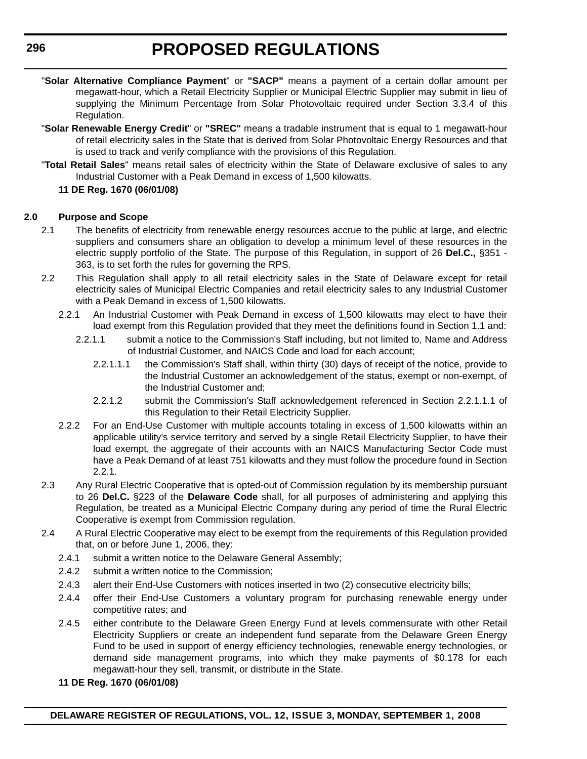- "**Solar Alternative Compliance Payment**" or **"SACP"** means a payment of a certain dollar amount per megawatt-hour, which a Retail Electricity Supplier or Municipal Electric Supplier may submit in lieu of supplying the Minimum Percentage from Solar Photovoltaic required under Section 3.3.4 of this Regulation.
- "**Solar Renewable Energy Credit**" or **"SREC"** means a tradable instrument that is equal to 1 megawatt-hour of retail electricity sales in the State that is derived from Solar Photovoltaic Energy Resources and that is used to track and verify compliance with the provisions of this Regulation.
- "**Total Retail Sales**" means retail sales of electricity within the State of Delaware exclusive of sales to any Industrial Customer with a Peak Demand in excess of 1,500 kilowatts.

#### **11 DE Reg. 1670 (06/01/08)**

#### **2.0 Purpose and Scope**

- 2.1 The benefits of electricity from renewable energy resources accrue to the public at large, and electric suppliers and consumers share an obligation to develop a minimum level of these resources in the electric supply portfolio of the State. The purpose of this Regulation, in support of 26 **Del.C.,** §351 - 363, is to set forth the rules for governing the RPS.
- 2.2 This Regulation shall apply to all retail electricity sales in the State of Delaware except for retail electricity sales of Municipal Electric Companies and retail electricity sales to any Industrial Customer with a Peak Demand in excess of 1,500 kilowatts.
	- 2.2.1 An Industrial Customer with Peak Demand in excess of 1,500 kilowatts may elect to have their load exempt from this Regulation provided that they meet the definitions found in Section 1.1 and:
		- 2.2.1.1 submit a notice to the Commission's Staff including, but not limited to, Name and Address of Industrial Customer, and NAICS Code and load for each account;
			- 2.2.1.1.1 the Commission's Staff shall, within thirty (30) days of receipt of the notice, provide to the Industrial Customer an acknowledgement of the status, exempt or non-exempt, of the Industrial Customer and;
			- 2.2.1.2 submit the Commission's Staff acknowledgement referenced in Section 2.2.1.1.1 of this Regulation to their Retail Electricity Supplier.
	- 2.2.2 For an End-Use Customer with multiple accounts totaling in excess of 1,500 kilowatts within an applicable utility's service territory and served by a single Retail Electricity Supplier, to have their load exempt, the aggregate of their accounts with an NAICS Manufacturing Sector Code must have a Peak Demand of at least 751 kilowatts and they must follow the procedure found in Section 2.2.1.
- 2.3 Any Rural Electric Cooperative that is opted-out of Commission regulation by its membership pursuant to 26 **Del.C.** §223 of the **Delaware Code** shall, for all purposes of administering and applying this Regulation, be treated as a Municipal Electric Company during any period of time the Rural Electric Cooperative is exempt from Commission regulation.
- 2.4 A Rural Electric Cooperative may elect to be exempt from the requirements of this Regulation provided that, on or before June 1, 2006, they:
	- 2.4.1 submit a written notice to the Delaware General Assembly;
	- 2.4.2 submit a written notice to the Commission;
	- 2.4.3 alert their End-Use Customers with notices inserted in two (2) consecutive electricity bills;
	- 2.4.4 offer their End-Use Customers a voluntary program for purchasing renewable energy under competitive rates; and
	- 2.4.5 either contribute to the Delaware Green Energy Fund at levels commensurate with other Retail Electricity Suppliers or create an independent fund separate from the Delaware Green Energy Fund to be used in support of energy efficiency technologies, renewable energy technologies, or demand side management programs, into which they make payments of \$0.178 for each megawatt-hour they sell, transmit, or distribute in the State.
	- **11 DE Reg. 1670 (06/01/08)**

**296**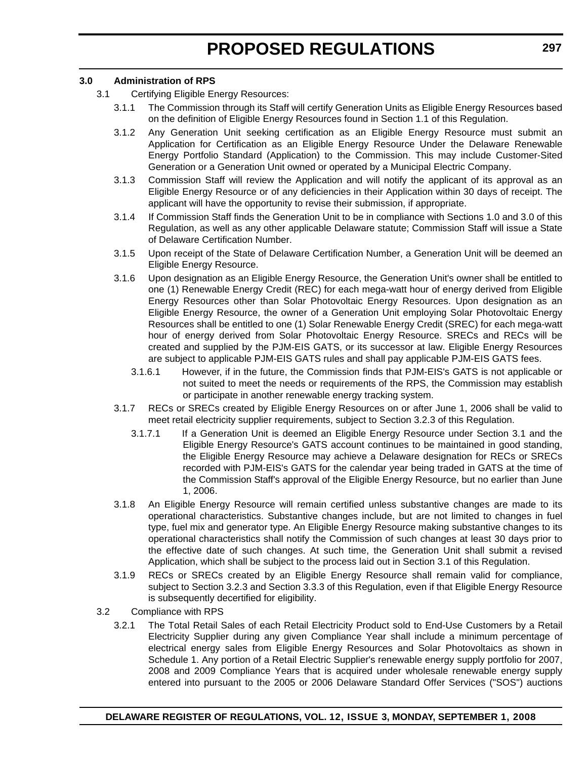#### **3.0 Administration of RPS**

- 3.1 Certifying Eligible Energy Resources:
	- 3.1.1 The Commission through its Staff will certify Generation Units as Eligible Energy Resources based on the definition of Eligible Energy Resources found in Section 1.1 of this Regulation.
	- 3.1.2 Any Generation Unit seeking certification as an Eligible Energy Resource must submit an Application for Certification as an Eligible Energy Resource Under the Delaware Renewable Energy Portfolio Standard (Application) to the Commission. This may include Customer-Sited Generation or a Generation Unit owned or operated by a Municipal Electric Company.
	- 3.1.3 Commission Staff will review the Application and will notify the applicant of its approval as an Eligible Energy Resource or of any deficiencies in their Application within 30 days of receipt. The applicant will have the opportunity to revise their submission, if appropriate.
	- 3.1.4 If Commission Staff finds the Generation Unit to be in compliance with Sections 1.0 and 3.0 of this Regulation, as well as any other applicable Delaware statute; Commission Staff will issue a State of Delaware Certification Number.
	- 3.1.5 Upon receipt of the State of Delaware Certification Number, a Generation Unit will be deemed an Eligible Energy Resource.
	- 3.1.6 Upon designation as an Eligible Energy Resource, the Generation Unit's owner shall be entitled to one (1) Renewable Energy Credit (REC) for each mega-watt hour of energy derived from Eligible Energy Resources other than Solar Photovoltaic Energy Resources. Upon designation as an Eligible Energy Resource, the owner of a Generation Unit employing Solar Photovoltaic Energy Resources shall be entitled to one (1) Solar Renewable Energy Credit (SREC) for each mega-watt hour of energy derived from Solar Photovoltaic Energy Resource. SRECs and RECs will be created and supplied by the PJM-EIS GATS, or its successor at law. Eligible Energy Resources are subject to applicable PJM-EIS GATS rules and shall pay applicable PJM-EIS GATS fees.
		- 3.1.6.1 However, if in the future, the Commission finds that PJM-EIS's GATS is not applicable or not suited to meet the needs or requirements of the RPS, the Commission may establish or participate in another renewable energy tracking system.
	- 3.1.7 RECs or SRECs created by Eligible Energy Resources on or after June 1, 2006 shall be valid to meet retail electricity supplier requirements, subject to Section 3.2.3 of this Regulation.
		- 3.1.7.1 If a Generation Unit is deemed an Eligible Energy Resource under Section 3.1 and the Eligible Energy Resource's GATS account continues to be maintained in good standing, the Eligible Energy Resource may achieve a Delaware designation for RECs or SRECs recorded with PJM-EIS's GATS for the calendar year being traded in GATS at the time of the Commission Staff's approval of the Eligible Energy Resource, but no earlier than June 1, 2006.
	- 3.1.8 An Eligible Energy Resource will remain certified unless substantive changes are made to its operational characteristics. Substantive changes include, but are not limited to changes in fuel type, fuel mix and generator type. An Eligible Energy Resource making substantive changes to its operational characteristics shall notify the Commission of such changes at least 30 days prior to the effective date of such changes. At such time, the Generation Unit shall submit a revised Application, which shall be subject to the process laid out in Section 3.1 of this Regulation.
	- 3.1.9 RECs or SRECs created by an Eligible Energy Resource shall remain valid for compliance, subject to Section 3.2.3 and Section 3.3.3 of this Regulation, even if that Eligible Energy Resource is subsequently decertified for eligibility.
- 3.2 Compliance with RPS
	- 3.2.1 The Total Retail Sales of each Retail Electricity Product sold to End-Use Customers by a Retail Electricity Supplier during any given Compliance Year shall include a minimum percentage of electrical energy sales from Eligible Energy Resources and Solar Photovoltaics as shown in Schedule 1. Any portion of a Retail Electric Supplier's renewable energy supply portfolio for 2007, 2008 and 2009 Compliance Years that is acquired under wholesale renewable energy supply entered into pursuant to the 2005 or 2006 Delaware Standard Offer Services ("SOS") auctions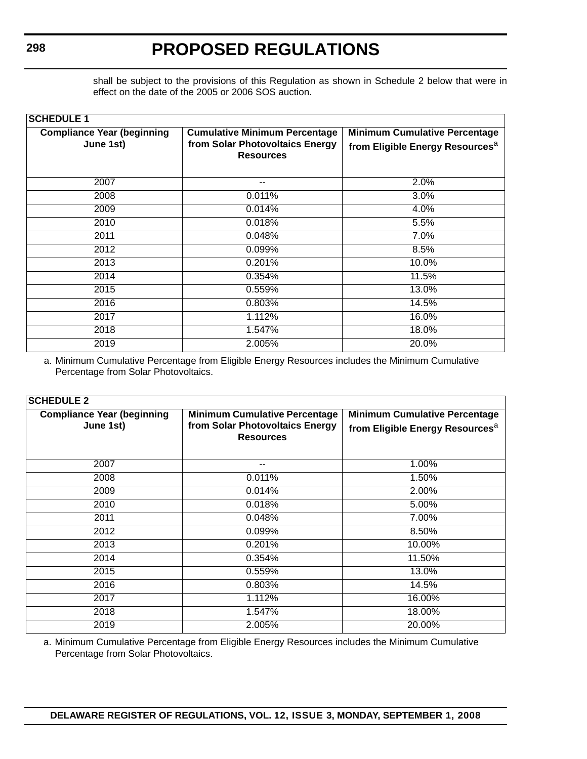shall be subject to the provisions of this Regulation as shown in Schedule 2 below that were in effect on the date of the 2005 or 2006 SOS auction.

| <b>SCHEDULE 1</b> |
|-------------------|
|-------------------|

| <b>Compliance Year (beginning</b><br>June 1st) | <b>Cumulative Minimum Percentage</b><br>from Solar Photovoltaics Energy<br><b>Resources</b> | <b>Minimum Cumulative Percentage</b><br>from Eligible Energy Resources <sup>a</sup> |  |  |
|------------------------------------------------|---------------------------------------------------------------------------------------------|-------------------------------------------------------------------------------------|--|--|
| 2007                                           | $- -$                                                                                       | 2.0%                                                                                |  |  |
| 2008                                           | 0.011%                                                                                      | 3.0%                                                                                |  |  |
| 2009                                           | 0.014%                                                                                      | 4.0%                                                                                |  |  |
| 2010                                           | 0.018%                                                                                      | 5.5%                                                                                |  |  |
| 2011                                           | 0.048%                                                                                      | 7.0%                                                                                |  |  |
| 2012                                           | 0.099%                                                                                      | 8.5%                                                                                |  |  |
| 2013                                           | 0.201%                                                                                      | 10.0%                                                                               |  |  |
| 2014                                           | 0.354%                                                                                      | 11.5%                                                                               |  |  |
| 2015                                           | 0.559%                                                                                      | 13.0%                                                                               |  |  |
| 2016                                           | 0.803%                                                                                      | 14.5%                                                                               |  |  |
| 2017                                           | 1.112%                                                                                      | 16.0%                                                                               |  |  |
| 2018                                           | 1.547%                                                                                      | 18.0%                                                                               |  |  |
| 2019                                           | 2.005%                                                                                      | 20.0%                                                                               |  |  |

a. Minimum Cumulative Percentage from Eligible Energy Resources includes the Minimum Cumulative Percentage from Solar Photovoltaics.

#### **SCHEDULE 2**

| <b>Compliance Year (beginning</b><br><b>Minimum Cumulative Percentage</b> |                                                     | <b>Minimum Cumulative Percentage</b>        |  |
|---------------------------------------------------------------------------|-----------------------------------------------------|---------------------------------------------|--|
| June 1st)                                                                 | from Solar Photovoltaics Energy<br><b>Resources</b> | from Eligible Energy Resources <sup>a</sup> |  |
| 2007                                                                      | --                                                  | 1.00%                                       |  |
| 2008                                                                      | 0.011%                                              | 1.50%                                       |  |
| 2009                                                                      | 0.014%                                              | 2.00%                                       |  |
| 2010                                                                      | 0.018%                                              | 5.00%                                       |  |
| 2011                                                                      | 0.048%                                              | 7.00%                                       |  |
| 2012                                                                      | 0.099%                                              | 8.50%                                       |  |
| 2013                                                                      | 0.201%                                              | 10.00%                                      |  |
| 2014                                                                      | 0.354%                                              | 11.50%                                      |  |
| 2015                                                                      | 0.559%                                              | 13.0%                                       |  |
| 2016                                                                      | 0.803%                                              | 14.5%                                       |  |
| 2017                                                                      | $\overline{1.112\%}$                                | 16.00%                                      |  |
| 2018                                                                      | 1.547%                                              | 18.00%                                      |  |
| 2019                                                                      | 2.005%                                              | 20.00%                                      |  |

a. Minimum Cumulative Percentage from Eligible Energy Resources includes the Minimum Cumulative Percentage from Solar Photovoltaics.

**DELAWARE REGISTER OF REGULATIONS, VOL. 12, ISSUE 3, MONDAY, SEPTEMBER 1, 2008**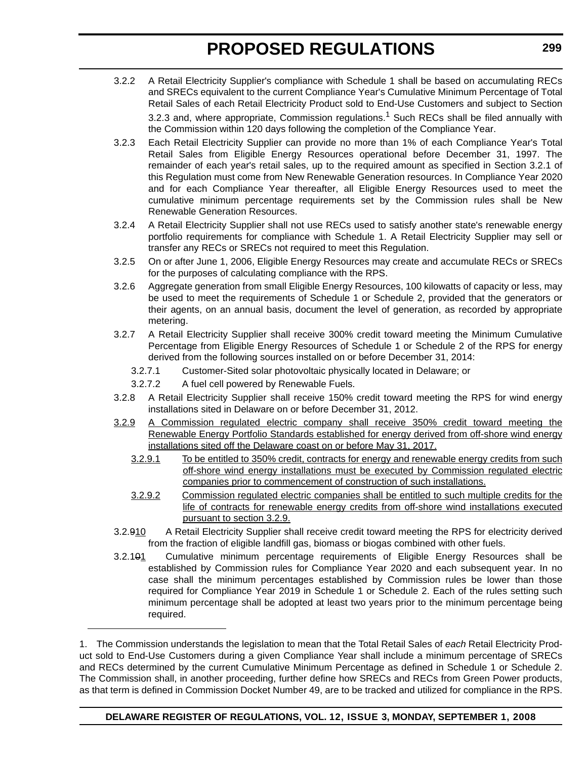- 3.2.2 A Retail Electricity Supplier's compliance with Schedule 1 shall be based on accumulating RECs and SRECs equivalent to the current Compliance Year's Cumulative Minimum Percentage of Total Retail Sales of each Retail Electricity Product sold to End-Use Customers and subject to Section 3.2.3 and, where appropriate, Commission regulations.<sup>1</sup> Such RECs shall be filed annually with the Commission within 120 days following the completion of the Compliance Year.
- 3.2.3 Each Retail Electricity Supplier can provide no more than 1% of each Compliance Year's Total Retail Sales from Eligible Energy Resources operational before December 31, 1997. The remainder of each year's retail sales, up to the required amount as specified in Section 3.2.1 of this Regulation must come from New Renewable Generation resources. In Compliance Year 2020 and for each Compliance Year thereafter, all Eligible Energy Resources used to meet the cumulative minimum percentage requirements set by the Commission rules shall be New Renewable Generation Resources.
- 3.2.4 A Retail Electricity Supplier shall not use RECs used to satisfy another state's renewable energy portfolio requirements for compliance with Schedule 1. A Retail Electricity Supplier may sell or transfer any RECs or SRECs not required to meet this Regulation.
- 3.2.5 On or after June 1, 2006, Eligible Energy Resources may create and accumulate RECs or SRECs for the purposes of calculating compliance with the RPS.
- 3.2.6 Aggregate generation from small Eligible Energy Resources, 100 kilowatts of capacity or less, may be used to meet the requirements of Schedule 1 or Schedule 2, provided that the generators or their agents, on an annual basis, document the level of generation, as recorded by appropriate metering.
- 3.2.7 A Retail Electricity Supplier shall receive 300% credit toward meeting the Minimum Cumulative Percentage from Eligible Energy Resources of Schedule 1 or Schedule 2 of the RPS for energy derived from the following sources installed on or before December 31, 2014:
	- 3.2.7.1 Customer-Sited solar photovoltaic physically located in Delaware; or
	- 3.2.7.2 A fuel cell powered by Renewable Fuels.
- 3.2.8 A Retail Electricity Supplier shall receive 150% credit toward meeting the RPS for wind energy installations sited in Delaware on or before December 31, 2012.
- 3.2.9 A Commission regulated electric company shall receive 350% credit toward meeting the Renewable Energy Portfolio Standards established for energy derived from off-shore wind energy installations sited off the Delaware coast on or before May 31, 2017.
	- 3.2.9.1 To be entitled to 350% credit, contracts for energy and renewable energy credits from such off-shore wind energy installations must be executed by Commission regulated electric companies prior to commencement of construction of such installations.
	- 3.2.9.2 Commission regulated electric companies shall be entitled to such multiple credits for the life of contracts for renewable energy credits from off-shore wind installations executed pursuant to section 3.2.9.
- 3.2.910 A Retail Electricity Supplier shall receive credit toward meeting the RPS for electricity derived from the fraction of eligible landfill gas, biomass or biogas combined with other fuels.
- 3.2.101 Cumulative minimum percentage requirements of Eligible Energy Resources shall be established by Commission rules for Compliance Year 2020 and each subsequent year. In no case shall the minimum percentages established by Commission rules be lower than those required for Compliance Year 2019 in Schedule 1 or Schedule 2. Each of the rules setting such minimum percentage shall be adopted at least two years prior to the minimum percentage being required.

**299**

<sup>1.</sup> The Commission understands the legislation to mean that the Total Retail Sales of *each* Retail Electricity Product sold to End-Use Customers during a given Compliance Year shall include a minimum percentage of SRECs and RECs determined by the current Cumulative Minimum Percentage as defined in Schedule 1 or Schedule 2. The Commission shall, in another proceeding, further define how SRECs and RECs from Green Power products, as that term is defined in Commission Docket Number 49, are to be tracked and utilized for compliance in the RPS.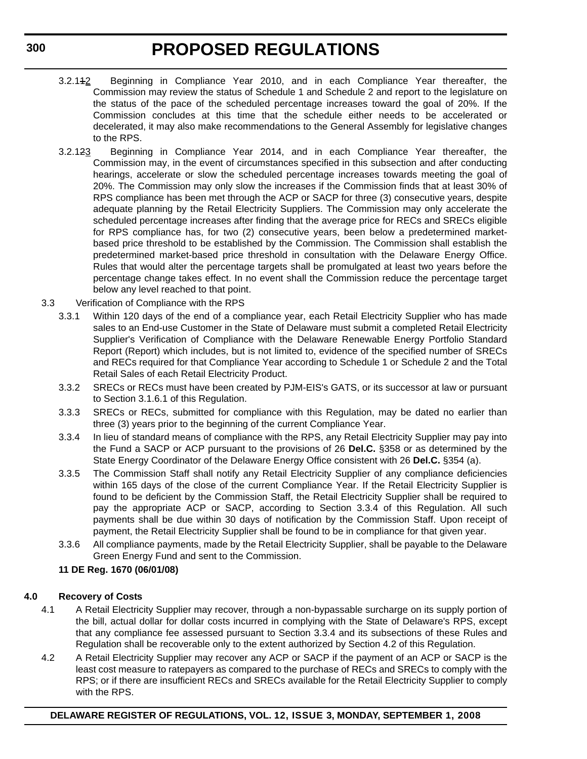- 3.2.112 Beginning in Compliance Year 2010, and in each Compliance Year thereafter, the Commission may review the status of Schedule 1 and Schedule 2 and report to the legislature on the status of the pace of the scheduled percentage increases toward the goal of 20%. If the Commission concludes at this time that the schedule either needs to be accelerated or decelerated, it may also make recommendations to the General Assembly for legislative changes to the RPS.
- 3.2.123 Beginning in Compliance Year 2014, and in each Compliance Year thereafter, the Commission may, in the event of circumstances specified in this subsection and after conducting hearings, accelerate or slow the scheduled percentage increases towards meeting the goal of 20%. The Commission may only slow the increases if the Commission finds that at least 30% of RPS compliance has been met through the ACP or SACP for three (3) consecutive years, despite adequate planning by the Retail Electricity Suppliers. The Commission may only accelerate the scheduled percentage increases after finding that the average price for RECs and SRECs eligible for RPS compliance has, for two (2) consecutive years, been below a predetermined marketbased price threshold to be established by the Commission. The Commission shall establish the predetermined market-based price threshold in consultation with the Delaware Energy Office. Rules that would alter the percentage targets shall be promulgated at least two years before the percentage change takes effect. In no event shall the Commission reduce the percentage target below any level reached to that point.
- 3.3 Verification of Compliance with the RPS
	- 3.3.1 Within 120 days of the end of a compliance year, each Retail Electricity Supplier who has made sales to an End-use Customer in the State of Delaware must submit a completed Retail Electricity Supplier's Verification of Compliance with the Delaware Renewable Energy Portfolio Standard Report (Report) which includes, but is not limited to, evidence of the specified number of SRECs and RECs required for that Compliance Year according to Schedule 1 or Schedule 2 and the Total Retail Sales of each Retail Electricity Product.
	- 3.3.2 SRECs or RECs must have been created by PJM-EIS's GATS, or its successor at law or pursuant to Section 3.1.6.1 of this Regulation.
	- 3.3.3 SRECs or RECs, submitted for compliance with this Regulation, may be dated no earlier than three (3) years prior to the beginning of the current Compliance Year.
	- 3.3.4 In lieu of standard means of compliance with the RPS, any Retail Electricity Supplier may pay into the Fund a SACP or ACP pursuant to the provisions of 26 **Del.C.** §358 or as determined by the State Energy Coordinator of the Delaware Energy Office consistent with 26 **Del.C.** §354 (a).
	- 3.3.5 The Commission Staff shall notify any Retail Electricity Supplier of any compliance deficiencies within 165 days of the close of the current Compliance Year. If the Retail Electricity Supplier is found to be deficient by the Commission Staff, the Retail Electricity Supplier shall be required to pay the appropriate ACP or SACP, according to Section 3.3.4 of this Regulation. All such payments shall be due within 30 days of notification by the Commission Staff. Upon receipt of payment, the Retail Electricity Supplier shall be found to be in compliance for that given year.
	- 3.3.6 All compliance payments, made by the Retail Electricity Supplier, shall be payable to the Delaware Green Energy Fund and sent to the Commission.

### **11 DE Reg. 1670 (06/01/08)**

### **4.0 Recovery of Costs**

- 4.1 A Retail Electricity Supplier may recover, through a non-bypassable surcharge on its supply portion of the bill, actual dollar for dollar costs incurred in complying with the State of Delaware's RPS, except that any compliance fee assessed pursuant to Section 3.3.4 and its subsections of these Rules and Regulation shall be recoverable only to the extent authorized by Section 4.2 of this Regulation.
- 4.2 A Retail Electricity Supplier may recover any ACP or SACP if the payment of an ACP or SACP is the least cost measure to ratepayers as compared to the purchase of RECs and SRECs to comply with the RPS; or if there are insufficient RECs and SRECs available for the Retail Electricity Supplier to comply with the RPS.

### **DELAWARE REGISTER OF REGULATIONS, VOL. 12, ISSUE 3, MONDAY, SEPTEMBER 1, 2008**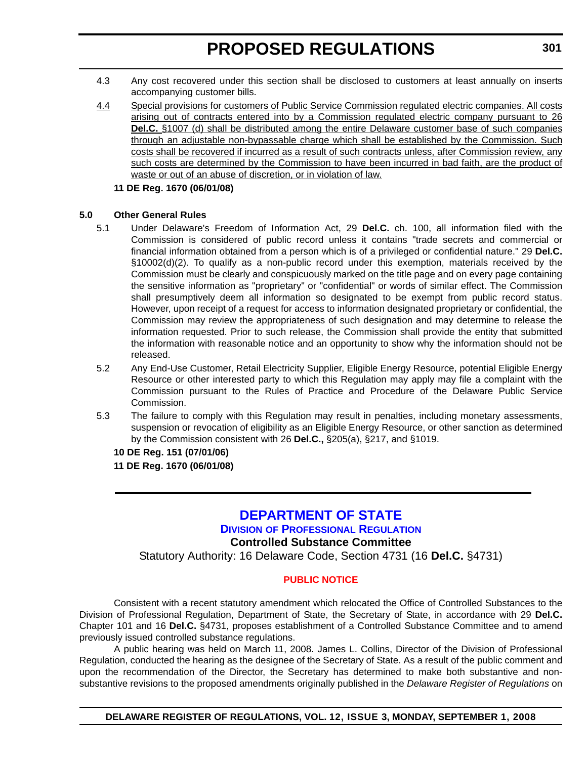- 4.3 Any cost recovered under this section shall be disclosed to customers at least annually on inserts accompanying customer bills.
- 4.4 Special provisions for customers of Public Service Commission regulated electric companies. All costs arising out of contracts entered into by a Commission regulated electric company pursuant to 26 **Del.C.** §1007 (d) shall be distributed among the entire Delaware customer base of such companies through an adjustable non-bypassable charge which shall be established by the Commission. Such costs shall be recovered if incurred as a result of such contracts unless, after Commission review, any such costs are determined by the Commission to have been incurred in bad faith, are the product of waste or out of an abuse of discretion, or in violation of law.
	- **11 DE Reg. 1670 (06/01/08)**

#### **5.0 Other General Rules**

- 5.1 Under Delaware's Freedom of Information Act, 29 **Del.C.** ch. 100, all information filed with the Commission is considered of public record unless it contains "trade secrets and commercial or financial information obtained from a person which is of a privileged or confidential nature." 29 **Del.C.** §10002(d)(2). To qualify as a non-public record under this exemption, materials received by the Commission must be clearly and conspicuously marked on the title page and on every page containing the sensitive information as "proprietary" or "confidential" or words of similar effect. The Commission shall presumptively deem all information so designated to be exempt from public record status. However, upon receipt of a request for access to information designated proprietary or confidential, the Commission may review the appropriateness of such designation and may determine to release the information requested. Prior to such release, the Commission shall provide the entity that submitted the information with reasonable notice and an opportunity to show why the information should not be released.
- 5.2 Any End-Use Customer, Retail Electricity Supplier, Eligible Energy Resource, potential Eligible Energy Resource or other interested party to which this Regulation may apply may file a complaint with the Commission pursuant to the Rules of Practice and Procedure of the Delaware Public Service Commission.
- 5.3 The failure to comply with this Regulation may result in penalties, including monetary assessments, suspension or revocation of eligibility as an Eligible Energy Resource, or other sanction as determined by the Commission consistent with 26 **Del.C.,** §205(a), §217, and §1019.

### **10 DE Reg. 151 (07/01/06)**

**11 DE Reg. 1670 (06/01/08)**

### **[DEPARTMENT OF STATE](http://sos.delaware.gov/default.shtml)**

### **DIVISION [OF PROFESSIONAL REGULATION](http://dpr.delaware.gov/default.shtml)**

### **Controlled Substance Committee**

Statutory Authority: 16 Delaware Code, Section 4731 (16 **Del.C.** §4731)

### **[PUBLIC NOTICE](#page-3-0)**

Consistent with a recent statutory amendment which relocated the Office of Controlled Substances to the Division of Professional Regulation, Department of State, the Secretary of State, in accordance with 29 **Del.C.** Chapter 101 and 16 **Del.C.** §4731, proposes establishment of a Controlled Substance Committee and to amend previously issued controlled substance regulations.

A public hearing was held on March 11, 2008. James L. Collins, Director of the Division of Professional Regulation, conducted the hearing as the designee of the Secretary of State. As a result of the public comment and upon the recommendation of the Director, the Secretary has determined to make both substantive and nonsubstantive revisions to the proposed amendments originally published in the *Delaware Register of Regulations* on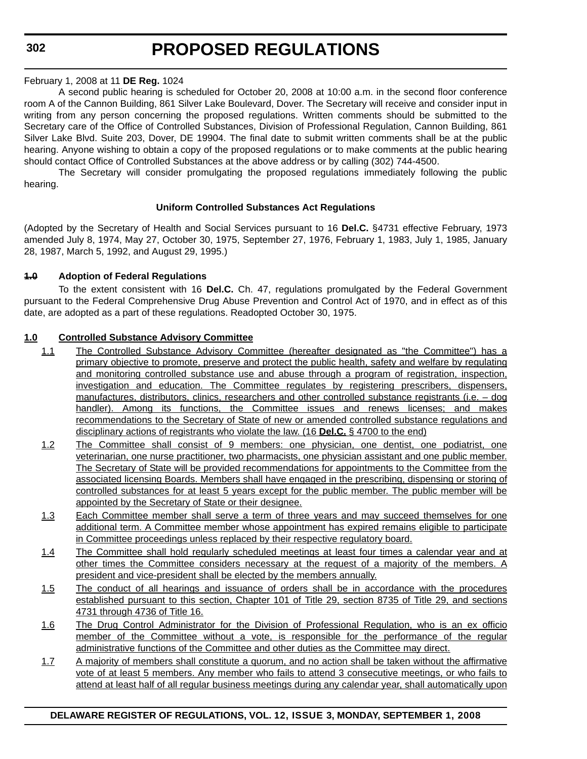**302**

### **PROPOSED REGULATIONS**

### February 1, 2008 at 11 **DE Reg.** 1024

A second public hearing is scheduled for October 20, 2008 at 10:00 a.m. in the second floor conference room A of the Cannon Building, 861 Silver Lake Boulevard, Dover. The Secretary will receive and consider input in writing from any person concerning the proposed regulations. Written comments should be submitted to the Secretary care of the Office of Controlled Substances, Division of Professional Regulation, Cannon Building, 861 Silver Lake Blvd. Suite 203, Dover, DE 19904. The final date to submit written comments shall be at the public hearing. Anyone wishing to obtain a copy of the proposed regulations or to make comments at the public hearing should contact Office of Controlled Substances at the above address or by calling (302) 744-4500.

The Secretary will consider promulgating the proposed regulations immediately following the public hearing.

### **Uniform Controlled Substances Act Regulations**

(Adopted by the Secretary of Health and Social Services pursuant to 16 **Del.C.** §4731 effective February, 1973 amended July 8, 1974, May 27, October 30, 1975, September 27, 1976, February 1, 1983, July 1, 1985, January 28, 1987, March 5, 1992, and August 29, 1995.)

### **1.0 Adoption of Federal Regulations**

To the extent consistent with 16 **Del.C.** Ch. 47, regulations promulgated by the Federal Government pursuant to the Federal Comprehensive Drug Abuse Prevention and Control Act of 1970, and in effect as of this date, are adopted as a part of these regulations. Readopted October 30, 1975.

### **1.0 Controlled Substance Advisory Committee**

- 1.1 The Controlled Substance Advisory Committee (hereafter designated as "the Committee") has a primary objective to promote, preserve and protect the public health, safety and welfare by regulating and monitoring controlled substance use and abuse through a program of registration, inspection, investigation and education. The Committee regulates by registering prescribers, dispensers, manufactures, distributors, clinics, researchers and other controlled substance registrants (i.e. – dog handler). Among its functions, the Committee issues and renews licenses; and makes recommendations to the Secretary of State of new or amended controlled substance regulations and disciplinary actions of registrants who violate the law. (16 **Del.C.** § 4700 to the end)
- 1.2 The Committee shall consist of 9 members: one physician, one dentist, one podiatrist, one veterinarian, one nurse practitioner, two pharmacists, one physician assistant and one public member. The Secretary of State will be provided recommendations for appointments to the Committee from the associated licensing Boards. Members shall have engaged in the prescribing, dispensing or storing of controlled substances for at least 5 years except for the public member. The public member will be appointed by the Secretary of State or their designee.
- 1.3 Each Committee member shall serve a term of three years and may succeed themselves for one additional term. A Committee member whose appointment has expired remains eligible to participate in Committee proceedings unless replaced by their respective regulatory board.
- 1.4 The Committee shall hold regularly scheduled meetings at least four times a calendar year and at other times the Committee considers necessary at the request of a majority of the members. A president and vice-president shall be elected by the members annually.
- 1.5 The conduct of all hearings and issuance of orders shall be in accordance with the procedures established pursuant to this section, Chapter 101 of Title 29, section 8735 of Title 29, and sections 4731 through 4736 of Title 16.
- 1.6 The Drug Control Administrator for the Division of Professional Regulation, who is an ex officio member of the Committee without a vote, is responsible for the performance of the regular administrative functions of the Committee and other duties as the Committee may direct.
- 1.7 A majority of members shall constitute a quorum, and no action shall be taken without the affirmative vote of at least 5 members. Any member who fails to attend 3 consecutive meetings, or who fails to attend at least half of all regular business meetings during any calendar year, shall automatically upon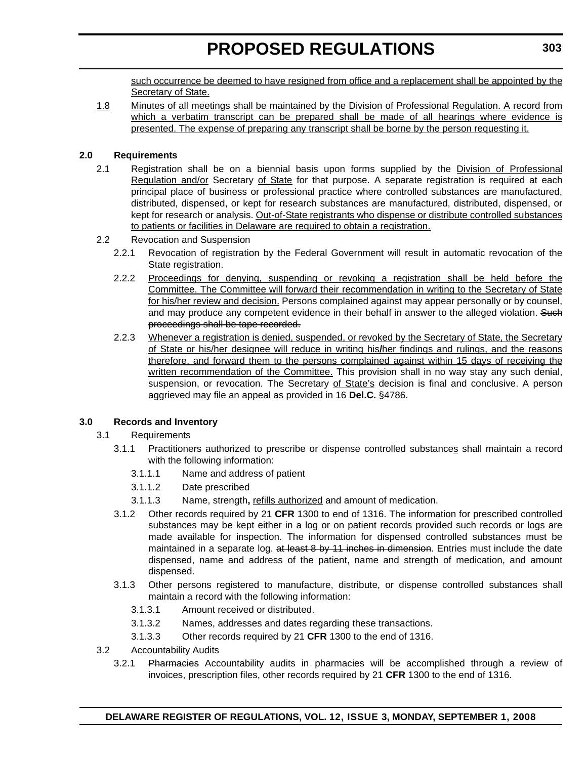such occurrence be deemed to have resigned from office and a replacement shall be appointed by the Secretary of State.

1.8 Minutes of all meetings shall be maintained by the Division of Professional Regulation. A record from which a verbatim transcript can be prepared shall be made of all hearings where evidence is presented. The expense of preparing any transcript shall be borne by the person requesting it.

### **2.0 Requirements**

- 2.1 Registration shall be on a biennial basis upon forms supplied by the Division of Professional Regulation and/or Secretary of State for that purpose. A separate registration is required at each principal place of business or professional practice where controlled substances are manufactured, distributed, dispensed, or kept for research substances are manufactured, distributed, dispensed, or kept for research or analysis. Out-of-State registrants who dispense or distribute controlled substances to patients or facilities in Delaware are required to obtain a registration.
- 2.2 Revocation and Suspension
	- 2.2.1 Revocation of registration by the Federal Government will result in automatic revocation of the State registration.
	- 2.2.2 Proceedings for denying, suspending or revoking a registration shall be held before the Committee. The Committee will forward their recommendation in writing to the Secretary of State for his/her review and decision. Persons complained against may appear personally or by counsel, and may produce any competent evidence in their behalf in answer to the alleged violation. Such proceedings shall be tape recorded.
	- 2.2.3 Whenever a registration is denied, suspended, or revoked by the Secretary of State, the Secretary of State or his/her designee will reduce in writing his**/**her findings and rulings, and the reasons therefore, and forward them to the persons complained against within 15 days of receiving the written recommendation of the Committee. This provision shall in no way stay any such denial, suspension, or revocation. The Secretary of State's decision is final and conclusive. A person aggrieved may file an appeal as provided in 16 **Del.C.** §4786.

### **3.0 Records and Inventory**

### 3.1 Requirements

- 3.1.1 Practitioners authorized to prescribe or dispense controlled substances shall maintain a record with the following information:
	- 3.1.1.1 Name and address of patient
	- 3.1.1.2 Date prescribed
	- 3.1.1.3 Name, strength**,** refills authorized and amount of medication.
- 3.1.2 Other records required by 21 **CFR** 1300 to end of 1316. The information for prescribed controlled substances may be kept either in a log or on patient records provided such records or logs are made available for inspection. The information for dispensed controlled substances must be maintained in a separate log. at least 8 by 11 inches in dimension. Entries must include the date dispensed, name and address of the patient, name and strength of medication, and amount dispensed.
- 3.1.3 Other persons registered to manufacture, distribute, or dispense controlled substances shall maintain a record with the following information:
	- 3.1.3.1 Amount received or distributed.
	- 3.1.3.2 Names, addresses and dates regarding these transactions.
	- 3.1.3.3 Other records required by 21 **CFR** 1300 to the end of 1316.
- 3.2 Accountability Audits
	- 3.2.1 Pharmacies Accountability audits in pharmacies will be accomplished through a review of invoices, prescription files, other records required by 21 **CFR** 1300 to the end of 1316.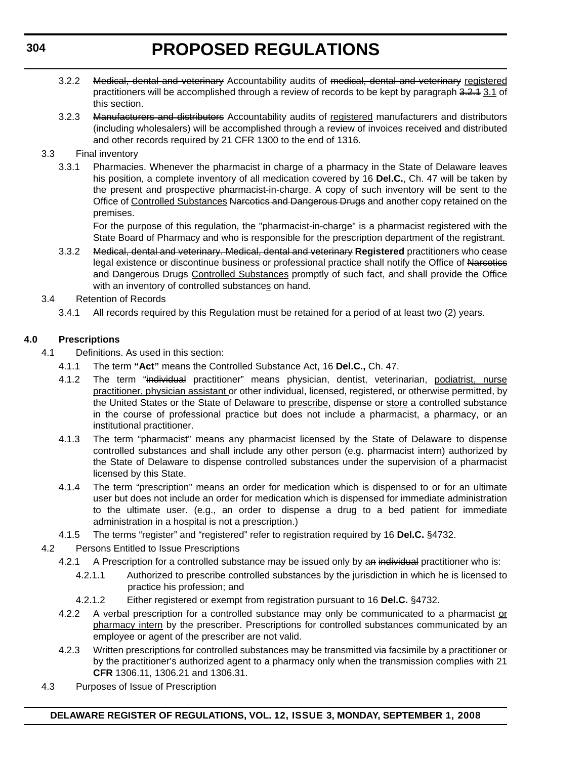- 3.2.2 Medical, dental and veterinary Accountability audits of medical, dental and veterinary registered practitioners will be accomplished through a review of records to be kept by paragraph 3.2.4 3.1 of this section.
- 3.2.3 Manufacturers and distributors Accountability audits of registered manufacturers and distributors (including wholesalers) will be accomplished through a review of invoices received and distributed and other records required by 21 CFR 1300 to the end of 1316.
- 3.3 Final inventory
	- 3.3.1 Pharmacies. Whenever the pharmacist in charge of a pharmacy in the State of Delaware leaves his position, a complete inventory of all medication covered by 16 **Del.C.**, Ch. 47 will be taken by the present and prospective pharmacist-in-charge. A copy of such inventory will be sent to the Office of Controlled Substances Narcotics and Dangerous Drugs and another copy retained on the premises.

For the purpose of this regulation, the "pharmacist-in-charge" is a pharmacist registered with the State Board of Pharmacy and who is responsible for the prescription department of the registrant.

- 3.3.2 Medical, dental and veterinary. Medical, dental and veterinary **Registered** practitioners who cease legal existence or discontinue business or professional practice shall notify the Office of Narcotics and Dangerous Drugs Controlled Substances promptly of such fact, and shall provide the Office with an inventory of controlled substances on hand.
- 3.4 Retention of Records
	- 3.4.1 All records required by this Regulation must be retained for a period of at least two (2) years.

### **4.0 Prescriptions**

- 4.1 Definitions. As used in this section:
	- 4.1.1 The term **"Act"** means the Controlled Substance Act, 16 **Del.C.,** Ch. 47.
	- 4.1.2 The term "individual practitioner" means physician, dentist, veterinarian, podiatrist, nurse practitioner, physician assistant or other individual, licensed, registered, or otherwise permitted, by the United States or the State of Delaware to prescribe, dispense or store a controlled substance in the course of professional practice but does not include a pharmacist, a pharmacy, or an institutional practitioner.
	- 4.1.3 The term "pharmacist" means any pharmacist licensed by the State of Delaware to dispense controlled substances and shall include any other person (e.g. pharmacist intern) authorized by the State of Delaware to dispense controlled substances under the supervision of a pharmacist licensed by this State.
	- 4.1.4 The term "prescription" means an order for medication which is dispensed to or for an ultimate user but does not include an order for medication which is dispensed for immediate administration to the ultimate user. (e.g., an order to dispense a drug to a bed patient for immediate administration in a hospital is not a prescription.)
	- 4.1.5 The terms "register" and "registered" refer to registration required by 16 **Del.C.** §4732.
- 4.2 Persons Entitled to Issue Prescriptions
	- 4.2.1 A Prescription for a controlled substance may be issued only by an individual practitioner who is:
		- 4.2.1.1 Authorized to prescribe controlled substances by the jurisdiction in which he is licensed to practice his profession; and
		- 4.2.1.2 Either registered or exempt from registration pursuant to 16 **Del.C.** §4732.
	- 4.2.2 A verbal prescription for a controlled substance may only be communicated to a pharmacist or pharmacy intern by the prescriber. Prescriptions for controlled substances communicated by an employee or agent of the prescriber are not valid.
	- 4.2.3 Written prescriptions for controlled substances may be transmitted via facsimile by a practitioner or by the practitioner's authorized agent to a pharmacy only when the transmission complies with 21 **CFR** 1306.11, 1306.21 and 1306.31.
- 4.3 Purposes of Issue of Prescription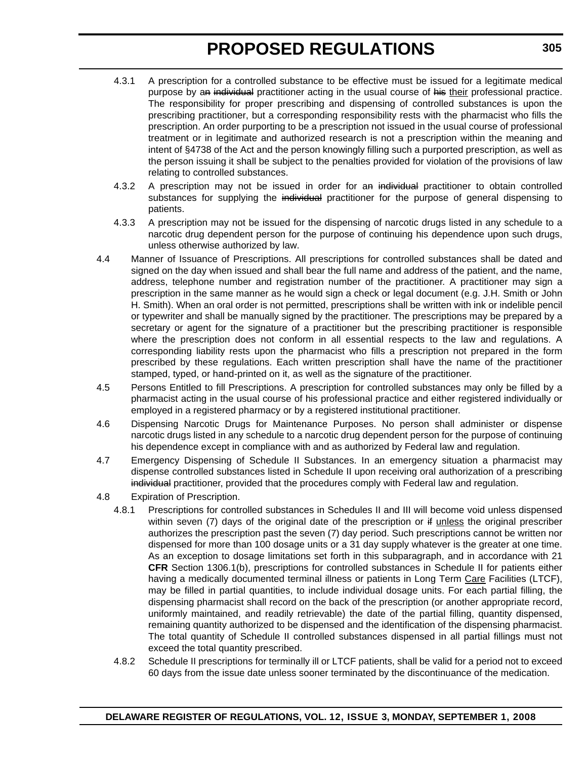- 4.3.1 A prescription for a controlled substance to be effective must be issued for a legitimate medical purpose by an individual practitioner acting in the usual course of his their professional practice. The responsibility for proper prescribing and dispensing of controlled substances is upon the prescribing practitioner, but a corresponding responsibility rests with the pharmacist who fills the prescription. An order purporting to be a prescription not issued in the usual course of professional treatment or in legitimate and authorized research is not a prescription within the meaning and intent of §4738 of the Act and the person knowingly filling such a purported prescription, as well as the person issuing it shall be subject to the penalties provided for violation of the provisions of law relating to controlled substances.
- 4.3.2 A prescription may not be issued in order for an individual practitioner to obtain controlled substances for supplying the individual practitioner for the purpose of general dispensing to patients.
- 4.3.3 A prescription may not be issued for the dispensing of narcotic drugs listed in any schedule to a narcotic drug dependent person for the purpose of continuing his dependence upon such drugs, unless otherwise authorized by law.
- 4.4 Manner of Issuance of Prescriptions. All prescriptions for controlled substances shall be dated and signed on the day when issued and shall bear the full name and address of the patient, and the name, address, telephone number and registration number of the practitioner. A practitioner may sign a prescription in the same manner as he would sign a check or legal document (e.g. J.H. Smith or John H. Smith). When an oral order is not permitted, prescriptions shall be written with ink or indelible pencil or typewriter and shall be manually signed by the practitioner. The prescriptions may be prepared by a secretary or agent for the signature of a practitioner but the prescribing practitioner is responsible where the prescription does not conform in all essential respects to the law and regulations. A corresponding liability rests upon the pharmacist who fills a prescription not prepared in the form prescribed by these regulations. Each written prescription shall have the name of the practitioner stamped, typed, or hand-printed on it, as well as the signature of the practitioner.
- 4.5 Persons Entitled to fill Prescriptions. A prescription for controlled substances may only be filled by a pharmacist acting in the usual course of his professional practice and either registered individually or employed in a registered pharmacy or by a registered institutional practitioner.
- 4.6 Dispensing Narcotic Drugs for Maintenance Purposes. No person shall administer or dispense narcotic drugs listed in any schedule to a narcotic drug dependent person for the purpose of continuing his dependence except in compliance with and as authorized by Federal law and regulation.
- 4.7 Emergency Dispensing of Schedule II Substances. In an emergency situation a pharmacist may dispense controlled substances listed in Schedule II upon receiving oral authorization of a prescribing individual practitioner, provided that the procedures comply with Federal law and regulation.
- 4.8 Expiration of Prescription.
	- 4.8.1 Prescriptions for controlled substances in Schedules II and III will become void unless dispensed within seven (7) days of the original date of the prescription or if unless the original prescriber authorizes the prescription past the seven (7) day period. Such prescriptions cannot be written nor dispensed for more than 100 dosage units or a 31 day supply whatever is the greater at one time. As an exception to dosage limitations set forth in this subparagraph, and in accordance with 21 **CFR** Section 1306.1(b), prescriptions for controlled substances in Schedule II for patients either having a medically documented terminal illness or patients in Long Term Care Facilities (LTCF), may be filled in partial quantities, to include individual dosage units. For each partial filling, the dispensing pharmacist shall record on the back of the prescription (or another appropriate record, uniformly maintained, and readily retrievable) the date of the partial filling, quantity dispensed, remaining quantity authorized to be dispensed and the identification of the dispensing pharmacist. The total quantity of Schedule II controlled substances dispensed in all partial fillings must not exceed the total quantity prescribed.
	- 4.8.2 Schedule II prescriptions for terminally ill or LTCF patients, shall be valid for a period not to exceed 60 days from the issue date unless sooner terminated by the discontinuance of the medication.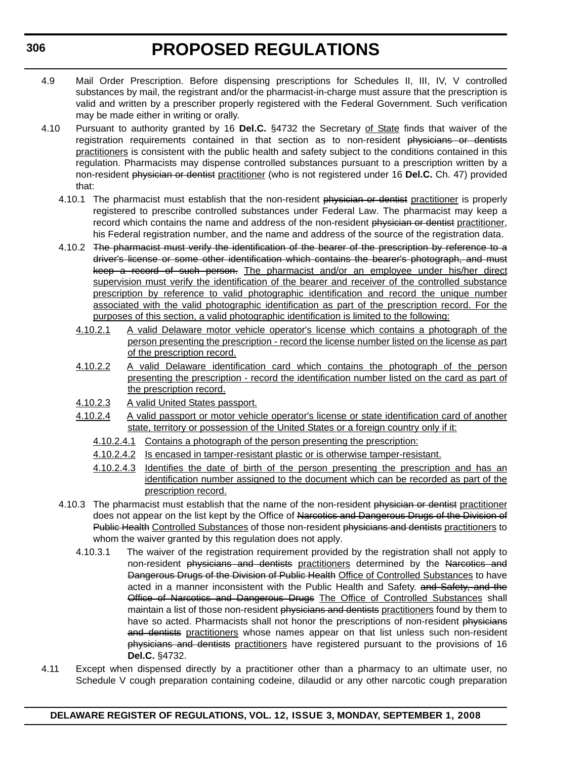- 4.9 Mail Order Prescription. Before dispensing prescriptions for Schedules II, III, IV, V controlled substances by mail, the registrant and/or the pharmacist-in-charge must assure that the prescription is valid and written by a prescriber properly registered with the Federal Government. Such verification may be made either in writing or orally.
- 4.10 Pursuant to authority granted by 16 **Del.C.** §4732 the Secretary of State finds that waiver of the registration requirements contained in that section as to non-resident physicians or dentists practitioners is consistent with the public health and safety subject to the conditions contained in this regulation. Pharmacists may dispense controlled substances pursuant to a prescription written by a non-resident physician or dentist practitioner (who is not registered under 16 **Del.C.** Ch. 47) provided that:
	- 4.10.1 The pharmacist must establish that the non-resident physician or dentist practitioner is properly registered to prescribe controlled substances under Federal Law. The pharmacist may keep a record which contains the name and address of the non-resident physician or dentist practitioner, his Federal registration number, and the name and address of the source of the registration data.
	- 4.10.2 The pharmacist must verify the identification of the bearer of the prescription by reference to a driver's license or some other identification which contains the bearer's photograph, and must keep a record of such person. The pharmacist and/or an employee under his/her direct supervision must verify the identification of the bearer and receiver of the controlled substance prescription by reference to valid photographic identification and record the unique number associated with the valid photographic identification as part of the prescription record. For the purposes of this section, a valid photographic identification is limited to the following:
		- 4.10.2.1 A valid Delaware motor vehicle operator's license which contains a photograph of the person presenting the prescription - record the license number listed on the license as part of the prescription record.
		- 4.10.2.2 A valid Delaware identification card which contains the photograph of the person presenting the prescription - record the identification number listed on the card as part of the prescription record.
		- 4.10.2.3 A valid United States passport.
		- 4.10.2.4 A valid passport or motor vehicle operator's license or state identification card of another state, territory or possession of the United States or a foreign country only if it:
			- 4.10.2.4.1 Contains a photograph of the person presenting the prescription:
			- 4.10.2.4.2 Is encased in tamper-resistant plastic or is otherwise tamper-resistant.
			- 4.10.2.4.3 Identifies the date of birth of the person presenting the prescription and has an identification number assigned to the document which can be recorded as part of the prescription record.
	- 4.10.3 The pharmacist must establish that the name of the non-resident physician or dentist practitioner does not appear on the list kept by the Office of Narcotics and Dangerous Drugs of the Division of Public Health Controlled Substances of those non-resident physicians and dentists practitioners to whom the waiver granted by this regulation does not apply.
		- 4.10.3.1 The waiver of the registration requirement provided by the registration shall not apply to non-resident physicians and dentists practitioners determined by the Narcotics and Dangerous Drugs of the Division of Public Health Office of Controlled Substances to have acted in a manner inconsistent with the Public Health and Safety. and Safety, and the Office of Narcotics and Dangerous Drugs The Office of Controlled Substances shall maintain a list of those non-resident physicians and dentists practitioners found by them to have so acted. Pharmacists shall not honor the prescriptions of non-resident physicians and dentists practitioners whose names appear on that list unless such non-resident physicians and dentists practitioners have registered pursuant to the provisions of 16 **Del.C.** §4732.
- 4.11 Except when dispensed directly by a practitioner other than a pharmacy to an ultimate user, no Schedule V cough preparation containing codeine, dilaudid or any other narcotic cough preparation

### **DELAWARE REGISTER OF REGULATIONS, VOL. 12, ISSUE 3, MONDAY, SEPTEMBER 1, 2008**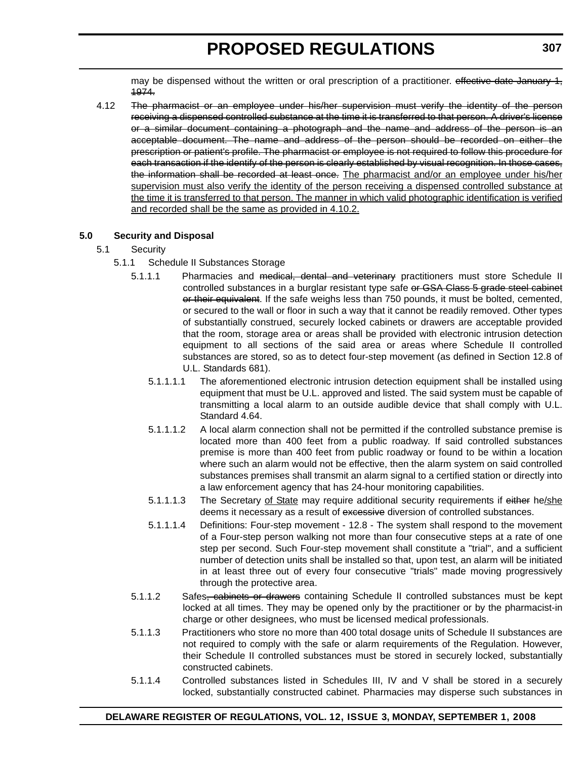may be dispensed without the written or oral prescription of a practitioner. effective date January 1, 1974.

4.12 The pharmacist or an employee under his/her supervision must verify the identity of the person receiving a dispensed controlled substance at the time it is transferred to that person. A driver's license or a similar document containing a photograph and the name and address of the person is an acceptable document. The name and address of the person should be recorded on either the prescription or patient's profile. The pharmacist or employee is not required to follow this procedure for each transaction if the identify of the person is clearly established by visual recognition. In those cases, the information shall be recorded at least once. The pharmacist and/or an employee under his/her supervision must also verify the identity of the person receiving a dispensed controlled substance at the time it is transferred to that person. The manner in which valid photographic identification is verified and recorded shall be the same as provided in 4.10.2.

### **5.0 Security and Disposal**

### 5.1 Security

- 5.1.1 Schedule II Substances Storage
	- 5.1.1.1 Pharmacies and medical, dental and veterinary practitioners must store Schedule II controlled substances in a burglar resistant type safe or GSA Class 5 grade steel cabinet or their equivalent. If the safe weighs less than 750 pounds, it must be bolted, cemented, or secured to the wall or floor in such a way that it cannot be readily removed. Other types of substantially construed, securely locked cabinets or drawers are acceptable provided that the room, storage area or areas shall be provided with electronic intrusion detection equipment to all sections of the said area or areas where Schedule II controlled substances are stored, so as to detect four-step movement (as defined in Section 12.8 of U.L. Standards 681).
		- 5.1.1.1.1 The aforementioned electronic intrusion detection equipment shall be installed using equipment that must be U.L. approved and listed. The said system must be capable of transmitting a local alarm to an outside audible device that shall comply with U.L. Standard 4.64.
		- 5.1.1.1.2 A local alarm connection shall not be permitted if the controlled substance premise is located more than 400 feet from a public roadway. If said controlled substances premise is more than 400 feet from public roadway or found to be within a location where such an alarm would not be effective, then the alarm system on said controlled substances premises shall transmit an alarm signal to a certified station or directly into a law enforcement agency that has 24-hour monitoring capabilities.
		- 5.1.1.1.3 The Secretary of State may require additional security requirements if either he/she deems it necessary as a result of excessive diversion of controlled substances.
		- 5.1.1.1.4 Definitions: Four-step movement 12.8 The system shall respond to the movement of a Four-step person walking not more than four consecutive steps at a rate of one step per second. Such Four-step movement shall constitute a "trial", and a sufficient number of detection units shall be installed so that, upon test, an alarm will be initiated in at least three out of every four consecutive "trials" made moving progressively through the protective area.
	- 5.1.1.2 Safes, cabinets or drawers containing Schedule II controlled substances must be kept locked at all times. They may be opened only by the practitioner or by the pharmacist-in charge or other designees, who must be licensed medical professionals.
	- 5.1.1.3 Practitioners who store no more than 400 total dosage units of Schedule II substances are not required to comply with the safe or alarm requirements of the Regulation. However, their Schedule II controlled substances must be stored in securely locked, substantially constructed cabinets.
	- 5.1.1.4 Controlled substances listed in Schedules III, IV and V shall be stored in a securely locked, substantially constructed cabinet. Pharmacies may disperse such substances in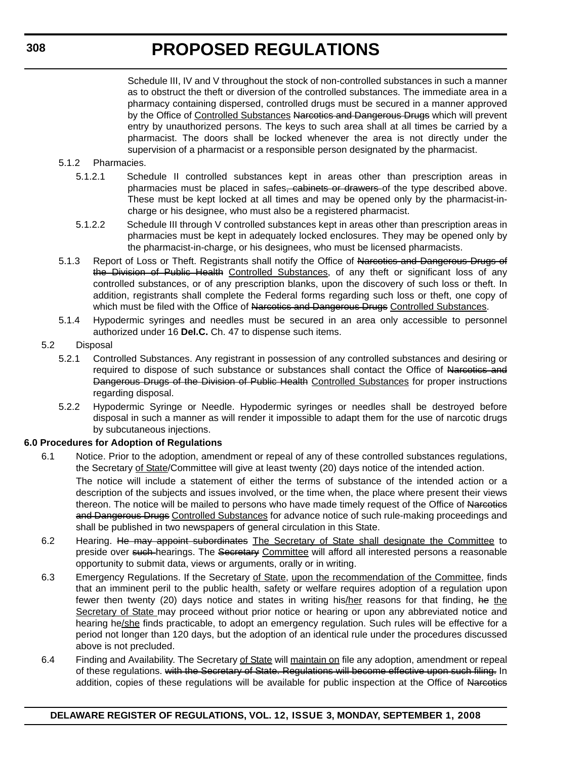Schedule III, IV and V throughout the stock of non-controlled substances in such a manner as to obstruct the theft or diversion of the controlled substances. The immediate area in a pharmacy containing dispersed, controlled drugs must be secured in a manner approved by the Office of Controlled Substances Narcotics and Dangerous Drugs which will prevent entry by unauthorized persons. The keys to such area shall at all times be carried by a pharmacist. The doors shall be locked whenever the area is not directly under the supervision of a pharmacist or a responsible person designated by the pharmacist.

- 5.1.2 Pharmacies.
	- 5.1.2.1 Schedule II controlled substances kept in areas other than prescription areas in pharmacies must be placed in safes, cabinets or drawers of the type described above. These must be kept locked at all times and may be opened only by the pharmacist-incharge or his designee, who must also be a registered pharmacist.
	- 5.1.2.2 Schedule III through V controlled substances kept in areas other than prescription areas in pharmacies must be kept in adequately locked enclosures. They may be opened only by the pharmacist-in-charge, or his designees, who must be licensed pharmacists.
- 5.1.3 Report of Loss or Theft. Registrants shall notify the Office of Narcotics and Dangerous Drugs of the Division of Public Health Controlled Substances, of any theft or significant loss of any controlled substances, or of any prescription blanks, upon the discovery of such loss or theft. In addition, registrants shall complete the Federal forms regarding such loss or theft, one copy of which must be filed with the Office of Narcotics and Dangerous Drugs Controlled Substances.
- 5.1.4 Hypodermic syringes and needles must be secured in an area only accessible to personnel authorized under 16 **Del.C.** Ch. 47 to dispense such items.
- 5.2 Disposal
	- 5.2.1 Controlled Substances. Any registrant in possession of any controlled substances and desiring or required to dispose of such substance or substances shall contact the Office of Narcotics and Dangerous Drugs of the Division of Public Health Controlled Substances for proper instructions regarding disposal.
	- 5.2.2 Hypodermic Syringe or Needle. Hypodermic syringes or needles shall be destroyed before disposal in such a manner as will render it impossible to adapt them for the use of narcotic drugs by subcutaneous injections.

### **6.0 Procedures for Adoption of Regulations**

- 6.1 Notice. Prior to the adoption, amendment or repeal of any of these controlled substances regulations, the Secretary of State/Committee will give at least twenty (20) days notice of the intended action. The notice will include a statement of either the terms of substance of the intended action or a description of the subjects and issues involved, or the time when, the place where present their views thereon. The notice will be mailed to persons who have made timely request of the Office of Narcotics and Dangerous Drugs Controlled Substances for advance notice of such rule-making proceedings and shall be published in two newspapers of general circulation in this State.
- 6.2 Hearing. He may appoint subordinates The Secretary of State shall designate the Committee to preside over such hearings. The Secretary Committee will afford all interested persons a reasonable opportunity to submit data, views or arguments, orally or in writing.
- 6.3 Emergency Regulations. If the Secretary of State, upon the recommendation of the Committee, finds that an imminent peril to the public health, safety or welfare requires adoption of a regulation upon fewer then twenty (20) days notice and states in writing his/her reasons for that finding, he the Secretary of State may proceed without prior notice or hearing or upon any abbreviated notice and hearing he/she finds practicable, to adopt an emergency regulation. Such rules will be effective for a period not longer than 120 days, but the adoption of an identical rule under the procedures discussed above is not precluded.
- 6.4 Finding and Availability. The Secretary of State will maintain on file any adoption, amendment or repeal of these regulations. with the Secretary of State. Regulations will become effective upon such filing. In addition, copies of these regulations will be available for public inspection at the Office of Narcotics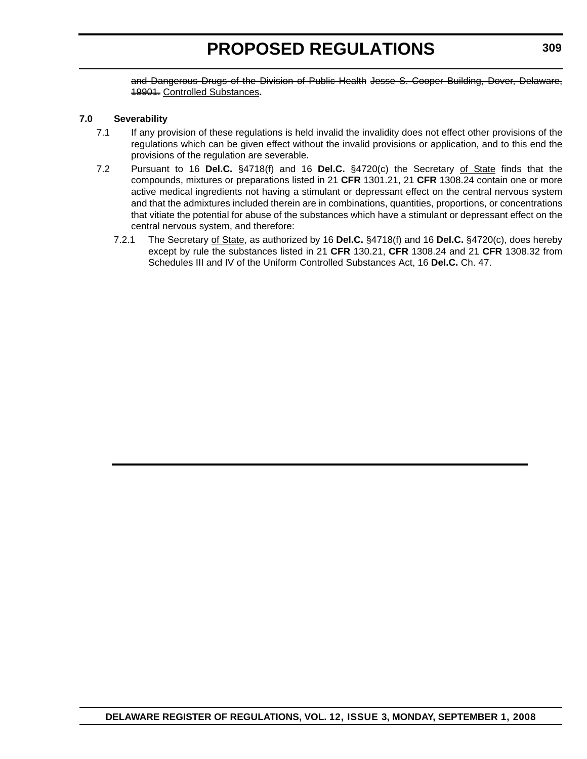and Dangerous Drugs of the Division of Public Health Jesse S. Cooper Building, Dover, Delaware, 19901. Controlled Substances**.**

#### **7.0 Severability**

- 7.1 If any provision of these regulations is held invalid the invalidity does not effect other provisions of the regulations which can be given effect without the invalid provisions or application, and to this end the provisions of the regulation are severable.
- 7.2 Pursuant to 16 **Del.C.** §4718(f) and 16 **Del.C.** §4720(c) the Secretary of State finds that the compounds, mixtures or preparations listed in 21 **CFR** 1301.21, 21 **CFR** 1308.24 contain one or more active medical ingredients not having a stimulant or depressant effect on the central nervous system and that the admixtures included therein are in combinations, quantities, proportions, or concentrations that vitiate the potential for abuse of the substances which have a stimulant or depressant effect on the central nervous system, and therefore:
	- 7.2.1 The Secretary of State, as authorized by 16 **Del.C.** §4718(f) and 16 **Del.C.** §4720(c), does hereby except by rule the substances listed in 21 **CFR** 130.21, **CFR** 1308.24 and 21 **CFR** 1308.32 from Schedules III and IV of the Uniform Controlled Substances Act, 16 **Del.C.** Ch. 47.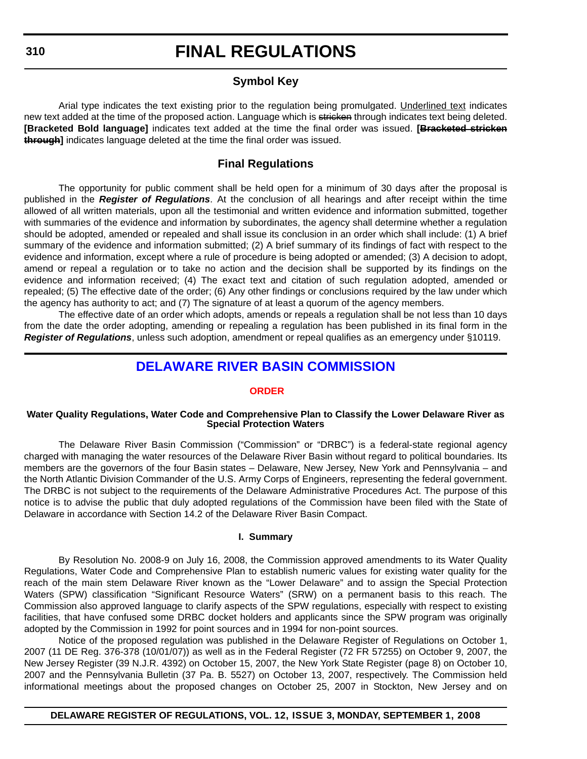### **Symbol Key**

Arial type indicates the text existing prior to the regulation being promulgated. Underlined text indicates new text added at the time of the proposed action. Language which is stricken through indicates text being deleted. **[Bracketed Bold language]** indicates text added at the time the final order was issued. **[Bracketed stricken through]** indicates language deleted at the time the final order was issued.

### **Final Regulations**

The opportunity for public comment shall be held open for a minimum of 30 days after the proposal is published in the *Register of Regulations*. At the conclusion of all hearings and after receipt within the time allowed of all written materials, upon all the testimonial and written evidence and information submitted, together with summaries of the evidence and information by subordinates, the agency shall determine whether a regulation should be adopted, amended or repealed and shall issue its conclusion in an order which shall include: (1) A brief summary of the evidence and information submitted; (2) A brief summary of its findings of fact with respect to the evidence and information, except where a rule of procedure is being adopted or amended; (3) A decision to adopt, amend or repeal a regulation or to take no action and the decision shall be supported by its findings on the evidence and information received; (4) The exact text and citation of such regulation adopted, amended or repealed; (5) The effective date of the order; (6) Any other findings or conclusions required by the law under which the agency has authority to act; and (7) The signature of at least a quorum of the agency members.

The effective date of an order which adopts, amends or repeals a regulation shall be not less than 10 days from the date the order adopting, amending or repealing a regulation has been published in its final form in the *Register of Regulations*, unless such adoption, amendment or repeal qualifies as an emergency under §10119.

### **[DELAWARE RIVER BASIN COMMISSION](http://www.state.nj.us/drbc/)**

#### **[ORDER](#page-3-0)**

#### **Water Quality Regulations, Water Code and Comprehensive Plan to Classify the Lower Delaware River as Special Protection Waters**

The Delaware River Basin Commission ("Commission" or "DRBC") is a federal-state regional agency charged with managing the water resources of the Delaware River Basin without regard to political boundaries. Its members are the governors of the four Basin states – Delaware, New Jersey, New York and Pennsylvania – and the North Atlantic Division Commander of the U.S. Army Corps of Engineers, representing the federal government. The DRBC is not subject to the requirements of the Delaware Administrative Procedures Act. The purpose of this notice is to advise the public that duly adopted regulations of the Commission have been filed with the State of Delaware in accordance with Section 14.2 of the Delaware River Basin Compact.

#### **I. Summary**

By Resolution No. 2008-9 on July 16, 2008, the Commission approved amendments to its Water Quality Regulations, Water Code and Comprehensive Plan to establish numeric values for existing water quality for the reach of the main stem Delaware River known as the "Lower Delaware" and to assign the Special Protection Waters (SPW) classification "Significant Resource Waters" (SRW) on a permanent basis to this reach. The Commission also approved language to clarify aspects of the SPW regulations, especially with respect to existing facilities, that have confused some DRBC docket holders and applicants since the SPW program was originally adopted by the Commission in 1992 for point sources and in 1994 for non-point sources.

Notice of the proposed regulation was published in the Delaware Register of Regulations on October 1, 2007 (11 DE Reg. 376-378 (10/01/07)) as well as in the Federal Register (72 FR 57255) on October 9, 2007, the New Jersey Register (39 N.J.R. 4392) on October 15, 2007, the New York State Register (page 8) on October 10, 2007 and the Pennsylvania Bulletin (37 Pa. B. 5527) on October 13, 2007, respectively. The Commission held informational meetings about the proposed changes on October 25, 2007 in Stockton, New Jersey and on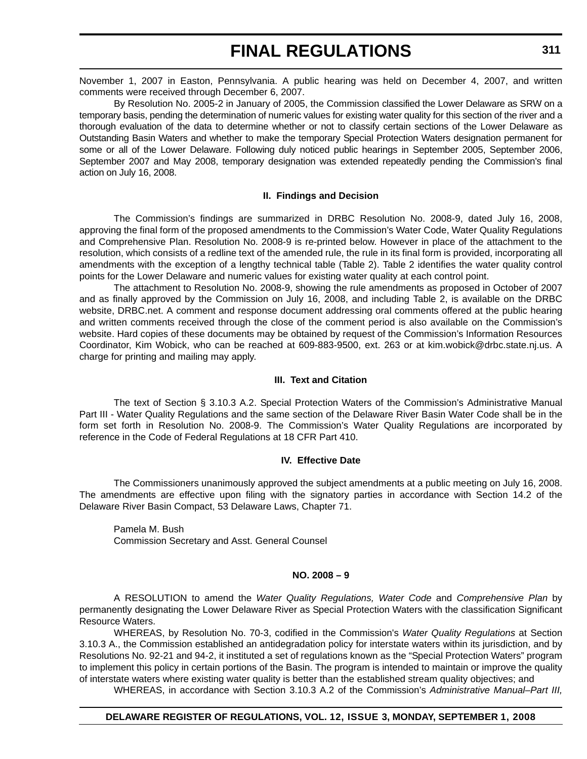November 1, 2007 in Easton, Pennsylvania. A public hearing was held on December 4, 2007, and written comments were received through December 6, 2007.

By Resolution No. 2005-2 in January of 2005, the Commission classified the Lower Delaware as SRW on a temporary basis, pending the determination of numeric values for existing water quality for this section of the river and a thorough evaluation of the data to determine whether or not to classify certain sections of the Lower Delaware as Outstanding Basin Waters and whether to make the temporary Special Protection Waters designation permanent for some or all of the Lower Delaware. Following duly noticed public hearings in September 2005, September 2006, September 2007 and May 2008, temporary designation was extended repeatedly pending the Commission's final action on July 16, 2008.

### **II. Findings and Decision**

The Commission's findings are summarized in DRBC Resolution No. 2008-9, dated July 16, 2008, approving the final form of the proposed amendments to the Commission's Water Code, Water Quality Regulations and Comprehensive Plan. Resolution No. 2008-9 is re-printed below. However in place of the attachment to the resolution, which consists of a redline text of the amended rule, the rule in its final form is provided, incorporating all amendments with the exception of a lengthy technical table (Table 2). Table 2 identifies the water quality control points for the Lower Delaware and numeric values for existing water quality at each control point.

The attachment to Resolution No. 2008-9, showing the rule amendments as proposed in October of 2007 and as finally approved by the Commission on July 16, 2008, and including Table 2, is available on the DRBC website, DRBC.net. A comment and response document addressing oral comments offered at the public hearing and written comments received through the close of the comment period is also available on the Commission's website. Hard copies of these documents may be obtained by request of the Commission's Information Resources Coordinator, Kim Wobick, who can be reached at 609-883-9500, ext. 263 or at kim.wobick@drbc.state.nj.us. A charge for printing and mailing may apply.

#### **III. Text and Citation**

The text of Section § 3.10.3 A.2. Special Protection Waters of the Commission's Administrative Manual Part III - Water Quality Regulations and the same section of the Delaware River Basin Water Code shall be in the form set forth in Resolution No. 2008-9. The Commission's Water Quality Regulations are incorporated by reference in the Code of Federal Regulations at 18 CFR Part 410.

#### **IV. Effective Date**

The Commissioners unanimously approved the subject amendments at a public meeting on July 16, 2008. The amendments are effective upon filing with the signatory parties in accordance with Section 14.2 of the Delaware River Basin Compact, 53 Delaware Laws, Chapter 71.

Pamela M. Bush Commission Secretary and Asst. General Counsel

### **NO. 2008 – 9**

A RESOLUTION to amend the *Water Quality Regulations, Water Code* and *Comprehensive Plan* by permanently designating the Lower Delaware River as Special Protection Waters with the classification Significant Resource Waters.

WHEREAS, by Resolution No. 70-3, codified in the Commission's *Water Quality Regulations* at Section 3.10.3 A., the Commission established an antidegradation policy for interstate waters within its jurisdiction, and by Resolutions No. 92-21 and 94-2, it instituted a set of regulations known as the "Special Protection Waters" program to implement this policy in certain portions of the Basin. The program is intended to maintain or improve the quality of interstate waters where existing water quality is better than the established stream quality objectives; and

WHEREAS, in accordance with Section 3.10.3 A.2 of the Commission's *Administrative Manual–Part III,*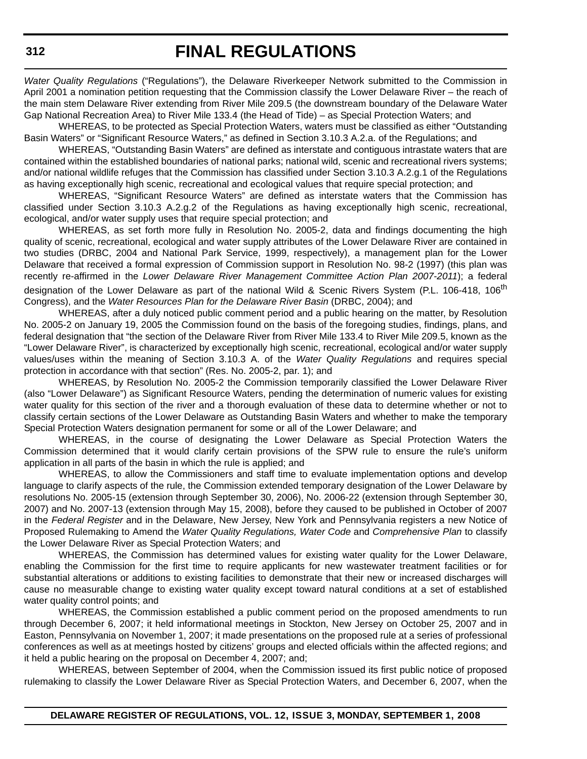*Water Quality Regulations* ("Regulations"), the Delaware Riverkeeper Network submitted to the Commission in April 2001 a nomination petition requesting that the Commission classify the Lower Delaware River – the reach of the main stem Delaware River extending from River Mile 209.5 (the downstream boundary of the Delaware Water Gap National Recreation Area) to River Mile 133.4 (the Head of Tide) – as Special Protection Waters; and

WHEREAS, to be protected as Special Protection Waters, waters must be classified as either "Outstanding Basin Waters" or "Significant Resource Waters," as defined in Section 3.10.3 A.2.a. of the Regulations; and

WHEREAS, "Outstanding Basin Waters" are defined as interstate and contiguous intrastate waters that are contained within the established boundaries of national parks; national wild, scenic and recreational rivers systems; and/or national wildlife refuges that the Commission has classified under Section 3.10.3 A.2.g.1 of the Regulations as having exceptionally high scenic, recreational and ecological values that require special protection; and

WHEREAS, "Significant Resource Waters" are defined as interstate waters that the Commission has classified under Section 3.10.3 A.2.g.2 of the Regulations as having exceptionally high scenic, recreational, ecological, and/or water supply uses that require special protection; and

WHEREAS, as set forth more fully in Resolution No. 2005-2, data and findings documenting the high quality of scenic, recreational, ecological and water supply attributes of the Lower Delaware River are contained in two studies (DRBC, 2004 and National Park Service, 1999, respectively), a management plan for the Lower Delaware that received a formal expression of Commission support in Resolution No. 98-2 (1997) (this plan was recently re-affirmed in the *Lower Delaware River Management Committee Action Plan 2007-2011*); a federal designation of the Lower Delaware as part of the national Wild & Scenic Rivers System (P.L. 106-418, 106<sup>th</sup> Congress), and the *Water Resources Plan for the Delaware River Basin* (DRBC, 2004); and

WHEREAS, after a duly noticed public comment period and a public hearing on the matter, by Resolution No. 2005-2 on January 19, 2005 the Commission found on the basis of the foregoing studies, findings, plans, and federal designation that "the section of the Delaware River from River Mile 133.4 to River Mile 209.5, known as the "Lower Delaware River", is characterized by exceptionally high scenic, recreational, ecological and/or water supply values/uses within the meaning of Section 3.10.3 A. of the *Water Quality Regulations* and requires special protection in accordance with that section" (Res. No. 2005-2, par. 1); and

WHEREAS, by Resolution No. 2005-2 the Commission temporarily classified the Lower Delaware River (also "Lower Delaware") as Significant Resource Waters, pending the determination of numeric values for existing water quality for this section of the river and a thorough evaluation of these data to determine whether or not to classify certain sections of the Lower Delaware as Outstanding Basin Waters and whether to make the temporary Special Protection Waters designation permanent for some or all of the Lower Delaware; and

WHEREAS, in the course of designating the Lower Delaware as Special Protection Waters the Commission determined that it would clarify certain provisions of the SPW rule to ensure the rule's uniform application in all parts of the basin in which the rule is applied; and

WHEREAS, to allow the Commissioners and staff time to evaluate implementation options and develop language to clarify aspects of the rule, the Commission extended temporary designation of the Lower Delaware by resolutions No. 2005-15 (extension through September 30, 2006), No. 2006-22 (extension through September 30, 2007) and No. 2007-13 (extension through May 15, 2008), before they caused to be published in October of 2007 in the *Federal Register* and in the Delaware, New Jersey, New York and Pennsylvania registers a new Notice of Proposed Rulemaking to Amend the *Water Quality Regulations, Water Code* and *Comprehensive Plan* to classify the Lower Delaware River as Special Protection Waters; and

WHEREAS, the Commission has determined values for existing water quality for the Lower Delaware, enabling the Commission for the first time to require applicants for new wastewater treatment facilities or for substantial alterations or additions to existing facilities to demonstrate that their new or increased discharges will cause no measurable change to existing water quality except toward natural conditions at a set of established water quality control points; and

WHEREAS, the Commission established a public comment period on the proposed amendments to run through December 6, 2007; it held informational meetings in Stockton, New Jersey on October 25, 2007 and in Easton, Pennsylvania on November 1, 2007; it made presentations on the proposed rule at a series of professional conferences as well as at meetings hosted by citizens' groups and elected officials within the affected regions; and it held a public hearing on the proposal on December 4, 2007; and;

WHEREAS, between September of 2004, when the Commission issued its first public notice of proposed rulemaking to classify the Lower Delaware River as Special Protection Waters, and December 6, 2007, when the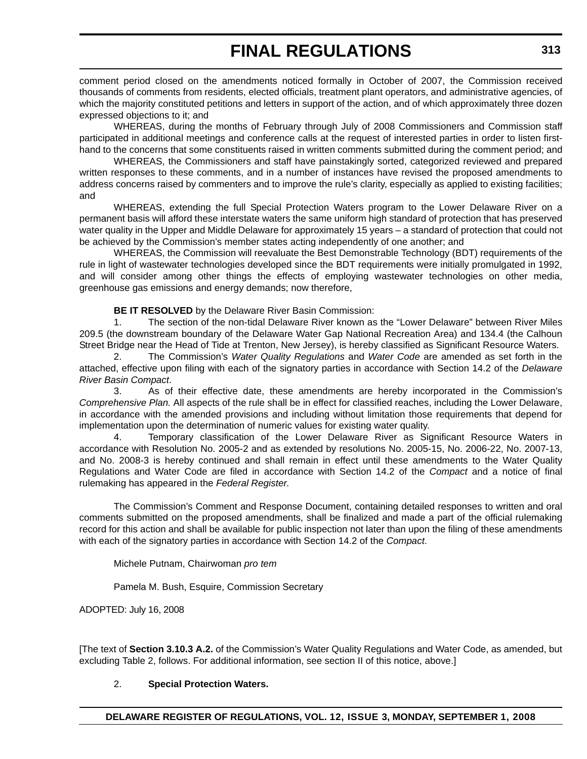comment period closed on the amendments noticed formally in October of 2007, the Commission received thousands of comments from residents, elected officials, treatment plant operators, and administrative agencies, of which the majority constituted petitions and letters in support of the action, and of which approximately three dozen expressed objections to it; and

WHEREAS, during the months of February through July of 2008 Commissioners and Commission staff participated in additional meetings and conference calls at the request of interested parties in order to listen firsthand to the concerns that some constituents raised in written comments submitted during the comment period; and

WHEREAS, the Commissioners and staff have painstakingly sorted, categorized reviewed and prepared written responses to these comments, and in a number of instances have revised the proposed amendments to address concerns raised by commenters and to improve the rule's clarity, especially as applied to existing facilities; and

WHEREAS, extending the full Special Protection Waters program to the Lower Delaware River on a permanent basis will afford these interstate waters the same uniform high standard of protection that has preserved water quality in the Upper and Middle Delaware for approximately 15 years – a standard of protection that could not be achieved by the Commission's member states acting independently of one another; and

WHEREAS, the Commission will reevaluate the Best Demonstrable Technology (BDT) requirements of the rule in light of wastewater technologies developed since the BDT requirements were initially promulgated in 1992, and will consider among other things the effects of employing wastewater technologies on other media, greenhouse gas emissions and energy demands; now therefore,

**BE IT RESOLVED** by the Delaware River Basin Commission:

1. The section of the non-tidal Delaware River known as the "Lower Delaware" between River Miles 209.5 (the downstream boundary of the Delaware Water Gap National Recreation Area) and 134.4 (the Calhoun Street Bridge near the Head of Tide at Trenton, New Jersey), is hereby classified as Significant Resource Waters.

2. The Commission's *Water Quality Regulations* and *Water Code* are amended as set forth in the attached, effective upon filing with each of the signatory parties in accordance with Section 14.2 of the *Delaware River Basin Compact*.

3. As of their effective date, these amendments are hereby incorporated in the Commission's *Comprehensive Plan.* All aspects of the rule shall be in effect for classified reaches, including the Lower Delaware, in accordance with the amended provisions and including without limitation those requirements that depend for implementation upon the determination of numeric values for existing water quality.

4. Temporary classification of the Lower Delaware River as Significant Resource Waters in accordance with Resolution No. 2005-2 and as extended by resolutions No. 2005-15, No. 2006-22, No. 2007-13, and No. 2008-3 is hereby continued and shall remain in effect until these amendments to the Water Quality Regulations and Water Code are filed in accordance with Section 14.2 of the *Compact* and a notice of final rulemaking has appeared in the *Federal Register*.

The Commission's Comment and Response Document, containing detailed responses to written and oral comments submitted on the proposed amendments, shall be finalized and made a part of the official rulemaking record for this action and shall be available for public inspection not later than upon the filing of these amendments with each of the signatory parties in accordance with Section 14.2 of the *Compact*.

Michele Putnam, Chairwoman *pro tem*

Pamela M. Bush, Esquire, Commission Secretary

ADOPTED: July 16, 2008

[The text of **Section 3.10.3 A.2.** of the Commission's Water Quality Regulations and Water Code, as amended, but excluding Table 2, follows. For additional information, see section II of this notice, above.]

### 2. **Special Protection Waters.**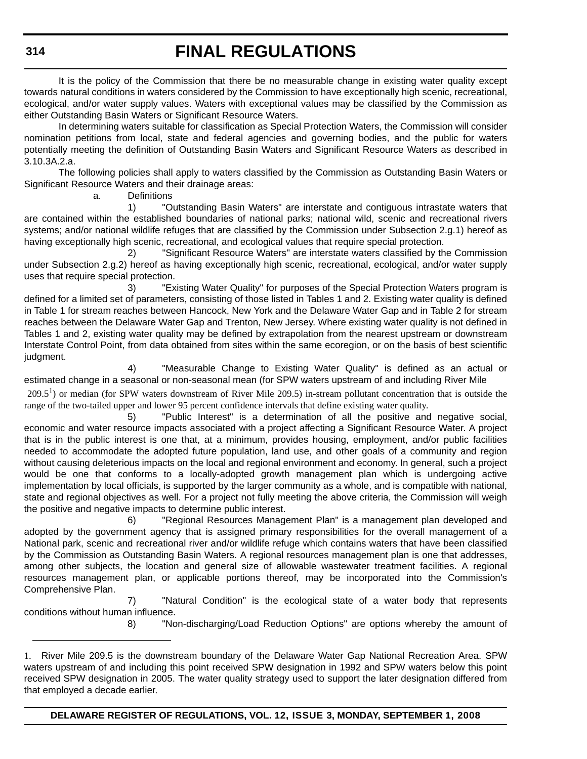It is the policy of the Commission that there be no measurable change in existing water quality except towards natural conditions in waters considered by the Commission to have exceptionally high scenic, recreational, ecological, and/or water supply values. Waters with exceptional values may be classified by the Commission as either Outstanding Basin Waters or Significant Resource Waters.

In determining waters suitable for classification as Special Protection Waters, the Commission will consider nomination petitions from local, state and federal agencies and governing bodies, and the public for waters potentially meeting the definition of Outstanding Basin Waters and Significant Resource Waters as described in 3.10.3A.2.a.

The following policies shall apply to waters classified by the Commission as Outstanding Basin Waters or Significant Resource Waters and their drainage areas:

a. Definitions

1) "Outstanding Basin Waters" are interstate and contiguous intrastate waters that are contained within the established boundaries of national parks; national wild, scenic and recreational rivers systems; and/or national wildlife refuges that are classified by the Commission under Subsection 2.g.1) hereof as having exceptionally high scenic, recreational, and ecological values that require special protection.

 2) "Significant Resource Waters" are interstate waters classified by the Commission under Subsection 2.g.2) hereof as having exceptionally high scenic, recreational, ecological, and/or water supply uses that require special protection.

3) "Existing Water Quality" for purposes of the Special Protection Waters program is defined for a limited set of parameters, consisting of those listed in Tables 1 and 2. Existing water quality is defined in Table 1 for stream reaches between Hancock, New York and the Delaware Water Gap and in Table 2 for stream reaches between the Delaware Water Gap and Trenton, New Jersey. Where existing water quality is not defined in Tables 1 and 2, existing water quality may be defined by extrapolation from the nearest upstream or downstream Interstate Control Point, from data obtained from sites within the same ecoregion, or on the basis of best scientific judgment.

4) "Measurable Change to Existing Water Quality" is defined as an actual or estimated change in a seasonal or non-seasonal mean (for SPW waters upstream of and including River Mile

 $209.5<sup>1</sup>$ ) or median (for SPW waters downstream of River Mile 209.5) in-stream pollutant concentration that is outside the range of the two-tailed upper and lower 95 percent confidence intervals that define existing water quality.

5) "Public Interest" is a determination of all the positive and negative social, economic and water resource impacts associated with a project affecting a Significant Resource Water. A project that is in the public interest is one that, at a minimum, provides housing, employment, and/or public facilities needed to accommodate the adopted future population, land use, and other goals of a community and region without causing deleterious impacts on the local and regional environment and economy. In general, such a project would be one that conforms to a locally-adopted growth management plan which is undergoing active implementation by local officials, is supported by the larger community as a whole, and is compatible with national, state and regional objectives as well. For a project not fully meeting the above criteria, the Commission will weigh the positive and negative impacts to determine public interest.

6) "Regional Resources Management Plan" is a management plan developed and adopted by the government agency that is assigned primary responsibilities for the overall management of a National park, scenic and recreational river and/or wildlife refuge which contains waters that have been classified by the Commission as Outstanding Basin Waters. A regional resources management plan is one that addresses, among other subjects, the location and general size of allowable wastewater treatment facilities. A regional resources management plan, or applicable portions thereof, may be incorporated into the Commission's Comprehensive Plan.

7) "Natural Condition" is the ecological state of a water body that represents conditions without human influence.

8) "Non-discharging/Load Reduction Options" are options whereby the amount of

**314**

<sup>1.</sup> River Mile 209.5 is the downstream boundary of the Delaware Water Gap National Recreation Area. SPW waters upstream of and including this point received SPW designation in 1992 and SPW waters below this point received SPW designation in 2005. The water quality strategy used to support the later designation differed from that employed a decade earlier.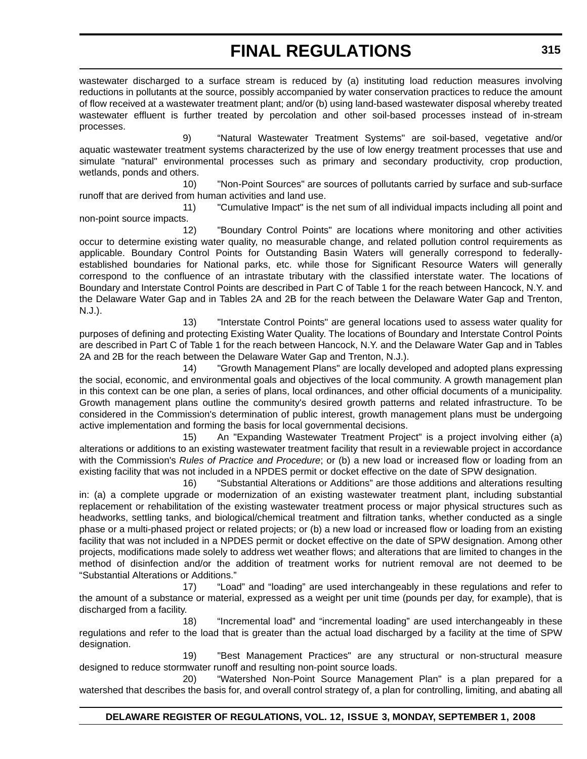wastewater discharged to a surface stream is reduced by (a) instituting load reduction measures involving reductions in pollutants at the source, possibly accompanied by water conservation practices to reduce the amount of flow received at a wastewater treatment plant; and/or (b) using land-based wastewater disposal whereby treated wastewater effluent is further treated by percolation and other soil-based processes instead of in-stream processes.

9) "Natural Wastewater Treatment Systems" are soil-based, vegetative and/or aquatic wastewater treatment systems characterized by the use of low energy treatment processes that use and simulate "natural" environmental processes such as primary and secondary productivity, crop production, wetlands, ponds and others.

10) "Non-Point Sources" are sources of pollutants carried by surface and sub-surface runoff that are derived from human activities and land use.

11) "Cumulative Impact" is the net sum of all individual impacts including all point and non-point source impacts.

12) "Boundary Control Points" are locations where monitoring and other activities occur to determine existing water quality, no measurable change, and related pollution control requirements as applicable. Boundary Control Points for Outstanding Basin Waters will generally correspond to federallyestablished boundaries for National parks, etc. while those for Significant Resource Waters will generally correspond to the confluence of an intrastate tributary with the classified interstate water. The locations of Boundary and Interstate Control Points are described in Part C of Table 1 for the reach between Hancock, N.Y. and the Delaware Water Gap and in Tables 2A and 2B for the reach between the Delaware Water Gap and Trenton, N.J.).

13) "Interstate Control Points" are general locations used to assess water quality for purposes of defining and protecting Existing Water Quality. The locations of Boundary and Interstate Control Points are described in Part C of Table 1 for the reach between Hancock, N.Y. and the Delaware Water Gap and in Tables 2A and 2B for the reach between the Delaware Water Gap and Trenton, N.J.).

14) "Growth Management Plans" are locally developed and adopted plans expressing the social, economic, and environmental goals and objectives of the local community. A growth management plan in this context can be one plan, a series of plans, local ordinances, and other official documents of a municipality. Growth management plans outline the community's desired growth patterns and related infrastructure. To be considered in the Commission's determination of public interest, growth management plans must be undergoing active implementation and forming the basis for local governmental decisions.

15) An "Expanding Wastewater Treatment Project" is a project involving either (a) alterations or additions to an existing wastewater treatment facility that result in a reviewable project in accordance with the Commission's *Rules of Practice and Procedure*; or (b) a new load or increased flow or loading from an existing facility that was not included in a NPDES permit or docket effective on the date of SPW designation.

16) "Substantial Alterations or Additions" are those additions and alterations resulting in: (a) a complete upgrade or modernization of an existing wastewater treatment plant, including substantial replacement or rehabilitation of the existing wastewater treatment process or major physical structures such as headworks, settling tanks, and biological/chemical treatment and filtration tanks, whether conducted as a single phase or a multi-phased project or related projects; or (b) a new load or increased flow or loading from an existing facility that was not included in a NPDES permit or docket effective on the date of SPW designation. Among other projects, modifications made solely to address wet weather flows; and alterations that are limited to changes in the method of disinfection and/or the addition of treatment works for nutrient removal are not deemed to be "Substantial Alterations or Additions."

17) "Load" and "loading" are used interchangeably in these regulations and refer to the amount of a substance or material, expressed as a weight per unit time (pounds per day, for example), that is discharged from a facility.

18) "Incremental load" and "incremental loading" are used interchangeably in these regulations and refer to the load that is greater than the actual load discharged by a facility at the time of SPW designation.

19) "Best Management Practices" are any structural or non-structural measure designed to reduce stormwater runoff and resulting non-point source loads.

20) "Watershed Non-Point Source Management Plan" is a plan prepared for a watershed that describes the basis for, and overall control strategy of, a plan for controlling, limiting, and abating all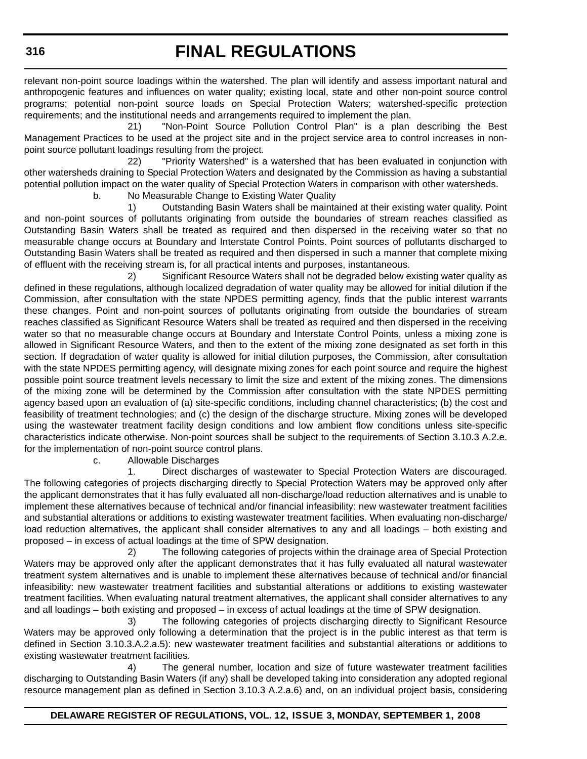relevant non-point source loadings within the watershed. The plan will identify and assess important natural and anthropogenic features and influences on water quality; existing local, state and other non-point source control programs; potential non-point source loads on Special Protection Waters; watershed-specific protection requirements; and the institutional needs and arrangements required to implement the plan.

21) "Non-Point Source Pollution Control Plan" is a plan describing the Best Management Practices to be used at the project site and in the project service area to control increases in nonpoint source pollutant loadings resulting from the project.

22) "Priority Watershed" is a watershed that has been evaluated in conjunction with other watersheds draining to Special Protection Waters and designated by the Commission as having a substantial potential pollution impact on the water quality of Special Protection Waters in comparison with other watersheds.

b. No Measurable Change to Existing Water Quality

1) Outstanding Basin Waters shall be maintained at their existing water quality. Point and non-point sources of pollutants originating from outside the boundaries of stream reaches classified as Outstanding Basin Waters shall be treated as required and then dispersed in the receiving water so that no measurable change occurs at Boundary and Interstate Control Points. Point sources of pollutants discharged to Outstanding Basin Waters shall be treated as required and then dispersed in such a manner that complete mixing of effluent with the receiving stream is, for all practical intents and purposes, instantaneous.

2) Significant Resource Waters shall not be degraded below existing water quality as defined in these regulations, although localized degradation of water quality may be allowed for initial dilution if the Commission, after consultation with the state NPDES permitting agency, finds that the public interest warrants these changes. Point and non-point sources of pollutants originating from outside the boundaries of stream reaches classified as Significant Resource Waters shall be treated as required and then dispersed in the receiving water so that no measurable change occurs at Boundary and Interstate Control Points, unless a mixing zone is allowed in Significant Resource Waters, and then to the extent of the mixing zone designated as set forth in this section. If degradation of water quality is allowed for initial dilution purposes, the Commission, after consultation with the state NPDES permitting agency, will designate mixing zones for each point source and require the highest possible point source treatment levels necessary to limit the size and extent of the mixing zones. The dimensions of the mixing zone will be determined by the Commission after consultation with the state NPDES permitting agency based upon an evaluation of (a) site-specific conditions, including channel characteristics; (b) the cost and feasibility of treatment technologies; and (c) the design of the discharge structure. Mixing zones will be developed using the wastewater treatment facility design conditions and low ambient flow conditions unless site-specific characteristics indicate otherwise. Non-point sources shall be subject to the requirements of Section 3.10.3 A.2.e. for the implementation of non-point source control plans.

c. Allowable Discharges

1. Direct discharges of wastewater to Special Protection Waters are discouraged. The following categories of projects discharging directly to Special Protection Waters may be approved only after the applicant demonstrates that it has fully evaluated all non-discharge/load reduction alternatives and is unable to implement these alternatives because of technical and/or financial infeasibility: new wastewater treatment facilities and substantial alterations or additions to existing wastewater treatment facilities. When evaluating non-discharge/ load reduction alternatives, the applicant shall consider alternatives to any and all loadings – both existing and proposed – in excess of actual loadings at the time of SPW designation.

2) The following categories of projects within the drainage area of Special Protection Waters may be approved only after the applicant demonstrates that it has fully evaluated all natural wastewater treatment system alternatives and is unable to implement these alternatives because of technical and/or financial infeasibility: new wastewater treatment facilities and substantial alterations or additions to existing wastewater treatment facilities. When evaluating natural treatment alternatives, the applicant shall consider alternatives to any and all loadings – both existing and proposed – in excess of actual loadings at the time of SPW designation.

3) The following categories of projects discharging directly to Significant Resource Waters may be approved only following a determination that the project is in the public interest as that term is defined in Section 3.10.3.A.2.a.5): new wastewater treatment facilities and substantial alterations or additions to existing wastewater treatment facilities.

4) The general number, location and size of future wastewater treatment facilities discharging to Outstanding Basin Waters (if any) shall be developed taking into consideration any adopted regional resource management plan as defined in Section 3.10.3 A.2.a.6) and, on an individual project basis, considering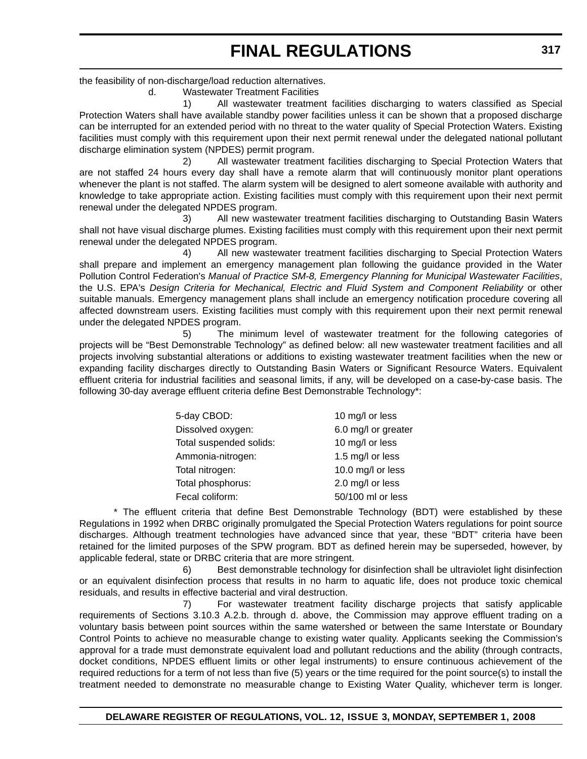the feasibility of non-discharge/load reduction alternatives.

d. Wastewater Treatment Facilities

1) All wastewater treatment facilities discharging to waters classified as Special Protection Waters shall have available standby power facilities unless it can be shown that a proposed discharge can be interrupted for an extended period with no threat to the water quality of Special Protection Waters. Existing facilities must comply with this requirement upon their next permit renewal under the delegated national pollutant discharge elimination system (NPDES) permit program.

2) All wastewater treatment facilities discharging to Special Protection Waters that are not staffed 24 hours every day shall have a remote alarm that will continuously monitor plant operations whenever the plant is not staffed. The alarm system will be designed to alert someone available with authority and knowledge to take appropriate action. Existing facilities must comply with this requirement upon their next permit renewal under the delegated NPDES program.

3) All new wastewater treatment facilities discharging to Outstanding Basin Waters shall not have visual discharge plumes. Existing facilities must comply with this requirement upon their next permit renewal under the delegated NPDES program.

4) All new wastewater treatment facilities discharging to Special Protection Waters shall prepare and implement an emergency management plan following the guidance provided in the Water Pollution Control Federation's *Manual of Practice SM-8, Emergency Planning for Municipal Wastewater Facilities*, the U.S. EPA's *Design Criteria for Mechanical, Electric and Fluid System and Component Reliability* or other suitable manuals. Emergency management plans shall include an emergency notification procedure covering all affected downstream users. Existing facilities must comply with this requirement upon their next permit renewal under the delegated NPDES program.

5) The minimum level of wastewater treatment for the following categories of projects will be "Best Demonstrable Technology" as defined below: all new wastewater treatment facilities and all projects involving substantial alterations or additions to existing wastewater treatment facilities when the new or expanding facility discharges directly to Outstanding Basin Waters or Significant Resource Waters. Equivalent effluent criteria for industrial facilities and seasonal limits, if any, will be developed on a case**-**by-case basis. The following 30-day average effluent criteria define Best Demonstrable Technology\*:

| 5-day CBOD:             | 10 mg/l or less     |
|-------------------------|---------------------|
| Dissolved oxygen:       | 6.0 mg/l or greater |
| Total suspended solids: | 10 mg/l or less     |
| Ammonia-nitrogen:       | 1.5 mg/l or less    |
| Total nitrogen:         | 10.0 mg/l or less   |
| Total phosphorus:       | 2.0 mg/l or less    |
| Fecal coliform:         | 50/100 ml or less   |

\* The effluent criteria that define Best Demonstrable Technology (BDT) were established by these Regulations in 1992 when DRBC originally promulgated the Special Protection Waters regulations for point source discharges. Although treatment technologies have advanced since that year, these "BDT" criteria have been retained for the limited purposes of the SPW program. BDT as defined herein may be superseded, however, by applicable federal, state or DRBC criteria that are more stringent.

6) Best demonstrable technology for disinfection shall be ultraviolet light disinfection or an equivalent disinfection process that results in no harm to aquatic life, does not produce toxic chemical residuals, and results in effective bacterial and viral destruction.

7) For wastewater treatment facility discharge projects that satisfy applicable requirements of Sections 3.10.3 A.2.b. through d. above, the Commission may approve effluent trading on a voluntary basis between point sources within the same watershed or between the same Interstate or Boundary Control Points to achieve no measurable change to existing water quality. Applicants seeking the Commission's approval for a trade must demonstrate equivalent load and pollutant reductions and the ability (through contracts, docket conditions, NPDES effluent limits or other legal instruments) to ensure continuous achievement of the required reductions for a term of not less than five (5) years or the time required for the point source(s) to install the treatment needed to demonstrate no measurable change to Existing Water Quality, whichever term is longer.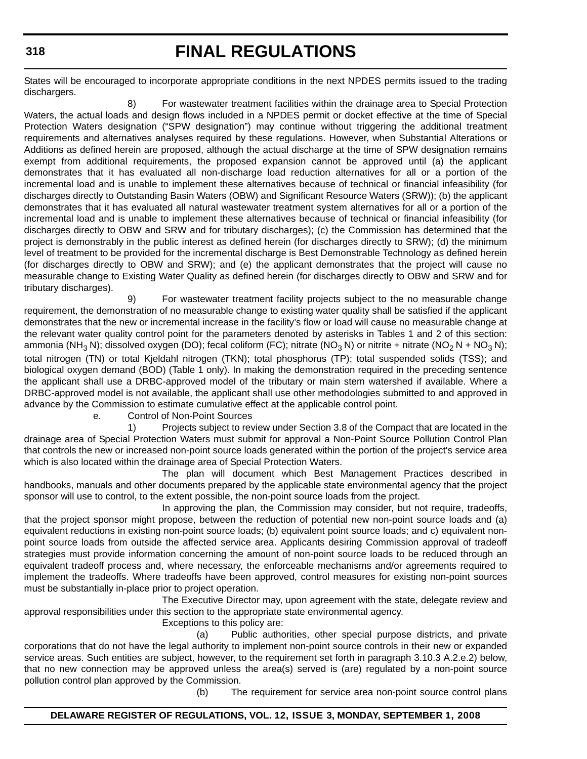States will be encouraged to incorporate appropriate conditions in the next NPDES permits issued to the trading dischargers.

8) For wastewater treatment facilities within the drainage area to Special Protection Waters, the actual loads and design flows included in a NPDES permit or docket effective at the time of Special Protection Waters designation ("SPW designation") may continue without triggering the additional treatment requirements and alternatives analyses required by these regulations. However, when Substantial Alterations or Additions as defined herein are proposed, although the actual discharge at the time of SPW designation remains exempt from additional requirements, the proposed expansion cannot be approved until (a) the applicant demonstrates that it has evaluated all non-discharge load reduction alternatives for all or a portion of the incremental load and is unable to implement these alternatives because of technical or financial infeasibility (for discharges directly to Outstanding Basin Waters (OBW) and Significant Resource Waters (SRW)); (b) the applicant demonstrates that it has evaluated all natural wastewater treatment system alternatives for all or a portion of the incremental load and is unable to implement these alternatives because of technical or financial infeasibility (for discharges directly to OBW and SRW and for tributary discharges); (c) the Commission has determined that the project is demonstrably in the public interest as defined herein (for discharges directly to SRW); (d) the minimum level of treatment to be provided for the incremental discharge is Best Demonstrable Technology as defined herein (for discharges directly to OBW and SRW); and (e) the applicant demonstrates that the project will cause no measurable change to Existing Water Quality as defined herein (for discharges directly to OBW and SRW and for tributary discharges).

9) For wastewater treatment facility projects subject to the no measurable change requirement, the demonstration of no measurable change to existing water quality shall be satisfied if the applicant demonstrates that the new or incremental increase in the facility's flow or load will cause no measurable change at the relevant water quality control point for the parameters denoted by asterisks in Tables 1 and 2 of this section: ammonia (NH<sub>3</sub> N); dissolved oxygen (DO); fecal coliform (FC); nitrate (NO<sub>3</sub> N) or nitrite + nitrate (NO<sub>2</sub> N + NO<sub>3</sub> N); total nitrogen (TN) or total Kjeldahl nitrogen (TKN); total phosphorus (TP); total suspended solids (TSS); and biological oxygen demand (BOD) (Table 1 only). In making the demonstration required in the preceding sentence the applicant shall use a DRBC-approved model of the tributary or main stem watershed if available. Where a DRBC-approved model is not available, the applicant shall use other methodologies submitted to and approved in advance by the Commission to estimate cumulative effect at the applicable control point.

e. Control of Non-Point Sources

1) Projects subject to review under Section 3.8 of the Compact that are located in the drainage area of Special Protection Waters must submit for approval a Non-Point Source Pollution Control Plan that controls the new or increased non-point source loads generated within the portion of the project's service area which is also located within the drainage area of Special Protection Waters.

The plan will document which Best Management Practices described in handbooks, manuals and other documents prepared by the applicable state environmental agency that the project sponsor will use to control, to the extent possible, the non-point source loads from the project.

In approving the plan, the Commission may consider, but not require, tradeoffs, that the project sponsor might propose, between the reduction of potential new non-point source loads and (a) equivalent reductions in existing non-point source loads; (b) equivalent point source loads; and c) equivalent nonpoint source loads from outside the affected service area. Applicants desiring Commission approval of tradeoff strategies must provide information concerning the amount of non-point source loads to be reduced through an equivalent tradeoff process and, where necessary, the enforceable mechanisms and/or agreements required to implement the tradeoffs. Where tradeoffs have been approved, control measures for existing non-point sources must be substantially in-place prior to project operation.

The Executive Director may, upon agreement with the state, delegate review and approval responsibilities under this section to the appropriate state environmental agency.

Exceptions to this policy are:

(a) Public authorities, other special purpose districts, and private corporations that do not have the legal authority to implement non-point source controls in their new or expanded service areas. Such entities are subject, however, to the requirement set forth in paragraph 3.10.3 A.2.e.2) below, that no new connection may be approved unless the area(s) served is (are) regulated by a non-point source pollution control plan approved by the Commission.

(b) The requirement for service area non-point source control plans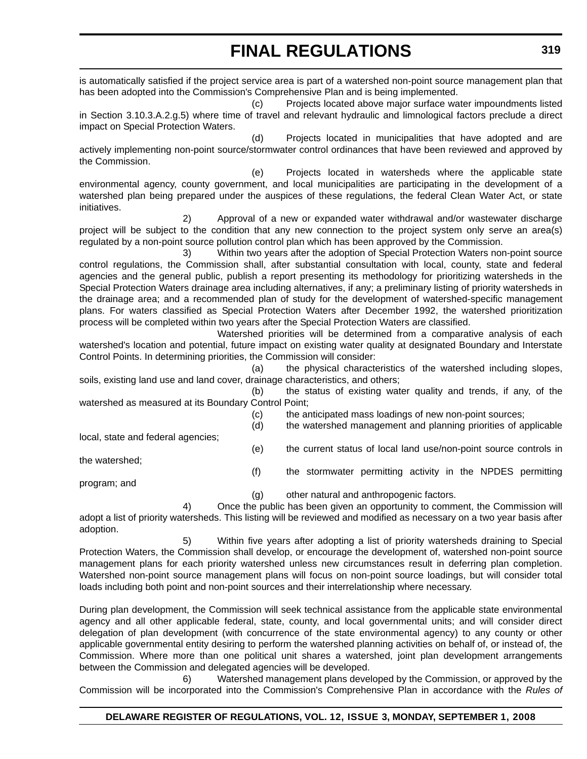is automatically satisfied if the project service area is part of a watershed non-point source management plan that has been adopted into the Commission's Comprehensive Plan and is being implemented.

(c) Projects located above major surface water impoundments listed in Section 3.10.3.A.2.g.5) where time of travel and relevant hydraulic and limnological factors preclude a direct impact on Special Protection Waters.

(d) Projects located in municipalities that have adopted and are actively implementing non-point source/stormwater control ordinances that have been reviewed and approved by the Commission.

(e) Projects located in watersheds where the applicable state environmental agency, county government, and local municipalities are participating in the development of a watershed plan being prepared under the auspices of these regulations, the federal Clean Water Act, or state initiatives.

2) Approval of a new or expanded water withdrawal and/or wastewater discharge project will be subject to the condition that any new connection to the project system only serve an area(s) regulated by a non-point source pollution control plan which has been approved by the Commission.

3) Within two years after the adoption of Special Protection Waters non-point source control regulations, the Commission shall, after substantial consultation with local, county, state and federal agencies and the general public, publish a report presenting its methodology for prioritizing watersheds in the Special Protection Waters drainage area including alternatives, if any; a preliminary listing of priority watersheds in the drainage area; and a recommended plan of study for the development of watershed-specific management plans. For waters classified as Special Protection Waters after December 1992, the watershed prioritization process will be completed within two years after the Special Protection Waters are classified.

Watershed priorities will be determined from a comparative analysis of each watershed's location and potential, future impact on existing water quality at designated Boundary and Interstate Control Points. In determining priorities, the Commission will consider:

(a) the physical characteristics of the watershed including slopes, soils, existing land use and land cover, drainage characteristics, and others;

(b) the status of existing water quality and trends, if any, of the watershed as measured at its Boundary Control Point;

- (c) the anticipated mass loadings of new non-point sources;
- (d) the watershed management and planning priorities of applicable

local, state and federal agencies;

(e) the current status of local land use/non-point source controls in

the watershed;

(f) the stormwater permitting activity in the NPDES permitting

program; and

(g) other natural and anthropogenic factors.

4) Once the public has been given an opportunity to comment, the Commission will adopt a list of priority watersheds. This listing will be reviewed and modified as necessary on a two year basis after adoption.

5) Within five years after adopting a list of priority watersheds draining to Special Protection Waters, the Commission shall develop, or encourage the development of, watershed non-point source management plans for each priority watershed unless new circumstances result in deferring plan completion. Watershed non-point source management plans will focus on non-point source loadings, but will consider total loads including both point and non-point sources and their interrelationship where necessary.

During plan development, the Commission will seek technical assistance from the applicable state environmental agency and all other applicable federal, state, county, and local governmental units; and will consider direct delegation of plan development (with concurrence of the state environmental agency) to any county or other applicable governmental entity desiring to perform the watershed planning activities on behalf of, or instead of, the Commission. Where more than one political unit shares a watershed, joint plan development arrangements between the Commission and delegated agencies will be developed.

6) Watershed management plans developed by the Commission, or approved by the Commission will be incorporated into the Commission's Comprehensive Plan in accordance with the *Rules of*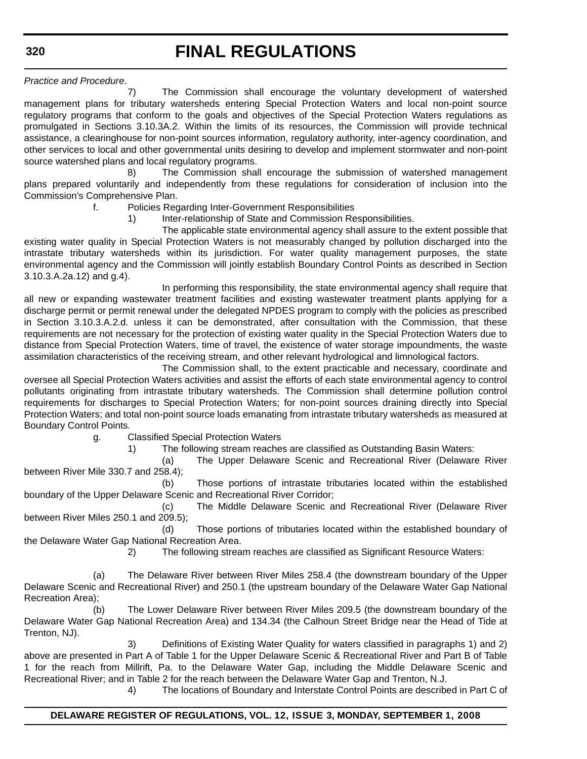**320**

### **FINAL REGULATIONS**

*Practice and Procedure*.

7) The Commission shall encourage the voluntary development of watershed management plans for tributary watersheds entering Special Protection Waters and local non-point source regulatory programs that conform to the goals and objectives of the Special Protection Waters regulations as promulgated in Sections 3.10.3A.2. Within the limits of its resources, the Commission will provide technical assistance, a clearinghouse for non-point sources information, regulatory authority, inter-agency coordination, and other services to local and other governmental units desiring to develop and implement stormwater and non-point source watershed plans and local regulatory programs.

8) The Commission shall encourage the submission of watershed management plans prepared voluntarily and independently from these regulations for consideration of inclusion into the Commission's Comprehensive Plan.

### f. Policies Regarding Inter-Government Responsibilities

1) Inter-relationship of State and Commission Responsibilities.

The applicable state environmental agency shall assure to the extent possible that existing water quality in Special Protection Waters is not measurably changed by pollution discharged into the intrastate tributary watersheds within its jurisdiction. For water quality management purposes, the state environmental agency and the Commission will jointly establish Boundary Control Points as described in Section 3.10.3.A.2a.12) and g.4).

In performing this responsibility, the state environmental agency shall require that all new or expanding wastewater treatment facilities and existing wastewater treatment plants applying for a discharge permit or permit renewal under the delegated NPDES program to comply with the policies as prescribed in Section 3.10.3.A.2.d. unless it can be demonstrated, after consultation with the Commission, that these requirements are not necessary for the protection of existing water quality in the Special Protection Waters due to distance from Special Protection Waters, time of travel, the existence of water storage impoundments, the waste assimilation characteristics of the receiving stream, and other relevant hydrological and limnological factors.

The Commission shall, to the extent practicable and necessary, coordinate and oversee all Special Protection Waters activities and assist the efforts of each state environmental agency to control pollutants originating from intrastate tributary watersheds. The Commission shall determine pollution control requirements for discharges to Special Protection Waters; for non-point sources draining directly into Special Protection Waters; and total non-point source loads emanating from intrastate tributary watersheds as measured at Boundary Control Points.

g. Classified Special Protection Waters

1) The following stream reaches are classified as Outstanding Basin Waters:

(a) The Upper Delaware Scenic and Recreational River (Delaware River between River Mile 330.7 and 258.4);

(b) Those portions of intrastate tributaries located within the established boundary of the Upper Delaware Scenic and Recreational River Corridor;

(c) The Middle Delaware Scenic and Recreational River (Delaware River between River Miles 250.1 and 209.5);

(d) Those portions of tributaries located within the established boundary of the Delaware Water Gap National Recreation Area.

2) The following stream reaches are classified as Significant Resource Waters:

(a) The Delaware River between River Miles 258.4 (the downstream boundary of the Upper Delaware Scenic and Recreational River) and 250.1 (the upstream boundary of the Delaware Water Gap National Recreation Area);

(b) The Lower Delaware River between River Miles 209.5 (the downstream boundary of the Delaware Water Gap National Recreation Area) and 134.34 (the Calhoun Street Bridge near the Head of Tide at Trenton, NJ).

3) Definitions of Existing Water Quality for waters classified in paragraphs 1) and 2) above are presented in Part A of Table 1 for the Upper Delaware Scenic & Recreational River and Part B of Table 1 for the reach from Millrift, Pa. to the Delaware Water Gap, including the Middle Delaware Scenic and Recreational River; and in Table 2 for the reach between the Delaware Water Gap and Trenton, N.J.

4) The locations of Boundary and Interstate Control Points are described in Part C of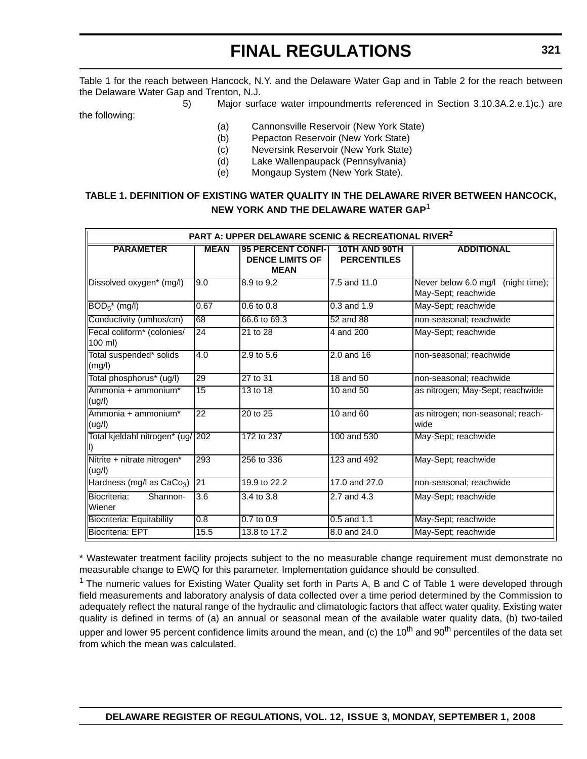Table 1 for the reach between Hancock, N.Y. and the Delaware Water Gap and in Table 2 for the reach between the Delaware Water Gap and Trenton, N.J.

5) Major surface water impoundments referenced in Section 3.10.3A.2.e.1)c.) are the following:

- (a) Cannonsville Reservoir (New York State)
- (b) Pepacton Reservoir (New York State)
- (c) Neversink Reservoir (New York State)
- (d) Lake Wallenpaupack (Pennsylvania)
- (e) Mongaup System (New York State).

### **TABLE 1. DEFINITION OF EXISTING WATER QUALITY IN THE DELAWARE RIVER BETWEEN HANCOCK, NEW YORK AND THE DELAWARE WATER GAP**<sup>1</sup>

| PART A: UPPER DELAWARE SCENIC & RECREATIONAL RIVER <sup>2</sup> |                  |                                                                   |                                     |                                                           |  |
|-----------------------------------------------------------------|------------------|-------------------------------------------------------------------|-------------------------------------|-----------------------------------------------------------|--|
| <b>PARAMETER</b>                                                | <b>MEAN</b>      | <b>95 PERCENT CONFI-</b><br><b>DENCE LIMITS OF</b><br><b>MEAN</b> | 10TH AND 90TH<br><b>PERCENTILES</b> | <b>ADDITIONAL</b>                                         |  |
| Dissolved oxygen* (mg/l)                                        | 9.0              | 8.9 to 9.2                                                        | 7.5 and 11.0                        | Never below 6.0 mg/l (night time);<br>May-Sept; reachwide |  |
| $BOD_5^*$ (mg/l)                                                | 0.67             | $0.6$ to $0.8$                                                    | $0.3$ and $1.9$                     | May-Sept; reachwide                                       |  |
| Conductivity (umhos/cm)                                         | 68               | 66.6 to 69.3                                                      | 52 and 88                           | non-seasonal; reachwide                                   |  |
| Fecal coliform* (colonies/<br>$100$ ml)                         | 24               | $21$ to $28$                                                      | 4 and 200                           | May-Sept: reachwide                                       |  |
| Total suspended* solids<br>(mg/l)                               | 4.0              | $2.9$ to $5.6$                                                    | 2.0 and 16                          | non-seasonal; reachwide                                   |  |
| Total phosphorus <sup>*</sup> (ug/l)                            | 29               | $27$ to 31                                                        | 18 and 50                           | non-seasonal; reachwide                                   |  |
| Ammonia + ammonium*<br>(ug/l)                                   | 15               | 13 to 18                                                          | 10 and 50                           | as nitrogen; May-Sept; reachwide                          |  |
| Ammonia + ammonium*<br>(ug/l)                                   | 22               | 20 to 25                                                          | 10 and 60                           | as nitrogen; non-seasonal; reach-<br>wide                 |  |
| Total kjeldahl nitrogen* (ug/ 202<br>$\parallel$                |                  | 172 to 237                                                        | 100 and 530                         | May-Sept; reachwide                                       |  |
| Nitrite + nitrate nitrogen*<br>(ug/l)                           | 293              | 256 to 336                                                        | 123 and 492                         | May-Sept; reachwide                                       |  |
| Hardness (mg/l as CaCo <sub>3</sub> )                           | $\overline{21}$  | 19.9 to 22.2                                                      | 17.0 and 27.0                       | non-seasonal; reachwide                                   |  |
| Shannon-<br>Biocriteria:<br>Wiener                              | $\overline{3.6}$ | 3.4 to 3.8                                                        | 2.7 and 4.3                         | May-Sept; reachwide                                       |  |
| <b>Biocriteria: Equitability</b>                                | 0.8              | $0.7$ to $0.9$                                                    | $0.5$ and 1.1                       | May-Sept; reachwide                                       |  |
| <b>Biocriteria: EPT</b>                                         | 15.5             | 13.8 to 17.2                                                      | 8.0 and 24.0                        | May-Sept; reachwide                                       |  |

\* Wastewater treatment facility projects subject to the no measurable change requirement must demonstrate no measurable change to EWQ for this parameter. Implementation guidance should be consulted.

<sup>1</sup> The numeric values for Existing Water Quality set forth in Parts A, B and C of Table 1 were developed through field measurements and laboratory analysis of data collected over a time period determined by the Commission to adequately reflect the natural range of the hydraulic and climatologic factors that affect water quality. Existing water quality is defined in terms of (a) an annual or seasonal mean of the available water quality data, (b) two-tailed upper and lower 95 percent confidence limits around the mean, and (c) the 10<sup>th</sup> and 90<sup>th</sup> percentiles of the data set from which the mean was calculated.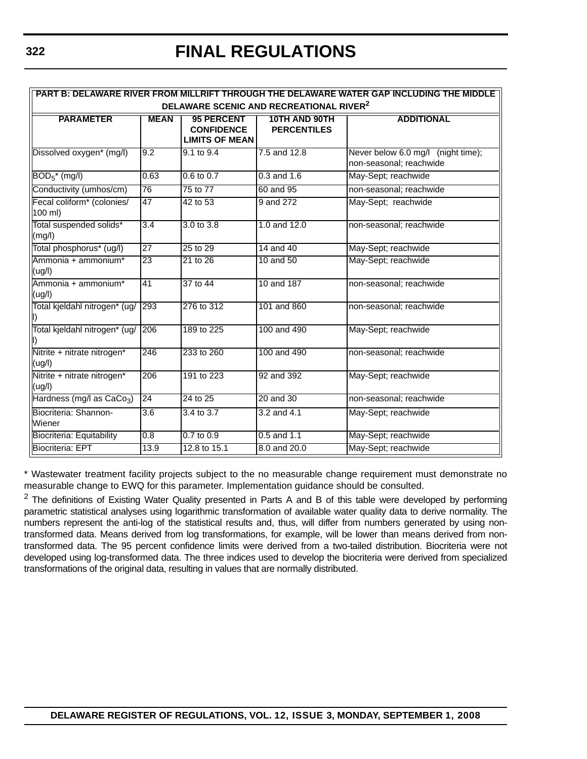**PART B: DELAWARE RIVER FROM MILLRIFT THROUGH THE DELAWARE WATER GAP INCLUDING THE MIDDLE** 

| DELAWARE SCENIC AND RECREATIONAL RIVER <sup>2</sup> |                  |                                                                 |                                     |                                                               |
|-----------------------------------------------------|------------------|-----------------------------------------------------------------|-------------------------------------|---------------------------------------------------------------|
| <b>PARAMETER</b>                                    | <b>MEAN</b>      | <b>95 PERCENT</b><br><b>CONFIDENCE</b><br><b>LIMITS OF MEAN</b> | 10TH AND 90TH<br><b>PERCENTILES</b> | <b>ADDITIONAL</b>                                             |
| Dissolved oxygen* (mg/l)                            | 9.2              | 9.1 to 9.4                                                      | 7.5 and 12.8                        | Never below 6.0 mg/l (night time);<br>non-seasonal; reachwide |
| $BOD5*$ (mg/l)                                      | 0.63             | $0.6$ to $0.7$                                                  | $0.3$ and $1.6$                     | May-Sept; reachwide                                           |
| Conductivity (umhos/cm)                             | 76               | 75 to 77                                                        | 60 and 95                           | non-seasonal; reachwide                                       |
| Fecal coliform* (colonies/<br>100 ml)               | 47               | 42 to 53                                                        | 9 and 272                           | May-Sept; reachwide                                           |
| Total suspended solids*<br>(mg/l)                   | $\overline{3.4}$ | $3.0 \text{ to } 3.8$                                           | 1.0 and $12.0$                      | non-seasonal; reachwide                                       |
| Total phosphorus* (ug/l)                            | $\overline{27}$  | 25 to 29                                                        | 14 and 40                           | May-Sept; reachwide                                           |
| Ammonia + ammonium*<br>(ug/l)                       | 23               | 21 to 26                                                        | 10 and 50                           | May-Sept; reachwide                                           |
| Ammonia + ammonium*<br>(ug/l)                       | 41               | 37 to 44                                                        | 10 and 187                          | non-seasonal; reachwide                                       |
| Total kjeldahl nitrogen* (ug/                       | 293              | 276 to 312                                                      | 101 and 860                         | non-seasonal; reachwide                                       |
| Total kjeldahl nitrogen* (ug/                       | 206              | 189 to 225                                                      | 100 and 490                         | May-Sept; reachwide                                           |
| Nitrite + nitrate nitrogen*<br>(ug/l)               | 246              | 233 to 260                                                      | 100 and 490                         | non-seasonal; reachwide                                       |
| Nitrite + nitrate nitrogen*<br>(ug/l)               | $\overline{206}$ | 191 to 223                                                      | 92 and 392                          | May-Sept; reachwide                                           |
| Hardness (mg/l as $CaCo3$ )                         | 24               | 24 to 25                                                        | 20 and 30                           | non-seasonal: reachwide                                       |
| Biocriteria: Shannon-<br>Wiener                     | $\overline{3.6}$ | 3.4 to 3.7                                                      | 3.2 and 4.1                         | May-Sept; reachwide                                           |
| Biocriteria: Equitability                           | 0.8              | $0.7$ to $0.9$                                                  | $0.5$ and 1.1                       | May-Sept; reachwide                                           |
| <b>Biocriteria: EPT</b>                             | 13.9             | 12.8 to 15.1                                                    | 8.0 and 20.0                        | May-Sept; reachwide                                           |

\* Wastewater treatment facility projects subject to the no measurable change requirement must demonstrate no measurable change to EWQ for this parameter. Implementation guidance should be consulted.

 $2$  The definitions of Existing Water Quality presented in Parts A and B of this table were developed by performing parametric statistical analyses using logarithmic transformation of available water quality data to derive normality. The numbers represent the anti-log of the statistical results and, thus, will differ from numbers generated by using nontransformed data. Means derived from log transformations, for example, will be lower than means derived from nontransformed data. The 95 percent confidence limits were derived from a two-tailed distribution. Biocriteria were not developed using log-transformed data. The three indices used to develop the biocriteria were derived from specialized transformations of the original data, resulting in values that are normally distributed.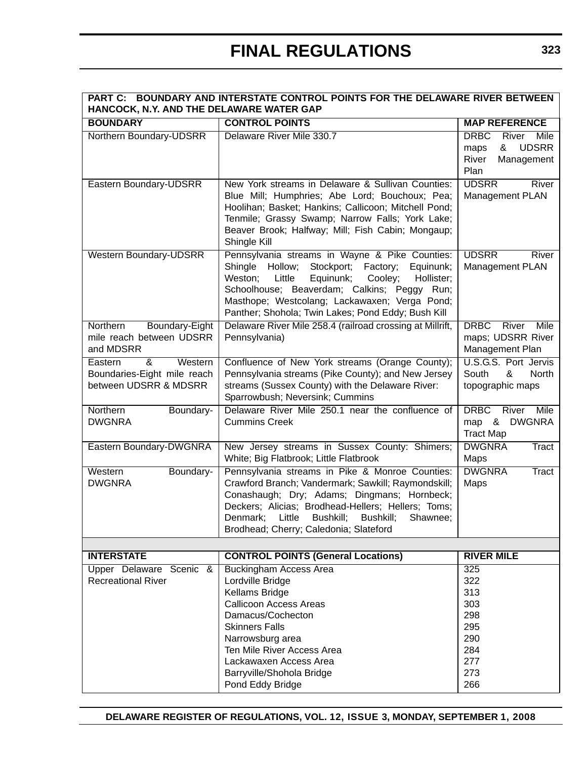| PART C: BOUNDARY AND INTERSTATE CONTROL POINTS FOR THE DELAWARE RIVER BETWEEN<br>HANCOCK, N.Y. AND THE DELAWARE WATER GAP |                                                                                                                                                                                                                                                                                                                           |                                                                                       |  |  |
|---------------------------------------------------------------------------------------------------------------------------|---------------------------------------------------------------------------------------------------------------------------------------------------------------------------------------------------------------------------------------------------------------------------------------------------------------------------|---------------------------------------------------------------------------------------|--|--|
| <b>BOUNDARY</b>                                                                                                           | <b>CONTROL POINTS</b>                                                                                                                                                                                                                                                                                                     | <b>MAP REFERENCE</b>                                                                  |  |  |
| Northern Boundary-UDSRR                                                                                                   | Delaware River Mile 330.7                                                                                                                                                                                                                                                                                                 | <b>DRBC</b><br>River Mile<br><b>UDSRR</b><br>&<br>maps<br>River<br>Management<br>Plan |  |  |
| Eastern Boundary-UDSRR                                                                                                    | New York streams in Delaware & Sullivan Counties:<br>Blue Mill; Humphries; Abe Lord; Bouchoux; Pea;<br>Hoolihan; Basket; Hankins; Callicoon; Mitchell Pond;<br>Tenmile; Grassy Swamp; Narrow Falls; York Lake;<br>Beaver Brook; Halfway; Mill; Fish Cabin; Mongaup;<br>Shingle Kill                                       | <b>UDSRR</b><br>River<br>Management PLAN                                              |  |  |
| <b>Western Boundary-UDSRR</b>                                                                                             | Pennsylvania streams in Wayne & Pike Counties:<br>Shingle Hollow;<br>Stockport;<br>Factory;<br>Equinunk;<br>Equinunk;<br>Weston;<br>Little<br>Cooley;<br>Hollister;<br>Schoolhouse; Beaverdam; Calkins; Peggy Run;<br>Masthope; Westcolang; Lackawaxen; Verga Pond;<br>Panther; Shohola; Twin Lakes; Pond Eddy; Bush Kill | <b>UDSRR</b><br>River<br>Management PLAN                                              |  |  |
| Boundary-Eight<br>Northern<br>mile reach between UDSRR<br>and MDSRR                                                       | Delaware River Mile 258.4 (railroad crossing at Millrift,<br>Pennsylvania)                                                                                                                                                                                                                                                | <b>DRBC</b><br>River<br>Mile<br>maps; UDSRR River<br>Management Plan                  |  |  |
| &<br>Western<br>Eastern<br>Boundaries-Eight mile reach<br>between UDSRR & MDSRR                                           | Confluence of New York streams (Orange County);<br>Pennsylvania streams (Pike County); and New Jersey<br>streams (Sussex County) with the Delaware River:<br>Sparrowbush; Neversink; Cummins                                                                                                                              | U.S.G.S. Port Jervis<br>South<br>&<br>North<br>topographic maps                       |  |  |
| Northern<br>Boundary-<br><b>DWGNRA</b>                                                                                    | Delaware River Mile 250.1 near the confluence of<br><b>Cummins Creek</b>                                                                                                                                                                                                                                                  | <b>DRBC</b><br>River Mile<br>& DWGNRA<br>map<br><b>Tract Map</b>                      |  |  |
| Eastern Boundary-DWGNRA                                                                                                   | New Jersey streams in Sussex County: Shimers;<br>White; Big Flatbrook; Little Flatbrook                                                                                                                                                                                                                                   | <b>DWGNRA</b><br>Tract<br>Maps                                                        |  |  |
| Western<br>Boundary-<br><b>DWGNRA</b>                                                                                     | Pennsylvania streams in Pike & Monroe Counties:<br>Crawford Branch; Vandermark; Sawkill; Raymondskill;<br>Conashaugh; Dry; Adams; Dingmans; Hornbeck;<br>Deckers; Alicias; Brodhead-Hellers; Hellers; Toms;<br>Denmark;<br>Little<br>Bushkill;<br>Bushkill;<br>Shawnee;<br>Brodhead; Cherry; Caledonia; Slateford         | <b>DWGNRA</b><br>Tract<br>Maps                                                        |  |  |
|                                                                                                                           |                                                                                                                                                                                                                                                                                                                           |                                                                                       |  |  |
| <b>INTERSTATE</b><br>Upper Delaware Scenic &<br><b>Recreational River</b>                                                 | <b>CONTROL POINTS (General Locations)</b><br><b>Buckingham Access Area</b><br>Lordville Bridge<br>Kellams Bridge<br><b>Callicoon Access Areas</b><br>Damacus/Cochecton<br><b>Skinners Falls</b><br>Narrowsburg area<br>Ten Mile River Access Area<br>Lackawaxen Access Area                                               | <b>RIVER MILE</b><br>325<br>322<br>313<br>303<br>298<br>295<br>290<br>284<br>277      |  |  |
|                                                                                                                           | Barryville/Shohola Bridge<br>Pond Eddy Bridge                                                                                                                                                                                                                                                                             | 273<br>266                                                                            |  |  |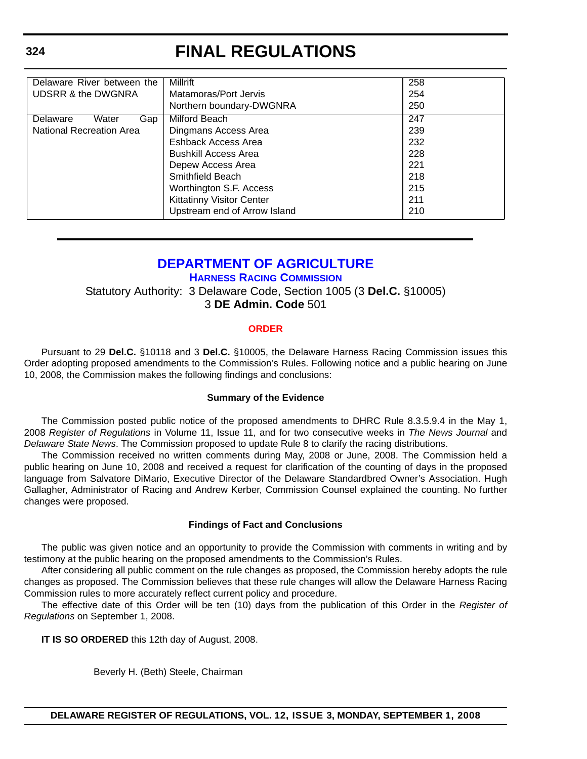| Delaware River between the    | Millrift                         | 258 |
|-------------------------------|----------------------------------|-----|
| <b>UDSRR &amp; the DWGNRA</b> | Matamoras/Port Jervis            | 254 |
|                               | Northern boundary-DWGNRA         | 250 |
| Delaware<br>Water<br>Gap      | Milford Beach                    | 247 |
| National Recreation Area      | Dingmans Access Area             | 239 |
|                               | Eshback Access Area              | 232 |
|                               | <b>Bushkill Access Area</b>      | 228 |
|                               | Depew Access Area                | 221 |
|                               | Smithfield Beach                 | 218 |
|                               | Worthington S.F. Access          | 215 |
|                               | <b>Kittatinny Visitor Center</b> | 211 |
|                               | Upstream end of Arrow Island     | 210 |

### **[DEPARTMENT OF AGRICULTURE](http://dda.delaware.gov/default.shtml)**

**[HARNESS RACING COMMISSION](http://dda.delaware.gov/default.shtml)**

Statutory Authority: 3 Delaware Code, Section 1005 (3 **Del.C.** §10005) 3 **DE Admin. Code** 501

### **[ORDER](#page-3-0)**

Pursuant to 29 **Del.C.** §10118 and 3 **Del.C.** §10005, the Delaware Harness Racing Commission issues this Order adopting proposed amendments to the Commission's Rules. Following notice and a public hearing on June 10, 2008, the Commission makes the following findings and conclusions:

### **Summary of the Evidence**

The Commission posted public notice of the proposed amendments to DHRC Rule 8.3.5.9.4 in the May 1, 2008 *Register of Regulations* in Volume 11, Issue 11, and for two consecutive weeks in *The News Journal* and *Delaware State News*. The Commission proposed to update Rule 8 to clarify the racing distributions.

The Commission received no written comments during May, 2008 or June, 2008. The Commission held a public hearing on June 10, 2008 and received a request for clarification of the counting of days in the proposed language from Salvatore DiMario, Executive Director of the Delaware Standardbred Owner's Association. Hugh Gallagher, Administrator of Racing and Andrew Kerber, Commission Counsel explained the counting. No further changes were proposed.

### **Findings of Fact and Conclusions**

The public was given notice and an opportunity to provide the Commission with comments in writing and by testimony at the public hearing on the proposed amendments to the Commission's Rules.

After considering all public comment on the rule changes as proposed, the Commission hereby adopts the rule changes as proposed. The Commission believes that these rule changes will allow the Delaware Harness Racing Commission rules to more accurately reflect current policy and procedure.

The effective date of this Order will be ten (10) days from the publication of this Order in the *Register of Regulations* on September 1, 2008.

**IT IS SO ORDERED** this 12th day of August, 2008.

Beverly H. (Beth) Steele, Chairman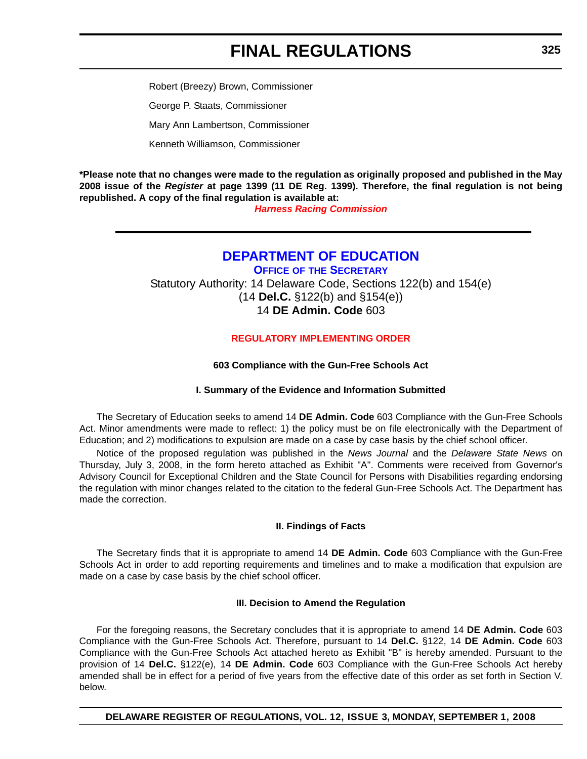Robert (Breezy) Brown, Commissioner George P. Staats, Commissioner Mary Ann Lambertson, Commissioner Kenneth Williamson, Commissioner

**\*Please note that no changes were made to the regulation as originally proposed and published in the May 2008 issue of the** *Register* **at page 1399 (11 DE Reg. 1399). Therefore, the final regulation is not being republished. A copy of the final regulation is available at:** 

*[Harness Racing Commission](http://regulations.delaware.gov/register/september2008/final/12 DE Reg  324 09-01-08.htm)*

### **[DEPARTMENT OF EDUCATION](http://www.doe.k12.de.us/)**

**OFFICE OF [THE SECRETARY](http://www.doe.k12.de.us/)** Statutory Authority: 14 Delaware Code, Sections 122(b) and 154(e) (14 **Del.C.** §122(b) and §154(e)) 14 **DE Admin. Code** 603

### **[REGULATORY IMPLEMENTING ORDER](#page-3-0)**

### **603 Compliance with the Gun-Free Schools Act**

### **I. Summary of the Evidence and Information Submitted**

The Secretary of Education seeks to amend 14 **DE Admin. Code** 603 Compliance with the Gun-Free Schools Act. Minor amendments were made to reflect: 1) the policy must be on file electronically with the Department of Education; and 2) modifications to expulsion are made on a case by case basis by the chief school officer.

Notice of the proposed regulation was published in the *News Journal* and the *Delaware State News* on Thursday, July 3, 2008, in the form hereto attached as Exhibit "A". Comments were received from Governor's Advisory Council for Exceptional Children and the State Council for Persons with Disabilities regarding endorsing the regulation with minor changes related to the citation to the federal Gun-Free Schools Act. The Department has made the correction.

### **II. Findings of Facts**

The Secretary finds that it is appropriate to amend 14 **DE Admin. Code** 603 Compliance with the Gun-Free Schools Act in order to add reporting requirements and timelines and to make a modification that expulsion are made on a case by case basis by the chief school officer.

### **III. Decision to Amend the Regulation**

For the foregoing reasons, the Secretary concludes that it is appropriate to amend 14 **DE Admin. Code** 603 Compliance with the Gun-Free Schools Act. Therefore, pursuant to 14 **Del.C.** §122, 14 **DE Admin. Code** 603 Compliance with the Gun-Free Schools Act attached hereto as Exhibit "B" is hereby amended. Pursuant to the provision of 14 **Del.C.** §122(e), 14 **DE Admin. Code** 603 Compliance with the Gun-Free Schools Act hereby amended shall be in effect for a period of five years from the effective date of this order as set forth in Section V. below.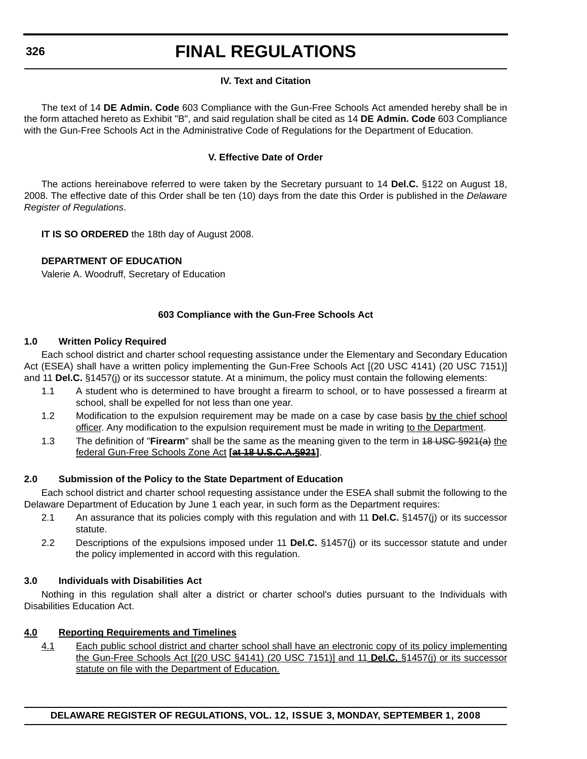### **IV. Text and Citation**

The text of 14 **DE Admin. Code** 603 Compliance with the Gun-Free Schools Act amended hereby shall be in the form attached hereto as Exhibit "B", and said regulation shall be cited as 14 **DE Admin. Code** 603 Compliance with the Gun-Free Schools Act in the Administrative Code of Regulations for the Department of Education.

### **V. Effective Date of Order**

The actions hereinabove referred to were taken by the Secretary pursuant to 14 **Del.C.** §122 on August 18, 2008. The effective date of this Order shall be ten (10) days from the date this Order is published in the *Delaware Register of Regulations*.

**IT IS SO ORDERED** the 18th day of August 2008.

### **DEPARTMENT OF EDUCATION**

Valerie A. Woodruff, Secretary of Education

### **603 Compliance with the Gun-Free Schools Act**

### **1.0 Written Policy Required**

Each school district and charter school requesting assistance under the Elementary and Secondary Education Act (ESEA) shall have a written policy implementing the Gun-Free Schools Act [(20 USC 4141) (20 USC 7151)] and 11 **Del.C.** §1457(j) or its successor statute. At a minimum, the policy must contain the following elements:

- 1.1 A student who is determined to have brought a firearm to school, or to have possessed a firearm at school, shall be expelled for not less than one year.
- 1.2 Modification to the expulsion requirement may be made on a case by case basis by the chief school officer. Any modification to the expulsion requirement must be made in writing to the Department.
- 1.3 The definition of "**Firearm**" shall be the same as the meaning given to the term in 18 USC §921(a) the federal Gun-Free Schools Zone Act **[at 18 U.S.C.A.§921]**.

### **2.0 Submission of the Policy to the State Department of Education**

Each school district and charter school requesting assistance under the ESEA shall submit the following to the Delaware Department of Education by June 1 each year, in such form as the Department requires:

- 2.1 An assurance that its policies comply with this regulation and with 11 **Del.C.** §1457(j) or its successor statute.
- 2.2 Descriptions of the expulsions imposed under 11 **Del.C.** §1457(j) or its successor statute and under the policy implemented in accord with this regulation.

### **3.0 Individuals with Disabilities Act**

Nothing in this regulation shall alter a district or charter school's duties pursuant to the Individuals with Disabilities Education Act.

### **4.0 Reporting Requirements and Timelines**

4.1 Each public school district and charter school shall have an electronic copy of its policy implementing the Gun-Free Schools Act [(20 USC §4141) (20 USC 7151)] and 11 **Del.C.** §1457(j) or its successor statute on file with the Department of Education.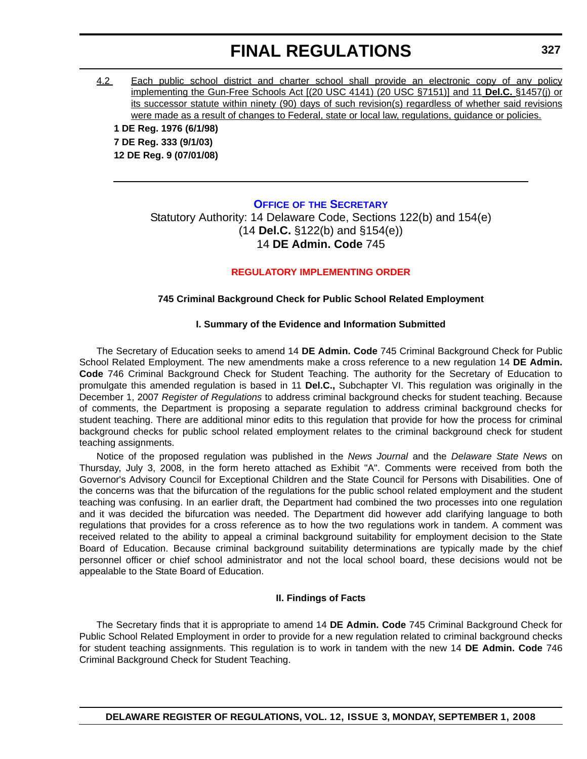4.2 Each public school district and charter school shall provide an electronic copy of any policy implementing the Gun-Free Schools Act [(20 USC 4141) (20 USC §7151)] and 11 **Del.C.** §1457(j) or its successor statute within ninety (90) days of such revision(s) regardless of whether said revisions were made as a result of changes to Federal, state or local law, regulations, guidance or policies.

**1 DE Reg. 1976 (6/1/98) 7 DE Reg. 333 (9/1/03) 12 DE Reg. 9 (07/01/08)**

#### **OFFICE OF [THE SECRETARY](http://www.doe.k12.de.us/)**

Statutory Authority: 14 Delaware Code, Sections 122(b) and 154(e) (14 **Del.C.** §122(b) and §154(e)) 14 **DE Admin. Code** 745

#### **[REGULATORY IMPLEMENTING ORDER](#page-3-0)**

### **745 Criminal Background Check for Public School Related Employment**

#### **I. Summary of the Evidence and Information Submitted**

The Secretary of Education seeks to amend 14 **DE Admin. Code** 745 Criminal Background Check for Public School Related Employment. The new amendments make a cross reference to a new regulation 14 **DE Admin. Code** 746 Criminal Background Check for Student Teaching. The authority for the Secretary of Education to promulgate this amended regulation is based in 11 **Del.C.,** Subchapter VI. This regulation was originally in the December 1, 2007 *Register of Regulations* to address criminal background checks for student teaching. Because of comments, the Department is proposing a separate regulation to address criminal background checks for student teaching. There are additional minor edits to this regulation that provide for how the process for criminal background checks for public school related employment relates to the criminal background check for student teaching assignments.

Notice of the proposed regulation was published in the *News Journal* and the *Delaware State News* on Thursday, July 3, 2008, in the form hereto attached as Exhibit "A". Comments were received from both the Governor's Advisory Council for Exceptional Children and the State Council for Persons with Disabilities. One of the concerns was that the bifurcation of the regulations for the public school related employment and the student teaching was confusing. In an earlier draft, the Department had combined the two processes into one regulation and it was decided the bifurcation was needed. The Department did however add clarifying language to both regulations that provides for a cross reference as to how the two regulations work in tandem. A comment was received related to the ability to appeal a criminal background suitability for employment decision to the State Board of Education. Because criminal background suitability determinations are typically made by the chief personnel officer or chief school administrator and not the local school board, these decisions would not be appealable to the State Board of Education.

#### **II. Findings of Facts**

The Secretary finds that it is appropriate to amend 14 **DE Admin. Code** 745 Criminal Background Check for Public School Related Employment in order to provide for a new regulation related to criminal background checks for student teaching assignments. This regulation is to work in tandem with the new 14 **DE Admin. Code** 746 Criminal Background Check for Student Teaching.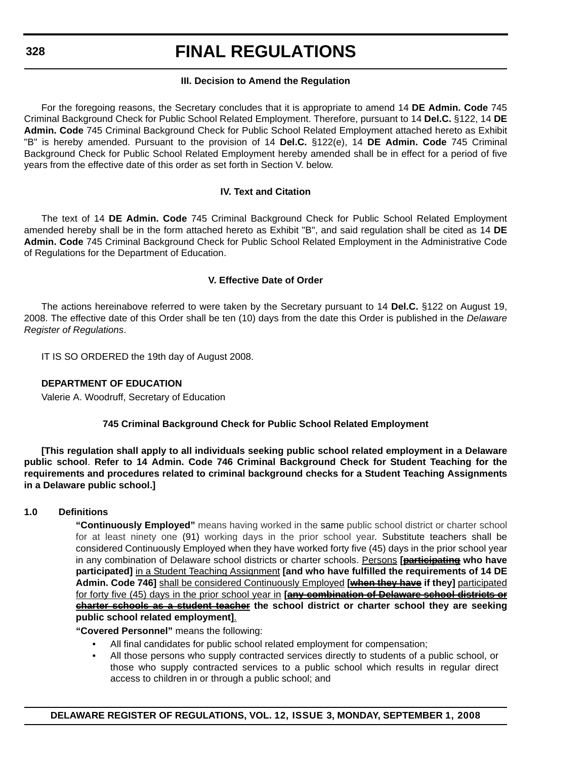### **III. Decision to Amend the Regulation**

For the foregoing reasons, the Secretary concludes that it is appropriate to amend 14 **DE Admin. Code** 745 Criminal Background Check for Public School Related Employment. Therefore, pursuant to 14 **Del.C.** §122, 14 **DE Admin. Code** 745 Criminal Background Check for Public School Related Employment attached hereto as Exhibit "B" is hereby amended. Pursuant to the provision of 14 **Del.C.** §122(e), 14 **DE Admin. Code** 745 Criminal Background Check for Public School Related Employment hereby amended shall be in effect for a period of five years from the effective date of this order as set forth in Section V. below.

### **IV. Text and Citation**

The text of 14 **DE Admin. Code** 745 Criminal Background Check for Public School Related Employment amended hereby shall be in the form attached hereto as Exhibit "B", and said regulation shall be cited as 14 **DE Admin. Code** 745 Criminal Background Check for Public School Related Employment in the Administrative Code of Regulations for the Department of Education.

### **V. Effective Date of Order**

The actions hereinabove referred to were taken by the Secretary pursuant to 14 **Del.C.** §122 on August 19, 2008. The effective date of this Order shall be ten (10) days from the date this Order is published in the *Delaware Register of Regulations*.

IT IS SO ORDERED the 19th day of August 2008.

### **DEPARTMENT OF EDUCATION**

Valerie A. Woodruff, Secretary of Education

### **745 Criminal Background Check for Public School Related Employment**

**[This regulation shall apply to all individuals seeking public school related employment in a Delaware public school**. **Refer to 14 Admin. Code 746 Criminal Background Check for Student Teaching for the requirements and procedures related to criminal background checks for a Student Teaching Assignments in a Delaware public school.]**

### **1.0 Definitions**

**"Continuously Employed"** means having worked in the same public school district or charter school for at least ninety one (91) working days in the prior school year. Substitute teachers shall be considered Continuously Employed when they have worked forty five (45) days in the prior school year in any combination of Delaware school districts or charter schools. Persons **[participating who have participated]** in a Student Teaching Assignment **[and who have fulfilled the requirements of 14 DE Admin. Code 746]** shall be considered Continuously Employed **[when they have if they]** participated for forty five (45) days in the prior school year in **[any combination of Delaware school districts or charter schools as a student teacher the school district or charter school they are seeking public school related employment]**.

**"Covered Personnel"** means the following:

- All final candidates for public school related employment for compensation;
- All those persons who supply contracted services directly to students of a public school, or those who supply contracted services to a public school which results in regular direct access to children in or through a public school; and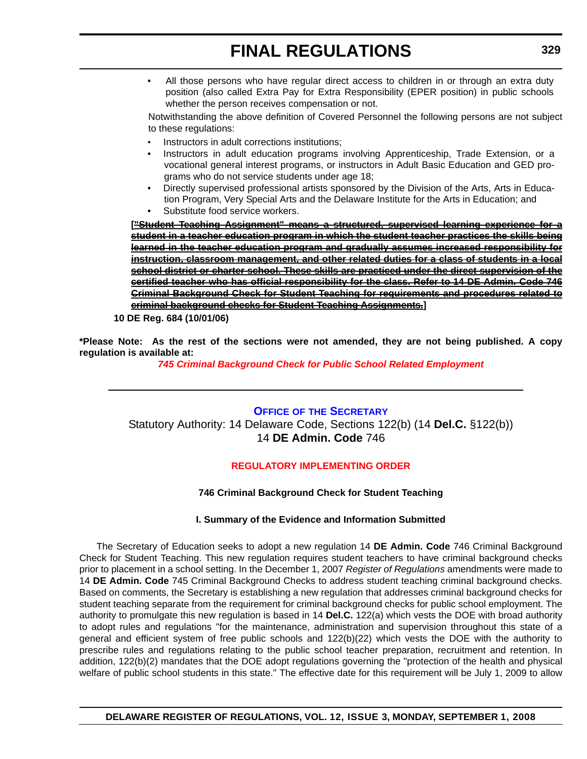• All those persons who have regular direct access to children in or through an extra duty position (also called Extra Pay for Extra Responsibility (EPER position) in public schools whether the person receives compensation or not.

Notwithstanding the above definition of Covered Personnel the following persons are not subject to these regulations:

- Instructors in adult corrections institutions;
- Instructors in adult education programs involving Apprenticeship, Trade Extension, or a vocational general interest programs, or instructors in Adult Basic Education and GED programs who do not service students under age 18;
- Directly supervised professional artists sponsored by the Division of the Arts, Arts in Education Program, Very Special Arts and the Delaware Institute for the Arts in Education; and
- Substitute food service workers.

**["Student Teaching Assignment" means a structured, supervised learning experience for a student in a teacher education program in which the student teacher practices the skills being learned in the teacher education program and gradually assumes increased responsibility for instruction, classroom management, and other related duties for a class of students in a local school district or charter school. These skills are practiced under the direct supervision of the certified teacher who has official responsibility for the class. Refer to 14 DE Admin. Code 746 Criminal Background Check for Student Teaching for requirements and procedures related to criminal background checks for Student Teaching Assignments.]**

**10 DE Reg. 684 (10/01/06)**

**\*Please Note: As the rest of the sections were not amended, they are not being published. A copy regulation is available at:**

*[745 Criminal Background Check for Public School Related Employment](http://regulations.delaware.gov/register/september2008/final/12 DE Reg 327 09-01-08.htm)*

**OFFICE OF [THE SECRETARY](http://www.doe.k12.de.us/)** Statutory Authority: 14 Delaware Code, Sections 122(b) (14 **Del.C.** §122(b)) 14 **DE Admin. Code** 746

### **[REGULATORY IMPLEMENTING ORDER](#page-3-0)**

### **746 Criminal Background Check for Student Teaching**

### **I. Summary of the Evidence and Information Submitted**

The Secretary of Education seeks to adopt a new regulation 14 **DE Admin. Code** 746 Criminal Background Check for Student Teaching. This new regulation requires student teachers to have criminal background checks prior to placement in a school setting. In the December 1, 2007 *Register of Regulations* amendments were made to 14 **DE Admin. Code** 745 Criminal Background Checks to address student teaching criminal background checks. Based on comments, the Secretary is establishing a new regulation that addresses criminal background checks for student teaching separate from the requirement for criminal background checks for public school employment. The authority to promulgate this new regulation is based in 14 **Del.C.** 122(a) which vests the DOE with broad authority to adopt rules and regulations "for the maintenance, administration and supervision throughout this state of a general and efficient system of free public schools and 122(b)(22) which vests the DOE with the authority to prescribe rules and regulations relating to the public school teacher preparation, recruitment and retention. In addition, 122(b)(2) mandates that the DOE adopt regulations governing the "protection of the health and physical welfare of public school students in this state." The effective date for this requirement will be July 1, 2009 to allow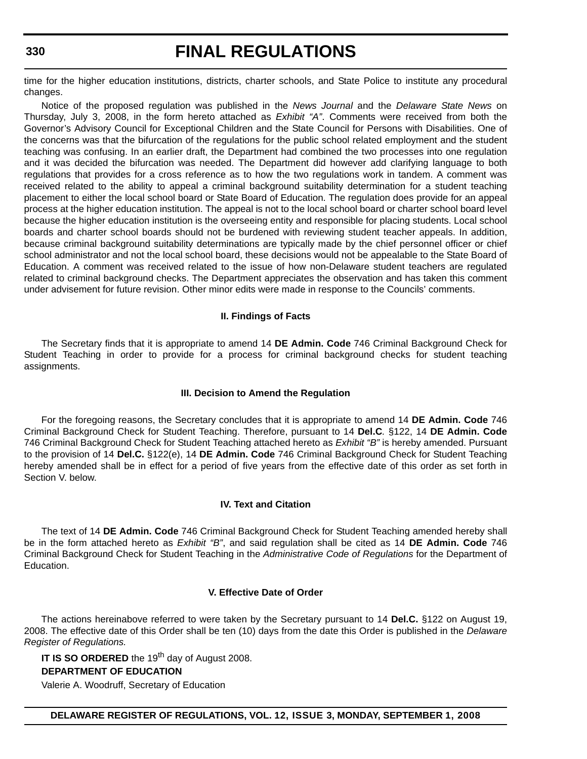time for the higher education institutions, districts, charter schools, and State Police to institute any procedural changes.

Notice of the proposed regulation was published in the *News Journal* and the *Delaware State News* on Thursday, July 3, 2008, in the form hereto attached as *Exhibit "A"*. Comments were received from both the Governor's Advisory Council for Exceptional Children and the State Council for Persons with Disabilities. One of the concerns was that the bifurcation of the regulations for the public school related employment and the student teaching was confusing. In an earlier draft, the Department had combined the two processes into one regulation and it was decided the bifurcation was needed. The Department did however add clarifying language to both regulations that provides for a cross reference as to how the two regulations work in tandem. A comment was received related to the ability to appeal a criminal background suitability determination for a student teaching placement to either the local school board or State Board of Education. The regulation does provide for an appeal process at the higher education institution. The appeal is not to the local school board or charter school board level because the higher education institution is the overseeing entity and responsible for placing students. Local school boards and charter school boards should not be burdened with reviewing student teacher appeals. In addition, because criminal background suitability determinations are typically made by the chief personnel officer or chief school administrator and not the local school board, these decisions would not be appealable to the State Board of Education. A comment was received related to the issue of how non-Delaware student teachers are regulated related to criminal background checks. The Department appreciates the observation and has taken this comment under advisement for future revision. Other minor edits were made in response to the Councils' comments.

#### **II. Findings of Facts**

The Secretary finds that it is appropriate to amend 14 **DE Admin. Code** 746 Criminal Background Check for Student Teaching in order to provide for a process for criminal background checks for student teaching assignments.

#### **III. Decision to Amend the Regulation**

For the foregoing reasons, the Secretary concludes that it is appropriate to amend 14 **DE Admin. Code** 746 Criminal Background Check for Student Teaching. Therefore, pursuant to 14 **Del.C***.* §122, 14 **DE Admin. Code** 746 Criminal Background Check for Student Teaching attached hereto as *Exhibit "B"* is hereby amended. Pursuant to the provision of 14 **Del.C.** §122(e), 14 **DE Admin. Code** 746 Criminal Background Check for Student Teaching hereby amended shall be in effect for a period of five years from the effective date of this order as set forth in Section V. below.

#### **IV. Text and Citation**

The text of 14 **DE Admin. Code** 746 Criminal Background Check for Student Teaching amended hereby shall be in the form attached hereto as *Exhibit "B"*, and said regulation shall be cited as 14 **DE Admin. Code** 746 Criminal Background Check for Student Teaching in the *Administrative Code of Regulations* for the Department of Education.

#### **V. Effective Date of Order**

The actions hereinabove referred to were taken by the Secretary pursuant to 14 **Del.C.** §122 on August 19, 2008. The effective date of this Order shall be ten (10) days from the date this Order is published in the *Delaware Register of Regulations.*

**IT IS SO ORDERED** the 19<sup>th</sup> day of August 2008.

#### **DEPARTMENT OF EDUCATION**

Valerie A. Woodruff, Secretary of Education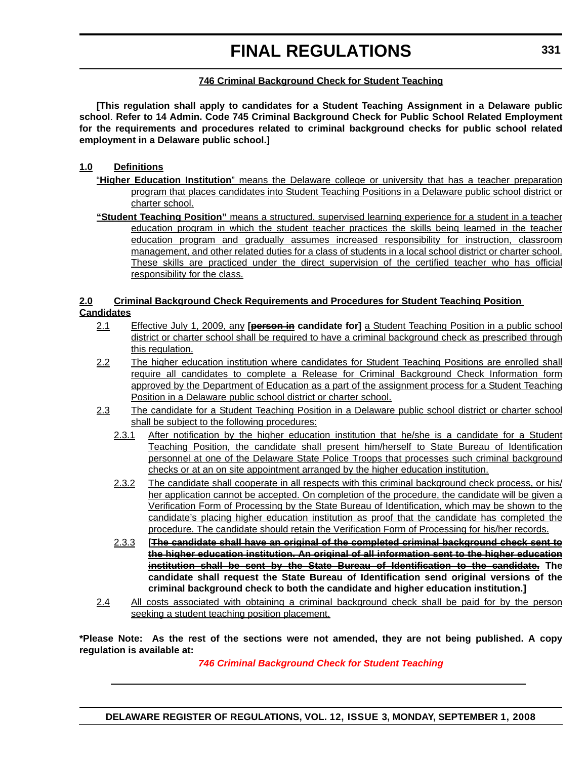### **746 Criminal Background Check for Student Teaching**

**[This regulation shall apply to candidates for a Student Teaching Assignment in a Delaware public school**. **Refer to 14 Admin. Code 745 Criminal Background Check for Public School Related Employment for the requirements and procedures related to criminal background checks for public school related employment in a Delaware public school.]**

### **1.0 Definitions**

- "**Higher Education Institution**" means the Delaware college or university that has a teacher preparation program that places candidates into Student Teaching Positions in a Delaware public school district or charter school.
- **"Student Teaching Position"** means a structured, supervised learning experience for a student in a teacher education program in which the student teacher practices the skills being learned in the teacher education program and gradually assumes increased responsibility for instruction, classroom management, and other related duties for a class of students in a local school district or charter school. These skills are practiced under the direct supervision of the certified teacher who has official responsibility for the class.

#### **2.0 Criminal Background Check Requirements and Procedures for Student Teaching Position Candidates**

- 2.1 Effective July 1, 2009, any **[person in candidate for]** a Student Teaching Position in a public school district or charter school shall be required to have a criminal background check as prescribed through this regulation.
- 2.2 The higher education institution where candidates for Student Teaching Positions are enrolled shall require all candidates to complete a Release for Criminal Background Check Information form approved by the Department of Education as a part of the assignment process for a Student Teaching Position in a Delaware public school district or charter school.
- 2.3 The candidate for a Student Teaching Position in a Delaware public school district or charter school shall be subject to the following procedures:
	- 2.3.1 After notification by the higher education institution that he/she is a candidate for a Student Teaching Position, the candidate shall present him/herself to State Bureau of Identification personnel at one of the Delaware State Police Troops that processes such criminal background checks or at an on site appointment arranged by the higher education institution.
	- 2.3.2 The candidate shall cooperate in all respects with this criminal background check process, or his/ her application cannot be accepted. On completion of the procedure, the candidate will be given a Verification Form of Processing by the State Bureau of Identification, which may be shown to the candidate's placing higher education institution as proof that the candidate has completed the procedure. The candidate should retain the Verification Form of Processing for his/her records.
	- 2.3.3 **[The candidate shall have an original of the completed criminal background check sent to the higher education institution. An original of all information sent to the higher education institution shall be sent by the State Bureau of Identification to the candidate. The candidate shall request the State Bureau of Identification send original versions of the criminal background check to both the candidate and higher education institution.]**
- 2.4 All costs associated with obtaining a criminal background check shall be paid for by the person seeking a student teaching position placement.

**\*Please Note: As the rest of the sections were not amended, they are not being published. A copy regulation is available at:**

*[746 Criminal Background Check for Student Teaching](http://regulations.delaware.gov/register/september2008/final/12 DE Reg 329 09-01-08.htm)*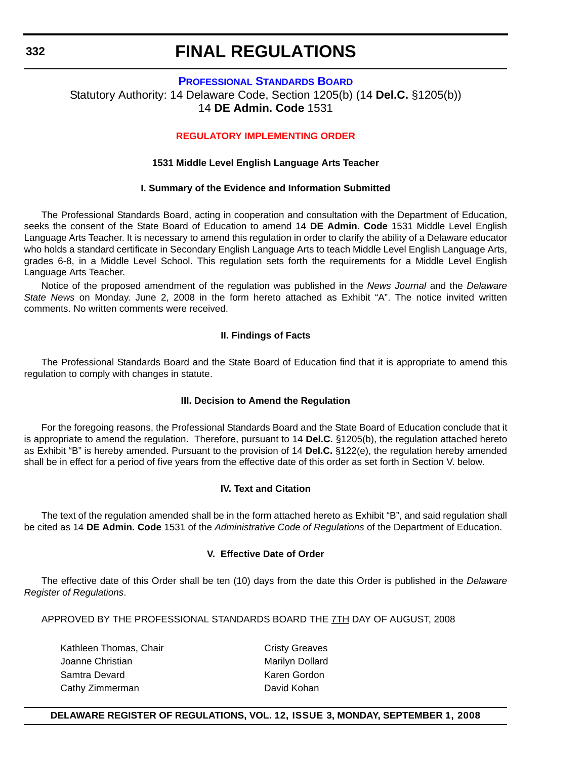#### **[PROFESSIONAL STANDARDS BOARD](http://www.doe.k12.de.us/)**

Statutory Authority: 14 Delaware Code, Section 1205(b) (14 **Del.C.** §1205(b)) 14 **DE Admin. Code** 1531

#### **[REGULATORY IMPLEMENTING ORDER](#page-4-0)**

#### **1531 Middle Level English Language Arts Teacher**

#### **I. Summary of the Evidence and Information Submitted**

The Professional Standards Board, acting in cooperation and consultation with the Department of Education, seeks the consent of the State Board of Education to amend 14 **DE Admin. Code** 1531 Middle Level English Language Arts Teacher. It is necessary to amend this regulation in order to clarify the ability of a Delaware educator who holds a standard certificate in Secondary English Language Arts to teach Middle Level English Language Arts, grades 6-8, in a Middle Level School. This regulation sets forth the requirements for a Middle Level English Language Arts Teacher.

Notice of the proposed amendment of the regulation was published in the *News Journal* and the *Delaware State News* on Monday. June 2, 2008 in the form hereto attached as Exhibit "A". The notice invited written comments. No written comments were received.

#### **II. Findings of Facts**

The Professional Standards Board and the State Board of Education find that it is appropriate to amend this regulation to comply with changes in statute.

#### **III. Decision to Amend the Regulation**

For the foregoing reasons, the Professional Standards Board and the State Board of Education conclude that it is appropriate to amend the regulation. Therefore, pursuant to 14 **Del.C.** §1205(b), the regulation attached hereto as Exhibit "B" is hereby amended. Pursuant to the provision of 14 **Del.C.** §122(e), the regulation hereby amended shall be in effect for a period of five years from the effective date of this order as set forth in Section V. below.

#### **IV. Text and Citation**

The text of the regulation amended shall be in the form attached hereto as Exhibit "B", and said regulation shall be cited as 14 **DE Admin. Code** 1531 of the *Administrative Code of Regulations* of the Department of Education.

#### **V. Effective Date of Order**

The effective date of this Order shall be ten (10) days from the date this Order is published in the *Delaware Register of Regulations*.

APPROVED BY THE PROFESSIONAL STANDARDS BOARD THE 7TH DAY OF AUGUST, 2008

Kathleen Thomas, Chair Chair Cristy Greaves Joanne Christian Marilyn Dollard Samtra Devard **Karen Gordon** Karen Gordon Cathy Zimmerman David Kohan

### **DELAWARE REGISTER OF REGULATIONS, VOL. 12, ISSUE 3, MONDAY, SEPTEMBER 1, 2008**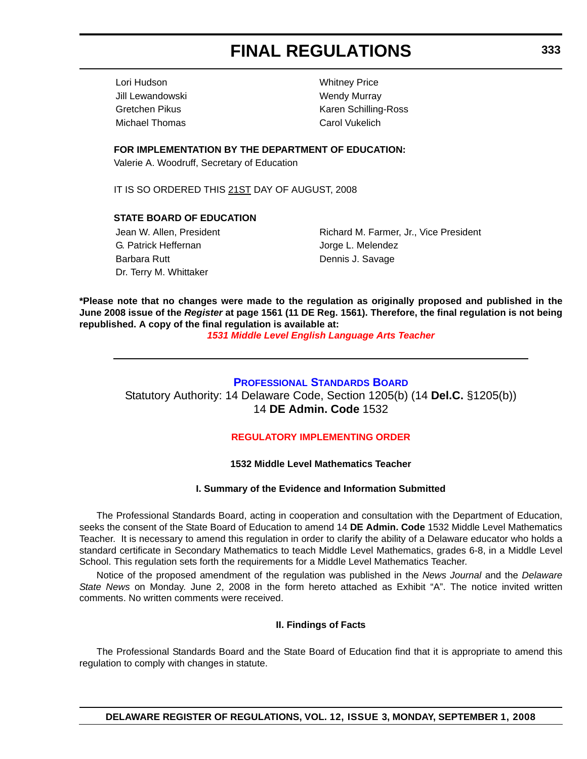Lori Hudson Whitney Price Jill Lewandowski **Wendy Murray** Wendy Murray Michael Thomas Carol Vukelich

Gretchen Pikus **Karen Schilling-Ross** Karen Schilling-Ross

**FOR IMPLEMENTATION BY THE DEPARTMENT OF EDUCATION:**

Valerie A. Woodruff, Secretary of Education

IT IS SO ORDERED THIS 21ST DAY OF AUGUST, 2008

### **STATE BOARD OF EDUCATION**

G. Patrick Heffernan and G. Patrick Heffernan and Jorge L. Melendez Barbara Rutt **Dennis J. Savage** Dr. Terry M. Whittaker

Jean W. Allen, President **Richard M. Farmer, Jr., Vice President** 

**\*Please note that no changes were made to the regulation as originally proposed and published in the June 2008 issue of the** *Register* **at page 1561 (11 DE Reg. 1561). Therefore, the final regulation is not being republished. A copy of the final regulation is available at:**

*[1531 Middle Level English Language Arts Teacher](http://regulations.delaware.gov/register/september2008/final/12 DE Reg  332 09-01-08.htm)*

### **[PROFESSIONAL STANDARDS BOARD](http://www.doe.k12.de.us/)** Statutory Authority: 14 Delaware Code, Section 1205(b) (14 **Del.C.** §1205(b)) 14 **DE Admin. Code** 1532

### **[REGULATORY IMPLEMENTING ORDER](#page-4-0)**

### **1532 Middle Level Mathematics Teacher**

### **I. Summary of the Evidence and Information Submitted**

The Professional Standards Board, acting in cooperation and consultation with the Department of Education, seeks the consent of the State Board of Education to amend 14 **DE Admin. Code** 1532 Middle Level Mathematics Teacher. It is necessary to amend this regulation in order to clarify the ability of a Delaware educator who holds a standard certificate in Secondary Mathematics to teach Middle Level Mathematics, grades 6-8, in a Middle Level School. This regulation sets forth the requirements for a Middle Level Mathematics Teacher.

Notice of the proposed amendment of the regulation was published in the *News Journal* and the *Delaware State News* on Monday. June 2, 2008 in the form hereto attached as Exhibit "A". The notice invited written comments. No written comments were received.

### **II. Findings of Facts**

The Professional Standards Board and the State Board of Education find that it is appropriate to amend this regulation to comply with changes in statute.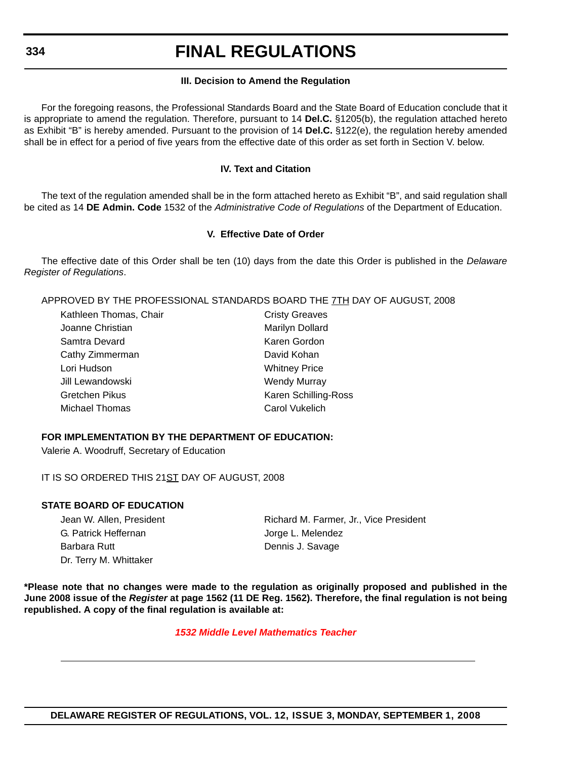#### **III. Decision to Amend the Regulation**

For the foregoing reasons, the Professional Standards Board and the State Board of Education conclude that it is appropriate to amend the regulation. Therefore, pursuant to 14 **Del.C.** §1205(b), the regulation attached hereto as Exhibit "B" is hereby amended. Pursuant to the provision of 14 **Del.C.** §122(e), the regulation hereby amended shall be in effect for a period of five years from the effective date of this order as set forth in Section V. below.

#### **IV. Text and Citation**

The text of the regulation amended shall be in the form attached hereto as Exhibit "B", and said regulation shall be cited as 14 **DE Admin. Code** 1532 of the *Administrative Code of Regulations* of the Department of Education.

#### **V. Effective Date of Order**

The effective date of this Order shall be ten (10) days from the date this Order is published in the *Delaware Register of Regulations*.

APPROVED BY THE PROFESSIONAL STANDARDS BOARD THE 7TH DAY OF AUGUST, 2008

| <b>Cristy Greaves</b> |  |
|-----------------------|--|
| Marilyn Dollard       |  |
| Karen Gordon          |  |
| David Kohan           |  |
| <b>Whitney Price</b>  |  |
| <b>Wendy Murray</b>   |  |
| Karen Schilling-Ross  |  |
| Carol Vukelich        |  |
|                       |  |

#### **FOR IMPLEMENTATION BY THE DEPARTMENT OF EDUCATION:**

Valerie A. Woodruff, Secretary of Education

IT IS SO ORDERED THIS 21ST DAY OF AUGUST, 2008

#### **STATE BOARD OF EDUCATION**

G. Patrick Heffernan and The State State State State State State State State State State State State State State State State State State State State State State State State State State State State State State State State S Barbara Rutt **Dennis J. Savage** Dr. Terry M. Whittaker

Jean W. Allen, President **Richard M. Farmer, Jr., Vice President** 

**\*Please note that no changes were made to the regulation as originally proposed and published in the June 2008 issue of the** *Register* **at page 1562 (11 DE Reg. 1562). Therefore, the final regulation is not being republished. A copy of the final regulation is available at:**

#### *[1532 Middle Level Mathematics Teacher](http://regulations.delaware.gov/register/september2008/final/12 DE Reg 333 09-01-08.htm)*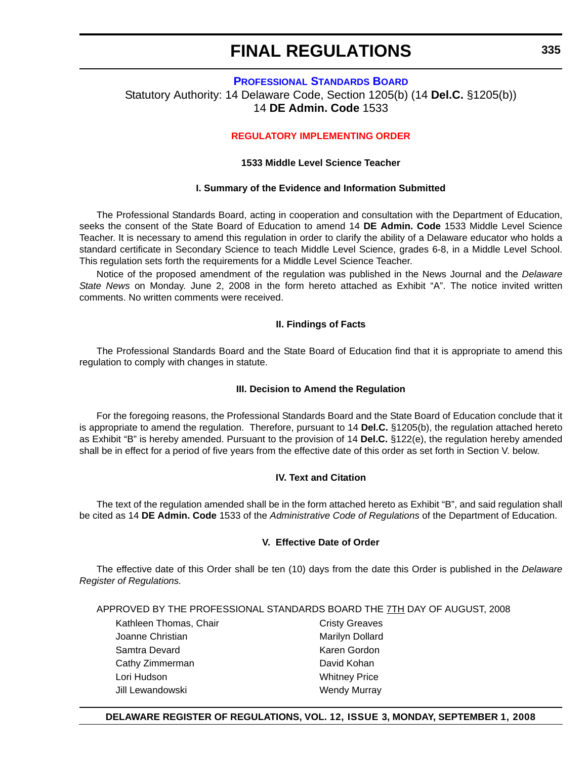### **[PROFESSIONAL STANDARDS BOARD](http://www.doe.k12.de.us/)** Statutory Authority: 14 Delaware Code, Section 1205(b) (14 **Del.C.** §1205(b)) 14 **DE Admin. Code** 1533

#### **[REGULATORY IMPLEMENTING ORDER](#page-4-0)**

#### **1533 Middle Level Science Teacher**

#### **I. Summary of the Evidence and Information Submitted**

The Professional Standards Board, acting in cooperation and consultation with the Department of Education, seeks the consent of the State Board of Education to amend 14 **DE Admin. Code** 1533 Middle Level Science Teacher. It is necessary to amend this regulation in order to clarify the ability of a Delaware educator who holds a standard certificate in Secondary Science to teach Middle Level Science, grades 6-8, in a Middle Level School. This regulation sets forth the requirements for a Middle Level Science Teacher.

Notice of the proposed amendment of the regulation was published in the News Journal and the *Delaware State News* on Monday. June 2, 2008 in the form hereto attached as Exhibit "A". The notice invited written comments. No written comments were received.

#### **II. Findings of Facts**

The Professional Standards Board and the State Board of Education find that it is appropriate to amend this regulation to comply with changes in statute.

#### **III. Decision to Amend the Regulation**

For the foregoing reasons, the Professional Standards Board and the State Board of Education conclude that it is appropriate to amend the regulation. Therefore, pursuant to 14 **Del.C.** §1205(b), the regulation attached hereto as Exhibit "B" is hereby amended. Pursuant to the provision of 14 **Del.C.** §122(e), the regulation hereby amended shall be in effect for a period of five years from the effective date of this order as set forth in Section V. below.

#### **IV. Text and Citation**

The text of the regulation amended shall be in the form attached hereto as Exhibit "B", and said regulation shall be cited as 14 **DE Admin. Code** 1533 of the *Administrative Code of Regulations* of the Department of Education.

### **V. Effective Date of Order**

The effective date of this Order shall be ten (10) days from the date this Order is published in the *Delaware Register of Regulations.*

APPROVED BY THE PROFESSIONAL STANDARDS BOARD THE 7TH DAY OF AUGUST, 2008

Kathleen Thomas, Chair Chair Cristy Greaves Joanne Christian **Marilyn Dollard** Marilyn Dollard Samtra Devard **Karen Gordon** Karen Gordon Cathy Zimmerman David Kohan Lori Hudson Whitney Price Jill Lewandowski **Wendy Murray** 

#### **DELAWARE REGISTER OF REGULATIONS, VOL. 12, ISSUE 3, MONDAY, SEPTEMBER 1, 2008**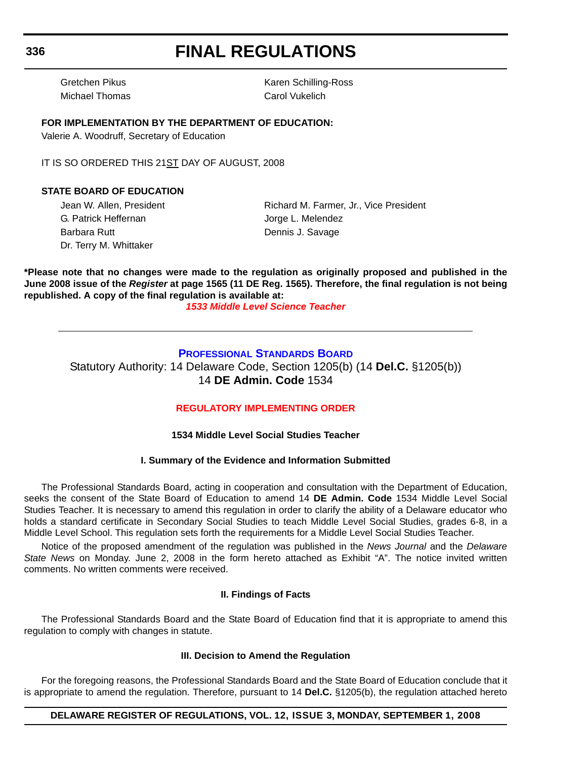Michael Thomas Carol Vukelich

Gretchen Pikus **Karen Schilling-Ross** Karen Schilling-Ross

### **FOR IMPLEMENTATION BY THE DEPARTMENT OF EDUCATION:**

Valerie A. Woodruff, Secretary of Education

IT IS SO ORDERED THIS 21ST DAY OF AUGUST, 2008

### **STATE BOARD OF EDUCATION**

G. Patrick Heffernan and G. Patrick Heffernan Jorge L. Melendez Barbara Rutt **Dennis J. Savage** Dr. Terry M. Whittaker

Jean W. Allen, President **Richard M. Farmer, Jr., Vice President** 

**\*Please note that no changes were made to the regulation as originally proposed and published in the June 2008 issue of the** *Register* **at page 1565 (11 DE Reg. 1565). Therefore, the final regulation is not being republished. A copy of the final regulation is available at:**

*[1533 Middle Level Science Teacher](http://regulations.delaware.gov/register/september2008/final/12 DE Reg 335 09-01-08.htm)*

## **[PROFESSIONAL STANDARDS BOARD](http://www.doe.k12.de.us/)**

Statutory Authority: 14 Delaware Code, Section 1205(b) (14 **Del.C.** §1205(b)) 14 **DE Admin. Code** 1534

## **[REGULATORY IMPLEMENTING ORDER](#page-4-0)**

#### **1534 Middle Level Social Studies Teacher**

#### **I. Summary of the Evidence and Information Submitted**

The Professional Standards Board, acting in cooperation and consultation with the Department of Education, seeks the consent of the State Board of Education to amend 14 **DE Admin. Code** 1534 Middle Level Social Studies Teacher. It is necessary to amend this regulation in order to clarify the ability of a Delaware educator who holds a standard certificate in Secondary Social Studies to teach Middle Level Social Studies, grades 6-8, in a Middle Level School. This regulation sets forth the requirements for a Middle Level Social Studies Teacher.

Notice of the proposed amendment of the regulation was published in the *News Journal* and the *Delaware State News* on Monday. June 2, 2008 in the form hereto attached as Exhibit "A". The notice invited written comments. No written comments were received.

#### **II. Findings of Facts**

The Professional Standards Board and the State Board of Education find that it is appropriate to amend this regulation to comply with changes in statute.

#### **III. Decision to Amend the Regulation**

For the foregoing reasons, the Professional Standards Board and the State Board of Education conclude that it is appropriate to amend the regulation. Therefore, pursuant to 14 **Del.C.** §1205(b), the regulation attached hereto

### **DELAWARE REGISTER OF REGULATIONS, VOL. 12, ISSUE 3, MONDAY, SEPTEMBER 1, 2008**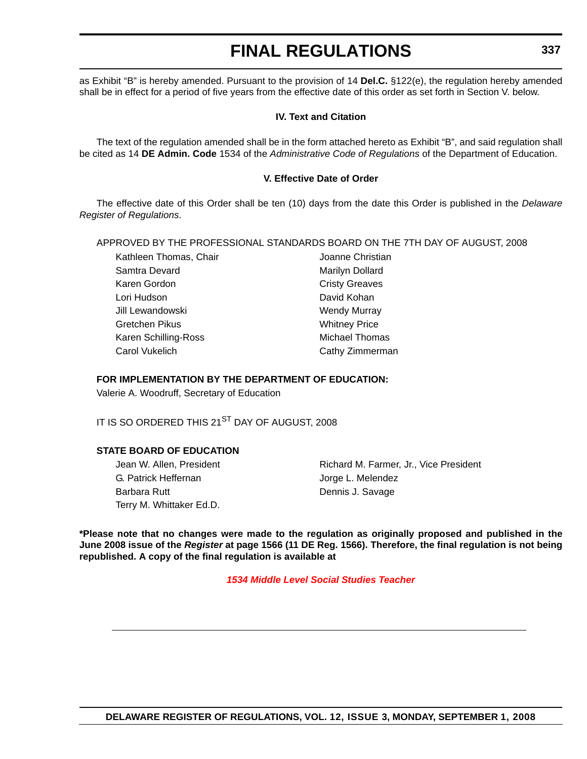as Exhibit "B" is hereby amended. Pursuant to the provision of 14 **Del.C.** §122(e), the regulation hereby amended shall be in effect for a period of five years from the effective date of this order as set forth in Section V. below.

#### **IV. Text and Citation**

The text of the regulation amended shall be in the form attached hereto as Exhibit "B", and said regulation shall be cited as 14 **DE Admin. Code** 1534 of the *Administrative Code of Regulations* of the Department of Education.

#### **V. Effective Date of Order**

The effective date of this Order shall be ten (10) days from the date this Order is published in the *Delaware Register of Regulations*.

#### APPROVED BY THE PROFESSIONAL STANDARDS BOARD ON THE 7TH DAY OF AUGUST, 2008

Kathleen Thomas, Chair **International Chair** Joanne Christian Samtra Devard **Marilyn Dollard** Marilyn Dollard Karen Gordon **Cristy Greaves** Lori Hudson **David Kohan** Jill Lewandowski **Wendy Murray** Gretchen Pikus **Whitney Price** Karen Schilling-Ross Michael Thomas Carol Vukelich Carol Vukelich Cathy Zimmerman

#### **FOR IMPLEMENTATION BY THE DEPARTMENT OF EDUCATION:**

Valerie A. Woodruff, Secretary of Education

IT IS SO ORDERED THIS 21<sup>ST</sup> DAY OF AUGUST, 2008

#### **STATE BOARD OF EDUCATION**

G. Patrick Heffernan and The South States Jorge L. Melendez Barbara Rutt **Dennis J. Savage** Terry M. Whittaker Ed.D.

Jean W. Allen, President **Richard M. Farmer, Jr., Vice President** 

**\*Please note that no changes were made to the regulation as originally proposed and published in the June 2008 issue of the** *Register* **at page 1566 (11 DE Reg. 1566). Therefore, the final regulation is not being republished. A copy of the final regulation is available at**

*[1534 Middle Level Social Studies Teacher](http://regulations.delaware.gov/register/september2008/final/12 DE Reg 336 09-01-08.htm)*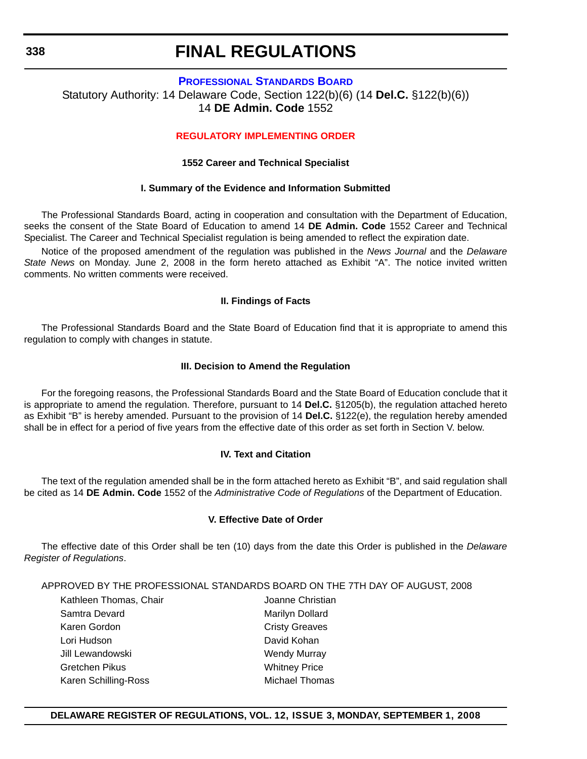# **[PROFESSIONAL STANDARDS BOARD](http://www.doe.k12.de.us/)** Statutory Authority: 14 Delaware Code, Section 122(b)(6) (14 **Del.C.** §122(b)(6))

## 14 **DE Admin. Code** 1552

### **[REGULATORY IMPLEMENTING ORDER](#page-4-0)**

### **1552 Career and Technical Specialist**

### **I. Summary of the Evidence and Information Submitted**

The Professional Standards Board, acting in cooperation and consultation with the Department of Education, seeks the consent of the State Board of Education to amend 14 **DE Admin. Code** 1552 Career and Technical Specialist. The Career and Technical Specialist regulation is being amended to reflect the expiration date.

Notice of the proposed amendment of the regulation was published in the *News Journal* and the *Delaware State News* on Monday. June 2, 2008 in the form hereto attached as Exhibit "A". The notice invited written comments. No written comments were received.

#### **II. Findings of Facts**

The Professional Standards Board and the State Board of Education find that it is appropriate to amend this regulation to comply with changes in statute.

#### **III. Decision to Amend the Regulation**

For the foregoing reasons, the Professional Standards Board and the State Board of Education conclude that it is appropriate to amend the regulation. Therefore, pursuant to 14 **Del.C.** §1205(b), the regulation attached hereto as Exhibit "B" is hereby amended. Pursuant to the provision of 14 **Del.C.** §122(e), the regulation hereby amended shall be in effect for a period of five years from the effective date of this order as set forth in Section V. below.

#### **IV. Text and Citation**

The text of the regulation amended shall be in the form attached hereto as Exhibit "B", and said regulation shall be cited as 14 **DE Admin. Code** 1552 of the *Administrative Code of Regulations* of the Department of Education.

#### **V. Effective Date of Order**

The effective date of this Order shall be ten (10) days from the date this Order is published in the *Delaware Register of Regulations*.

APPROVED BY THE PROFESSIONAL STANDARDS BOARD ON THE 7TH DAY OF AUGUST, 2008

Kathleen Thomas, Chair **Mathleen Thomas**, Chair Samtra Devard **Marilyn Dollard** Marilyn Dollard Karen Gordon **Cristy Greaves** Lori Hudson **David Kohan** Jill Lewandowski **Wendy Murray** Gretchen Pikus **Whitney Price** Karen Schilling-Ross Michael Thomas

## **DELAWARE REGISTER OF REGULATIONS, VOL. 12, ISSUE 3, MONDAY, SEPTEMBER 1, 2008**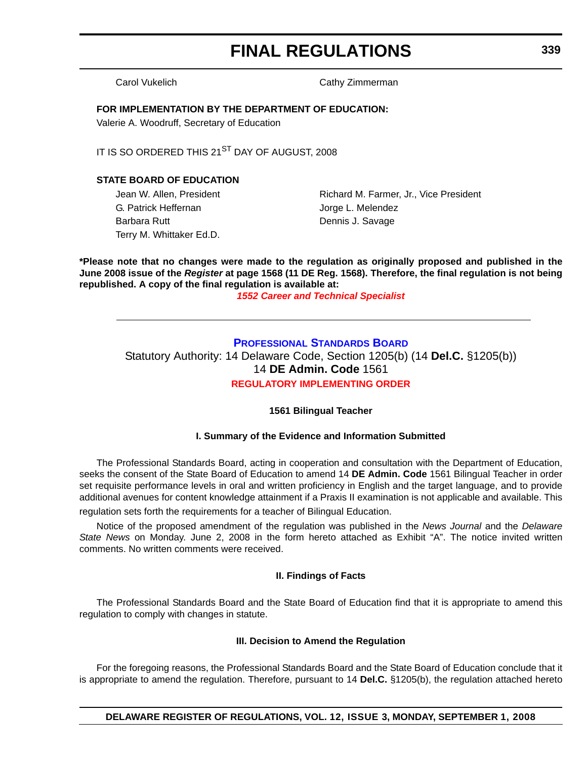Carol Vukelich Carol Vukelich Cathy Zimmerman

#### **FOR IMPLEMENTATION BY THE DEPARTMENT OF EDUCATION:**

Valerie A. Woodruff, Secretary of Education

IT IS SO ORDERED THIS 21<sup>ST</sup> DAY OF AUGUST, 2008

## **STATE BOARD OF EDUCATION**

G. Patrick Heffernan and The State State State State State State State State State State State State State State State State State State State State State State State State State State State State State State State State S Barbara Rutt **Dennis J. Savage** Terry M. Whittaker Ed.D.

Jean W. Allen, President **Richard M. Farmer, Jr., Vice President** 

**\*Please note that no changes were made to the regulation as originally proposed and published in the June 2008 issue of the** *Register* **at page 1568 (11 DE Reg. 1568). Therefore, the final regulation is not being republished. A copy of the final regulation is available at:**

*[1552 Career and Technical Specialist](http://regulations.delaware.gov/register/september2008/final/12 DE Reg 338 09-01-08.htm)*

## **[PROFESSIONAL STANDARDS BOARD](http://www.doe.k12.de.us/)**

Statutory Authority: 14 Delaware Code, Section 1205(b) (14 **Del.C.** §1205(b)) 14 **DE Admin. Code** 1561 **[REGULATORY IMPLEMENTING ORDER](#page-4-0)**

#### **1561 Bilingual Teacher**

#### **I. Summary of the Evidence and Information Submitted**

The Professional Standards Board, acting in cooperation and consultation with the Department of Education, seeks the consent of the State Board of Education to amend 14 **DE Admin. Code** 1561 Bilingual Teacher in order set requisite performance levels in oral and written proficiency in English and the target language, and to provide additional avenues for content knowledge attainment if a Praxis II examination is not applicable and available. This

regulation sets forth the requirements for a teacher of Bilingual Education.

Notice of the proposed amendment of the regulation was published in the *News Journal* and the *Delaware State News* on Monday. June 2, 2008 in the form hereto attached as Exhibit "A". The notice invited written comments. No written comments were received.

#### **II. Findings of Facts**

The Professional Standards Board and the State Board of Education find that it is appropriate to amend this regulation to comply with changes in statute.

#### **III. Decision to Amend the Regulation**

For the foregoing reasons, the Professional Standards Board and the State Board of Education conclude that it is appropriate to amend the regulation. Therefore, pursuant to 14 **Del.C.** §1205(b), the regulation attached hereto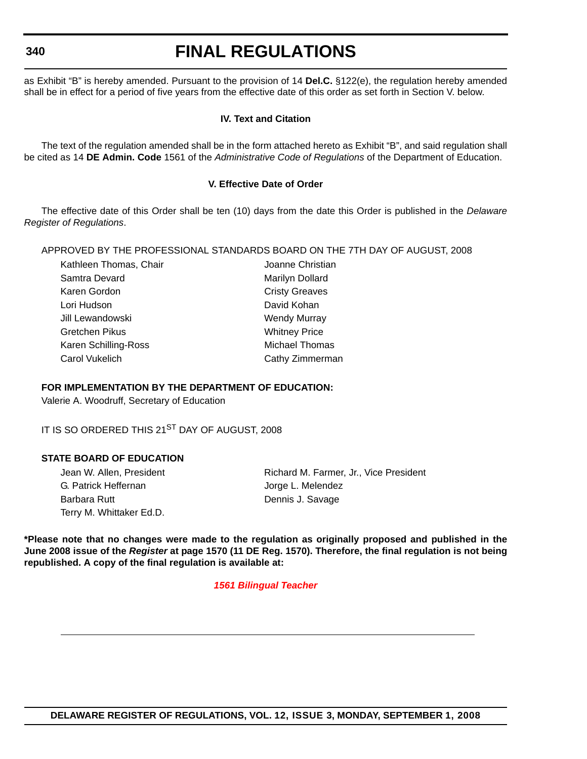**340**

# **FINAL REGULATIONS**

as Exhibit "B" is hereby amended. Pursuant to the provision of 14 **Del.C.** §122(e), the regulation hereby amended shall be in effect for a period of five years from the effective date of this order as set forth in Section V. below.

#### **IV. Text and Citation**

The text of the regulation amended shall be in the form attached hereto as Exhibit "B", and said regulation shall be cited as 14 **DE Admin. Code** 1561 of the *Administrative Code of Regulations* of the Department of Education.

### **V. Effective Date of Order**

The effective date of this Order shall be ten (10) days from the date this Order is published in the *Delaware Register of Regulations*.

APPROVED BY THE PROFESSIONAL STANDARDS BOARD ON THE 7TH DAY OF AUGUST, 2008

| Kathleen Thomas, Chair | Joanne Christian      |  |
|------------------------|-----------------------|--|
| Samtra Devard          | Marilyn Dollard       |  |
| Karen Gordon           | <b>Cristy Greaves</b> |  |
| Lori Hudson            | David Kohan           |  |
| Jill Lewandowski       | <b>Wendy Murray</b>   |  |
| Gretchen Pikus         | <b>Whitney Price</b>  |  |
| Karen Schilling-Ross   | Michael Thomas        |  |
| Carol Vukelich         | Cathy Zimmerman       |  |
|                        |                       |  |

#### **FOR IMPLEMENTATION BY THE DEPARTMENT OF EDUCATION:**

Valerie A. Woodruff, Secretary of Education

IT IS SO ORDERED THIS 21<sup>ST</sup> DAY OF AUGUST, 2008

#### **STATE BOARD OF EDUCATION**

G. Patrick Heffernan and The State State State State State State State State State State State State State State State State State State State State State State State State State State State State State State State State S Barbara Rutt **Dennis J. Savage** Terry M. Whittaker Ed.D.

Jean W. Allen, President **Richard M. Farmer, Jr., Vice President** 

**\*Please note that no changes were made to the regulation as originally proposed and published in the June 2008 issue of the** *Register* **at page 1570 (11 DE Reg. 1570). Therefore, the final regulation is not being republished. A copy of the final regulation is available at:**

*[1561 Bilingual Teacher](http://regulations.delaware.gov/register/september2008/final/12 DE Reg 339 09-01-08.htm)*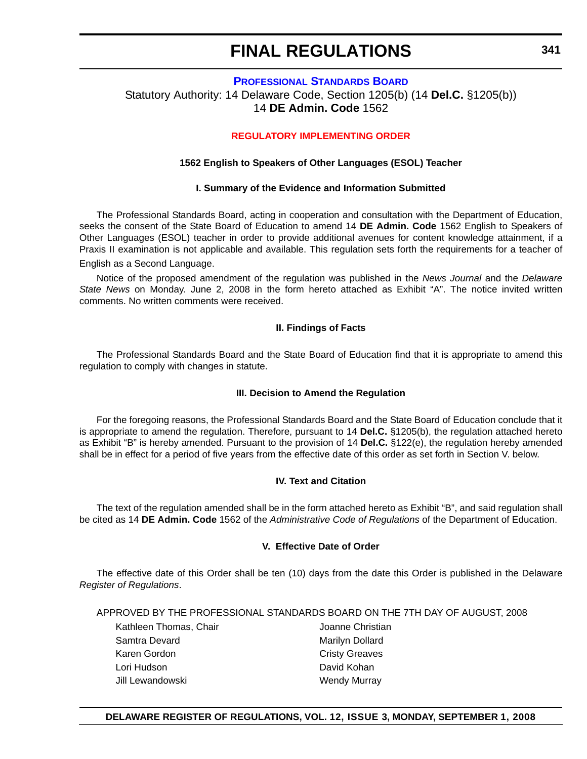#### **[PROFESSIONAL STANDARDS BOARD](http://www.doe.k12.de.us/)** Statutory Authority: 14 Delaware Code, Section 1205(b) (14 **Del.C.** §1205(b)) 14 **DE Admin. Code** 1562

### **[REGULATORY IMPLEMENTING ORDER](#page-4-0)**

#### **1562 English to Speakers of Other Languages (ESOL) Teacher**

#### **I. Summary of the Evidence and Information Submitted**

The Professional Standards Board, acting in cooperation and consultation with the Department of Education, seeks the consent of the State Board of Education to amend 14 **DE Admin. Code** 1562 English to Speakers of Other Languages (ESOL) teacher in order to provide additional avenues for content knowledge attainment, if a Praxis II examination is not applicable and available. This regulation sets forth the requirements for a teacher of English as a Second Language.

Notice of the proposed amendment of the regulation was published in the *News Journal* and the *Delaware State News* on Monday. June 2, 2008 in the form hereto attached as Exhibit "A". The notice invited written comments. No written comments were received.

#### **II. Findings of Facts**

The Professional Standards Board and the State Board of Education find that it is appropriate to amend this regulation to comply with changes in statute.

#### **III. Decision to Amend the Regulation**

For the foregoing reasons, the Professional Standards Board and the State Board of Education conclude that it is appropriate to amend the regulation. Therefore, pursuant to 14 **Del.C.** §1205(b), the regulation attached hereto as Exhibit "B" is hereby amended. Pursuant to the provision of 14 **Del.C.** §122(e), the regulation hereby amended shall be in effect for a period of five years from the effective date of this order as set forth in Section V. below.

#### **IV. Text and Citation**

The text of the regulation amended shall be in the form attached hereto as Exhibit "B", and said regulation shall be cited as 14 **DE Admin. Code** 1562 of the *Administrative Code of Regulations* of the Department of Education.

#### **V. Effective Date of Order**

The effective date of this Order shall be ten (10) days from the date this Order is published in the Delaware *Register of Regulations*.

APPROVED BY THE PROFESSIONAL STANDARDS BOARD ON THE 7TH DAY OF AUGUST, 2008

Kathleen Thomas, Chair **Mathleen Thomas**, Chair Samtra Devard **Marilyn Dollard** Marilyn Dollard Karen Gordon **Cristy Greaves** Lori Hudson David Kohan Jill Lewandowski **Wendy Murray** 

#### **DELAWARE REGISTER OF REGULATIONS, VOL. 12, ISSUE 3, MONDAY, SEPTEMBER 1, 2008**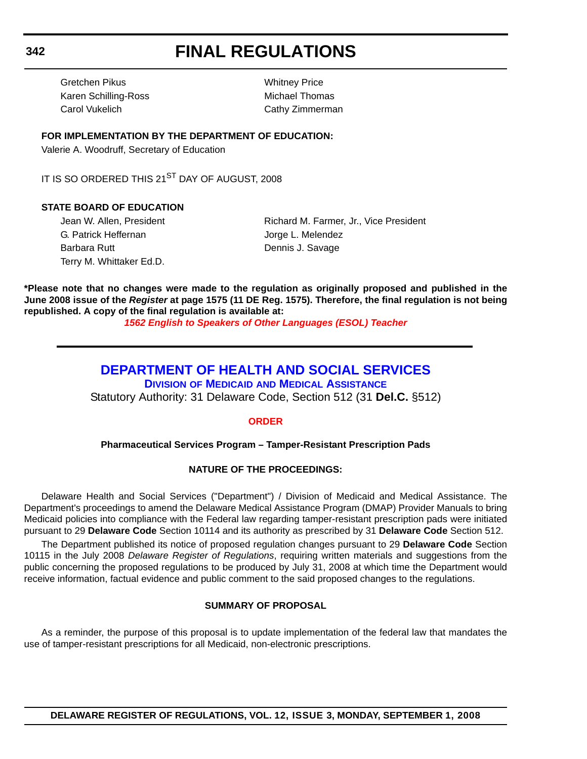Gretchen Pikus Whitney Price Karen Schilling-Ross Michael Thomas Carol Vukelich Cathy Zimmerman

#### **FOR IMPLEMENTATION BY THE DEPARTMENT OF EDUCATION:**

Valerie A. Woodruff, Secretary of Education

IT IS SO ORDERED THIS 21<sup>ST</sup> DAY OF AUGUST, 2008

#### **STATE BOARD OF EDUCATION**

G. Patrick Heffernan and G. Patrick Heffernan Jorge L. Melendez Barbara Rutt **Dennis J. Savage** Terry M. Whittaker Ed.D.

Jean W. Allen, President **Richard M. Farmer, Jr., Vice President** 

**\*Please note that no changes were made to the regulation as originally proposed and published in the June 2008 issue of the** *Register* **at page 1575 (11 DE Reg. 1575). Therefore, the final regulation is not being republished. A copy of the final regulation is available at:**

*[1562 English to Speakers of Other Languages \(ESOL\) Teacher](http://regulations.delaware.gov/register/september2008/final/12 DE Reg 341 09-01-08.htm)*

# **[DEPARTMENT OF HEALTH AND SOCIAL SERVICES](http://www.dhss.delaware.gov/dhss/index.html)**

**DIVISION OF MEDICAID [AND MEDICAL ASSISTANCE](http://www.dhss.delaware.gov/dhss/dmma/)**

Statutory Authority: 31 Delaware Code, Section 512 (31 **Del.C.** §512)

#### **[ORDER](#page-4-0)**

#### **Pharmaceutical Services Program – Tamper-Resistant Prescription Pads**

#### **NATURE OF THE PROCEEDINGS:**

Delaware Health and Social Services ("Department") / Division of Medicaid and Medical Assistance. The Department's proceedings to amend the Delaware Medical Assistance Program (DMAP) Provider Manuals to bring Medicaid policies into compliance with the Federal law regarding tamper-resistant prescription pads were initiated pursuant to 29 **Delaware Code** Section 10114 and its authority as prescribed by 31 **Delaware Code** Section 512.

The Department published its notice of proposed regulation changes pursuant to 29 **Delaware Code** Section 10115 in the July 2008 *Delaware Register of Regulations*, requiring written materials and suggestions from the public concerning the proposed regulations to be produced by July 31, 2008 at which time the Department would receive information, factual evidence and public comment to the said proposed changes to the regulations.

#### **SUMMARY OF PROPOSAL**

As a reminder, the purpose of this proposal is to update implementation of the federal law that mandates the use of tamper-resistant prescriptions for all Medicaid, non-electronic prescriptions.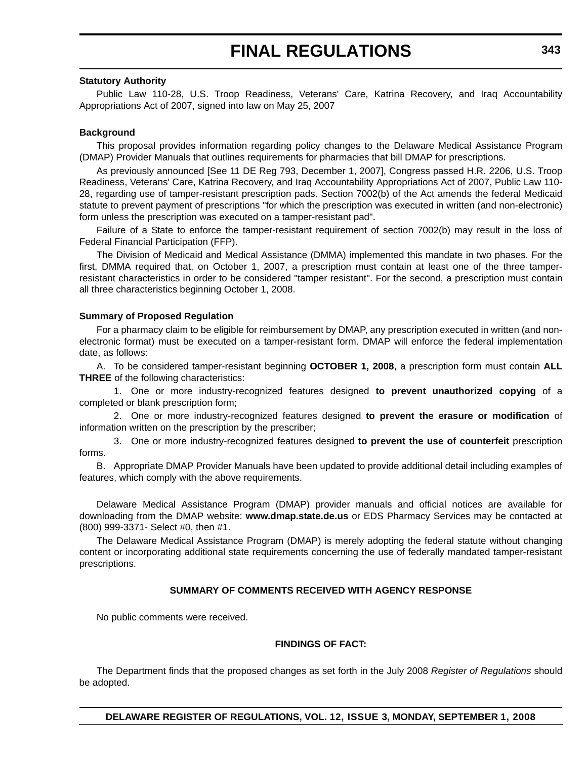#### **Statutory Authority**

Public Law 110-28, U.S. Troop Readiness, Veterans' Care, Katrina Recovery, and Iraq Accountability Appropriations Act of 2007, signed into law on May 25, 2007

#### **Background**

This proposal provides information regarding policy changes to the Delaware Medical Assistance Program (DMAP) Provider Manuals that outlines requirements for pharmacies that bill DMAP for prescriptions.

As previously announced [See 11 DE Reg 793, December 1, 2007], Congress passed H.R. 2206, U.S. Troop Readiness, Veterans' Care, Katrina Recovery, and Iraq Accountability Appropriations Act of 2007, Public Law 110- 28, regarding use of tamper-resistant prescription pads. Section 7002(b) of the Act amends the federal Medicaid statute to prevent payment of prescriptions "for which the prescription was executed in written (and non-electronic) form unless the prescription was executed on a tamper-resistant pad".

Failure of a State to enforce the tamper-resistant requirement of section 7002(b) may result in the loss of Federal Financial Participation (FFP).

The Division of Medicaid and Medical Assistance (DMMA) implemented this mandate in two phases. For the first, DMMA required that, on October 1, 2007, a prescription must contain at least one of the three tamperresistant characteristics in order to be considered "tamper resistant". For the second, a prescription must contain all three characteristics beginning October 1, 2008.

#### **Summary of Proposed Regulation**

For a pharmacy claim to be eligible for reimbursement by DMAP, any prescription executed in written (and nonelectronic format) must be executed on a tamper-resistant form. DMAP will enforce the federal implementation date, as follows:

A. To be considered tamper-resistant beginning **OCTOBER 1, 2008**, a prescription form must contain **ALL THREE** of the following characteristics:

1. One or more industry-recognized features designed **to prevent unauthorized copying** of a completed or blank prescription form;

2. One or more industry-recognized features designed **to prevent the erasure or modification** of information written on the prescription by the prescriber;

3. One or more industry-recognized features designed **to prevent the use of counterfeit** prescription forms.

B. Appropriate DMAP Provider Manuals have been updated to provide additional detail including examples of features, which comply with the above requirements.

Delaware Medical Assistance Program (DMAP) provider manuals and official notices are available for downloading from the DMAP website: **www.dmap.state.de.us** or EDS Pharmacy Services may be contacted at (800) 999-3371- Select #0, then #1.

The Delaware Medical Assistance Program (DMAP) is merely adopting the federal statute without changing content or incorporating additional state requirements concerning the use of federally mandated tamper-resistant prescriptions.

#### **SUMMARY OF COMMENTS RECEIVED WITH AGENCY RESPONSE**

No public comments were received.

#### **FINDINGS OF FACT:**

The Department finds that the proposed changes as set forth in the July 2008 *Register of Regulations* should be adopted.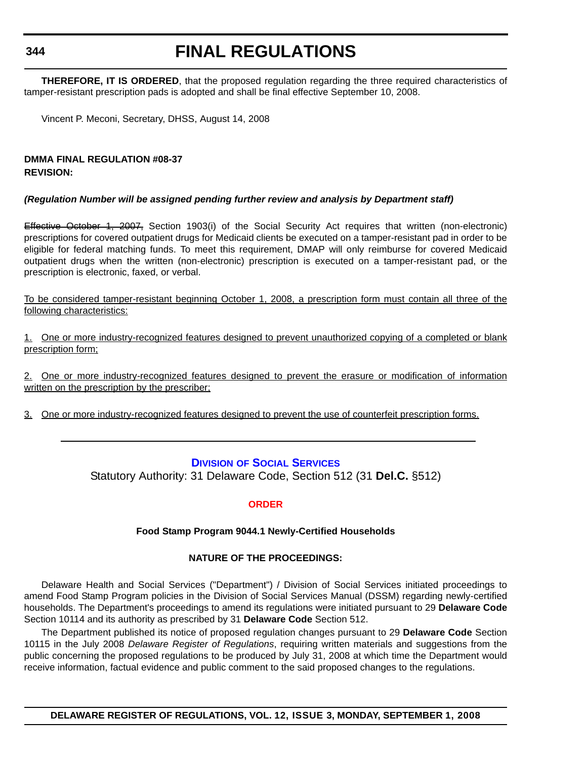**344**

# **FINAL REGULATIONS**

**THEREFORE, IT IS ORDERED**, that the proposed regulation regarding the three required characteristics of tamper-resistant prescription pads is adopted and shall be final effective September 10, 2008.

Vincent P. Meconi, Secretary, DHSS, August 14, 2008

## **DMMA FINAL REGULATION #08-37 REVISION:**

## *(Regulation Number will be assigned pending further review and analysis by Department staff)*

Effective October 1, 2007, Section 1903(i) of the Social Security Act requires that written (non-electronic) prescriptions for covered outpatient drugs for Medicaid clients be executed on a tamper-resistant pad in order to be eligible for federal matching funds. To meet this requirement, DMAP will only reimburse for covered Medicaid outpatient drugs when the written (non-electronic) prescription is executed on a tamper-resistant pad, or the prescription is electronic, faxed, or verbal.

To be considered tamper-resistant beginning October 1, 2008, a prescription form must contain all three of the following characteristics:

1. One or more industry-recognized features designed to prevent unauthorized copying of a completed or blank prescription form;

2. One or more industry-recognized features designed to prevent the erasure or modification of information written on the prescription by the prescriber;

3. One or more industry-recognized features designed to prevent the use of counterfeit prescription forms.

## **DIVISION [OF SOCIAL SERVICES](http://www.dhss.delaware.gov/dhss/dmma/)**

Statutory Authority: 31 Delaware Code, Section 512 (31 **Del.C.** §512)

## **[ORDER](#page-4-0)**

## **Food Stamp Program 9044.1 Newly-Certified Households**

## **NATURE OF THE PROCEEDINGS:**

Delaware Health and Social Services ("Department") / Division of Social Services initiated proceedings to amend Food Stamp Program policies in the Division of Social Services Manual (DSSM) regarding newly-certified households. The Department's proceedings to amend its regulations were initiated pursuant to 29 **Delaware Code** Section 10114 and its authority as prescribed by 31 **Delaware Code** Section 512.

The Department published its notice of proposed regulation changes pursuant to 29 **Delaware Code** Section 10115 in the July 2008 *Delaware Register of Regulations*, requiring written materials and suggestions from the public concerning the proposed regulations to be produced by July 31, 2008 at which time the Department would receive information, factual evidence and public comment to the said proposed changes to the regulations.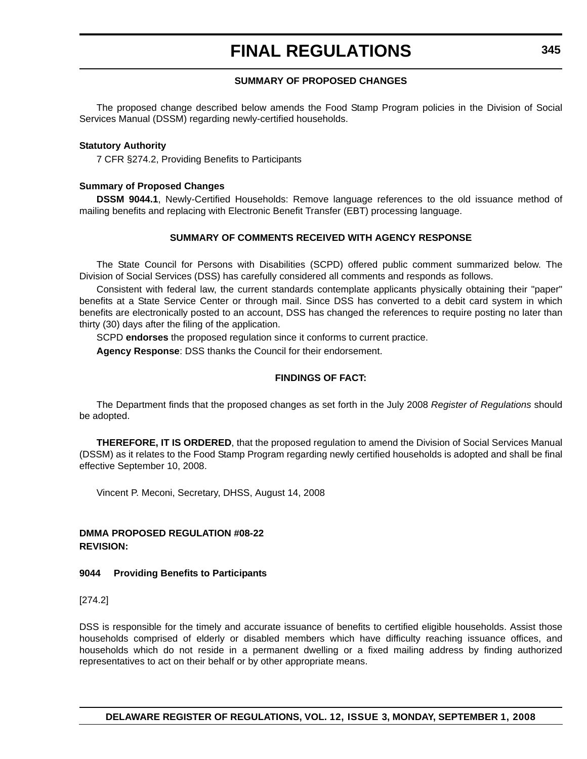#### **SUMMARY OF PROPOSED CHANGES**

The proposed change described below amends the Food Stamp Program policies in the Division of Social Services Manual (DSSM) regarding newly-certified households.

#### **Statutory Authority**

7 CFR §274.2, Providing Benefits to Participants

#### **Summary of Proposed Changes**

**DSSM 9044.1**, Newly-Certified Households: Remove language references to the old issuance method of mailing benefits and replacing with Electronic Benefit Transfer (EBT) processing language.

#### **SUMMARY OF COMMENTS RECEIVED WITH AGENCY RESPONSE**

The State Council for Persons with Disabilities (SCPD) offered public comment summarized below. The Division of Social Services (DSS) has carefully considered all comments and responds as follows.

Consistent with federal law, the current standards contemplate applicants physically obtaining their "paper" benefits at a State Service Center or through mail. Since DSS has converted to a debit card system in which benefits are electronically posted to an account, DSS has changed the references to require posting no later than thirty (30) days after the filing of the application.

SCPD **endorses** the proposed regulation since it conforms to current practice.

**Agency Response**: DSS thanks the Council for their endorsement.

#### **FINDINGS OF FACT:**

The Department finds that the proposed changes as set forth in the July 2008 *Register of Regulations* should be adopted.

**THEREFORE, IT IS ORDERED**, that the proposed regulation to amend the Division of Social Services Manual (DSSM) as it relates to the Food Stamp Program regarding newly certified households is adopted and shall be final effective September 10, 2008.

Vincent P. Meconi, Secretary, DHSS, August 14, 2008

### **DMMA PROPOSED REGULATION #08-22 REVISION:**

#### **9044 Providing Benefits to Participants**

[274.2]

DSS is responsible for the timely and accurate issuance of benefits to certified eligible households. Assist those households comprised of elderly or disabled members which have difficulty reaching issuance offices, and households which do not reside in a permanent dwelling or a fixed mailing address by finding authorized representatives to act on their behalf or by other appropriate means.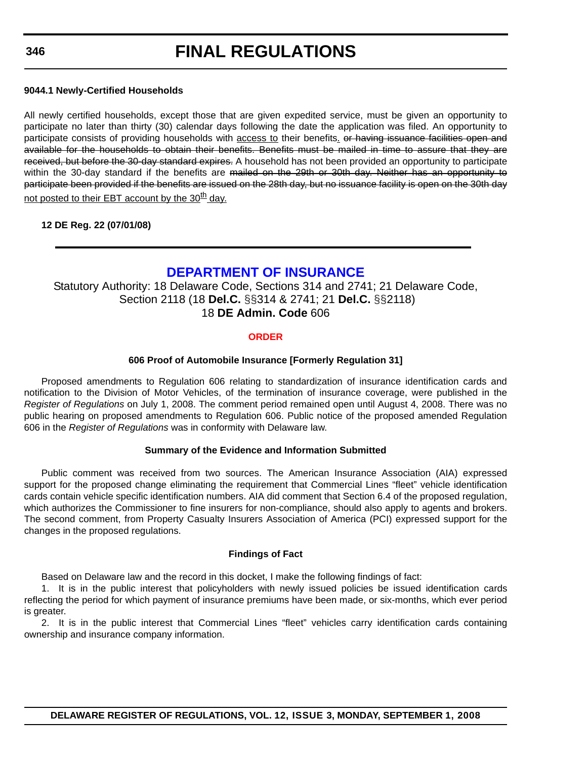#### **9044.1 Newly-Certified Households**

All newly certified households, except those that are given expedited service, must be given an opportunity to participate no later than thirty (30) calendar days following the date the application was filed. An opportunity to participate consists of providing households with access to their benefits. or having issuance facilities open and available for the households to obtain their benefits. Benefits must be mailed in time to assure that they are received, but before the 30-day standard expires. A household has not been provided an opportunity to participate within the 30-day standard if the benefits are mailed on the 29th or 30th day. Neither has an opportunity to participate been provided if the benefits are issued on the 28th day, but no issuance facility is open on the 30th day not posted to their EBT account by the  $30<sup>th</sup>$  day.

#### **12 DE Reg. 22 (07/01/08)**

# **[DEPARTMENT OF INSURANCE](http://www.delawareinsurance.gov/)**

Statutory Authority: 18 Delaware Code, Sections 314 and 2741; 21 Delaware Code, Section 2118 (18 **Del.C.** §§314 & 2741; 21 **Del.C.** §§2118) 18 **DE Admin. Code** 606

### **[ORDER](#page-4-0)**

#### **606 Proof of Automobile Insurance [Formerly Regulation 31]**

 Proposed amendments to Regulation 606 relating to standardization of insurance identification cards and notification to the Division of Motor Vehicles, of the termination of insurance coverage, were published in the *Register of Regulations* on July 1, 2008. The comment period remained open until August 4, 2008. There was no public hearing on proposed amendments to Regulation 606. Public notice of the proposed amended Regulation 606 in the *Register of Regulations* was in conformity with Delaware law.

#### **Summary of the Evidence and Information Submitted**

Public comment was received from two sources. The American Insurance Association (AIA) expressed support for the proposed change eliminating the requirement that Commercial Lines "fleet" vehicle identification cards contain vehicle specific identification numbers. AIA did comment that Section 6.4 of the proposed regulation, which authorizes the Commissioner to fine insurers for non-compliance, should also apply to agents and brokers. The second comment, from Property Casualty Insurers Association of America (PCI) expressed support for the changes in the proposed regulations.

#### **Findings of Fact**

Based on Delaware law and the record in this docket, I make the following findings of fact:

1. It is in the public interest that policyholders with newly issued policies be issued identification cards reflecting the period for which payment of insurance premiums have been made, or six-months, which ever period is greater.

2. It is in the public interest that Commercial Lines "fleet" vehicles carry identification cards containing ownership and insurance company information.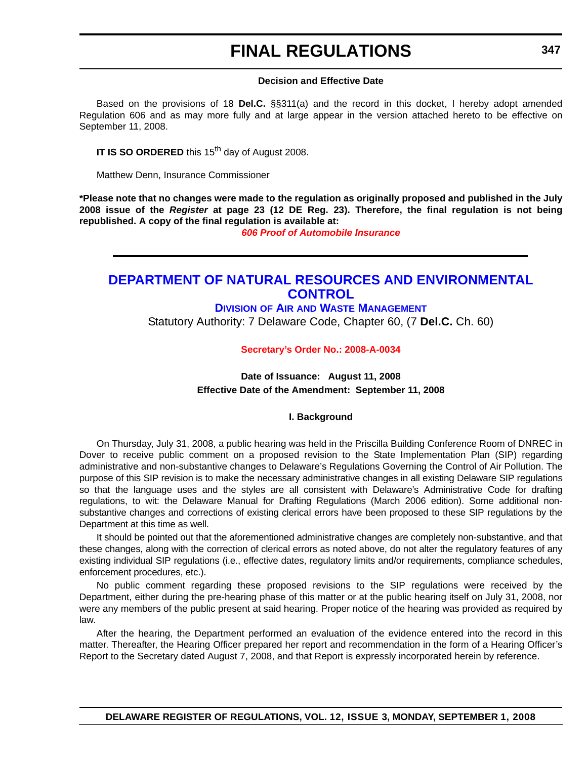#### **Decision and Effective Date**

Based on the provisions of 18 **Del.C.** §§311(a) and the record in this docket, I hereby adopt amended Regulation 606 and as may more fully and at large appear in the version attached hereto to be effective on September 11, 2008.

**IT IS SO ORDERED** this 15<sup>th</sup> day of August 2008.

Matthew Denn, Insurance Commissioner

**\*Please note that no changes were made to the regulation as originally proposed and published in the July 2008 issue of the** *Register* **at page 23 (12 DE Reg. 23). Therefore, the final regulation is not being republished. A copy of the final regulation is available at:**

*[606 Proof of Automobile Insurance](http://regulations.delaware.gov/register/september2008/final/12 DE Reg 346 09-01-08.htm)*

# **[DEPARTMENT OF NATURAL RESOURCES AND ENVIRONMENTAL](http://www.awm.delaware.gov/)  CONTROL**

### **DIVISION OF AIR [AND WASTE MANAGEMENT](http://www.awm.delaware.gov/)**

Statutory Authority: 7 Delaware Code, Chapter 60, (7 **Del.C.** Ch. 60)

#### **[Secretary's Order No.: 2008-A-0034](#page-4-0)**

## **Date of Issuance: August 11, 2008 Effective Date of the Amendment: September 11, 2008**

#### **I. Background**

On Thursday, July 31, 2008, a public hearing was held in the Priscilla Building Conference Room of DNREC in Dover to receive public comment on a proposed revision to the State Implementation Plan (SIP) regarding administrative and non-substantive changes to Delaware's Regulations Governing the Control of Air Pollution. The purpose of this SIP revision is to make the necessary administrative changes in all existing Delaware SIP regulations so that the language uses and the styles are all consistent with Delaware's Administrative Code for drafting regulations, to wit: the Delaware Manual for Drafting Regulations (March 2006 edition). Some additional nonsubstantive changes and corrections of existing clerical errors have been proposed to these SIP regulations by the Department at this time as well.

It should be pointed out that the aforementioned administrative changes are completely non-substantive, and that these changes, along with the correction of clerical errors as noted above, do not alter the regulatory features of any existing individual SIP regulations (i.e., effective dates, regulatory limits and/or requirements, compliance schedules, enforcement procedures, etc.).

No public comment regarding these proposed revisions to the SIP regulations were received by the Department, either during the pre-hearing phase of this matter or at the public hearing itself on July 31, 2008, nor were any members of the public present at said hearing. Proper notice of the hearing was provided as required by law.

After the hearing, the Department performed an evaluation of the evidence entered into the record in this matter. Thereafter, the Hearing Officer prepared her report and recommendation in the form of a Hearing Officer's Report to the Secretary dated August 7, 2008, and that Report is expressly incorporated herein by reference.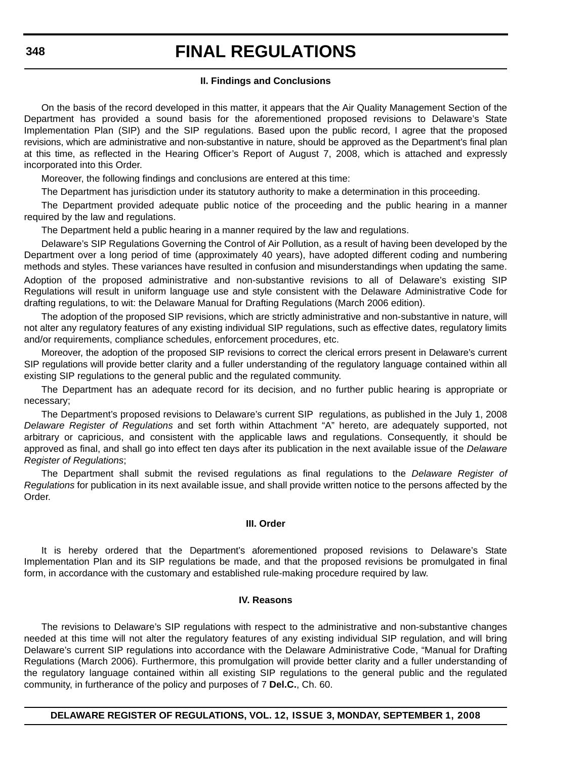#### **II. Findings and Conclusions**

On the basis of the record developed in this matter, it appears that the Air Quality Management Section of the Department has provided a sound basis for the aforementioned proposed revisions to Delaware's State Implementation Plan (SIP) and the SIP regulations. Based upon the public record, I agree that the proposed revisions, which are administrative and non-substantive in nature, should be approved as the Department's final plan at this time, as reflected in the Hearing Officer's Report of August 7, 2008, which is attached and expressly incorporated into this Order.

Moreover, the following findings and conclusions are entered at this time:

The Department has jurisdiction under its statutory authority to make a determination in this proceeding.

The Department provided adequate public notice of the proceeding and the public hearing in a manner required by the law and regulations.

The Department held a public hearing in a manner required by the law and regulations.

Delaware's SIP Regulations Governing the Control of Air Pollution, as a result of having been developed by the Department over a long period of time (approximately 40 years), have adopted different coding and numbering methods and styles. These variances have resulted in confusion and misunderstandings when updating the same. Adoption of the proposed administrative and non-substantive revisions to all of Delaware's existing SIP Regulations will result in uniform language use and style consistent with the Delaware Administrative Code for drafting regulations, to wit: the Delaware Manual for Drafting Regulations (March 2006 edition).

The adoption of the proposed SIP revisions, which are strictly administrative and non-substantive in nature, will not alter any regulatory features of any existing individual SIP regulations, such as effective dates, regulatory limits and/or requirements, compliance schedules, enforcement procedures, etc.

Moreover, the adoption of the proposed SIP revisions to correct the clerical errors present in Delaware's current SIP regulations will provide better clarity and a fuller understanding of the regulatory language contained within all existing SIP regulations to the general public and the regulated community.

The Department has an adequate record for its decision, and no further public hearing is appropriate or necessary;

The Department's proposed revisions to Delaware's current SIP regulations, as published in the July 1, 2008 *Delaware Register of Regulations* and set forth within Attachment "A" hereto, are adequately supported, not arbitrary or capricious, and consistent with the applicable laws and regulations. Consequently, it should be approved as final, and shall go into effect ten days after its publication in the next available issue of the *Delaware Register of Regulations*;

The Department shall submit the revised regulations as final regulations to the *Delaware Register of Regulations* for publication in its next available issue, and shall provide written notice to the persons affected by the Order.

#### **III. Order**

It is hereby ordered that the Department's aforementioned proposed revisions to Delaware's State Implementation Plan and its SIP regulations be made, and that the proposed revisions be promulgated in final form, in accordance with the customary and established rule-making procedure required by law.

### **IV. Reasons**

The revisions to Delaware's SIP regulations with respect to the administrative and non-substantive changes needed at this time will not alter the regulatory features of any existing individual SIP regulation, and will bring Delaware's current SIP regulations into accordance with the Delaware Administrative Code, "Manual for Drafting Regulations (March 2006). Furthermore, this promulgation will provide better clarity and a fuller understanding of the regulatory language contained within all existing SIP regulations to the general public and the regulated community, in furtherance of the policy and purposes of 7 **Del.C.**, Ch. 60.

**DELAWARE REGISTER OF REGULATIONS, VOL. 12, ISSUE 3, MONDAY, SEPTEMBER 1, 2008**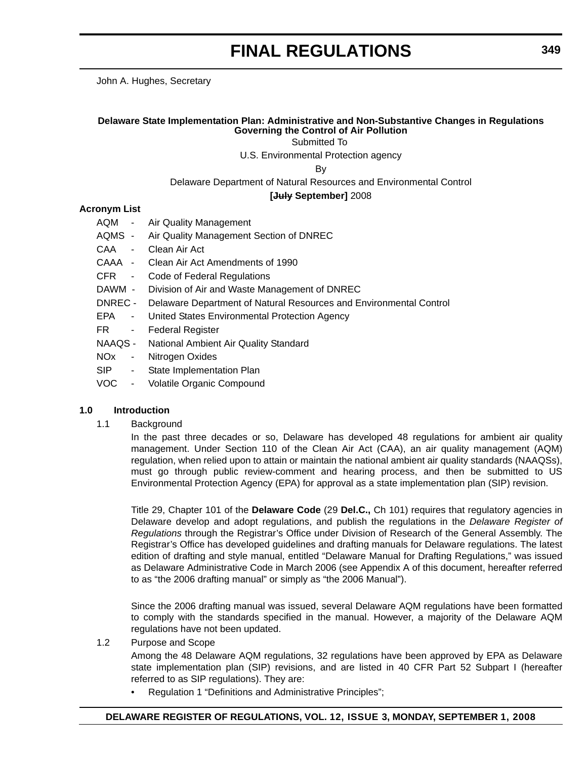John A. Hughes, Secretary

#### **Delaware State Implementation Plan: Administrative and Non-Substantive Changes in Regulations Governing the Control of Air Pollution**

Submitted To

U.S. Environmental Protection agency

By

Delaware Department of Natural Resources and Environmental Control

**[July September]** 2008

#### **Acronym List**

- AQM Air Quality Management
- AQMS Air Quality Management Section of DNREC
- CAA Clean Air Act
- CAAA Clean Air Act Amendments of 1990
- CFR Code of Federal Regulations
- DAWM Division of Air and Waste Management of DNREC
- DNREC Delaware Department of Natural Resources and Environmental Control
- EPA United States Environmental Protection Agency
- FR Federal Register
- NAAQS National Ambient Air Quality Standard
- NOx Nitrogen Oxides
- SIP State Implementation Plan
- VOC Volatile Organic Compound

#### **1.0 Introduction**

1.1 Background

In the past three decades or so, Delaware has developed 48 regulations for ambient air quality management. Under Section 110 of the Clean Air Act (CAA), an air quality management (AQM) regulation, when relied upon to attain or maintain the national ambient air quality standards (NAAQSs), must go through public review-comment and hearing process, and then be submitted to US Environmental Protection Agency (EPA) for approval as a state implementation plan (SIP) revision.

Title 29, Chapter 101 of the **Delaware Code** (29 **Del.C.,** Ch 101) requires that regulatory agencies in Delaware develop and adopt regulations, and publish the regulations in the *Delaware Register of Regulations* through the Registrar's Office under Division of Research of the General Assembly. The Registrar's Office has developed guidelines and drafting manuals for Delaware regulations. The latest edition of drafting and style manual, entitled "Delaware Manual for Drafting Regulations," was issued as Delaware Administrative Code in March 2006 (see Appendix A of this document, hereafter referred to as "the 2006 drafting manual" or simply as "the 2006 Manual").

Since the 2006 drafting manual was issued, several Delaware AQM regulations have been formatted to comply with the standards specified in the manual. However, a majority of the Delaware AQM regulations have not been updated.

1.2 Purpose and Scope

Among the 48 Delaware AQM regulations, 32 regulations have been approved by EPA as Delaware state implementation plan (SIP) revisions, and are listed in 40 CFR Part 52 Subpart I (hereafter referred to as SIP regulations). They are:

• Regulation 1 "Definitions and Administrative Principles";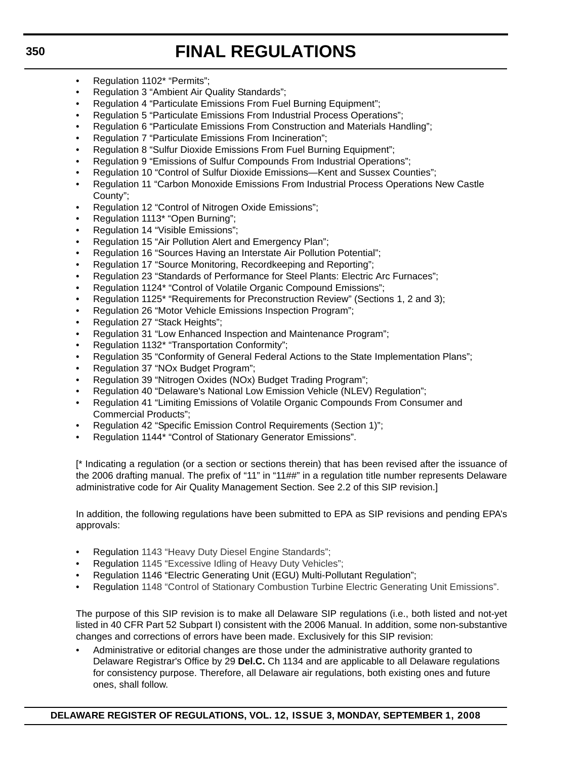- Regulation 1102\* "Permits";
- Regulation 3 "Ambient Air Quality Standards";
- Regulation 4 "Particulate Emissions From Fuel Burning Equipment";
- Regulation 5 "Particulate Emissions From Industrial Process Operations";
- Regulation 6 "Particulate Emissions From Construction and Materials Handling";
- Regulation 7 "Particulate Emissions From Incineration";
- Regulation 8 "Sulfur Dioxide Emissions From Fuel Burning Equipment";
- Regulation 9 "Emissions of Sulfur Compounds From Industrial Operations";
- Regulation 10 "Control of Sulfur Dioxide Emissions—Kent and Sussex Counties";
- Regulation 11 "Carbon Monoxide Emissions From Industrial Process Operations New Castle County";
- Regulation 12 "Control of Nitrogen Oxide Emissions":
- Regulation 1113\* "Open Burning";
- Regulation 14 "Visible Emissions";
- Regulation 15 "Air Pollution Alert and Emergency Plan";
- Regulation 16 "Sources Having an Interstate Air Pollution Potential";
- Regulation 17 "Source Monitoring, Recordkeeping and Reporting";
- Regulation 23 "Standards of Performance for Steel Plants: Electric Arc Furnaces";
- Regulation 1124\* "Control of Volatile Organic Compound Emissions";
- Regulation 1125<sup>\*</sup> "Requirements for Preconstruction Review" (Sections 1, 2 and 3);
- Regulation 26 "Motor Vehicle Emissions Inspection Program";
- Regulation 27 "Stack Heights";
- Regulation 31 "Low Enhanced Inspection and Maintenance Program";
- Regulation 1132\* "Transportation Conformity";
- Regulation 35 "Conformity of General Federal Actions to the State Implementation Plans";
- Regulation 37 "NOx Budget Program";
- Regulation 39 "Nitrogen Oxides (NOx) Budget Trading Program";
- Regulation 40 "Delaware's National Low Emission Vehicle (NLEV) Regulation";
- Regulation 41 "Limiting Emissions of Volatile Organic Compounds From Consumer and Commercial Products";
- Regulation 42 "Specific Emission Control Requirements (Section 1)";
- Regulation 1144\* "Control of Stationary Generator Emissions".

[\* Indicating a regulation (or a section or sections therein) that has been revised after the issuance of the 2006 drafting manual. The prefix of "11" in "11##" in a regulation title number represents Delaware administrative code for Air Quality Management Section. See 2.2 of this SIP revision.]

In addition, the following regulations have been submitted to EPA as SIP revisions and pending EPA's approvals:

- Regulation 1143 "Heavy Duty Diesel Engine Standards";
- Regulation 1145 "Excessive Idling of Heavy Duty Vehicles";
- Regulation 1146 "Electric Generating Unit (EGU) Multi-Pollutant Regulation";
- Regulation 1148 "Control of Stationary Combustion Turbine Electric Generating Unit Emissions".

The purpose of this SIP revision is to make all Delaware SIP regulations (i.e., both listed and not-yet listed in 40 CFR Part 52 Subpart I) consistent with the 2006 Manual. In addition, some non-substantive changes and corrections of errors have been made. Exclusively for this SIP revision:

• Administrative or editorial changes are those under the administrative authority granted to Delaware Registrar's Office by 29 **Del.C.** Ch 1134 and are applicable to all Delaware regulations for consistency purpose. Therefore, all Delaware air regulations, both existing ones and future ones, shall follow.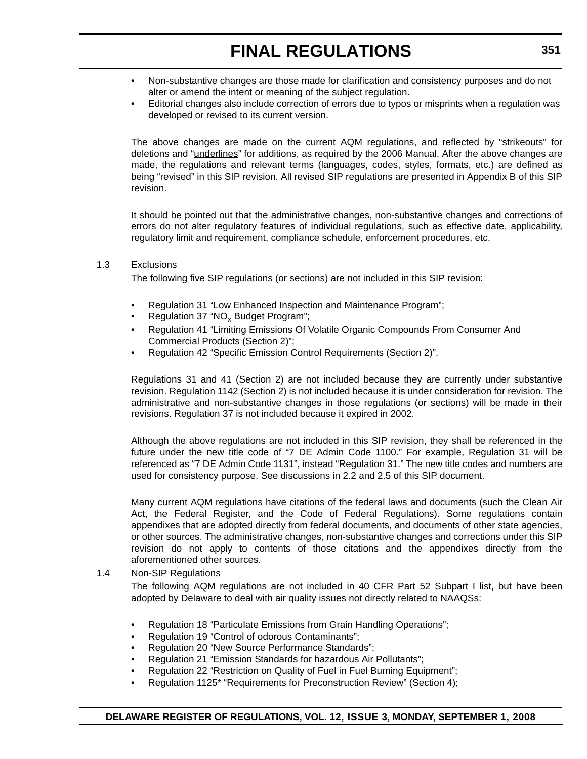- Non-substantive changes are those made for clarification and consistency purposes and do not alter or amend the intent or meaning of the subject regulation.
- Editorial changes also include correction of errors due to typos or misprints when a regulation was developed or revised to its current version.

The above changes are made on the current AQM regulations, and reflected by "strikeouts" for deletions and "underlines" for additions, as required by the 2006 Manual. After the above changes are made, the regulations and relevant terms (languages, codes, styles, formats, etc.) are defined as being "revised" in this SIP revision. All revised SIP regulations are presented in Appendix B of this SIP revision.

It should be pointed out that the administrative changes, non-substantive changes and corrections of errors do not alter regulatory features of individual regulations, such as effective date, applicability, regulatory limit and requirement, compliance schedule, enforcement procedures, etc.

#### 1.3 Exclusions

The following five SIP regulations (or sections) are not included in this SIP revision:

- Regulation 31 "Low Enhanced Inspection and Maintenance Program";
- Regulation 37 "NO<sub>x</sub> Budget Program";
- Regulation 41 "Limiting Emissions Of Volatile Organic Compounds From Consumer And Commercial Products (Section 2)";
- Regulation 42 "Specific Emission Control Requirements (Section 2)".

Regulations 31 and 41 (Section 2) are not included because they are currently under substantive revision. Regulation 1142 (Section 2) is not included because it is under consideration for revision. The administrative and non-substantive changes in those regulations (or sections) will be made in their revisions. Regulation 37 is not included because it expired in 2002.

Although the above regulations are not included in this SIP revision, they shall be referenced in the future under the new title code of "7 DE Admin Code 1100." For example, Regulation 31 will be referenced as "7 DE Admin Code 1131", instead "Regulation 31." The new title codes and numbers are used for consistency purpose. See discussions in 2.2 and 2.5 of this SIP document.

Many current AQM regulations have citations of the federal laws and documents (such the Clean Air Act, the Federal Register, and the Code of Federal Regulations). Some regulations contain appendixes that are adopted directly from federal documents, and documents of other state agencies, or other sources. The administrative changes, non-substantive changes and corrections under this SIP revision do not apply to contents of those citations and the appendixes directly from the aforementioned other sources.

#### 1.4 Non-SIP Regulations

The following AQM regulations are not included in 40 CFR Part 52 Subpart I list, but have been adopted by Delaware to deal with air quality issues not directly related to NAAQSs:

- Regulation 18 "Particulate Emissions from Grain Handling Operations";
- Regulation 19 "Control of odorous Contaminants";
- Regulation 20 "New Source Performance Standards";
- Regulation 21 "Emission Standards for hazardous Air Pollutants";
- Regulation 22 "Restriction on Quality of Fuel in Fuel Burning Equipment";
- Regulation 1125\* "Requirements for Preconstruction Review" (Section 4);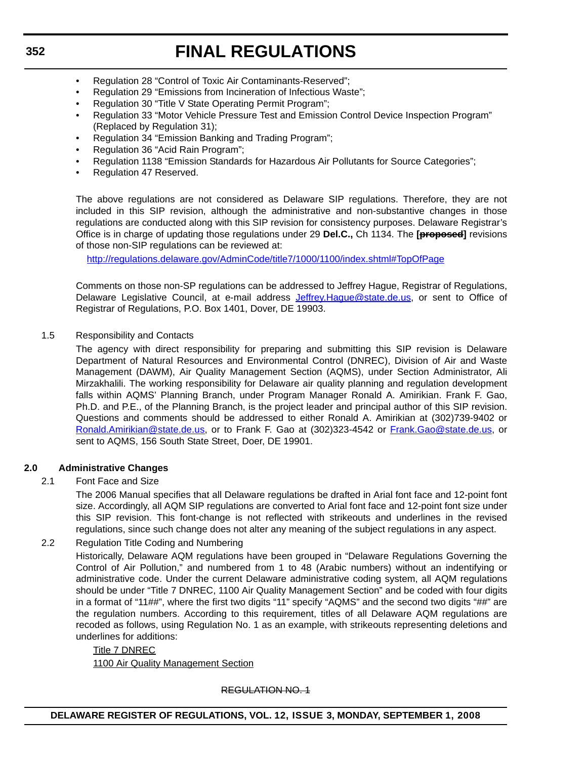- Regulation 28 "Control of Toxic Air Contaminants-Reserved";
- Regulation 29 "Emissions from Incineration of Infectious Waste";
- Regulation 30 "Title V State Operating Permit Program";
- Regulation 33 "Motor Vehicle Pressure Test and Emission Control Device Inspection Program" (Replaced by Regulation 31);
- Regulation 34 "Emission Banking and Trading Program";
- Regulation 36 "Acid Rain Program";
- Regulation 1138 "Emission Standards for Hazardous Air Pollutants for Source Categories";
- Regulation 47 Reserved.

The above regulations are not considered as Delaware SIP regulations. Therefore, they are not included in this SIP revision, although the administrative and non-substantive changes in those regulations are conducted along with this SIP revision for consistency purposes. Delaware Registrar's Office is in charge of updating those regulations under 29 **Del.C.,** Ch 1134. The **[proposed]** revisions of those non-SIP regulations can be reviewed at:

<http://regulations.delaware.gov/AdminCode/title7/1000/1100/index.shtml#TopOfPage>

Comments on those non-SP regulations can be addressed to Jeffrey Hague, Registrar of Regulations, Delaware Legislative Council, at e-mail address [Jeffrey.Hague@state.de.us,](mailto:Jeffrey.Hague@state.de.us) or sent to Office of Registrar of Regulations, P.O. Box 1401, Dover, DE 19903.

1.5 Responsibility and Contacts

The agency with direct responsibility for preparing and submitting this SIP revision is Delaware Department of Natural Resources and Environmental Control (DNREC), Division of Air and Waste Management (DAWM), Air Quality Management Section (AQMS), under Section Administrator, Ali Mirzakhalili. The working responsibility for Delaware air quality planning and regulation development falls within AQMS' Planning Branch, under Program Manager Ronald A. Amirikian. Frank F. Gao, Ph.D. and P.E., of the Planning Branch, is the project leader and principal author of this SIP revision. Questions and comments should be addressed to either Ronald A. Amirikian at (302)739-9402 or [Ronald.Amirikian@state.de.us,](mailto:Ronald.Amirikian@state.de.us) or to Frank F. Gao at (302)323-4542 or [Frank.Gao@state.de.us](mailto:Frank.Gao@state.de.us), or sent to AQMS, 156 South State Street, Doer, DE 19901.

#### **2.0 Administrative Changes**

#### 2.1 Font Face and Size

The 2006 Manual specifies that all Delaware regulations be drafted in Arial font face and 12-point font size. Accordingly, all AQM SIP regulations are converted to Arial font face and 12-point font size under this SIP revision. This font-change is not reflected with strikeouts and underlines in the revised regulations, since such change does not alter any meaning of the subject regulations in any aspect.

2.2 Regulation Title Coding and Numbering

Historically, Delaware AQM regulations have been grouped in "Delaware Regulations Governing the Control of Air Pollution," and numbered from 1 to 48 (Arabic numbers) without an indentifying or administrative code. Under the current Delaware administrative coding system, all AQM regulations should be under "Title 7 DNREC, 1100 Air Quality Management Section" and be coded with four digits in a format of "11##", where the first two digits "11" specify "AQMS" and the second two digits "##" are the regulation numbers. According to this requirement, titles of all Delaware AQM regulations are recoded as follows, using Regulation No. 1 as an example, with strikeouts representing deletions and underlines for additions:

Title 7 DNREC 1100 Air Quality Management Section

## REGULATION NO. 1

## **DELAWARE REGISTER OF REGULATIONS, VOL. 12, ISSUE 3, MONDAY, SEPTEMBER 1, 2008**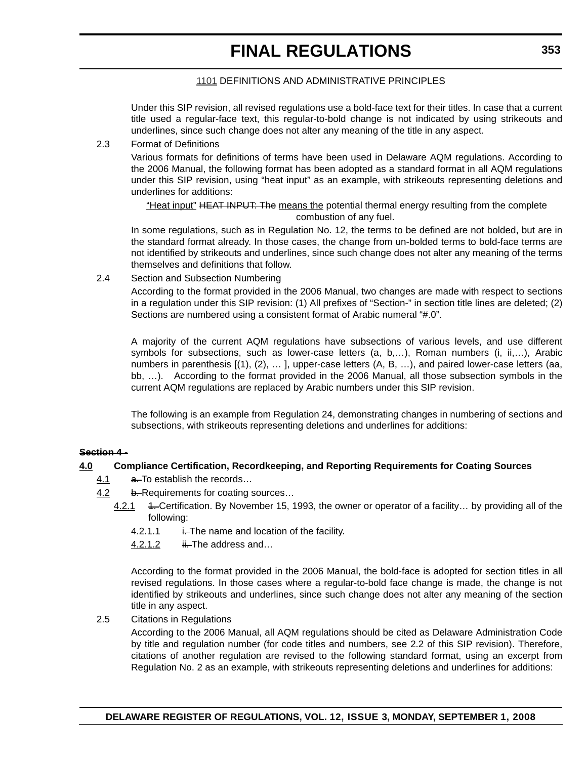#### 1101 DEFINITIONS AND ADMINISTRATIVE PRINCIPLES

Under this SIP revision, all revised regulations use a bold-face text for their titles. In case that a current title used a regular-face text, this regular-to-bold change is not indicated by using strikeouts and underlines, since such change does not alter any meaning of the title in any aspect.

#### 2.3 Format of Definitions

Various formats for definitions of terms have been used in Delaware AQM regulations. According to the 2006 Manual, the following format has been adopted as a standard format in all AQM regulations under this SIP revision, using "heat input" as an example, with strikeouts representing deletions and underlines for additions:

"Heat input" HEAT INPUT: The means the potential thermal energy resulting from the complete combustion of any fuel.

In some regulations, such as in Regulation No. 12, the terms to be defined are not bolded, but are in the standard format already. In those cases, the change from un-bolded terms to bold-face terms are not identified by strikeouts and underlines, since such change does not alter any meaning of the terms themselves and definitions that follow.

2.4 Section and Subsection Numbering

According to the format provided in the 2006 Manual, two changes are made with respect to sections in a regulation under this SIP revision: (1) All prefixes of "Section-" in section title lines are deleted; (2) Sections are numbered using a consistent format of Arabic numeral "#.0".

A majority of the current AQM regulations have subsections of various levels, and use different symbols for subsections, such as lower-case letters (a, b,...), Roman numbers (i, ii,...), Arabic numbers in parenthesis [(1), (2), ... ], upper-case letters (A, B, ...), and paired lower-case letters (aa, bb, …). According to the format provided in the 2006 Manual, all those subsection symbols in the current AQM regulations are replaced by Arabic numbers under this SIP revision.

The following is an example from Regulation 24, demonstrating changes in numbering of sections and subsections, with strikeouts representing deletions and underlines for additions:

#### **Section 4 -**

#### **4.0 Compliance Certification, Recordkeeping, and Reporting Requirements for Coating Sources**

- 4.1 a. To establish the records...
- 4.2 b. Requirements for coating sources...
	- 4.2.1 4. Certification. By November 15, 1993, the owner or operator of a facility... by providing all of the following:
		- 4.2.1.1  $\frac{1}{1}$ . The name and location of the facility.
		- 4.2.1.2  $\qquad \qquad \text{ii.}$  The address and...

According to the format provided in the 2006 Manual, the bold-face is adopted for section titles in all revised regulations. In those cases where a regular-to-bold face change is made, the change is not identified by strikeouts and underlines, since such change does not alter any meaning of the section title in any aspect.

2.5 Citations in Regulations

According to the 2006 Manual, all AQM regulations should be cited as Delaware Administration Code by title and regulation number (for code titles and numbers, see 2.2 of this SIP revision). Therefore, citations of another regulation are revised to the following standard format, using an excerpt from Regulation No. 2 as an example, with strikeouts representing deletions and underlines for additions: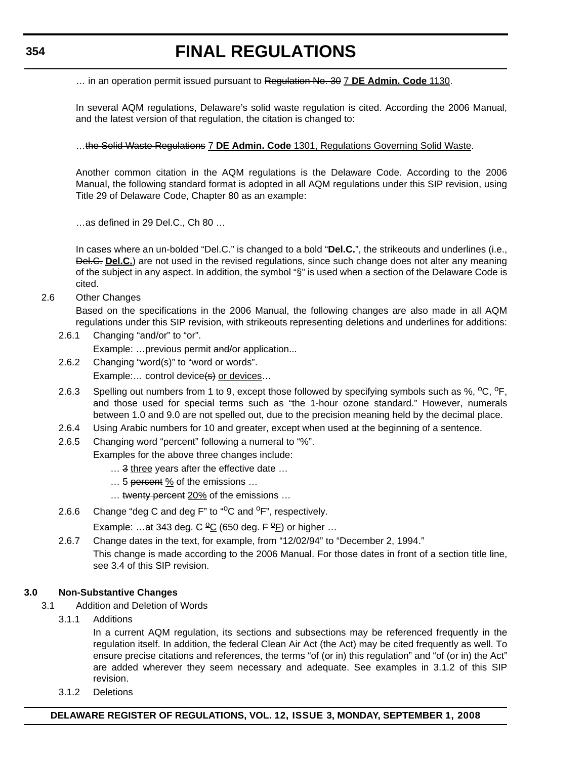… in an operation permit issued pursuant to Regulation No. 30 7 **DE Admin. Code** 1130.

In several AQM regulations, Delaware's solid waste regulation is cited. According the 2006 Manual, and the latest version of that regulation, the citation is changed to:

…the Solid Waste Regulations 7 **DE Admin. Code** 1301, Regulations Governing Solid Waste.

Another common citation in the AQM regulations is the Delaware Code. According to the 2006 Manual, the following standard format is adopted in all AQM regulations under this SIP revision, using Title 29 of Delaware Code, Chapter 80 as an example:

…as defined in 29 Del.C., Ch 80 …

In cases where an un-bolded "Del.C." is changed to a bold "**Del.C.**", the strikeouts and underlines (i.e., Del.C. **Del.C.**) are not used in the revised regulations, since such change does not alter any meaning of the subject in any aspect. In addition, the symbol "§" is used when a section of the Delaware Code is cited.

2.6 Other Changes

Based on the specifications in the 2006 Manual, the following changes are also made in all AQM regulations under this SIP revision, with strikeouts representing deletions and underlines for additions:

2.6.1 Changing "and/or" to "or".

Example: ... previous permit and/or application...

- 2.6.2 Changing "word(s)" to "word or words". Example:... control device(s) or devices...
- 2.6.3 Spelling out numbers from 1 to 9, except those followed by specifying symbols such as %, <sup>o</sup>C, <sup>o</sup>F, and those used for special terms such as "the 1-hour ozone standard." However, numerals between 1.0 and 9.0 are not spelled out, due to the precision meaning held by the decimal place.
- 2.6.4 Using Arabic numbers for 10 and greater, except when used at the beginning of a sentence.
- 2.6.5 Changing word "percent" following a numeral to "%".
	- Examples for the above three changes include:
		- ... 3 three years after the effective date ...
		- ... 5 percent % of the emissions ...
		- ... twenty percent 20% of the emissions ...
- 2.6.6 Change "deg C and deg F" to " $^{\circ}$ C and  $^{\circ}$ F", respectively.

Example: ...at 343 deg.  $C^{0}C$  (650 deg.  $F^{0}F$ ) or higher ...

2.6.7 Change dates in the text, for example, from "12/02/94" to "December 2, 1994."

This change is made according to the 2006 Manual. For those dates in front of a section title line, see 3.4 of this SIP revision.

#### **3.0 Non-Substantive Changes**

- 3.1 Addition and Deletion of Words
	- 3.1.1 Additions

In a current AQM regulation, its sections and subsections may be referenced frequently in the regulation itself. In addition, the federal Clean Air Act (the Act) may be cited frequently as well. To ensure precise citations and references, the terms "of (or in) this regulation" and "of (or in) the Act" are added wherever they seem necessary and adequate. See examples in 3.1.2 of this SIP revision.

3.1.2 Deletions

#### **DELAWARE REGISTER OF REGULATIONS, VOL. 12, ISSUE 3, MONDAY, SEPTEMBER 1, 2008**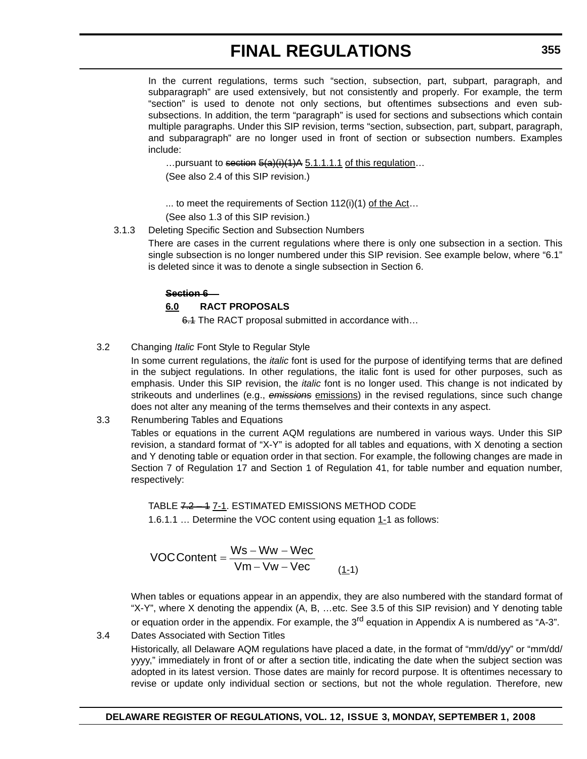In the current regulations, terms such "section, subsection, part, subpart, paragraph, and subparagraph" are used extensively, but not consistently and properly. For example, the term "section" is used to denote not only sections, but oftentimes subsections and even subsubsections. In addition, the term "paragraph" is used for sections and subsections which contain multiple paragraphs. Under this SIP revision, terms "section, subsection, part, subpart, paragraph, and subparagraph" are no longer used in front of section or subsection numbers. Examples include:

... pursuant to section  $\frac{5(a)(i)(1)}{A}$  5.1.1.1.1 of this regulation... (See also 2.4 of this SIP revision.)

... to meet the requirements of Section  $112(i)(1)$  of the Act...

(See also 1.3 of this SIP revision.)

3.1.3 Deleting Specific Section and Subsection Numbers

There are cases in the current regulations where there is only one subsection in a section. This single subsection is no longer numbered under this SIP revision. See example below, where "6.1" is deleted since it was to denote a single subsection in Section 6.

#### **Section 6 –**

## **6.0 RACT PROPOSALS**

6.1 The RACT proposal submitted in accordance with...

## 3.2 Changing *Italic* Font Style to Regular Style

 In some current regulations, the *italic* font is used for the purpose of identifying terms that are defined in the subject regulations. In other regulations, the italic font is used for other purposes, such as emphasis. Under this SIP revision, the *italic* font is no longer used. This change is not indicated by strikeouts and underlines (e.g., **emissions** emissions) in the revised regulations, since such change does not alter any meaning of the terms themselves and their contexts in any aspect.

#### 3.3 Renumbering Tables and Equations

Tables or equations in the current AQM regulations are numbered in various ways. Under this SIP revision, a standard format of "X-Y" is adopted for all tables and equations, with X denoting a section and Y denoting table or equation order in that section. For example, the following changes are made in Section 7 of Regulation 17 and Section 1 of Regulation 41, for table number and equation number, respectively:

TABLE 7.2 – 1 7-1. ESTIMATED EMISSIONS METHOD CODE 1.6.1.1 ... Determine the VOC content using equation 1-1 as follows:

$$
VOCContent = \frac{Ws - Ww - Wec}{Vm - Vw - Vec}
$$
 (1-1)

When tables or equations appear in an appendix, they are also numbered with the standard format of "X-Y", where X denoting the appendix (A, B, …etc. See 3.5 of this SIP revision) and Y denoting table or equation order in the appendix. For example, the  $3<sup>rd</sup>$  equation in Appendix A is numbered as "A-3".

## 3.4 Dates Associated with Section Titles

Historically, all Delaware AQM regulations have placed a date, in the format of "mm/dd/yy" or "mm/dd/ yyyy," immediately in front of or after a section title, indicating the date when the subject section was adopted in its latest version. Those dates are mainly for record purpose. It is oftentimes necessary to revise or update only individual section or sections, but not the whole regulation. Therefore, new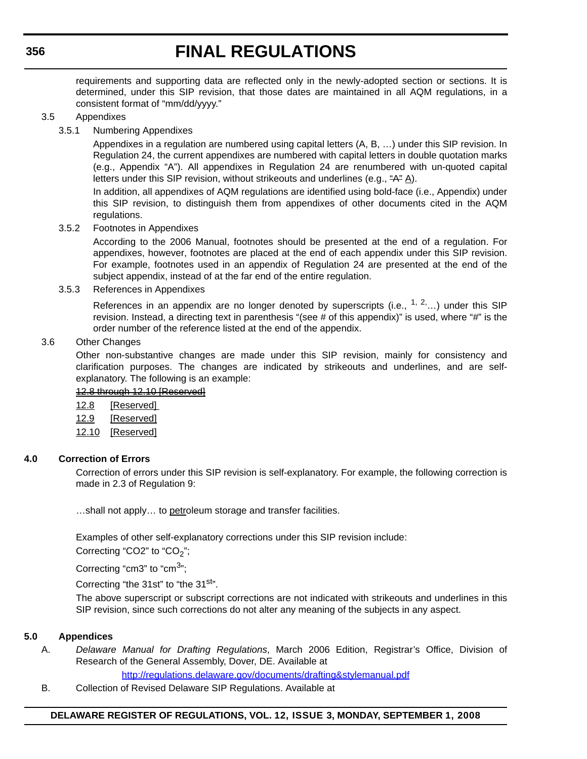requirements and supporting data are reflected only in the newly-adopted section or sections. It is determined, under this SIP revision, that those dates are maintained in all AQM regulations, in a consistent format of "mm/dd/yyyy."

#### 3.5 Appendixes

3.5.1 Numbering Appendixes

Appendixes in a regulation are numbered using capital letters (A, B, …) under this SIP revision. In Regulation 24, the current appendixes are numbered with capital letters in double quotation marks (e.g., Appendix "A"). All appendixes in Regulation 24 are renumbered with un-quoted capital letters under this SIP revision, without strikeouts and underlines (e.g.,  $A^2 \underline{A}$ ).

In addition, all appendixes of AQM regulations are identified using bold-face (i.e., Appendix) under this SIP revision, to distinguish them from appendixes of other documents cited in the AQM regulations.

#### 3.5.2 Footnotes in Appendixes

According to the 2006 Manual, footnotes should be presented at the end of a regulation. For appendixes, however, footnotes are placed at the end of each appendix under this SIP revision. For example, footnotes used in an appendix of Regulation 24 are presented at the end of the subject appendix, instead of at the far end of the entire regulation.

#### 3.5.3 References in Appendixes

References in an appendix are no longer denoted by superscripts (i.e.,  $1, 2, \ldots$ ) under this SIP revision. Instead, a directing text in parenthesis "(see # of this appendix)" is used, where "#" is the order number of the reference listed at the end of the appendix.

#### 3.6 Other Changes

Other non-substantive changes are made under this SIP revision, mainly for consistency and clarification purposes. The changes are indicated by strikeouts and underlines, and are selfexplanatory. The following is an example:

### 12.8 through 12.10 [Reserved]

- 12.8 [Reserved]
- 12.9 [Reserved]
- 12.10 [Reserved]

#### **4.0 Correction of Errors**

Correction of errors under this SIP revision is self-explanatory. For example, the following correction is made in 2.3 of Regulation 9:

...shall not apply... to petroleum storage and transfer facilities.

Examples of other self-explanatory corrections under this SIP revision include:

Correcting "CO2" to "CO<sub>2</sub>";

Correcting "cm3" to "cm<sup>3</sup>";

Correcting "the 31st" to "the 31<sup>st</sup>".

The above superscript or subscript corrections are not indicated with strikeouts and underlines in this SIP revision, since such corrections do not alter any meaning of the subjects in any aspect.

#### **5.0 Appendices**

A. *Delaware Manual for Drafting Regulations*, March 2006 Edition, Registrar's Office, Division of Research of the General Assembly, Dover, DE. Available at

http://regulations.delaware.gov/documents/drafting&stylemanual.pdf

B. Collection of Revised Delaware SIP Regulations. Available at

## **DELAWARE REGISTER OF REGULATIONS, VOL. 12, ISSUE 3, MONDAY, SEPTEMBER 1, 2008**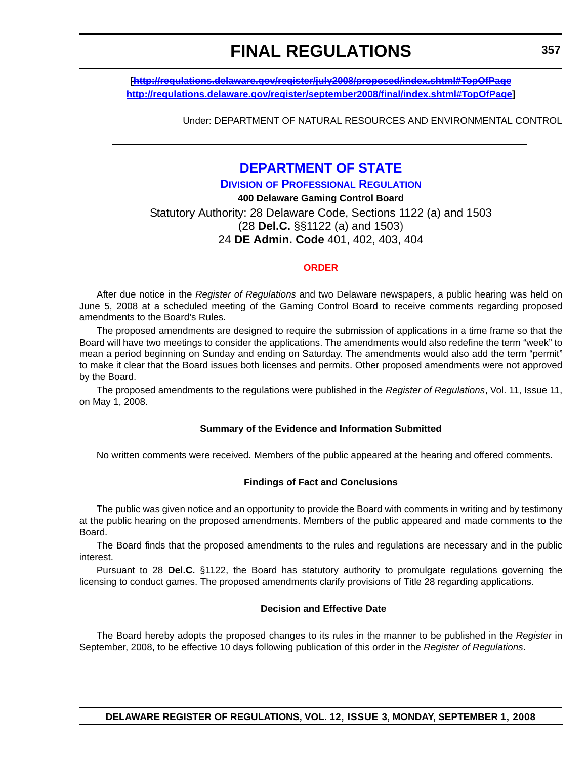**[http://regulations.delaware.gov/register/july2008/proposed/index.shtml#TopOfPage http://regulations.delaware.gov/register/september2008/final/index.shtml#TopOfPage]**

Under: DEPARTMENT OF NATURAL RESOURCES AND ENVIRONMENTAL CONTROL

# **[DEPARTMENT OF STATE](http://sos.delaware.gov/default.shtml)**

#### **DIVISION [OF PROFESSIONAL REGULATION](http://dpr.delaware.gov/default.shtml)**

**400 Delaware Gaming Control Board** Statutory Authority: 28 Delaware Code, Sections 1122 (a) and 1503 (28 **Del.C.** §§1122 (a) and 1503) 24 **DE Admin. Code** 401, 402, 403, 404

#### **[ORDER](#page-4-0)**

After due notice in the *Register of Regulations* and two Delaware newspapers, a public hearing was held on June 5, 2008 at a scheduled meeting of the Gaming Control Board to receive comments regarding proposed amendments to the Board's Rules.

The proposed amendments are designed to require the submission of applications in a time frame so that the Board will have two meetings to consider the applications. The amendments would also redefine the term "week" to mean a period beginning on Sunday and ending on Saturday. The amendments would also add the term "permit" to make it clear that the Board issues both licenses and permits. Other proposed amendments were not approved by the Board.

The proposed amendments to the regulations were published in the *Register of Regulations*, Vol. 11, Issue 11, on May 1, 2008.

#### **Summary of the Evidence and Information Submitted**

No written comments were received. Members of the public appeared at the hearing and offered comments.

#### **Findings of Fact and Conclusions**

The public was given notice and an opportunity to provide the Board with comments in writing and by testimony at the public hearing on the proposed amendments. Members of the public appeared and made comments to the Board.

The Board finds that the proposed amendments to the rules and regulations are necessary and in the public interest.

Pursuant to 28 **Del.C.** §1122, the Board has statutory authority to promulgate regulations governing the licensing to conduct games. The proposed amendments clarify provisions of Title 28 regarding applications.

#### **Decision and Effective Date**

The Board hereby adopts the proposed changes to its rules in the manner to be published in the *Register* in September, 2008, to be effective 10 days following publication of this order in the *Register of Regulations*.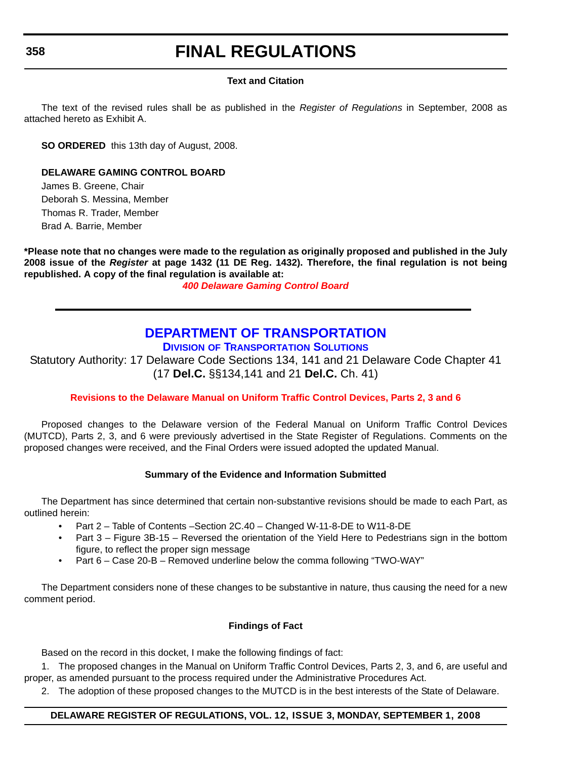### **Text and Citation**

The text of the revised rules shall be as published in the *Register of Regulations* in September, 2008 as attached hereto as Exhibit A.

**SO ORDERED** this 13th day of August, 2008.

#### **DELAWARE GAMING CONTROL BOARD**

James B. Greene, Chair Deborah S. Messina, Member Thomas R. Trader, Member Brad A. Barrie, Member

**\*Please note that no changes were made to the regulation as originally proposed and published in the July 2008 issue of the** *Register* **at page 1432 (11 DE Reg. 1432). Therefore, the final regulation is not being republished. A copy of the final regulation is available at:**

*[400 Delaware Gaming Control Board](http://regulations.delaware.gov/register/september2008/final/12 DE Reg 358 09-01-08.htm)*

## **[DEPARTMENT OF TRANSPORTATION](http://www.deldot.gov/index.shtml) DIVISION [OF TRANSPORTATION SOLUTIONS](http://www.deldot.gov/home/divisions/)**

Statutory Authority: 17 Delaware Code Sections 134, 141 and 21 Delaware Code Chapter 41 (17 **Del.C.** §§134,141 and 21 **Del.C.** Ch. 41)

## **[Revisions to the Delaware Manual on Uniform Traffic Control Devices, Parts 2, 3 and 6](#page-4-0)**

Proposed changes to the Delaware version of the Federal Manual on Uniform Traffic Control Devices (MUTCD), Parts 2, 3, and 6 were previously advertised in the State Register of Regulations. Comments on the proposed changes were received, and the Final Orders were issued adopted the updated Manual.

## **Summary of the Evidence and Information Submitted**

The Department has since determined that certain non-substantive revisions should be made to each Part, as outlined herein:

- Part 2 Table of Contents –Section 2C.40 Changed W-11-8-DE to W11-8-DE
- Part 3 Figure 3B-15 Reversed the orientation of the Yield Here to Pedestrians sign in the bottom figure, to reflect the proper sign message
- Part 6 Case 20-B Removed underline below the comma following "TWO-WAY"

The Department considers none of these changes to be substantive in nature, thus causing the need for a new comment period.

#### **Findings of Fact**

Based on the record in this docket, I make the following findings of fact:

1. The proposed changes in the Manual on Uniform Traffic Control Devices, Parts 2, 3, and 6, are useful and proper, as amended pursuant to the process required under the Administrative Procedures Act.

2. The adoption of these proposed changes to the MUTCD is in the best interests of the State of Delaware.

#### **DELAWARE REGISTER OF REGULATIONS, VOL. 12, ISSUE 3, MONDAY, SEPTEMBER 1, 2008**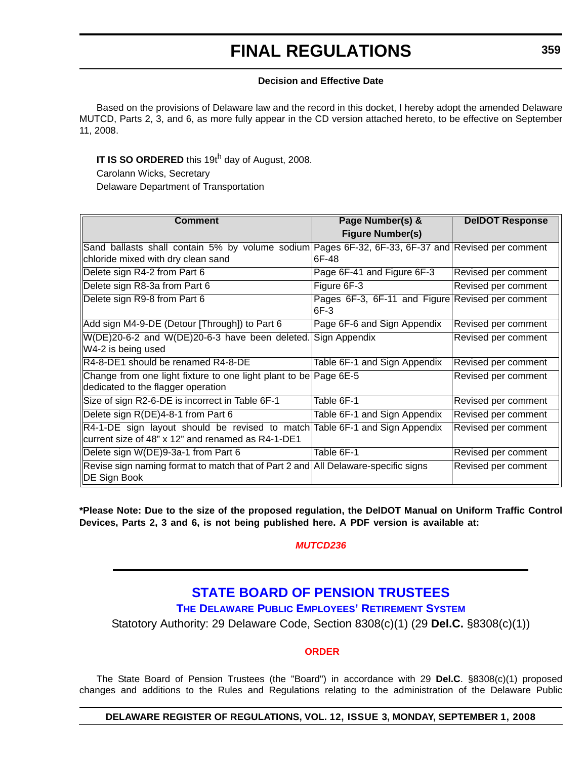#### **Decision and Effective Date**

Based on the provisions of Delaware law and the record in this docket, I hereby adopt the amended Delaware MUTCD, Parts 2, 3, and 6, as more fully appear in the CD version attached hereto, to be effective on September 11, 2008.

**IT IS SO ORDERED** this 19th day of August, 2008.

Carolann Wicks, Secretary Delaware Department of Transportation

| <b>Comment</b>                                                                                                                   | Page Number(s) &                                           | <b>DeIDOT Response</b> |
|----------------------------------------------------------------------------------------------------------------------------------|------------------------------------------------------------|------------------------|
|                                                                                                                                  | <b>Figure Number(s)</b>                                    |                        |
| Sand ballasts shall contain 5% by volume sodium Pages 6F-32, 6F-33, 6F-37 and Revised per comment                                |                                                            |                        |
| chloride mixed with dry clean sand                                                                                               | 6F-48                                                      |                        |
| Delete sign R4-2 from Part 6                                                                                                     | Page 6F-41 and Figure 6F-3                                 | Revised per comment    |
| Delete sign R8-3a from Part 6                                                                                                    | Figure 6F-3                                                | Revised per comment    |
| Delete sign R9-8 from Part 6                                                                                                     | Pages 6F-3, 6F-11 and Figure Revised per comment<br>$6F-3$ |                        |
| Add sign M4-9-DE (Detour [Through]) to Part 6                                                                                    | Page 6F-6 and Sign Appendix                                | Revised per comment    |
| W(DE)20-6-2 and W(DE)20-6-3 have been deleted. Sign Appendix<br>W4-2 is being used                                               |                                                            | Revised per comment    |
| R4-8-DE1 should be renamed R4-8-DE                                                                                               | Table 6F-1 and Sign Appendix                               | Revised per comment    |
| Change from one light fixture to one light plant to be Page 6E-5<br>dedicated to the flagger operation                           |                                                            | Revised per comment    |
| Size of sign R2-6-DE is incorrect in Table 6F-1                                                                                  | Table 6F-1                                                 | Revised per comment    |
| Delete sign R(DE)4-8-1 from Part 6                                                                                               | Table 6F-1 and Sign Appendix                               | Revised per comment    |
| R4-1-DE sign layout should be revised to match Table 6F-1 and Sign Appendix<br>current size of 48" x 12" and renamed as R4-1-DE1 |                                                            | Revised per comment    |
| Delete sign W(DE)9-3a-1 from Part 6                                                                                              | Table 6F-1                                                 | Revised per comment    |
| Revise sign naming format to match that of Part 2 and All Delaware-specific signs<br>DE Sign Book                                |                                                            | Revised per comment    |

**\*Please Note: Due to the size of the proposed regulation, the DelDOT Manual on Uniform Traffic Control Devices, Parts 2, 3 and 6, is not being published here. A PDF version is available at:** 

## *[MUTCD236](http://regulations.delaware.gov/register/september2008/final/MUTCD236.pdf )*

# **[STATE BOARD OF PENSION TRUSTEES](http://sos.delaware.gov/default.shtml) [THE DELAWARE PUBLIC EMPLOYEES' RETIREMENT SYSTEM](http://dpr.delaware.gov/default.shtml)**

Statotory Authority: 29 Delaware Code, Section 8308(c)(1) (29 **Del.C.** §8308(c)(1))

#### **[ORDER](#page-4-0)**

The State Board of Pension Trustees (the "Board") in accordance with 29 **Del.C**. §8308(c)(1) proposed changes and additions to the Rules and Regulations relating to the administration of the Delaware Public

#### **DELAWARE REGISTER OF REGULATIONS, VOL. 12, ISSUE 3, MONDAY, SEPTEMBER 1, 2008**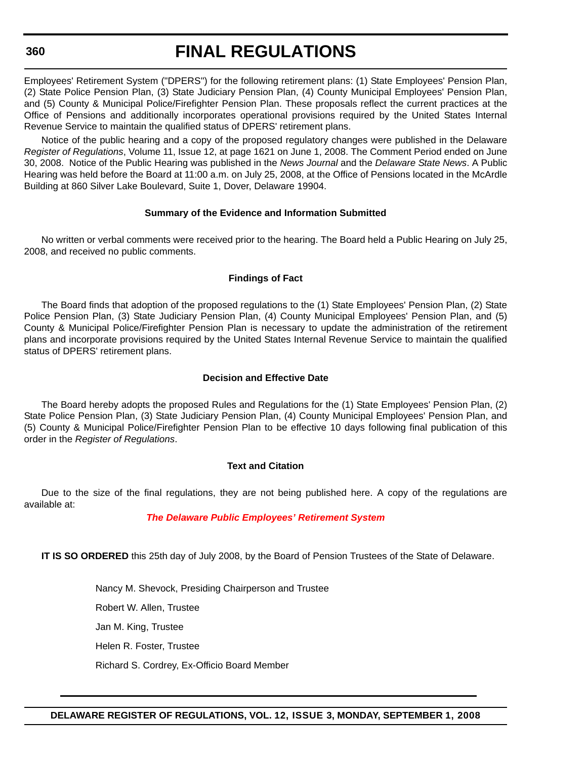**360**

# **FINAL REGULATIONS**

Employees' Retirement System ("DPERS") for the following retirement plans: (1) State Employees' Pension Plan, (2) State Police Pension Plan, (3) State Judiciary Pension Plan, (4) County Municipal Employees' Pension Plan, and (5) County & Municipal Police/Firefighter Pension Plan. These proposals reflect the current practices at the Office of Pensions and additionally incorporates operational provisions required by the United States Internal Revenue Service to maintain the qualified status of DPERS' retirement plans.

Notice of the public hearing and a copy of the proposed regulatory changes were published in the Delaware *Register of Regulations*, Volume 11, Issue 12, at page 1621 on June 1, 2008. The Comment Period ended on June 30, 2008. Notice of the Public Hearing was published in the *News Journal* and the *Delaware State News*. A Public Hearing was held before the Board at 11:00 a.m. on July 25, 2008, at the Office of Pensions located in the McArdle Building at 860 Silver Lake Boulevard, Suite 1, Dover, Delaware 19904.

#### **Summary of the Evidence and Information Submitted**

No written or verbal comments were received prior to the hearing. The Board held a Public Hearing on July 25, 2008, and received no public comments.

#### **Findings of Fact**

The Board finds that adoption of the proposed regulations to the (1) State Employees' Pension Plan, (2) State Police Pension Plan, (3) State Judiciary Pension Plan, (4) County Municipal Employees' Pension Plan, and (5) County & Municipal Police/Firefighter Pension Plan is necessary to update the administration of the retirement plans and incorporate provisions required by the United States Internal Revenue Service to maintain the qualified status of DPERS' retirement plans.

#### **Decision and Effective Date**

The Board hereby adopts the proposed Rules and Regulations for the (1) State Employees' Pension Plan, (2) State Police Pension Plan, (3) State Judiciary Pension Plan, (4) County Municipal Employees' Pension Plan, and (5) County & Municipal Police/Firefighter Pension Plan to be effective 10 days following final publication of this order in the *Register of Regulations*.

#### **Text and Citation**

Due to the size of the final regulations, they are not being published here. A copy of the regulations are available at:

#### *[The Delaware Public Employees' Retirement System](http://regulations.delaware.gov/register/september2008/final/12 DE Reg 357 09-01-08.htm)*

**IT IS SO ORDERED** this 25th day of July 2008, by the Board of Pension Trustees of the State of Delaware.

Nancy M. Shevock, Presiding Chairperson and Trustee Robert W. Allen, Trustee

Jan M. King, Trustee

Helen R. Foster, Trustee

Richard S. Cordrey, Ex-Officio Board Member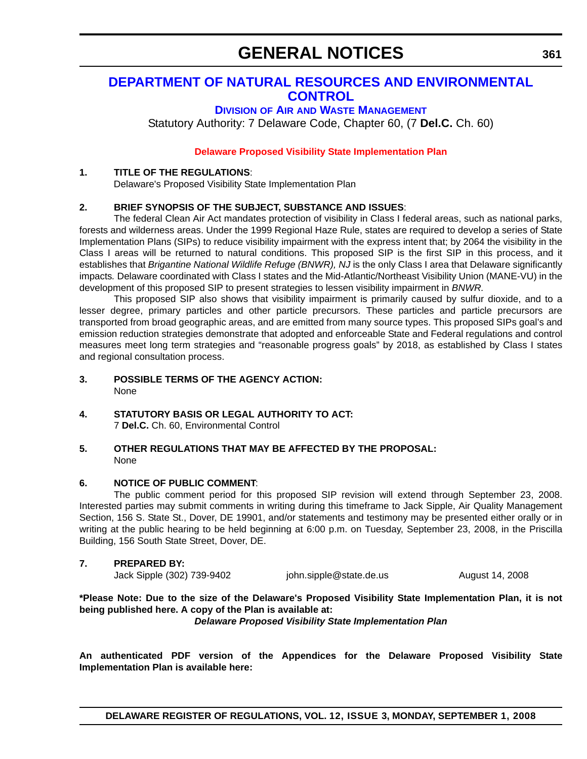# **[DEPARTMENT OF NATURAL RESOURCES AND ENVIRONMENTAL](http://www.dnrec.delaware.gov/Pages/default.aspx)  CONTROL**

## **DIVISION OF AIR [AND WASTE MANAGEMENT](http://www.awm.delaware.gov/)**

Statutory Authority: 7 Delaware Code, Chapter 60, (7 **Del.C.** Ch. 60)

#### **[Delaware Proposed Visibility State Implementation Plan](#page-4-0)**

#### **1. TITLE OF THE REGULATIONS**:

Delaware's Proposed Visibility State Implementation Plan

### **2. BRIEF SYNOPSIS OF THE SUBJECT, SUBSTANCE AND ISSUES**:

The federal Clean Air Act mandates protection of visibility in Class I federal areas, such as national parks, forests and wilderness areas. Under the 1999 Regional Haze Rule, states are required to develop a series of State Implementation Plans (SIPs) to reduce visibility impairment with the express intent that; by 2064 the visibility in the Class I areas will be returned to natural conditions. This proposed SIP is the first SIP in this process, and it establishes that *Brigantine National Wildlife Refuge (BNWR)*, NJ is the only Class I area that Delaware significantly impacts*.* Delaware coordinated with Class I states and the Mid-Atlantic/Northeast Visibility Union (MANE-VU) in the development of this proposed SIP to present strategies to lessen visibility impairment in *BNWR.*

This proposed SIP also shows that visibility impairment is primarily caused by sulfur dioxide, and to a lesser degree, primary particles and other particle precursors. These particles and particle precursors are transported from broad geographic areas, and are emitted from many source types. This proposed SIPs goal's and emission reduction strategies demonstrate that adopted and enforceable State and Federal regulations and control measures meet long term strategies and "reasonable progress goals" by 2018, as established by Class I states and regional consultation process.

- **3. POSSIBLE TERMS OF THE AGENCY ACTION:**  None
- **4. STATUTORY BASIS OR LEGAL AUTHORITY TO ACT:** 7 **Del.C.** Ch. 60, Environmental Control
- **5. OTHER REGULATIONS THAT MAY BE AFFECTED BY THE PROPOSAL:** None

#### **6. NOTICE OF PUBLIC COMMENT**:

The public comment period for this proposed SIP revision will extend through September 23, 2008. Interested parties may submit comments in writing during this timeframe to Jack Sipple, Air Quality Management Section, 156 S. State St., Dover, DE 19901, and/or statements and testimony may be presented either orally or in writing at the public hearing to be held beginning at 6:00 p.m. on Tuesday, September 23, 2008, in the Priscilla Building, 156 South State Street, Dover, DE.

#### **7. PREPARED BY:**

Jack Sipple (302) 739-9402 john.sipple@state.de.us August 14, 2008

**\*Please Note: Due to the size of the Delaware's Proposed Visibility State Implementation Plan, it is not being published here. A copy of the Plan is available at:**

*[Delaware Proposed Visibility State Implementation Plan](http://regulations.delaware.gov/register/september2008/general/12 DE Reg 361 09-01-08.htm )*

**An authenticated PDF version of the Appendices for the Delaware Proposed Visibility State Implementation Plan is available here:**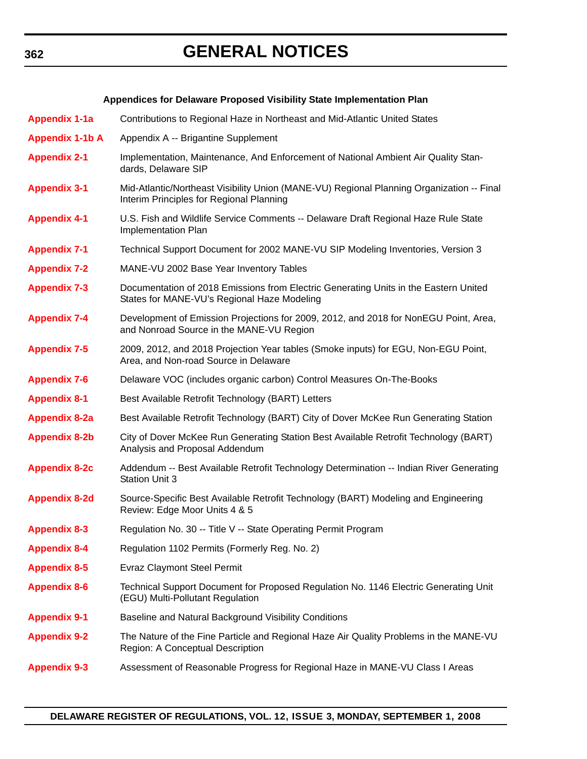# **GENERAL NOTICES**

#### **Appendices for Delaware Proposed Visibility State Implementation Plan**

**[Appendix 1-1a](http://regulations.delaware.gov/register/september2008/general/App-1-1a.pdf)** Contributions to Regional Haze in Northeast and Mid-Atlantic United States

- **[Appendix 1-1b A](http://regulations.delaware.gov/register/september2008/general/App-1-1b-A.pdf)** Appendix A -- Brigantine Supplement **[Appendix 2-1](http://regulations.delaware.gov/register/september2008/general/App-2-1.pdf)** Implementation, Maintenance, And Enforcement of National Ambient Air Quality Standards, Delaware SIP **[Appendix 3-1](http://regulations.delaware.gov/register/september2008/general/App-3-1.pdf)** Mid-Atlantic/Northeast Visibility Union (MANE-VU) Regional Planning Organization -- Final Interim Principles for Regional Planning **[Appendix 4-1](http://regulations.delaware.gov/register/september2008/general/App-4-1.pdf)** U.S. Fish and Wildlife Service Comments -- Delaware Draft Regional Haze Rule State Implementation Plan **[Appendix 7-1](http://regulations.delaware.gov/register/september2008/general/App-7-1.pdf)** Technical Support Document for 2002 MANE-VU SIP Modeling Inventories, Version 3 **[Appendix 7-2](http://regulations.delaware.gov/register/september2008/general/App-7-2.pdf)** MANE-VU 2002 Base Year Inventory Tables **[Appendix 7-3](http://regulations.delaware.gov/register/september2008/general/App-7-3.pdf)** Documentation of 2018 Emissions from Electric Generating Units in the Eastern United States for MANE-VU's Regional Haze Modeling **[Appendix 7-4](http://regulations.delaware.gov/register/september2008/general/App-7-4.pdf)** Development of Emission Projections for 2009, 2012, and 2018 for NonEGU Point, Area, and Nonroad Source in the MANE-VU Region **[Appendix 7-5](http://regulations.delaware.gov/register/september2008/general/App-7-5.pdf)** 2009, 2012, and 2018 Projection Year tables (Smoke inputs) for EGU, Non-EGU Point, Area, and Non-road Source in Delaware
- **[Appendix 7-6](http://regulations.delaware.gov/register/september2008/general/App-7-6.pdf)** Delaware VOC (includes organic carbon) Control Measures On-The-Books
- **[Appendix 8-1](http://regulations.delaware.gov/register/september2008/general/App-8-1.pdf)** Best Available Retrofit Technology (BART) Letters
- **[Appendix 8-2a](http://regulations.delaware.gov/register/september2008/general/App-8-2a.pdf)** Best Available Retrofit Technology (BART) City of Dover McKee Run Generating Station
- **[Appendix 8-2b](http://regulations.delaware.gov/register/september2008/general/App-8-2b.pdf)** City of Dover McKee Run Generating Station Best Available Retrofit Technology (BART) Analysis and Proposal Addendum
- **[Appendix 8-2c](http://regulations.delaware.gov/register/september2008/general/App-8-2c.pdf)** Addendum -- Best Available Retrofit Technology Determination -- Indian River Generating Station Unit 3
- **[Appendix 8-2d](http://regulations.delaware.gov/register/september2008/general/App-8-2d.pdf)** Source-Specific Best Available Retrofit Technology (BART) Modeling and Engineering Review: Edge Moor Units 4 & 5
- **[Appendix 8-3](http://regulations.delaware.gov/register/september2008/general/App-8-3.pdf)** Regulation No. 30 -- Title V -- State Operating Permit Program
- **[Appendix 8-4](http://regulations.delaware.gov/register/september2008/general/App-8-4.pdf)** Regulation 1102 Permits (Formerly Reg. No. 2)
- **[Appendix 8-5](http://regulations.delaware.gov/register/september2008/general/App-8-5.pdf)** Evraz Claymont Steel Permit
- **[Appendix 8-6](http://regulations.delaware.gov/register/september2008/general/App-8-6.pdf)** Technical Support Document for Proposed Regulation No. 1146 Electric Generating Unit (EGU) Multi-Pollutant Regulation
- **[Appendix 9-1](http://regulations.delaware.gov/register/september2008/general/App-9-1.pdf)** Baseline and Natural Background Visibility Conditions
- **[Appendix 9-2](http://regulations.delaware.gov/register/september2008/general/App-9-2.pdf)** The Nature of the Fine Particle and Regional Haze Air Quality Problems in the MANE-VU Region: A Conceptual Description
- **[Appendix 9-3](http://regulations.delaware.gov/register/september2008/general/App-9-3.pdf)** Assessment of Reasonable Progress for Regional Haze in MANE-VU Class I Areas

#### **362**

#### **DELAWARE REGISTER OF REGULATIONS, VOL. 12, ISSUE 3, MONDAY, SEPTEMBER 1, 2008**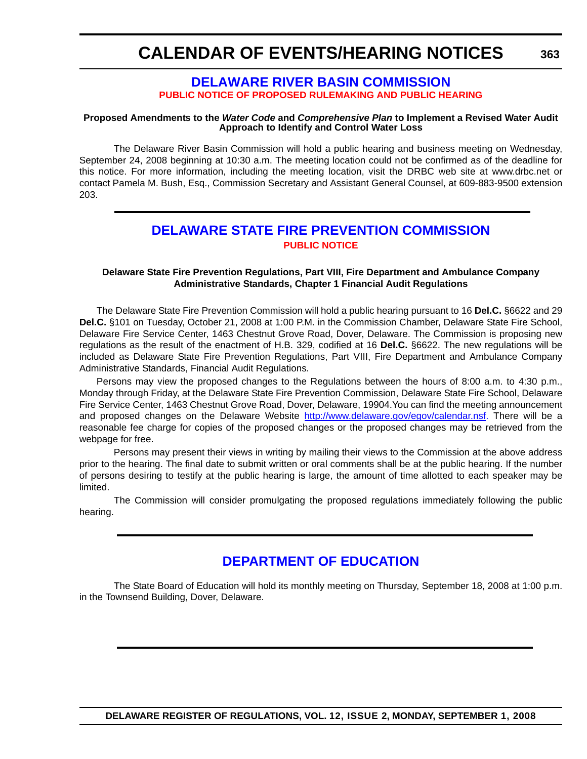**363**

## **[DELAWARE RIVER BASIN COMMISSION](http://www.state.nj.us/drbc/) [PUBLIC NOTICE OF PROPOSED RULEMAKING AND PUBLIC HEARING](#page-4-0)**

#### **Proposed Amendments to the** *Water Code* **and** *Comprehensive Plan* **to Implement a Revised Water Audit Approach to Identify and Control Water Loss**

The Delaware River Basin Commission will hold a public hearing and business meeting on Wednesday, September 24, 2008 beginning at 10:30 a.m. The meeting location could not be confirmed as of the deadline for this notice. For more information, including the meeting location, visit the DRBC web site at www.drbc.net or contact Pamela M. Bush, Esq., Commission Secretary and Assistant General Counsel, at 609-883-9500 extension 203.

# **[DELAWARE STATE FIRE PREVENTION COMMISSION](http://statefirecommission.delaware.gov/) [PUBLIC NOTICE](#page-4-0)**

#### **Delaware State Fire Prevention Regulations, Part VIII, Fire Department and Ambulance Company Administrative Standards, Chapter 1 Financial Audit Regulations**

The Delaware State Fire Prevention Commission will hold a public hearing pursuant to 16 **Del.C.** §6622 and 29 **Del.C.** §101 on Tuesday, October 21, 2008 at 1:00 P.M. in the Commission Chamber, Delaware State Fire School, Delaware Fire Service Center, 1463 Chestnut Grove Road, Dover, Delaware. The Commission is proposing new regulations as the result of the enactment of H.B. 329, codified at 16 **Del.C.** §6622. The new regulations will be included as Delaware State Fire Prevention Regulations, Part VIII, Fire Department and Ambulance Company Administrative Standards, Financial Audit Regulations*.*

Persons may view the proposed changes to the Regulations between the hours of 8:00 a.m. to 4:30 p.m., Monday through Friday, at the Delaware State Fire Prevention Commission, Delaware State Fire School, Delaware Fire Service Center, 1463 Chestnut Grove Road, Dover, Delaware, 19904.You can find the meeting announcement and proposed changes on the Delaware Website http://www.delaware.gov/egov/calendar.nsf. There will be a reasonable fee charge for copies of the proposed changes or the proposed changes may be retrieved from the webpage for free.

Persons may present their views in writing by mailing their views to the Commission at the above address prior to the hearing. The final date to submit written or oral comments shall be at the public hearing. If the number of persons desiring to testify at the public hearing is large, the amount of time allotted to each speaker may be limited.

The Commission will consider promulgating the proposed regulations immediately following the public hearing.

# **[DEPARTMENT OF EDUCATION](http://www.doe.k12.de.us/)**

The State Board of Education will hold its monthly meeting on Thursday, September 18, 2008 at 1:00 p.m. in the Townsend Building, Dover, Delaware.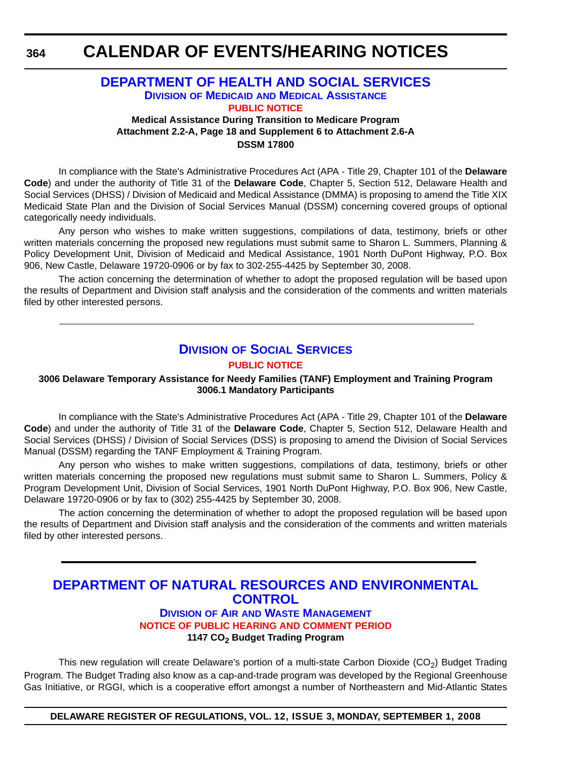**364**

## **[DEPARTMENT OF HEALTH AND SOCIAL SERVICES](http://www.dhss.delaware.gov/dhss/index.html) DIVISION OF MEDICAID [AND MEDICAL ASSISTANCE](http://www.dhss.delaware.gov/dhss/dmma/) [PUBLIC NOTICE](#page-4-0)**

**Medical Assistance During Transition to Medicare Program Attachment 2.2-A, Page 18 and Supplement 6 to Attachment 2.6-A DSSM 17800**

In compliance with the State's Administrative Procedures Act (APA - Title 29, Chapter 101 of the **Delaware Code**) and under the authority of Title 31 of the **Delaware Code**, Chapter 5, Section 512, Delaware Health and Social Services (DHSS) / Division of Medicaid and Medical Assistance (DMMA) is proposing to amend the Title XIX Medicaid State Plan and the Division of Social Services Manual (DSSM) concerning covered groups of optional categorically needy individuals.

Any person who wishes to make written suggestions, compilations of data, testimony, briefs or other written materials concerning the proposed new regulations must submit same to Sharon L. Summers, Planning & Policy Development Unit, Division of Medicaid and Medical Assistance, 1901 North DuPont Highway, P.O. Box 906, New Castle, Delaware 19720-0906 or by fax to 302-255-4425 by September 30, 2008.

The action concerning the determination of whether to adopt the proposed regulation will be based upon the results of Department and Division staff analysis and the consideration of the comments and written materials filed by other interested persons.

## **DIVISION [OF SOCIAL SERVICES](http://www.dhss.delaware.gov/dhss/dss/index.html) [PUBLIC NOTICE](#page-4-0)**

#### **3006 Delaware Temporary Assistance for Needy Families (TANF) Employment and Training Program 3006.1 Mandatory Participants**

In compliance with the State's Administrative Procedures Act (APA - Title 29, Chapter 101 of the **Delaware Code**) and under the authority of Title 31 of the **Delaware Code**, Chapter 5, Section 512, Delaware Health and Social Services (DHSS) / Division of Social Services (DSS) is proposing to amend the Division of Social Services Manual (DSSM) regarding the TANF Employment & Training Program.

Any person who wishes to make written suggestions, compilations of data, testimony, briefs or other written materials concerning the proposed new regulations must submit same to Sharon L. Summers, Policy & Program Development Unit, Division of Social Services, 1901 North DuPont Highway, P.O. Box 906, New Castle, Delaware 19720-0906 or by fax to (302) 255-4425 by September 30, 2008.

The action concerning the determination of whether to adopt the proposed regulation will be based upon the results of Department and Division staff analysis and the consideration of the comments and written materials filed by other interested persons.

# **[DEPARTMENT OF NATURAL RESOURCES AND ENVIRONMENTAL](http://attorneygeneral.delaware.gov/)  CONTROL**

### **DIVISION OF AIR [AND WASTE MANAGEMENT](http://www.awm.delaware.gov/Pages/default.aspx) [NOTICE OF PUBLIC HEARING AND COMMENT PERIOD](#page-4-0)** 1147 CO<sub>2</sub> Budget Trading Program

This new regulation will create Delaware's portion of a multi-state Carbon Dioxide  $(CO<sub>2</sub>)$  Budget Trading Program. The Budget Trading also know as a cap-and-trade program was developed by the Regional Greenhouse Gas Initiative, or RGGI, which is a cooperative effort amongst a number of Northeastern and Mid-Atlantic States

**DELAWARE REGISTER OF REGULATIONS, VOL. 12, ISSUE 3, MONDAY, SEPTEMBER 1, 2008**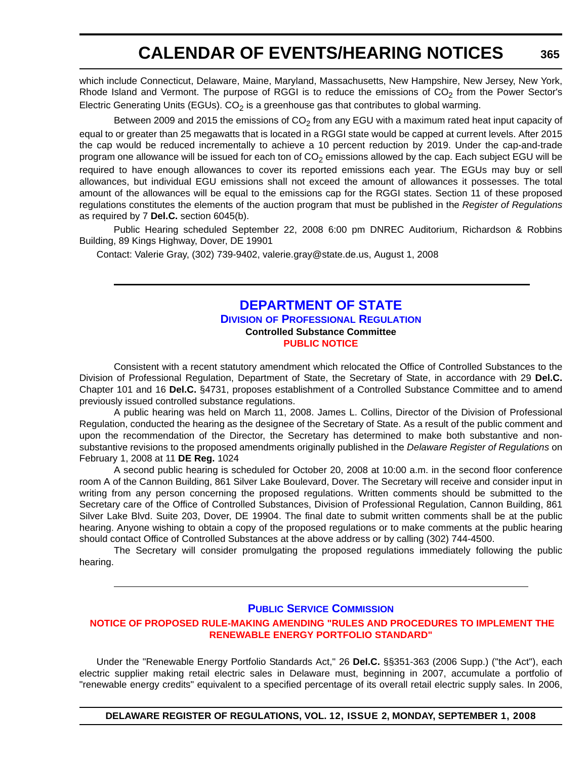which include Connecticut, Delaware, Maine, Maryland, Massachusetts, New Hampshire, New Jersey, New York, Rhode Island and Vermont. The purpose of RGGI is to reduce the emissions of  $CO<sub>2</sub>$  from the Power Sector's Electric Generating Units (EGUs).  $CO<sub>2</sub>$  is a greenhouse gas that contributes to global warming.

Between 2009 and 2015 the emissions of  $CO<sub>2</sub>$  from any EGU with a maximum rated heat input capacity of

equal to or greater than 25 megawatts that is located in a RGGI state would be capped at current levels. After 2015 the cap would be reduced incrementally to achieve a 10 percent reduction by 2019. Under the cap-and-trade program one allowance will be issued for each ton of  $CO<sub>2</sub>$  emissions allowed by the cap. Each subject EGU will be required to have enough allowances to cover its reported emissions each year. The EGUs may buy or sell allowances, but individual EGU emissions shall not exceed the amount of allowances it possesses. The total amount of the allowances will be equal to the emissions cap for the RGGI states. Section 11 of these proposed regulations constitutes the elements of the auction program that must be published in the *Register of Regulations* as required by 7 **Del.C.** section 6045(b).

Public Hearing scheduled September 22, 2008 6:00 pm DNREC Auditorium, Richardson & Robbins Building, 89 Kings Highway, Dover, DE 19901

Contact: Valerie Gray, (302) 739-9402, valerie.gray@state.de.us, August 1, 2008

### **[DEPARTMENT OF STATE](http://sos.delaware.gov/default.shtml) DIVISION [OF PROFESSIONAL REGULATION](http://dpr.delaware.gov/default.shtml) Controlled Substance Committee [PUBLIC NOTICE](#page-4-0)**

Consistent with a recent statutory amendment which relocated the Office of Controlled Substances to the Division of Professional Regulation, Department of State, the Secretary of State, in accordance with 29 **Del.C.** Chapter 101 and 16 **Del.C.** §4731, proposes establishment of a Controlled Substance Committee and to amend previously issued controlled substance regulations.

A public hearing was held on March 11, 2008. James L. Collins, Director of the Division of Professional Regulation, conducted the hearing as the designee of the Secretary of State. As a result of the public comment and upon the recommendation of the Director, the Secretary has determined to make both substantive and nonsubstantive revisions to the proposed amendments originally published in the *Delaware Register of Regulations* on February 1, 2008 at 11 **DE Reg.** 1024

A second public hearing is scheduled for October 20, 2008 at 10:00 a.m. in the second floor conference room A of the Cannon Building, 861 Silver Lake Boulevard, Dover. The Secretary will receive and consider input in writing from any person concerning the proposed regulations. Written comments should be submitted to the Secretary care of the Office of Controlled Substances, Division of Professional Regulation, Cannon Building, 861 Silver Lake Blvd. Suite 203, Dover, DE 19904. The final date to submit written comments shall be at the public hearing. Anyone wishing to obtain a copy of the proposed regulations or to make comments at the public hearing should contact Office of Controlled Substances at the above address or by calling (302) 744-4500.

The Secretary will consider promulgating the proposed regulations immediately following the public hearing.

#### **[PUBLIC SERVICE COMMISSION](http://depsc.delaware.gov/default.shtml)**

#### **[INOTICE OF PROPOSED RULE-MAKING AMENDING "RULES AND PROCEDURES TO IMPLEMENT THE](#page-4-0)  RENEWABLE ENERGY PORTFOLIO STANDARD"**

Under the "Renewable Energy Portfolio Standards Act," 26 **Del.C.** §§351-363 (2006 Supp.) ("the Act"), each electric supplier making retail electric sales in Delaware must, beginning in 2007, accumulate a portfolio of "renewable energy credits" equivalent to a specified percentage of its overall retail electric supply sales. In 2006,

**DELAWARE REGISTER OF REGULATIONS, VOL. 12, ISSUE 2, MONDAY, SEPTEMBER 1, 2008**